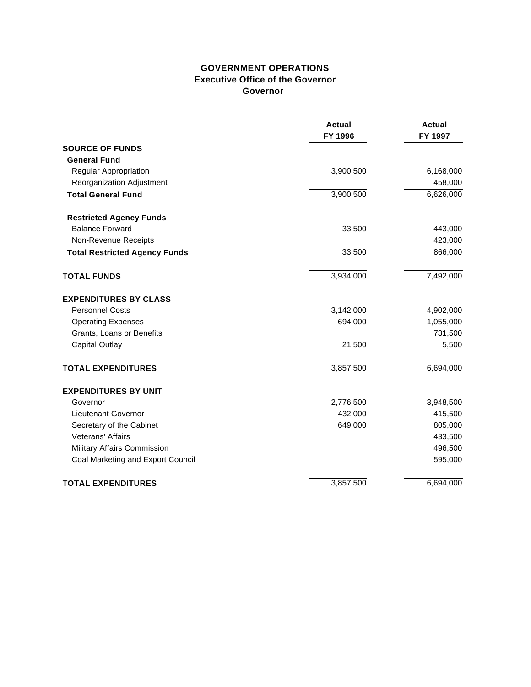#### **GOVERNMENT OPERATIONS Executive Office of the Governor Governor**

|                                      | <b>Actual</b><br>FY 1996 | <b>Actual</b><br>FY 1997 |
|--------------------------------------|--------------------------|--------------------------|
| <b>SOURCE OF FUNDS</b>               |                          |                          |
| <b>General Fund</b>                  |                          |                          |
| Regular Appropriation                | 3,900,500                | 6,168,000                |
| Reorganization Adjustment            |                          | 458,000                  |
| <b>Total General Fund</b>            | 3,900,500                | 6,626,000                |
| <b>Restricted Agency Funds</b>       |                          |                          |
| <b>Balance Forward</b>               | 33,500                   | 443,000                  |
| Non-Revenue Receipts                 |                          | 423,000                  |
| <b>Total Restricted Agency Funds</b> | 33,500                   | 866,000                  |
| <b>TOTAL FUNDS</b>                   | 3,934,000                | 7,492,000                |
| <b>EXPENDITURES BY CLASS</b>         |                          |                          |
| <b>Personnel Costs</b>               | 3,142,000                | 4,902,000                |
| <b>Operating Expenses</b>            | 694,000                  | 1,055,000                |
| Grants, Loans or Benefits            |                          | 731,500                  |
| <b>Capital Outlay</b>                | 21,500                   | 5,500                    |
| <b>TOTAL EXPENDITURES</b>            | 3,857,500                | 6,694,000                |
| <b>EXPENDITURES BY UNIT</b>          |                          |                          |
| Governor                             | 2,776,500                | 3,948,500                |
| Lieutenant Governor                  | 432,000                  | 415,500                  |
| Secretary of the Cabinet             | 649,000                  | 805,000                  |
| <b>Veterans' Affairs</b>             |                          | 433,500                  |
| Military Affairs Commission          |                          | 496,500                  |
| Coal Marketing and Export Council    |                          | 595,000                  |
| <b>TOTAL EXPENDITURES</b>            | 3,857,500                | 6,694,000                |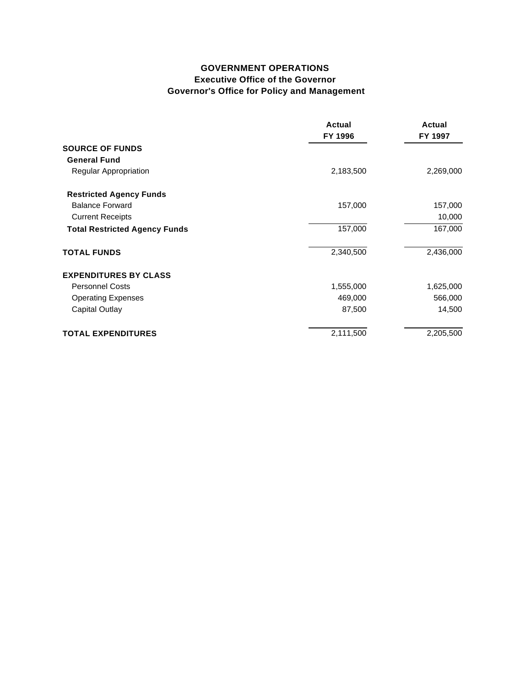### **GOVERNMENT OPERATIONS Executive Office of the Governor Governor's Office for Policy and Management**

|                                      | Actual<br>FY 1996 | Actual<br>FY 1997 |
|--------------------------------------|-------------------|-------------------|
| <b>SOURCE OF FUNDS</b>               |                   |                   |
| <b>General Fund</b>                  |                   |                   |
| <b>Regular Appropriation</b>         | 2,183,500         | 2,269,000         |
| <b>Restricted Agency Funds</b>       |                   |                   |
| <b>Balance Forward</b>               | 157,000           | 157,000           |
| <b>Current Receipts</b>              |                   | 10,000            |
| <b>Total Restricted Agency Funds</b> | 157,000           | 167,000           |
| <b>TOTAL FUNDS</b>                   | 2,340,500         | 2,436,000         |
| <b>EXPENDITURES BY CLASS</b>         |                   |                   |
| <b>Personnel Costs</b>               | 1,555,000         | 1,625,000         |
| <b>Operating Expenses</b>            | 469,000           | 566,000           |
| Capital Outlay                       | 87,500            | 14,500            |
| <b>TOTAL EXPENDITURES</b>            | 2,111,500         | 2,205,500         |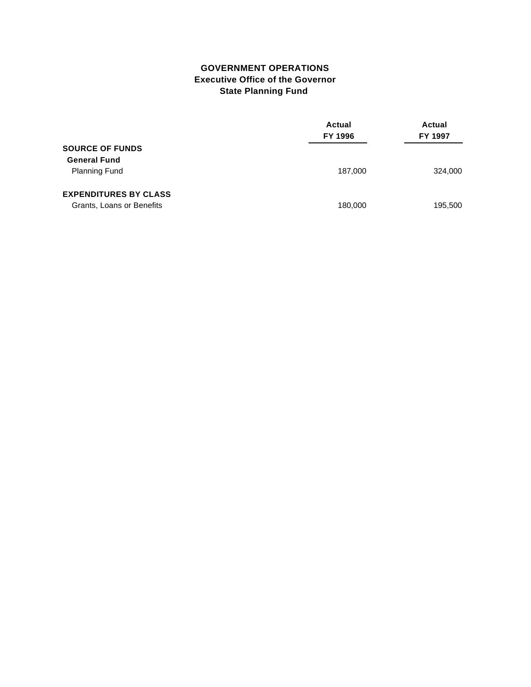#### **GOVERNMENT OPERATIONS Executive Office of the Governor State Planning Fund**

|                              | Actual<br>FY 1996 | Actual<br>FY 1997 |
|------------------------------|-------------------|-------------------|
| <b>SOURCE OF FUNDS</b>       |                   |                   |
| <b>General Fund</b>          |                   |                   |
| <b>Planning Fund</b>         | 187,000           | 324,000           |
| <b>EXPENDITURES BY CLASS</b> |                   |                   |
| Grants, Loans or Benefits    | 180,000           | 195,500           |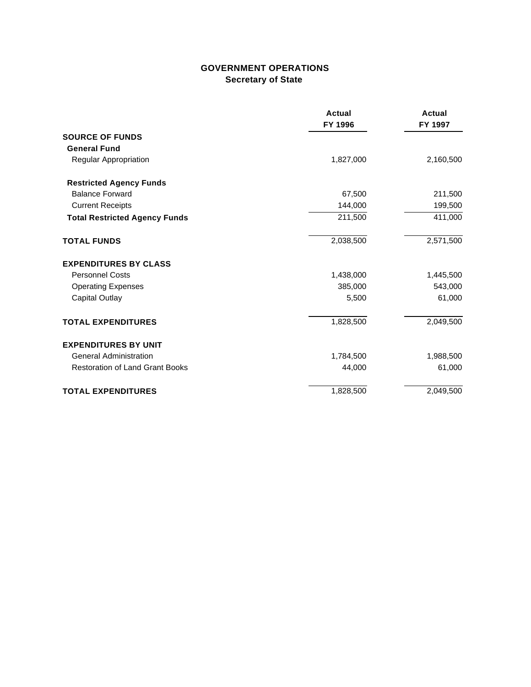## **GOVERNMENT OPERATIONS Secretary of State**

|                                        | <b>Actual</b><br>FY 1996 | <b>Actual</b><br>FY 1997 |
|----------------------------------------|--------------------------|--------------------------|
| <b>SOURCE OF FUNDS</b>                 |                          |                          |
| <b>General Fund</b>                    |                          |                          |
| Regular Appropriation                  | 1,827,000                | 2,160,500                |
| <b>Restricted Agency Funds</b>         |                          |                          |
| <b>Balance Forward</b>                 | 67,500                   | 211,500                  |
| <b>Current Receipts</b>                | 144,000                  | 199,500                  |
| <b>Total Restricted Agency Funds</b>   | 211,500                  | 411,000                  |
| <b>TOTAL FUNDS</b>                     | 2,038,500                | 2,571,500                |
| <b>EXPENDITURES BY CLASS</b>           |                          |                          |
| <b>Personnel Costs</b>                 | 1,438,000                | 1,445,500                |
| <b>Operating Expenses</b>              | 385,000                  | 543,000                  |
| Capital Outlay                         | 5,500                    | 61,000                   |
| <b>TOTAL EXPENDITURES</b>              | 1,828,500                | 2,049,500                |
| <b>EXPENDITURES BY UNIT</b>            |                          |                          |
| <b>General Administration</b>          | 1,784,500                | 1,988,500                |
| <b>Restoration of Land Grant Books</b> | 44,000                   | 61,000                   |
| <b>TOTAL EXPENDITURES</b>              | 1,828,500                | 2,049,500                |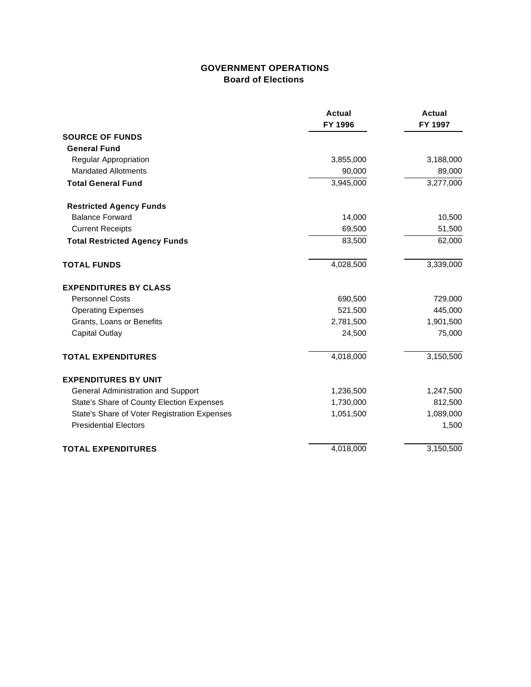## **GOVERNMENT OPERATIONS Board of Elections**

|                                              | <b>Actual</b><br>FY 1996 | <b>Actual</b><br>FY 1997 |
|----------------------------------------------|--------------------------|--------------------------|
| <b>SOURCE OF FUNDS</b>                       |                          |                          |
| <b>General Fund</b>                          |                          |                          |
| <b>Regular Appropriation</b>                 | 3,855,000                | 3,188,000                |
| <b>Mandated Allotments</b>                   | 90,000                   | 89,000                   |
| <b>Total General Fund</b>                    | 3,945,000                | 3,277,000                |
| <b>Restricted Agency Funds</b>               |                          |                          |
| <b>Balance Forward</b>                       | 14,000                   | 10,500                   |
| <b>Current Receipts</b>                      | 69,500                   | 51,500                   |
| <b>Total Restricted Agency Funds</b>         | 83,500                   | 62,000                   |
| <b>TOTAL FUNDS</b>                           | 4,028,500                | 3,339,000                |
| <b>EXPENDITURES BY CLASS</b>                 |                          |                          |
| <b>Personnel Costs</b>                       | 690,500                  | 729,000                  |
| <b>Operating Expenses</b>                    | 521,500                  | 445,000                  |
| Grants, Loans or Benefits                    | 2,781,500                | 1,901,500                |
| <b>Capital Outlay</b>                        | 24,500                   | 75,000                   |
| <b>TOTAL EXPENDITURES</b>                    | 4,018,000                | 3,150,500                |
| <b>EXPENDITURES BY UNIT</b>                  |                          |                          |
| General Administration and Support           | 1,236,500                | 1,247,500                |
| State's Share of County Election Expenses    | 1,730,000                | 812,500                  |
| State's Share of Voter Registration Expenses | 1,051,500                | 1,089,000                |
| <b>Presidential Electors</b>                 |                          | 1,500                    |
| <b>TOTAL EXPENDITURES</b>                    | 4,018,000                | 3,150,500                |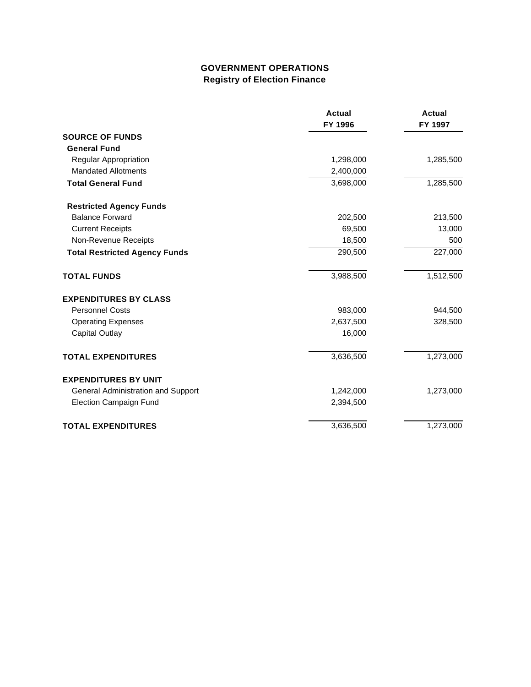# **GOVERNMENT OPERATIONS Registry of Election Finance**

|                                      | <b>Actual</b><br>FY 1996 | Actual<br>FY 1997 |
|--------------------------------------|--------------------------|-------------------|
| <b>SOURCE OF FUNDS</b>               |                          |                   |
| <b>General Fund</b>                  |                          |                   |
| Regular Appropriation                | 1,298,000                | 1,285,500         |
| <b>Mandated Allotments</b>           | 2,400,000                |                   |
| <b>Total General Fund</b>            | 3,698,000                | 1,285,500         |
| <b>Restricted Agency Funds</b>       |                          |                   |
| <b>Balance Forward</b>               | 202,500                  | 213,500           |
| <b>Current Receipts</b>              | 69,500                   | 13,000            |
| Non-Revenue Receipts                 | 18,500                   | 500               |
| <b>Total Restricted Agency Funds</b> | 290,500                  | 227,000           |
| <b>TOTAL FUNDS</b>                   | 3,988,500                | 1,512,500         |
| <b>EXPENDITURES BY CLASS</b>         |                          |                   |
| <b>Personnel Costs</b>               | 983,000                  | 944,500           |
| <b>Operating Expenses</b>            | 2,637,500                | 328,500           |
| <b>Capital Outlay</b>                | 16,000                   |                   |
| <b>TOTAL EXPENDITURES</b>            | 3,636,500                | 1,273,000         |
| <b>EXPENDITURES BY UNIT</b>          |                          |                   |
| General Administration and Support   | 1,242,000                | 1,273,000         |
| <b>Election Campaign Fund</b>        | 2,394,500                |                   |
| <b>TOTAL EXPENDITURES</b>            | 3,636,500                | 1,273,000         |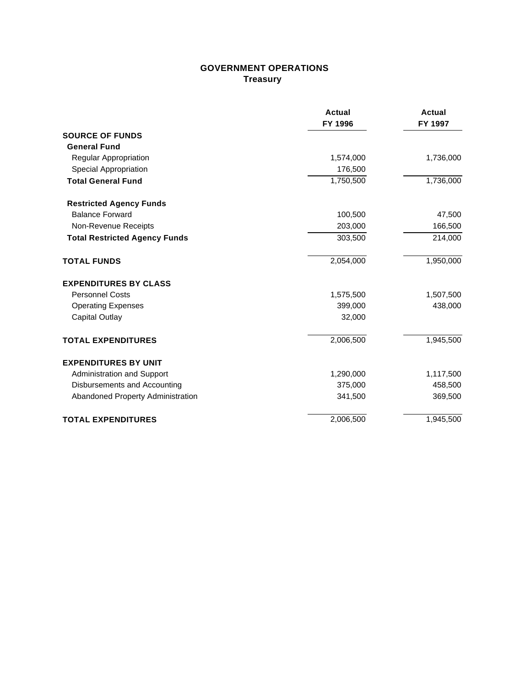### **GOVERNMENT OPERATIONS Treasury**

|                                      | Actual<br>FY 1996 | <b>Actual</b><br>FY 1997 |
|--------------------------------------|-------------------|--------------------------|
| <b>SOURCE OF FUNDS</b>               |                   |                          |
| <b>General Fund</b>                  |                   |                          |
| Regular Appropriation                | 1,574,000         | 1,736,000                |
| Special Appropriation                | 176,500           |                          |
| <b>Total General Fund</b>            | 1,750,500         | 1,736,000                |
| <b>Restricted Agency Funds</b>       |                   |                          |
| <b>Balance Forward</b>               | 100,500           | 47,500                   |
| Non-Revenue Receipts                 | 203,000           | 166,500                  |
| <b>Total Restricted Agency Funds</b> | 303,500           | 214,000                  |
| <b>TOTAL FUNDS</b>                   | 2,054,000         | 1,950,000                |
| <b>EXPENDITURES BY CLASS</b>         |                   |                          |
| <b>Personnel Costs</b>               | 1,575,500         | 1,507,500                |
| <b>Operating Expenses</b>            | 399,000           | 438,000                  |
| <b>Capital Outlay</b>                | 32,000            |                          |
| <b>TOTAL EXPENDITURES</b>            | 2,006,500         | 1,945,500                |
| <b>EXPENDITURES BY UNIT</b>          |                   |                          |
| <b>Administration and Support</b>    | 1,290,000         | 1,117,500                |
| Disbursements and Accounting         | 375,000           | 458,500                  |
| Abandoned Property Administration    | 341,500           | 369,500                  |
| <b>TOTAL EXPENDITURES</b>            | 2,006,500         | 1,945,500                |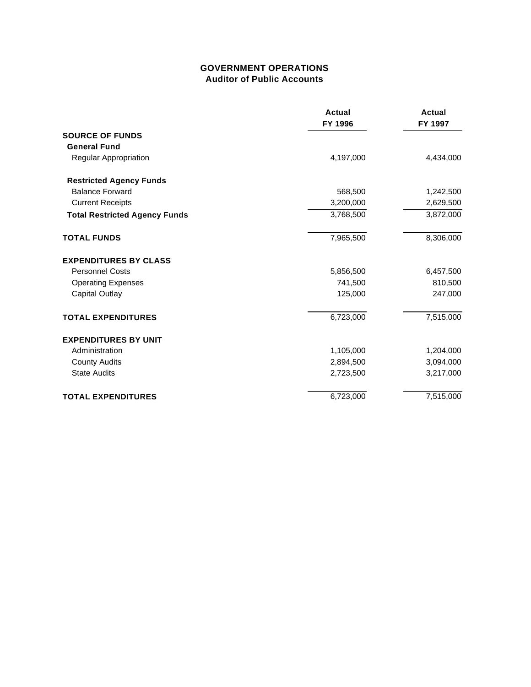#### **GOVERNMENT OPERATIONS Auditor of Public Accounts**

|                                      | <b>Actual</b><br>FY 1996 | <b>Actual</b><br>FY 1997 |
|--------------------------------------|--------------------------|--------------------------|
| <b>SOURCE OF FUNDS</b>               |                          |                          |
| <b>General Fund</b>                  |                          |                          |
| Regular Appropriation                | 4,197,000                | 4,434,000                |
| <b>Restricted Agency Funds</b>       |                          |                          |
| <b>Balance Forward</b>               | 568,500                  | 1,242,500                |
| <b>Current Receipts</b>              | 3,200,000                | 2,629,500                |
| <b>Total Restricted Agency Funds</b> | 3,768,500                | 3,872,000                |
| <b>TOTAL FUNDS</b>                   | 7,965,500                | 8,306,000                |
| <b>EXPENDITURES BY CLASS</b>         |                          |                          |
| <b>Personnel Costs</b>               | 5,856,500                | 6,457,500                |
| <b>Operating Expenses</b>            | 741,500                  | 810,500                  |
| <b>Capital Outlay</b>                | 125,000                  | 247,000                  |
| <b>TOTAL EXPENDITURES</b>            | 6,723,000                | 7,515,000                |
| <b>EXPENDITURES BY UNIT</b>          |                          |                          |
| Administration                       | 1,105,000                | 1,204,000                |
| <b>County Audits</b>                 | 2,894,500                | 3,094,000                |
| <b>State Audits</b>                  | 2,723,500                | 3,217,000                |
| <b>TOTAL EXPENDITURES</b>            | 6,723,000                | 7,515,000                |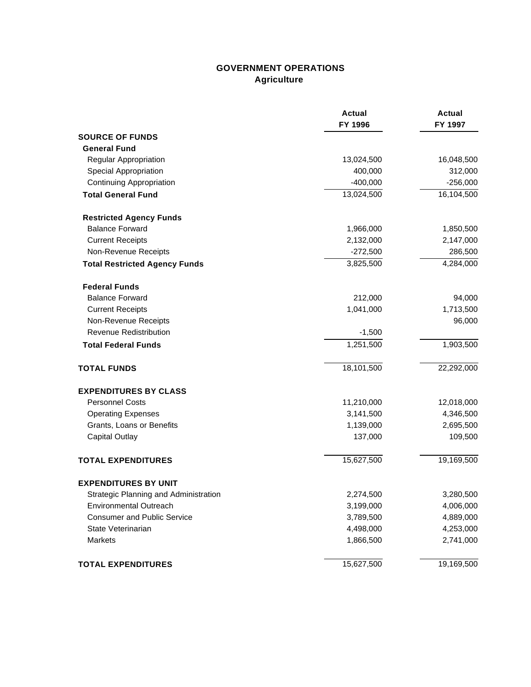# **GOVERNMENT OPERATIONS Agriculture**

|                                       | <b>Actual</b><br>FY 1996 | <b>Actual</b><br>FY 1997 |
|---------------------------------------|--------------------------|--------------------------|
| <b>SOURCE OF FUNDS</b>                |                          |                          |
| <b>General Fund</b>                   |                          |                          |
| Regular Appropriation                 | 13,024,500               | 16,048,500               |
| Special Appropriation                 | 400,000                  | 312,000                  |
| <b>Continuing Appropriation</b>       | $-400,000$               | $-256,000$               |
| <b>Total General Fund</b>             | 13,024,500               | 16,104,500               |
| <b>Restricted Agency Funds</b>        |                          |                          |
| <b>Balance Forward</b>                | 1,966,000                | 1,850,500                |
| <b>Current Receipts</b>               | 2,132,000                | 2,147,000                |
| Non-Revenue Receipts                  | $-272,500$               | 286,500                  |
| <b>Total Restricted Agency Funds</b>  | 3,825,500                | 4,284,000                |
| <b>Federal Funds</b>                  |                          |                          |
| <b>Balance Forward</b>                | 212,000                  | 94,000                   |
| <b>Current Receipts</b>               | 1,041,000                | 1,713,500                |
| Non-Revenue Receipts                  |                          | 96,000                   |
| <b>Revenue Redistribution</b>         | $-1,500$                 |                          |
| <b>Total Federal Funds</b>            | 1,251,500                | 1,903,500                |
| <b>TOTAL FUNDS</b>                    | 18,101,500               | 22,292,000               |
| <b>EXPENDITURES BY CLASS</b>          |                          |                          |
| <b>Personnel Costs</b>                | 11,210,000               | 12,018,000               |
| <b>Operating Expenses</b>             | 3,141,500                | 4,346,500                |
| Grants, Loans or Benefits             | 1,139,000                | 2,695,500                |
| <b>Capital Outlay</b>                 | 137,000                  | 109,500                  |
| <b>TOTAL EXPENDITURES</b>             | 15,627,500               | 19,169,500               |
| <b>EXPENDITURES BY UNIT</b>           |                          |                          |
| Strategic Planning and Administration | 2,274,500                | 3,280,500                |
| <b>Environmental Outreach</b>         | 3,199,000                | 4,006,000                |
| <b>Consumer and Public Service</b>    | 3,789,500                | 4,889,000                |
| State Veterinarian                    | 4,498,000                | 4,253,000                |
| Markets                               | 1,866,500                | 2,741,000                |
| <b>TOTAL EXPENDITURES</b>             | 15,627,500               | 19,169,500               |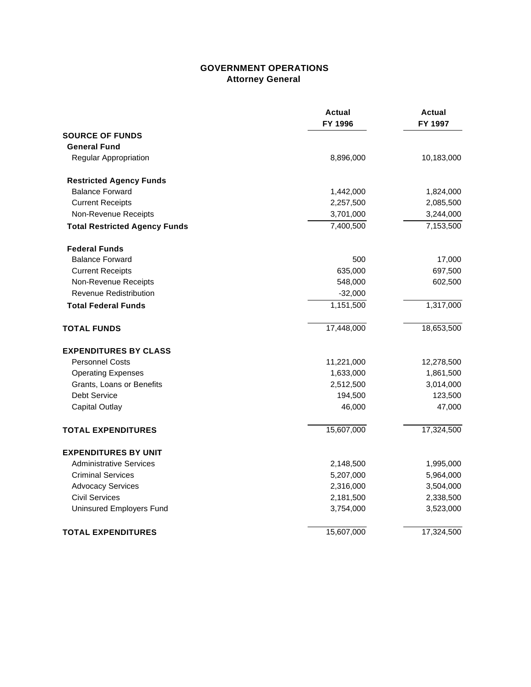### **GOVERNMENT OPERATIONS Attorney General**

|                                      | Actual<br>FY 1996 | Actual<br>FY 1997 |
|--------------------------------------|-------------------|-------------------|
| <b>SOURCE OF FUNDS</b>               |                   |                   |
| <b>General Fund</b>                  |                   |                   |
| Regular Appropriation                | 8,896,000         | 10,183,000        |
| <b>Restricted Agency Funds</b>       |                   |                   |
| <b>Balance Forward</b>               | 1,442,000         | 1,824,000         |
| <b>Current Receipts</b>              | 2,257,500         | 2,085,500         |
| Non-Revenue Receipts                 | 3,701,000         | 3,244,000         |
| <b>Total Restricted Agency Funds</b> | 7,400,500         | 7,153,500         |
| <b>Federal Funds</b>                 |                   |                   |
| <b>Balance Forward</b>               | 500               | 17,000            |
| <b>Current Receipts</b>              | 635,000           | 697,500           |
| Non-Revenue Receipts                 | 548,000           | 602,500           |
| Revenue Redistribution               | $-32,000$         |                   |
| <b>Total Federal Funds</b>           | 1,151,500         | 1,317,000         |
| <b>TOTAL FUNDS</b>                   | 17,448,000        | 18,653,500        |
| <b>EXPENDITURES BY CLASS</b>         |                   |                   |
| <b>Personnel Costs</b>               | 11,221,000        | 12,278,500        |
| <b>Operating Expenses</b>            | 1,633,000         | 1,861,500         |
| Grants, Loans or Benefits            | 2,512,500         | 3,014,000         |
| Debt Service                         | 194,500           | 123,500           |
| Capital Outlay                       | 46,000            | 47,000            |
| <b>TOTAL EXPENDITURES</b>            | 15,607,000        | 17,324,500        |
| <b>EXPENDITURES BY UNIT</b>          |                   |                   |
| <b>Administrative Services</b>       | 2,148,500         | 1,995,000         |
| <b>Criminal Services</b>             | 5,207,000         | 5,964,000         |
| <b>Advocacy Services</b>             | 2,316,000         | 3,504,000         |
| <b>Civil Services</b>                | 2,181,500         | 2,338,500         |
| Uninsured Employers Fund             | 3,754,000         | 3,523,000         |
| <b>TOTAL EXPENDITURES</b>            | 15,607,000        | 17,324,500        |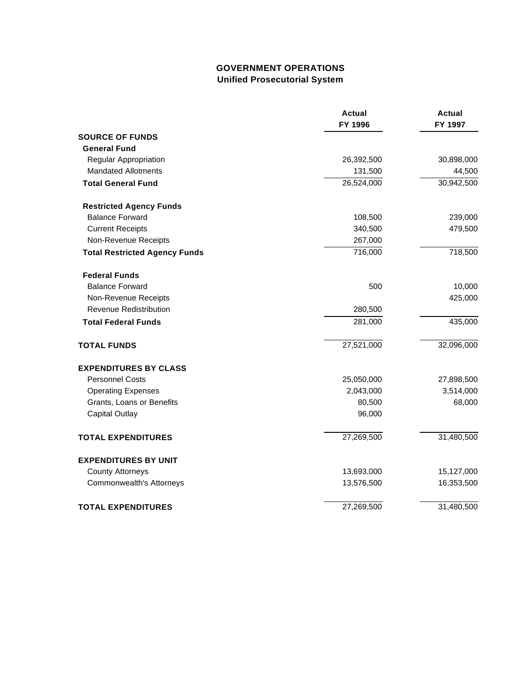# **GOVERNMENT OPERATIONS Unified Prosecutorial System**

|                                      | <b>Actual</b><br>FY 1996 | <b>Actual</b><br>FY 1997 |
|--------------------------------------|--------------------------|--------------------------|
| <b>SOURCE OF FUNDS</b>               |                          |                          |
| <b>General Fund</b>                  |                          |                          |
| Regular Appropriation                | 26,392,500               | 30,898,000               |
| <b>Mandated Allotments</b>           | 131,500                  | 44,500                   |
| <b>Total General Fund</b>            | 26,524,000               | 30,942,500               |
| <b>Restricted Agency Funds</b>       |                          |                          |
| <b>Balance Forward</b>               | 108,500                  | 239,000                  |
| <b>Current Receipts</b>              | 340,500                  | 479,500                  |
| Non-Revenue Receipts                 | 267,000                  |                          |
| <b>Total Restricted Agency Funds</b> | 716,000                  | 718,500                  |
| <b>Federal Funds</b>                 |                          |                          |
| <b>Balance Forward</b>               | 500                      | 10,000                   |
| Non-Revenue Receipts                 |                          | 425,000                  |
| <b>Revenue Redistribution</b>        | 280,500                  |                          |
| <b>Total Federal Funds</b>           | 281,000                  | 435,000                  |
| <b>TOTAL FUNDS</b>                   | 27,521,000               | 32,096,000               |
| <b>EXPENDITURES BY CLASS</b>         |                          |                          |
| <b>Personnel Costs</b>               | 25,050,000               | 27,898,500               |
| <b>Operating Expenses</b>            | 2,043,000                | 3,514,000                |
| Grants, Loans or Benefits            | 80,500                   | 68,000                   |
| <b>Capital Outlay</b>                | 96,000                   |                          |
| <b>TOTAL EXPENDITURES</b>            | 27,269,500               | 31,480,500               |
| <b>EXPENDITURES BY UNIT</b>          |                          |                          |
| <b>County Attorneys</b>              | 13,693,000               | 15,127,000               |
| Commonwealth's Attorneys             | 13,576,500               | 16,353,500               |
| <b>TOTAL EXPENDITURES</b>            | 27,269,500               | 31,480,500               |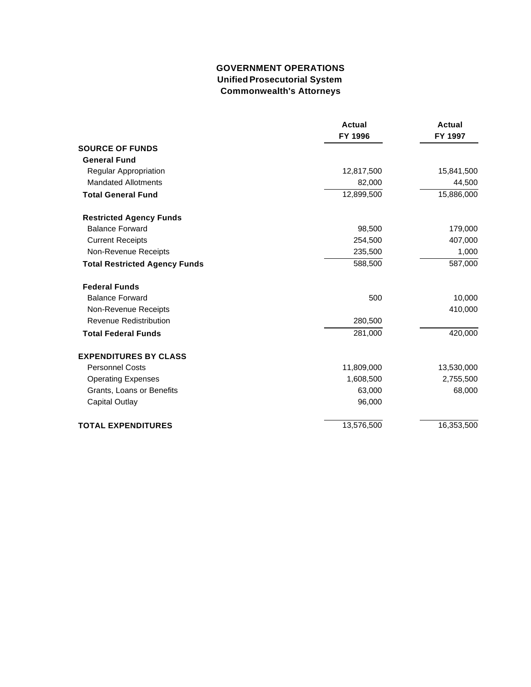### **GOVERNMENT OPERATIONS Unified Prosecutorial System Commonwealth's Attorneys**

|                                      | <b>Actual</b><br>FY 1996 | <b>Actual</b><br>FY 1997 |
|--------------------------------------|--------------------------|--------------------------|
| <b>SOURCE OF FUNDS</b>               |                          |                          |
| <b>General Fund</b>                  |                          |                          |
| Regular Appropriation                | 12,817,500               | 15,841,500               |
| <b>Mandated Allotments</b>           | 82,000                   | 44,500                   |
| <b>Total General Fund</b>            | 12,899,500               | 15,886,000               |
| <b>Restricted Agency Funds</b>       |                          |                          |
| <b>Balance Forward</b>               | 98,500                   | 179,000                  |
| <b>Current Receipts</b>              | 254,500                  | 407,000                  |
| Non-Revenue Receipts                 | 235,500                  | 1,000                    |
| <b>Total Restricted Agency Funds</b> | 588,500                  | 587,000                  |
| <b>Federal Funds</b>                 |                          |                          |
| <b>Balance Forward</b>               | 500                      | 10,000                   |
| Non-Revenue Receipts                 |                          | 410,000                  |
| <b>Revenue Redistribution</b>        | 280,500                  |                          |
| <b>Total Federal Funds</b>           | 281,000                  | 420,000                  |
| <b>EXPENDITURES BY CLASS</b>         |                          |                          |
| <b>Personnel Costs</b>               | 11,809,000               | 13,530,000               |
| <b>Operating Expenses</b>            | 1,608,500                | 2,755,500                |
| Grants, Loans or Benefits            | 63,000                   | 68,000                   |
| <b>Capital Outlay</b>                | 96,000                   |                          |
| <b>TOTAL EXPENDITURES</b>            | 13,576,500               | 16,353,500               |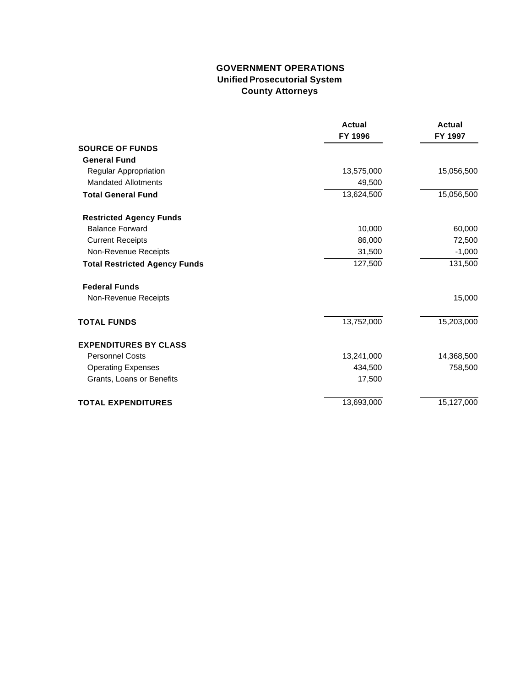### **GOVERNMENT OPERATIONS Unified Prosecutorial System County Attorneys**

|                                      | <b>Actual</b><br>FY 1996 | <b>Actual</b><br>FY 1997 |
|--------------------------------------|--------------------------|--------------------------|
| <b>SOURCE OF FUNDS</b>               |                          |                          |
| <b>General Fund</b>                  |                          |                          |
| Regular Appropriation                | 13,575,000               | 15,056,500               |
| <b>Mandated Allotments</b>           | 49,500                   |                          |
| <b>Total General Fund</b>            | 13,624,500               | 15,056,500               |
| <b>Restricted Agency Funds</b>       |                          |                          |
| <b>Balance Forward</b>               | 10,000                   | 60,000                   |
| <b>Current Receipts</b>              | 86,000                   | 72,500                   |
| Non-Revenue Receipts                 | 31,500                   | $-1,000$                 |
| <b>Total Restricted Agency Funds</b> | 127,500                  | 131,500                  |
| <b>Federal Funds</b>                 |                          |                          |
| Non-Revenue Receipts                 |                          | 15,000                   |
| <b>TOTAL FUNDS</b>                   | 13,752,000               | 15,203,000               |
| <b>EXPENDITURES BY CLASS</b>         |                          |                          |
| <b>Personnel Costs</b>               | 13,241,000               | 14,368,500               |
| <b>Operating Expenses</b>            | 434,500                  | 758,500                  |
| Grants, Loans or Benefits            | 17,500                   |                          |
| <b>TOTAL EXPENDITURES</b>            | 13,693,000               | 15,127,000               |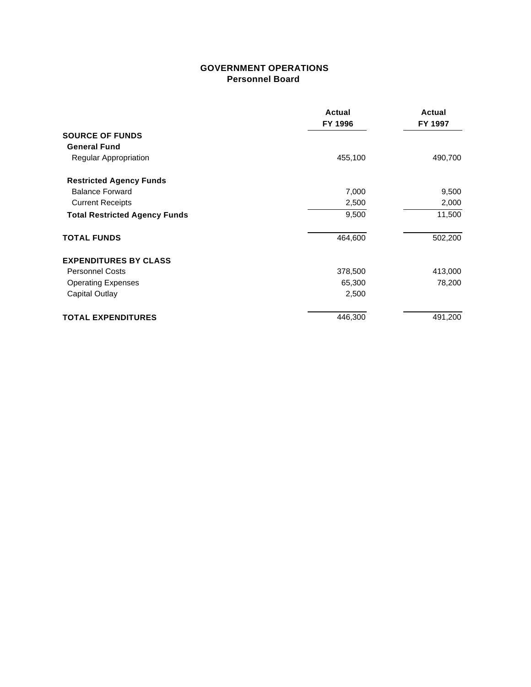#### **GOVERNMENT OPERATIONS Personnel Board**

|                                      | Actual<br>FY 1996 | <b>Actual</b><br>FY 1997 |
|--------------------------------------|-------------------|--------------------------|
| <b>SOURCE OF FUNDS</b>               |                   |                          |
| <b>General Fund</b>                  |                   |                          |
| Regular Appropriation                | 455,100           | 490,700                  |
| <b>Restricted Agency Funds</b>       |                   |                          |
| <b>Balance Forward</b>               | 7,000             | 9,500                    |
| <b>Current Receipts</b>              | 2,500             | 2,000                    |
| <b>Total Restricted Agency Funds</b> | 9,500             | 11,500                   |
| <b>TOTAL FUNDS</b>                   | 464,600           | 502,200                  |
| <b>EXPENDITURES BY CLASS</b>         |                   |                          |
| <b>Personnel Costs</b>               | 378,500           | 413,000                  |
| <b>Operating Expenses</b>            | 65,300            | 78,200                   |
| Capital Outlay                       | 2,500             |                          |
| <b>TOTAL EXPENDITURES</b>            | 446,300           | 491,200                  |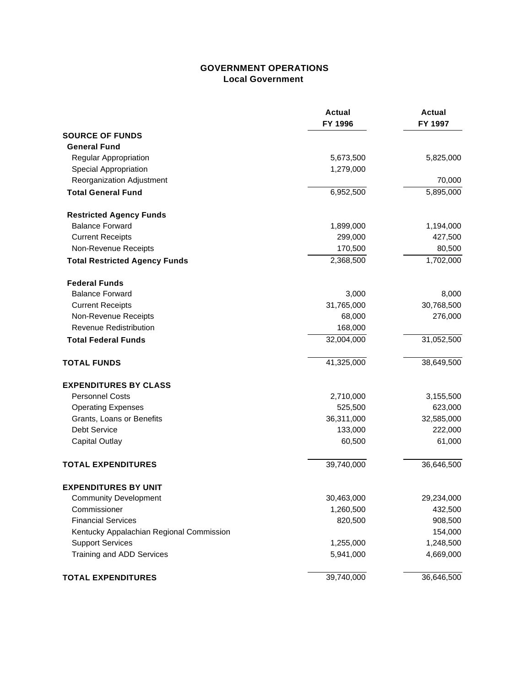### **GOVERNMENT OPERATIONS Local Government**

|                                          | <b>Actual</b><br>FY 1996 | <b>Actual</b><br>FY 1997 |
|------------------------------------------|--------------------------|--------------------------|
| <b>SOURCE OF FUNDS</b>                   |                          |                          |
| <b>General Fund</b>                      |                          |                          |
| Regular Appropriation                    | 5,673,500                | 5,825,000                |
| Special Appropriation                    | 1,279,000                |                          |
| Reorganization Adjustment                |                          | 70,000                   |
| <b>Total General Fund</b>                | 6,952,500                | 5,895,000                |
| <b>Restricted Agency Funds</b>           |                          |                          |
| <b>Balance Forward</b>                   | 1,899,000                | 1,194,000                |
| <b>Current Receipts</b>                  | 299,000                  | 427,500                  |
| Non-Revenue Receipts                     | 170,500                  | 80,500                   |
| <b>Total Restricted Agency Funds</b>     | 2,368,500                | 1,702,000                |
| <b>Federal Funds</b>                     |                          |                          |
| <b>Balance Forward</b>                   | 3,000                    | 8,000                    |
| <b>Current Receipts</b>                  | 31,765,000               | 30,768,500               |
| Non-Revenue Receipts                     | 68,000                   | 276,000                  |
| <b>Revenue Redistribution</b>            | 168,000                  |                          |
| <b>Total Federal Funds</b>               | 32,004,000               | 31,052,500               |
| <b>TOTAL FUNDS</b>                       | 41,325,000               | 38,649,500               |
| <b>EXPENDITURES BY CLASS</b>             |                          |                          |
| <b>Personnel Costs</b>                   | 2,710,000                | 3,155,500                |
| <b>Operating Expenses</b>                | 525,500                  | 623,000                  |
| Grants, Loans or Benefits                | 36,311,000               | 32,585,000               |
| Debt Service                             | 133,000                  | 222,000                  |
| <b>Capital Outlay</b>                    | 60,500                   | 61,000                   |
| <b>TOTAL EXPENDITURES</b>                | 39,740,000               | 36,646,500               |
| <b>EXPENDITURES BY UNIT</b>              |                          |                          |
| <b>Community Development</b>             | 30,463,000               | 29,234,000               |
| Commissioner                             | 1,260,500                | 432,500                  |
| <b>Financial Services</b>                | 820,500                  | 908,500                  |
| Kentucky Appalachian Regional Commission |                          | 154,000                  |
| <b>Support Services</b>                  | 1,255,000                | 1,248,500                |
| Training and ADD Services                | 5,941,000                | 4,669,000                |
| <b>TOTAL EXPENDITURES</b>                | 39,740,000               | 36,646,500               |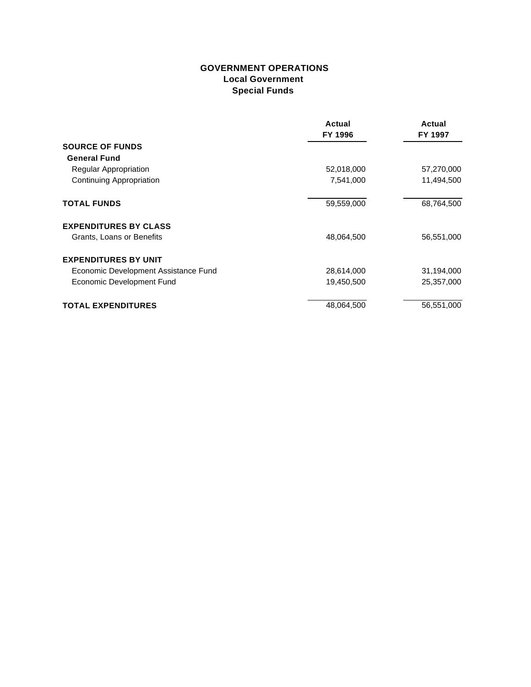#### **GOVERNMENT OPERATIONS Local Government Special Funds**

|                                      | Actual     | Actual     |
|--------------------------------------|------------|------------|
|                                      | FY 1996    | FY 1997    |
| <b>SOURCE OF FUNDS</b>               |            |            |
| <b>General Fund</b>                  |            |            |
| Regular Appropriation                | 52,018,000 | 57,270,000 |
| <b>Continuing Appropriation</b>      | 7,541,000  | 11,494,500 |
| <b>TOTAL FUNDS</b>                   | 59,559,000 | 68,764,500 |
| <b>EXPENDITURES BY CLASS</b>         |            |            |
| Grants, Loans or Benefits            | 48,064,500 | 56,551,000 |
| <b>EXPENDITURES BY UNIT</b>          |            |            |
| Economic Development Assistance Fund | 28,614,000 | 31,194,000 |
| Economic Development Fund            | 19,450,500 | 25,357,000 |
| <b>TOTAL EXPENDITURES</b>            | 48,064,500 | 56,551,000 |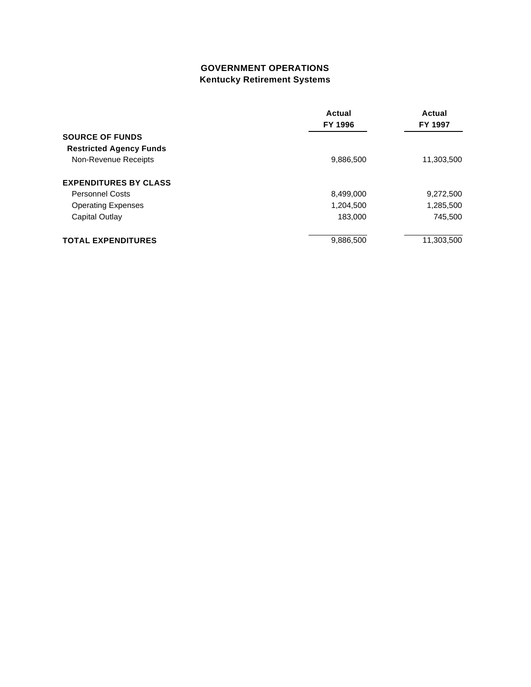# **GOVERNMENT OPERATIONS Kentucky Retirement Systems**

|                                | Actual<br>FY 1996 | Actual<br>FY 1997 |
|--------------------------------|-------------------|-------------------|
|                                |                   |                   |
| <b>SOURCE OF FUNDS</b>         |                   |                   |
| <b>Restricted Agency Funds</b> |                   |                   |
| Non-Revenue Receipts           | 9,886,500         | 11,303,500        |
| <b>EXPENDITURES BY CLASS</b>   |                   |                   |
| <b>Personnel Costs</b>         | 8,499,000         | 9,272,500         |
| <b>Operating Expenses</b>      | 1,204,500         | 1,285,500         |
| Capital Outlay                 | 183,000           | 745,500           |
| <b>TOTAL EXPENDITURES</b>      | 9,886,500         | 11,303,500        |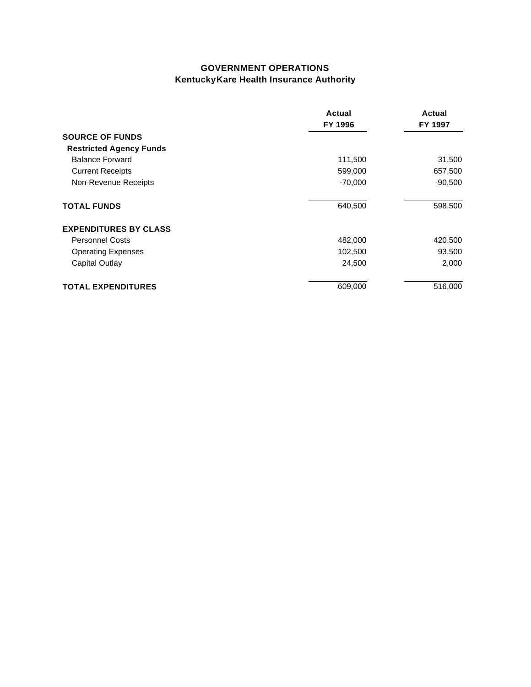# **GOVERNMENT OPERATIONS Kentucky Kare Health Insurance Authority**

|                                                    | Actual<br>FY 1996<br>111,500<br>599,000<br>$-70,000$<br>640,500 | Actual<br>FY 1997<br>31,500<br>657,500<br>$-90,500$<br>598,500 |
|----------------------------------------------------|-----------------------------------------------------------------|----------------------------------------------------------------|
| <b>SOURCE OF FUNDS</b>                             |                                                                 |                                                                |
| <b>Restricted Agency Funds</b>                     |                                                                 |                                                                |
| <b>Balance Forward</b>                             |                                                                 |                                                                |
| <b>Current Receipts</b>                            |                                                                 |                                                                |
| Non-Revenue Receipts<br><b>TOTAL FUNDS</b>         |                                                                 |                                                                |
|                                                    |                                                                 |                                                                |
| <b>Personnel Costs</b>                             | 482,000<br>102,500<br>24,500                                    | 420,500<br>93,500<br>2,000                                     |
| <b>Operating Expenses</b><br><b>Capital Outlay</b> |                                                                 |                                                                |
|                                                    |                                                                 |                                                                |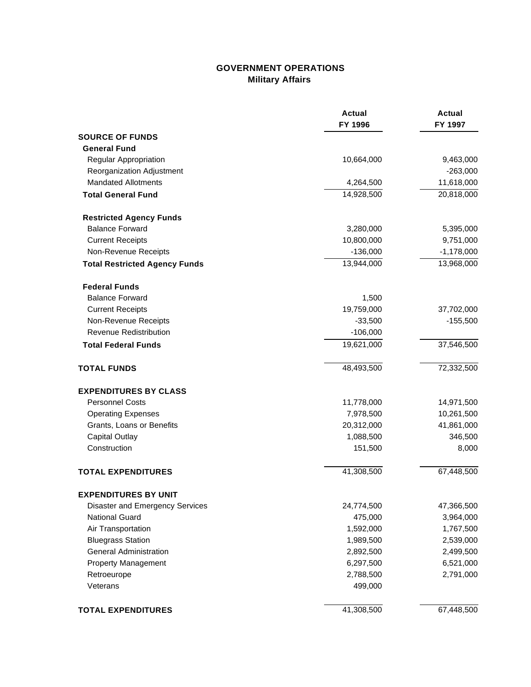# **GOVERNMENT OPERATIONS Military Affairs**

|                                      | <b>Actual</b><br>FY 1996 | <b>Actual</b><br>FY 1997 |
|--------------------------------------|--------------------------|--------------------------|
| <b>SOURCE OF FUNDS</b>               |                          |                          |
| <b>General Fund</b>                  |                          |                          |
| Regular Appropriation                | 10,664,000               | 9,463,000                |
| Reorganization Adjustment            |                          | $-263,000$               |
| <b>Mandated Allotments</b>           | 4,264,500                | 11,618,000               |
| <b>Total General Fund</b>            | 14,928,500               | 20,818,000               |
| <b>Restricted Agency Funds</b>       |                          |                          |
| <b>Balance Forward</b>               | 3,280,000                | 5,395,000                |
| <b>Current Receipts</b>              | 10,800,000               | 9,751,000                |
| Non-Revenue Receipts                 | $-136,000$               | $-1,178,000$             |
| <b>Total Restricted Agency Funds</b> | 13,944,000               | 13,968,000               |
| <b>Federal Funds</b>                 |                          |                          |
| <b>Balance Forward</b>               | 1,500                    |                          |
| <b>Current Receipts</b>              | 19,759,000               | 37,702,000               |
| Non-Revenue Receipts                 | $-33,500$                | $-155,500$               |
| <b>Revenue Redistribution</b>        | $-106,000$               |                          |
| <b>Total Federal Funds</b>           | 19,621,000               | 37,546,500               |
| <b>TOTAL FUNDS</b>                   | 48,493,500               | 72,332,500               |
| <b>EXPENDITURES BY CLASS</b>         |                          |                          |
| <b>Personnel Costs</b>               | 11,778,000               | 14,971,500               |
| <b>Operating Expenses</b>            | 7,978,500                | 10,261,500               |
| Grants, Loans or Benefits            | 20,312,000               | 41,861,000               |
| <b>Capital Outlay</b>                | 1,088,500                | 346,500                  |
| Construction                         | 151,500                  | 8,000                    |
| <b>TOTAL EXPENDITURES</b>            | 41,308,500               | 67,448,500               |
| <b>EXPENDITURES BY UNIT</b>          |                          |                          |
| Disaster and Emergency Services      | 24,774,500               | 47,366,500               |
| <b>National Guard</b>                | 475,000                  | 3,964,000                |
| Air Transportation                   | 1,592,000                | 1,767,500                |
| <b>Bluegrass Station</b>             | 1,989,500                | 2,539,000                |
| <b>General Administration</b>        | 2,892,500                | 2,499,500                |
| <b>Property Management</b>           | 6,297,500                | 6,521,000                |
| Retroeurope                          | 2,788,500                | 2,791,000                |
| Veterans                             | 499,000                  |                          |
| <b>TOTAL EXPENDITURES</b>            | 41,308,500               | 67,448,500               |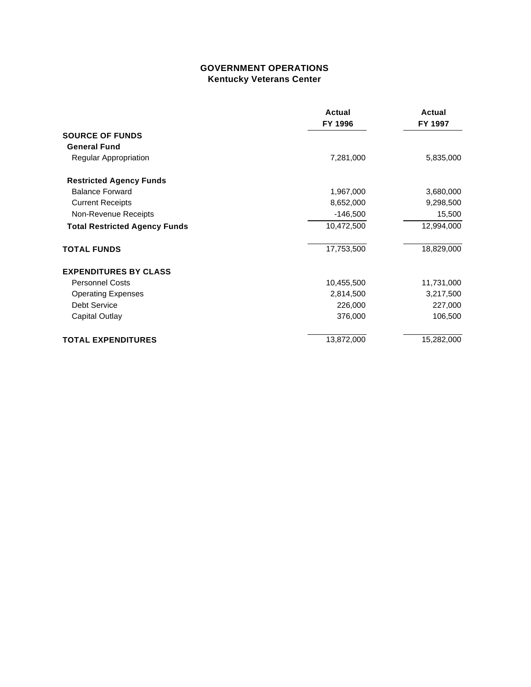### **GOVERNMENT OPERATIONS Kentucky Veterans Center**

|                                      | Actual<br>FY 1996 | <b>Actual</b><br>FY 1997 |
|--------------------------------------|-------------------|--------------------------|
| <b>SOURCE OF FUNDS</b>               |                   |                          |
| <b>General Fund</b>                  |                   |                          |
| Regular Appropriation                | 7,281,000         | 5,835,000                |
| <b>Restricted Agency Funds</b>       |                   |                          |
| <b>Balance Forward</b>               | 1,967,000         | 3,680,000                |
| <b>Current Receipts</b>              | 8,652,000         | 9,298,500                |
| Non-Revenue Receipts                 | $-146,500$        | 15,500                   |
| <b>Total Restricted Agency Funds</b> | 10,472,500        | 12,994,000               |
| <b>TOTAL FUNDS</b>                   | 17,753,500        | 18,829,000               |
| <b>EXPENDITURES BY CLASS</b>         |                   |                          |
| <b>Personnel Costs</b>               | 10,455,500        | 11,731,000               |
| <b>Operating Expenses</b>            | 2,814,500         | 3,217,500                |
| Debt Service                         | 226,000           | 227,000                  |
| Capital Outlay                       | 376,000           | 106,500                  |
| <b>TOTAL EXPENDITURES</b>            | 13,872,000        | 15,282,000               |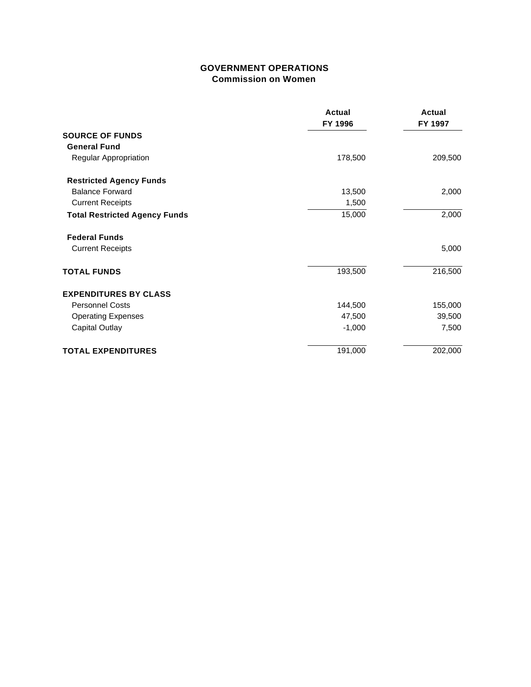#### **GOVERNMENT OPERATIONS Commission on Women**

|                                      | <b>Actual</b><br>FY 1996 | <b>Actual</b><br>FY 1997 |
|--------------------------------------|--------------------------|--------------------------|
| <b>SOURCE OF FUNDS</b>               |                          |                          |
| <b>General Fund</b>                  |                          |                          |
| Regular Appropriation                | 178,500                  | 209,500                  |
| <b>Restricted Agency Funds</b>       |                          |                          |
| <b>Balance Forward</b>               | 13,500                   | 2,000                    |
| <b>Current Receipts</b>              | 1,500                    |                          |
| <b>Total Restricted Agency Funds</b> | 15,000                   | 2,000                    |
| <b>Federal Funds</b>                 |                          |                          |
| <b>Current Receipts</b>              |                          | 5,000                    |
| <b>TOTAL FUNDS</b>                   | 193,500                  | 216,500                  |
| <b>EXPENDITURES BY CLASS</b>         |                          |                          |
| <b>Personnel Costs</b>               | 144,500                  | 155,000                  |
| <b>Operating Expenses</b>            | 47,500                   | 39,500                   |
| Capital Outlay                       | $-1,000$                 | 7,500                    |
| <b>TOTAL EXPENDITURES</b>            | 191,000                  | 202,000                  |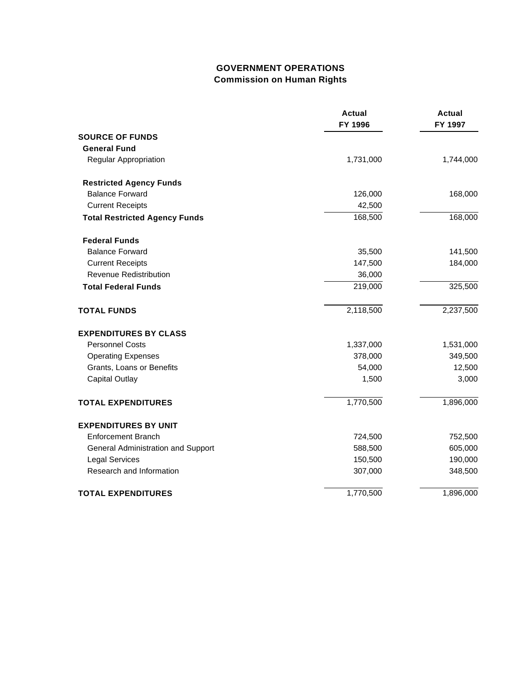# **GOVERNMENT OPERATIONS Commission on Human Rights**

|                                      | <b>Actual</b><br>FY 1996 | <b>Actual</b><br>FY 1997 |
|--------------------------------------|--------------------------|--------------------------|
| <b>SOURCE OF FUNDS</b>               |                          |                          |
| <b>General Fund</b>                  |                          |                          |
| Regular Appropriation                | 1,731,000                | 1,744,000                |
| <b>Restricted Agency Funds</b>       |                          |                          |
| <b>Balance Forward</b>               | 126,000                  | 168,000                  |
| <b>Current Receipts</b>              | 42,500                   |                          |
| <b>Total Restricted Agency Funds</b> | 168,500                  | 168,000                  |
| <b>Federal Funds</b>                 |                          |                          |
| <b>Balance Forward</b>               | 35,500                   | 141,500                  |
| <b>Current Receipts</b>              | 147,500                  | 184,000                  |
| <b>Revenue Redistribution</b>        | 36,000                   |                          |
| <b>Total Federal Funds</b>           | 219,000                  | 325,500                  |
| <b>TOTAL FUNDS</b>                   | 2,118,500                | 2,237,500                |
| <b>EXPENDITURES BY CLASS</b>         |                          |                          |
| <b>Personnel Costs</b>               | 1,337,000                | 1,531,000                |
| <b>Operating Expenses</b>            | 378,000                  | 349,500                  |
| Grants, Loans or Benefits            | 54,000                   | 12,500                   |
| <b>Capital Outlay</b>                | 1,500                    | 3,000                    |
| <b>TOTAL EXPENDITURES</b>            | 1,770,500                | 1,896,000                |
| <b>EXPENDITURES BY UNIT</b>          |                          |                          |
| <b>Enforcement Branch</b>            | 724,500                  | 752,500                  |
| General Administration and Support   | 588,500                  | 605,000                  |
| <b>Legal Services</b>                | 150,500                  | 190,000                  |
| Research and Information             | 307,000                  | 348,500                  |
| <b>TOTAL EXPENDITURES</b>            | 1,770,500                | 1,896,000                |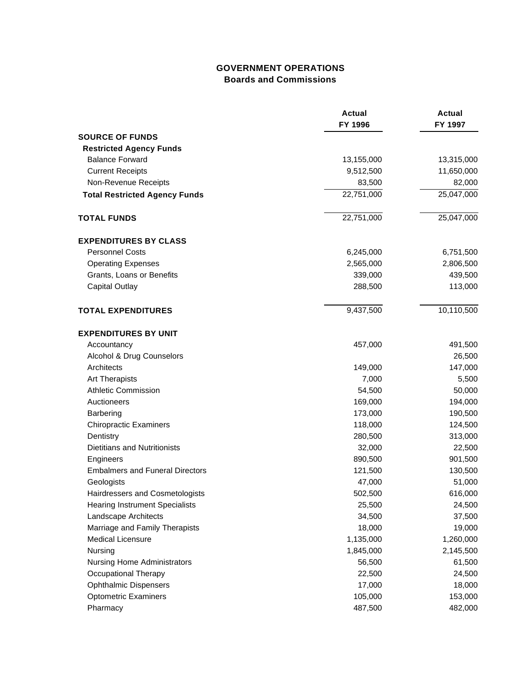# **GOVERNMENT OPERATIONS Boards and Commissions**

|                                        | <b>Actual</b><br>FY 1996 | <b>Actual</b><br>FY 1997 |
|----------------------------------------|--------------------------|--------------------------|
| <b>SOURCE OF FUNDS</b>                 |                          |                          |
| <b>Restricted Agency Funds</b>         |                          |                          |
| <b>Balance Forward</b>                 | 13,155,000               | 13,315,000               |
| <b>Current Receipts</b>                | 9,512,500                | 11,650,000               |
| Non-Revenue Receipts                   | 83,500                   | 82,000                   |
| <b>Total Restricted Agency Funds</b>   | 22,751,000               | 25,047,000               |
| <b>TOTAL FUNDS</b>                     | 22,751,000               | 25,047,000               |
| <b>EXPENDITURES BY CLASS</b>           |                          |                          |
| <b>Personnel Costs</b>                 | 6,245,000                | 6,751,500                |
| <b>Operating Expenses</b>              | 2,565,000                | 2,806,500                |
| Grants, Loans or Benefits              | 339,000                  | 439,500                  |
| <b>Capital Outlay</b>                  | 288,500                  | 113,000                  |
| <b>TOTAL EXPENDITURES</b>              | 9,437,500                | 10,110,500               |
| <b>EXPENDITURES BY UNIT</b>            |                          |                          |
| Accountancy                            | 457,000                  | 491,500                  |
| Alcohol & Drug Counselors              |                          | 26,500                   |
| Architects                             | 149,000                  | 147,000                  |
| <b>Art Therapists</b>                  | 7,000                    | 5,500                    |
| <b>Athletic Commission</b>             | 54,500                   | 50,000                   |
| Auctioneers                            | 169,000                  | 194,000                  |
| <b>Barbering</b>                       | 173,000                  | 190,500                  |
| <b>Chiropractic Examiners</b>          | 118,000                  | 124,500                  |
| Dentistry                              | 280,500                  | 313,000                  |
| <b>Dietitians and Nutritionists</b>    | 32,000                   | 22,500                   |
| Engineers                              | 890,500                  | 901,500                  |
| <b>Embalmers and Funeral Directors</b> | 121,500                  | 130,500                  |
| Geologists                             | 47,000                   | 51,000                   |
| Hairdressers and Cosmetologists        | 502,500                  | 616,000                  |
| <b>Hearing Instrument Specialists</b>  | 25,500                   | 24,500                   |
| Landscape Architects                   | 34,500                   | 37,500                   |
| Marriage and Family Therapists         | 18,000                   | 19,000                   |
| <b>Medical Licensure</b>               | 1,135,000                | 1,260,000                |
| Nursing                                | 1,845,000                | 2,145,500                |
| <b>Nursing Home Administrators</b>     | 56,500                   | 61,500                   |
| <b>Occupational Therapy</b>            | 22,500                   | 24,500                   |
| <b>Ophthalmic Dispensers</b>           | 17,000                   | 18,000                   |
| <b>Optometric Examiners</b>            | 105,000                  | 153,000                  |
| Pharmacy                               | 487,500                  | 482,000                  |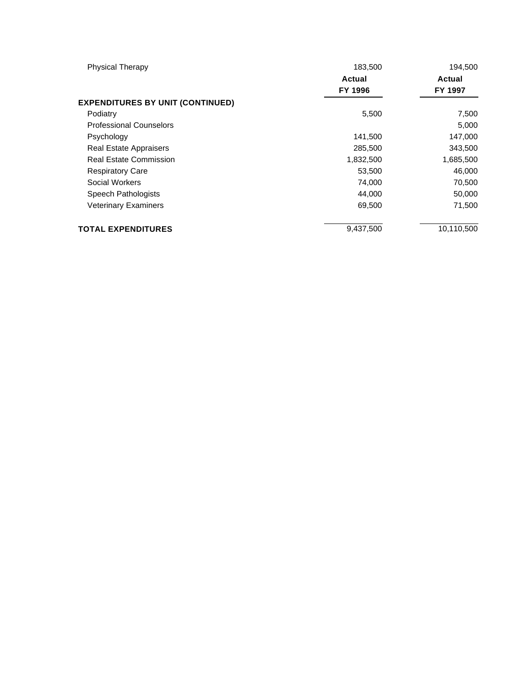| <b>Physical Therapy</b>                 | 183,500   | 194,500    |
|-----------------------------------------|-----------|------------|
|                                         | Actual    | Actual     |
|                                         | FY 1996   | FY 1997    |
| <b>EXPENDITURES BY UNIT (CONTINUED)</b> |           |            |
| Podiatry                                | 5,500     | 7,500      |
| <b>Professional Counselors</b>          |           | 5,000      |
| Psychology                              | 141,500   | 147,000    |
| Real Estate Appraisers                  | 285,500   | 343,500    |
| <b>Real Estate Commission</b>           | 1,832,500 | 1,685,500  |
| <b>Respiratory Care</b>                 | 53,500    | 46,000     |
| Social Workers                          | 74,000    | 70,500     |
| Speech Pathologists                     | 44,000    | 50,000     |
| <b>Veterinary Examiners</b>             | 69,500    | 71,500     |
| <b>TOTAL EXPENDITURES</b>               | 9,437,500 | 10,110,500 |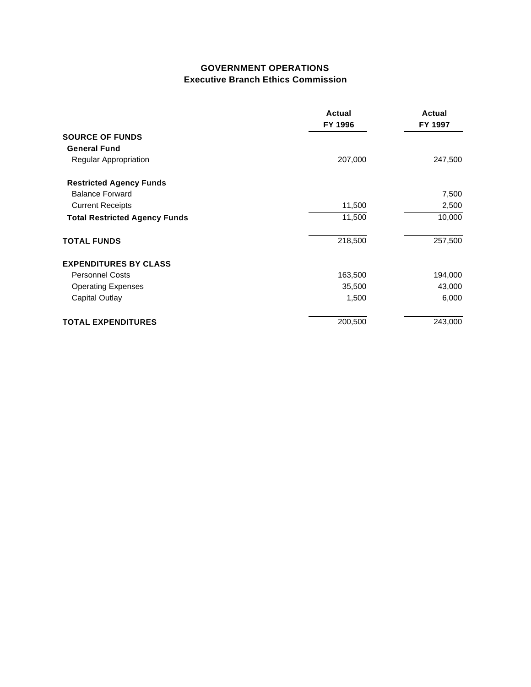### **GOVERNMENT OPERATIONS Executive Branch Ethics Commission**

|                                      | Actual<br>FY 1996 | Actual<br>FY 1997 |
|--------------------------------------|-------------------|-------------------|
| <b>SOURCE OF FUNDS</b>               |                   |                   |
| <b>General Fund</b>                  |                   |                   |
| Regular Appropriation                | 207,000           | 247,500           |
| <b>Restricted Agency Funds</b>       |                   |                   |
| <b>Balance Forward</b>               |                   | 7,500             |
| <b>Current Receipts</b>              | 11,500            | 2,500             |
| <b>Total Restricted Agency Funds</b> | 11,500            | 10,000            |
| <b>TOTAL FUNDS</b>                   | 218,500           | 257,500           |
| <b>EXPENDITURES BY CLASS</b>         |                   |                   |
| <b>Personnel Costs</b>               | 163,500           | 194,000           |
| <b>Operating Expenses</b>            | 35,500            | 43,000            |
| Capital Outlay                       | 1,500             | 6,000             |
| <b>TOTAL EXPENDITURES</b>            | 200,500           | 243,000           |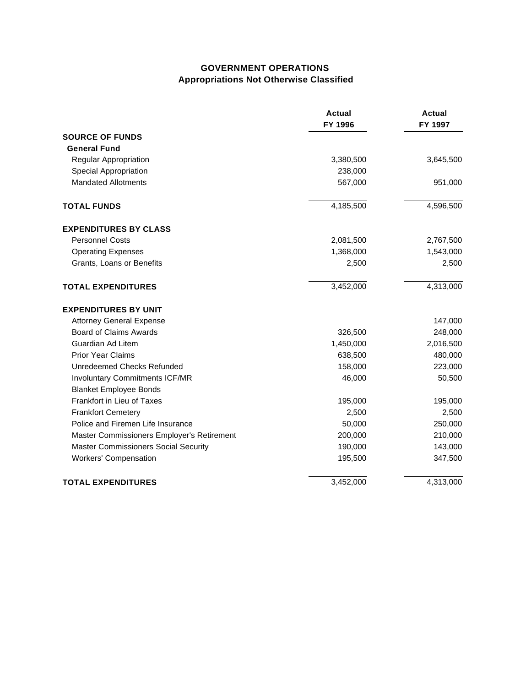### **GOVERNMENT OPERATIONS Appropriations Not Otherwise Classified**

|                                             | <b>Actual</b><br>FY 1996 | <b>Actual</b><br>FY 1997 |
|---------------------------------------------|--------------------------|--------------------------|
| <b>SOURCE OF FUNDS</b>                      |                          |                          |
| <b>General Fund</b>                         |                          |                          |
| Regular Appropriation                       | 3,380,500                | 3,645,500                |
| <b>Special Appropriation</b>                | 238,000                  |                          |
| <b>Mandated Allotments</b>                  | 567,000                  | 951,000                  |
| <b>TOTAL FUNDS</b>                          | 4,185,500                | 4,596,500                |
| <b>EXPENDITURES BY CLASS</b>                |                          |                          |
| <b>Personnel Costs</b>                      | 2,081,500                | 2,767,500                |
| <b>Operating Expenses</b>                   | 1,368,000                | 1,543,000                |
| Grants, Loans or Benefits                   | 2,500                    | 2,500                    |
| <b>TOTAL EXPENDITURES</b>                   | 3,452,000                | 4,313,000                |
| <b>EXPENDITURES BY UNIT</b>                 |                          |                          |
| <b>Attorney General Expense</b>             |                          | 147,000                  |
| Board of Claims Awards                      | 326,500                  | 248,000                  |
| Guardian Ad Litem                           | 1,450,000                | 2,016,500                |
| <b>Prior Year Claims</b>                    | 638,500                  | 480,000                  |
| Unredeemed Checks Refunded                  | 158,000                  | 223,000                  |
| <b>Involuntary Commitments ICF/MR</b>       | 46,000                   | 50,500                   |
| <b>Blanket Employee Bonds</b>               |                          |                          |
| Frankfort in Lieu of Taxes                  | 195,000                  | 195,000                  |
| <b>Frankfort Cemetery</b>                   | 2,500                    | 2,500                    |
| Police and Firemen Life Insurance           | 50,000                   | 250,000                  |
| Master Commissioners Employer's Retirement  | 200,000                  | 210,000                  |
| <b>Master Commissioners Social Security</b> | 190,000                  | 143,000                  |
| <b>Workers' Compensation</b>                | 195,500                  | 347,500                  |
| <b>TOTAL EXPENDITURES</b>                   | 3,452,000                | 4,313,000                |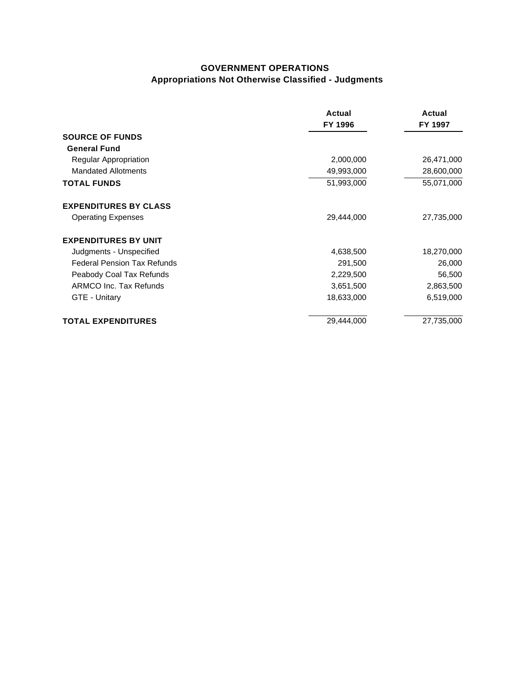# **GOVERNMENT OPERATIONS Appropriations Not Otherwise Classified - Judgments**

|                                    | Actual<br>FY 1996 | Actual<br>FY 1997 |
|------------------------------------|-------------------|-------------------|
| <b>SOURCE OF FUNDS</b>             |                   |                   |
| <b>General Fund</b>                |                   |                   |
| Regular Appropriation              | 2,000,000         | 26,471,000        |
| <b>Mandated Allotments</b>         | 49,993,000        | 28,600,000        |
| <b>TOTAL FUNDS</b>                 | 51,993,000        | 55,071,000        |
| <b>EXPENDITURES BY CLASS</b>       |                   |                   |
| <b>Operating Expenses</b>          | 29,444,000        | 27,735,000        |
| <b>EXPENDITURES BY UNIT</b>        |                   |                   |
| Judgments - Unspecified            | 4,638,500         | 18,270,000        |
| <b>Federal Pension Tax Refunds</b> | 291,500           | 26,000            |
| Peabody Coal Tax Refunds           | 2,229,500         | 56,500            |
| ARMCO Inc. Tax Refunds             | 3,651,500         | 2,863,500         |
| GTE - Unitary                      | 18,633,000        | 6,519,000         |
| <b>TOTAL EXPENDITURES</b>          | 29,444,000        | 27,735,000        |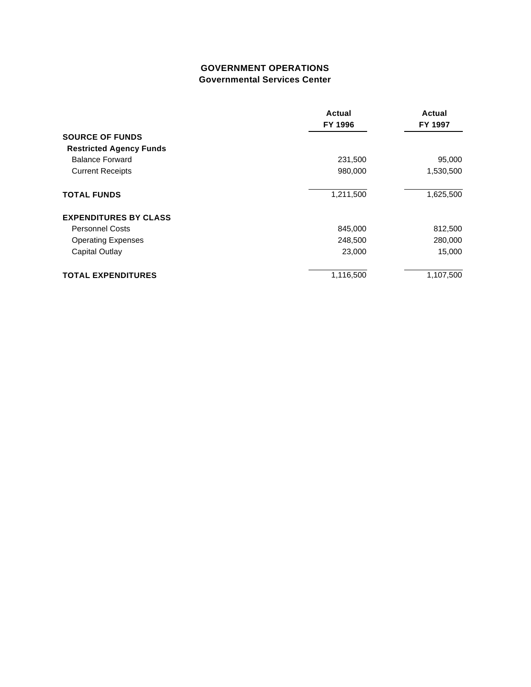## **GOVERNMENT OPERATIONS Governmental Services Center**

| <b>SOURCE OF FUNDS</b>                            | Actual<br>FY 1996  | Actual<br>FY 1997<br>95,000<br>1,530,500 |                                |
|---------------------------------------------------|--------------------|------------------------------------------|--------------------------------|
|                                                   |                    |                                          | <b>Restricted Agency Funds</b> |
| <b>Balance Forward</b><br><b>Current Receipts</b> | 231,500<br>980,000 |                                          |                                |
|                                                   |                    |                                          | <b>TOTAL FUNDS</b>             |
| <b>EXPENDITURES BY CLASS</b>                      |                    |                                          |                                |
| <b>Personnel Costs</b>                            | 845,000            | 812,500                                  |                                |
| <b>Operating Expenses</b><br>Capital Outlay       | 248,500<br>23,000  | 280,000<br>15,000                        |                                |
|                                                   |                    |                                          | <b>TOTAL EXPENDITURES</b>      |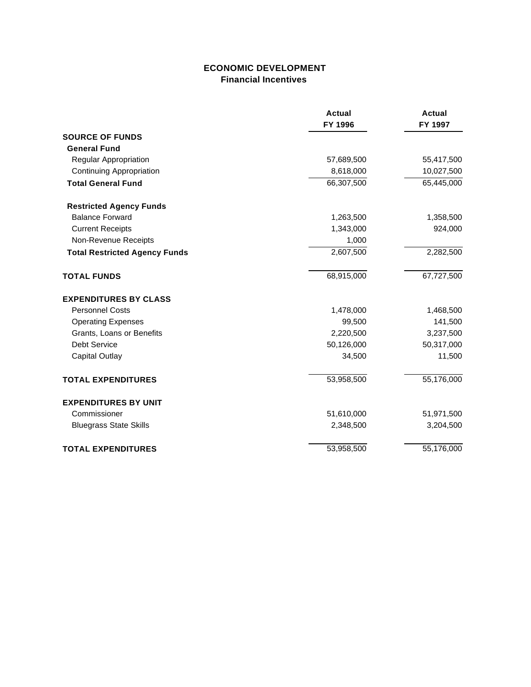## **ECONOMIC DEVELOPMENT Financial Incentives**

|                                      | <b>Actual</b><br>FY 1996 | <b>Actual</b><br>FY 1997 |
|--------------------------------------|--------------------------|--------------------------|
| <b>SOURCE OF FUNDS</b>               |                          |                          |
| <b>General Fund</b>                  |                          |                          |
| Regular Appropriation                | 57,689,500               | 55,417,500               |
| <b>Continuing Appropriation</b>      | 8,618,000                | 10,027,500               |
| <b>Total General Fund</b>            | 66,307,500               | 65,445,000               |
| <b>Restricted Agency Funds</b>       |                          |                          |
| <b>Balance Forward</b>               | 1,263,500                | 1,358,500                |
| <b>Current Receipts</b>              | 1,343,000                | 924,000                  |
| Non-Revenue Receipts                 | 1,000                    |                          |
| <b>Total Restricted Agency Funds</b> | 2,607,500                | 2,282,500                |
| <b>TOTAL FUNDS</b>                   | 68,915,000               | 67,727,500               |
| <b>EXPENDITURES BY CLASS</b>         |                          |                          |
| <b>Personnel Costs</b>               | 1,478,000                | 1,468,500                |
| <b>Operating Expenses</b>            | 99,500                   | 141,500                  |
| Grants, Loans or Benefits            | 2,220,500                | 3,237,500                |
| Debt Service                         | 50,126,000               | 50,317,000               |
| <b>Capital Outlay</b>                | 34,500                   | 11,500                   |
| <b>TOTAL EXPENDITURES</b>            | 53,958,500               | 55,176,000               |
| <b>EXPENDITURES BY UNIT</b>          |                          |                          |
| Commissioner                         | 51,610,000               | 51,971,500               |
| <b>Bluegrass State Skills</b>        | 2,348,500                | 3,204,500                |
| <b>TOTAL EXPENDITURES</b>            | 53,958,500               | 55,176,000               |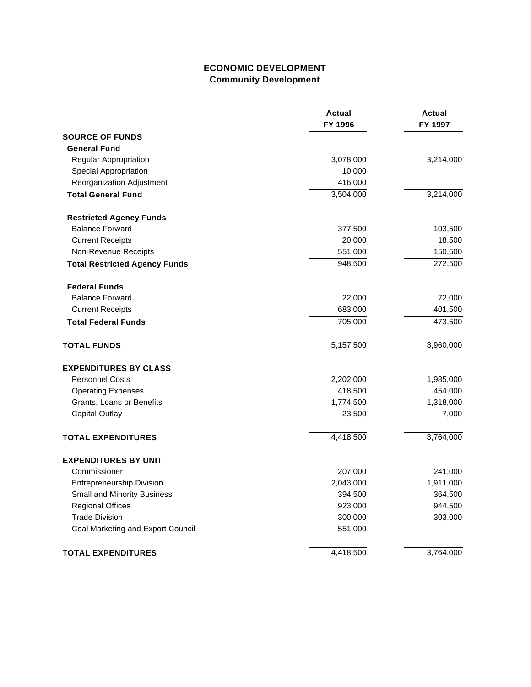# **ECONOMIC DEVELOPMENT Community Development**

|                                      | <b>Actual</b><br>FY 1996 | <b>Actual</b><br>FY 1997 |
|--------------------------------------|--------------------------|--------------------------|
| <b>SOURCE OF FUNDS</b>               |                          |                          |
| <b>General Fund</b>                  |                          |                          |
| Regular Appropriation                | 3,078,000                | 3,214,000                |
| Special Appropriation                | 10,000                   |                          |
| Reorganization Adjustment            | 416,000                  |                          |
| <b>Total General Fund</b>            | 3,504,000                | 3,214,000                |
| <b>Restricted Agency Funds</b>       |                          |                          |
| <b>Balance Forward</b>               | 377,500                  | 103,500                  |
| <b>Current Receipts</b>              | 20,000                   | 18,500                   |
| Non-Revenue Receipts                 | 551,000                  | 150,500                  |
| <b>Total Restricted Agency Funds</b> | 948,500                  | 272,500                  |
| <b>Federal Funds</b>                 |                          |                          |
| <b>Balance Forward</b>               | 22,000                   | 72,000                   |
| <b>Current Receipts</b>              | 683,000                  | 401,500                  |
| <b>Total Federal Funds</b>           | 705,000                  | 473,500                  |
| <b>TOTAL FUNDS</b>                   | 5,157,500                | 3,960,000                |
| <b>EXPENDITURES BY CLASS</b>         |                          |                          |
| <b>Personnel Costs</b>               | 2,202,000                | 1,985,000                |
| <b>Operating Expenses</b>            | 418,500                  | 454,000                  |
| Grants, Loans or Benefits            | 1,774,500                | 1,318,000                |
| <b>Capital Outlay</b>                | 23,500                   | 7,000                    |
| <b>TOTAL EXPENDITURES</b>            | 4,418,500                | 3,764,000                |
| <b>EXPENDITURES BY UNIT</b>          |                          |                          |
| Commissioner                         | 207,000                  | 241,000                  |
| <b>Entrepreneurship Division</b>     | 2,043,000                | 1,911,000                |
| <b>Small and Minority Business</b>   | 394,500                  | 364,500                  |
| <b>Regional Offices</b>              | 923,000                  | 944,500                  |
| <b>Trade Division</b>                | 300,000                  | 303,000                  |
| Coal Marketing and Export Council    | 551,000                  |                          |
| <b>TOTAL EXPENDITURES</b>            | 4,418,500                | 3,764,000                |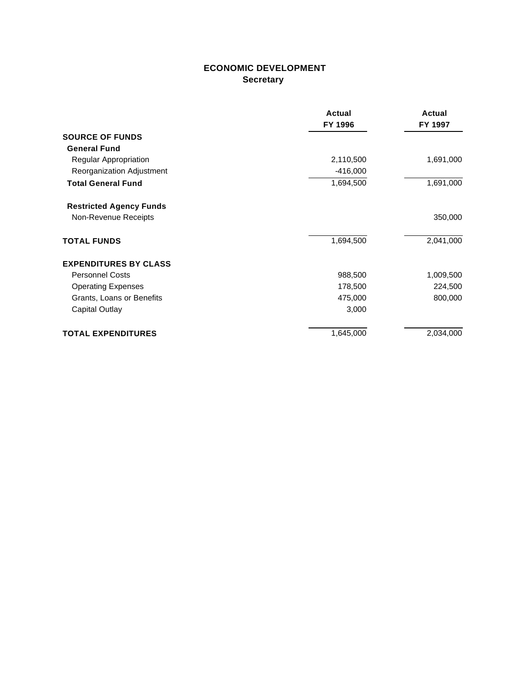# **ECONOMIC DEVELOPMENT Secretary**

|                                | Actual     | Actual    |
|--------------------------------|------------|-----------|
|                                | FY 1996    | FY 1997   |
| <b>SOURCE OF FUNDS</b>         |            |           |
| <b>General Fund</b>            |            |           |
| Regular Appropriation          | 2,110,500  | 1,691,000 |
| Reorganization Adjustment      | $-416,000$ |           |
| <b>Total General Fund</b>      | 1,694,500  | 1,691,000 |
| <b>Restricted Agency Funds</b> |            |           |
| Non-Revenue Receipts           |            | 350,000   |
| <b>TOTAL FUNDS</b>             | 1,694,500  | 2,041,000 |
| <b>EXPENDITURES BY CLASS</b>   |            |           |
| <b>Personnel Costs</b>         | 988,500    | 1,009,500 |
| <b>Operating Expenses</b>      | 178,500    | 224,500   |
| Grants, Loans or Benefits      | 475,000    | 800,000   |
| Capital Outlay                 | 3,000      |           |
| <b>TOTAL EXPENDITURES</b>      | 1,645,000  | 2,034,000 |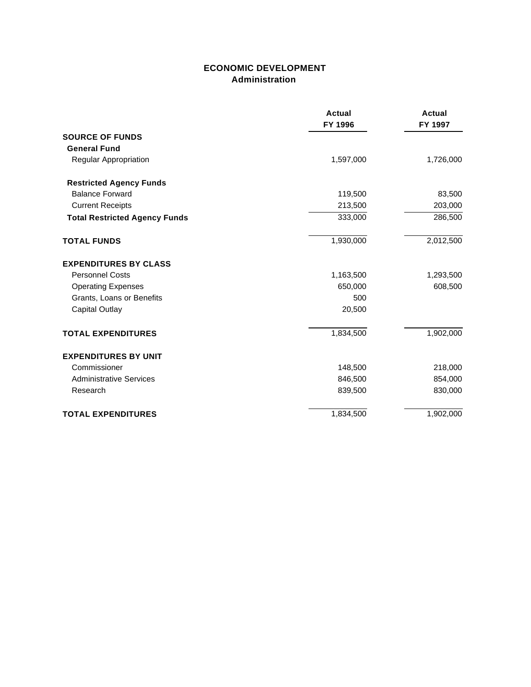## **ECONOMIC DEVELOPMENT Administration**

|                                      | <b>Actual</b><br>FY 1996 | <b>Actual</b><br>FY 1997 |
|--------------------------------------|--------------------------|--------------------------|
| <b>SOURCE OF FUNDS</b>               |                          |                          |
| <b>General Fund</b>                  |                          |                          |
| Regular Appropriation                | 1,597,000                | 1,726,000                |
| <b>Restricted Agency Funds</b>       |                          |                          |
| <b>Balance Forward</b>               | 119,500                  | 83,500                   |
| <b>Current Receipts</b>              | 213,500                  | 203,000                  |
| <b>Total Restricted Agency Funds</b> | 333,000                  | 286,500                  |
| <b>TOTAL FUNDS</b>                   | 1,930,000                | 2,012,500                |
| <b>EXPENDITURES BY CLASS</b>         |                          |                          |
| <b>Personnel Costs</b>               | 1,163,500                | 1,293,500                |
| <b>Operating Expenses</b>            | 650,000                  | 608,500                  |
| Grants, Loans or Benefits            | 500                      |                          |
| <b>Capital Outlay</b>                | 20,500                   |                          |
| <b>TOTAL EXPENDITURES</b>            | 1,834,500                | 1,902,000                |
| <b>EXPENDITURES BY UNIT</b>          |                          |                          |
| Commissioner                         | 148,500                  | 218,000                  |
| <b>Administrative Services</b>       | 846,500                  | 854,000                  |
| Research                             | 839,500                  | 830,000                  |
| <b>TOTAL EXPENDITURES</b>            | 1,834,500                | 1,902,000                |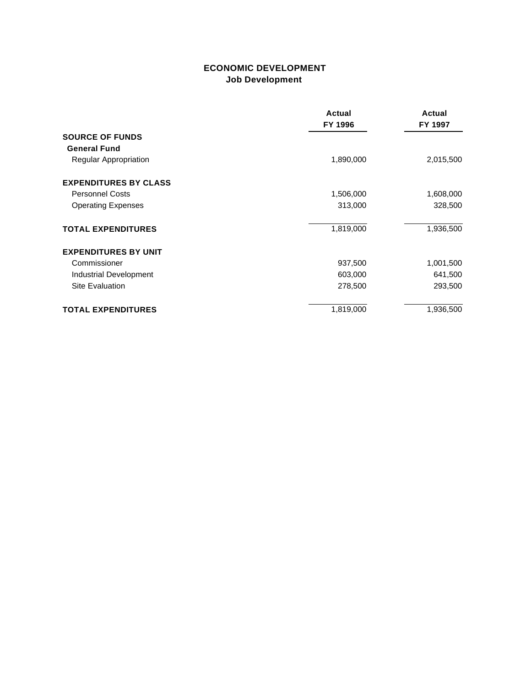## **ECONOMIC DEVELOPMENT Job Development**

|                              | Actual<br>FY 1996 | Actual<br>FY 1997 |
|------------------------------|-------------------|-------------------|
| <b>SOURCE OF FUNDS</b>       |                   |                   |
| <b>General Fund</b>          |                   |                   |
| Regular Appropriation        | 1,890,000         | 2,015,500         |
| <b>EXPENDITURES BY CLASS</b> |                   |                   |
| <b>Personnel Costs</b>       | 1,506,000         | 1,608,000         |
| <b>Operating Expenses</b>    | 313,000           | 328,500           |
| <b>TOTAL EXPENDITURES</b>    | 1,819,000         | 1,936,500         |
| <b>EXPENDITURES BY UNIT</b>  |                   |                   |
| Commissioner                 | 937,500           | 1,001,500         |
| Industrial Development       | 603,000           | 641,500           |
| <b>Site Evaluation</b>       | 278,500           | 293,500           |
| <b>TOTAL EXPENDITURES</b>    | 1,819,000         | 1,936,500         |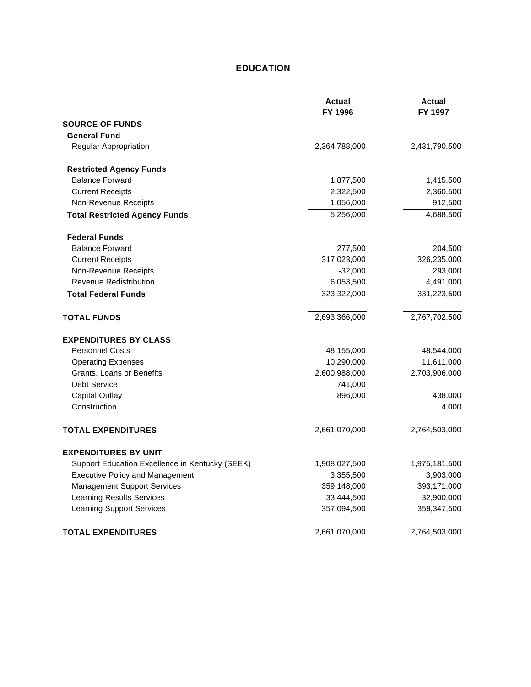### **EDUCATION**

|                                                 | <b>Actual</b><br>FY 1996 | <b>Actual</b><br>FY 1997 |
|-------------------------------------------------|--------------------------|--------------------------|
| <b>SOURCE OF FUNDS</b>                          |                          |                          |
| <b>General Fund</b>                             |                          |                          |
| Regular Appropriation                           | 2,364,788,000            | 2,431,790,500            |
| <b>Restricted Agency Funds</b>                  |                          |                          |
| <b>Balance Forward</b>                          | 1,877,500                | 1,415,500                |
| <b>Current Receipts</b>                         | 2,322,500                | 2,360,500                |
| Non-Revenue Receipts                            | 1,056,000                | 912,500                  |
| <b>Total Restricted Agency Funds</b>            | 5,256,000                | 4,688,500                |
| <b>Federal Funds</b>                            |                          |                          |
| <b>Balance Forward</b>                          | 277,500                  | 204,500                  |
| <b>Current Receipts</b>                         | 317,023,000              | 326,235,000              |
| Non-Revenue Receipts                            | $-32,000$                | 293,000                  |
| <b>Revenue Redistribution</b>                   | 6,053,500                | 4,491,000                |
| <b>Total Federal Funds</b>                      | 323,322,000              | 331,223,500              |
| <b>TOTAL FUNDS</b>                              | 2,693,366,000            | 2,767,702,500            |
| <b>EXPENDITURES BY CLASS</b>                    |                          |                          |
| <b>Personnel Costs</b>                          | 48,155,000               | 48,544,000               |
| <b>Operating Expenses</b>                       | 10,290,000               | 11,611,000               |
| Grants, Loans or Benefits                       | 2,600,988,000            | 2,703,906,000            |
| <b>Debt Service</b>                             | 741,000                  |                          |
| <b>Capital Outlay</b>                           | 896,000                  | 438,000                  |
| Construction                                    |                          | 4,000                    |
| <b>TOTAL EXPENDITURES</b>                       | 2,661,070,000            | 2,764,503,000            |
| <b>EXPENDITURES BY UNIT</b>                     |                          |                          |
| Support Education Excellence in Kentucky (SEEK) | 1,908,027,500            | 1,975,181,500            |
| <b>Executive Policy and Management</b>          | 3,355,500                | 3,903,000                |
| <b>Management Support Services</b>              | 359,148,000              | 393,171,000              |
| <b>Learning Results Services</b>                | 33,444,500               | 32,900,000               |
| <b>Learning Support Services</b>                | 357,094,500              | 359,347,500              |
| <b>TOTAL EXPENDITURES</b>                       | 2,661,070,000            | 2,764,503,000            |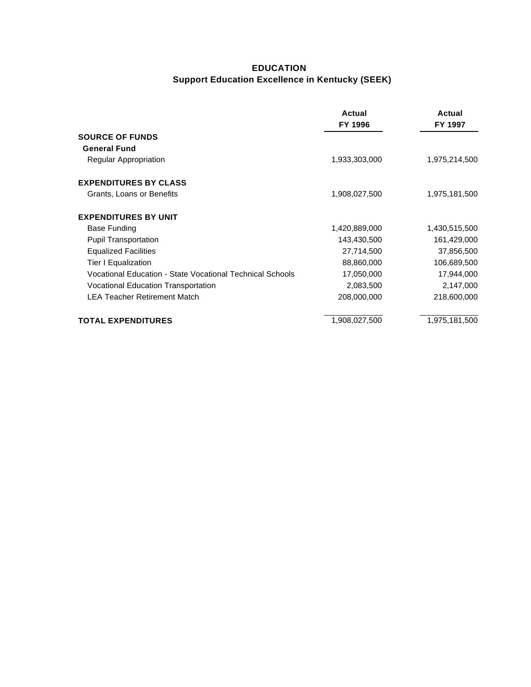# **EDUCATION Support Education Excellence in Kentucky (SEEK)**

|                                                           | Actual<br>FY 1996 | Actual<br>FY 1997 |
|-----------------------------------------------------------|-------------------|-------------------|
| <b>SOURCE OF FUNDS</b>                                    |                   |                   |
| <b>General Fund</b>                                       |                   |                   |
| Regular Appropriation                                     | 1,933,303,000     | 1,975,214,500     |
| <b>EXPENDITURES BY CLASS</b>                              |                   |                   |
| Grants, Loans or Benefits                                 | 1,908,027,500     | 1,975,181,500     |
| <b>EXPENDITURES BY UNIT</b>                               |                   |                   |
| <b>Base Funding</b>                                       | 1,420,889,000     | 1,430,515,500     |
| <b>Pupil Transportation</b>                               | 143,430,500       | 161,429,000       |
| <b>Equalized Facilities</b>                               | 27,714,500        | 37,856,500        |
| Tier I Equalization                                       | 88,860,000        | 106,689,500       |
| Vocational Education - State Vocational Technical Schools | 17,050,000        | 17,944,000        |
| Vocational Education Transportation                       | 2,083,500         | 2,147,000         |
| <b>LEA Teacher Retirement Match</b>                       | 208,000,000       | 218,600,000       |
| <b>TOTAL EXPENDITURES</b>                                 | 1,908,027,500     | 1,975,181,500     |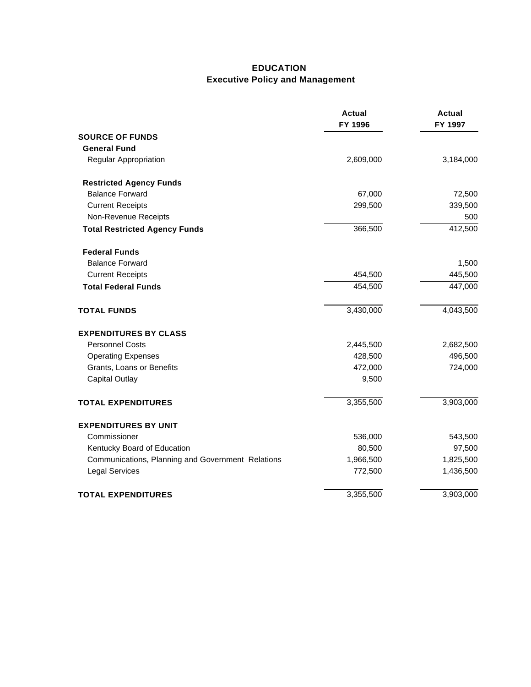# **EDUCATION Executive Policy and Management**

|                                                   | <b>Actual</b><br>FY 1996 | <b>Actual</b><br>FY 1997 |
|---------------------------------------------------|--------------------------|--------------------------|
| <b>SOURCE OF FUNDS</b>                            |                          |                          |
| <b>General Fund</b>                               |                          |                          |
| Regular Appropriation                             | 2,609,000                | 3,184,000                |
| <b>Restricted Agency Funds</b>                    |                          |                          |
| <b>Balance Forward</b>                            | 67,000                   | 72,500                   |
| <b>Current Receipts</b>                           | 299,500                  | 339,500                  |
| Non-Revenue Receipts                              |                          | 500                      |
| <b>Total Restricted Agency Funds</b>              | 366,500                  | 412,500                  |
| <b>Federal Funds</b>                              |                          |                          |
| <b>Balance Forward</b>                            |                          | 1,500                    |
| <b>Current Receipts</b>                           | 454,500                  | 445,500                  |
| <b>Total Federal Funds</b>                        | 454,500                  | 447,000                  |
| <b>TOTAL FUNDS</b>                                | 3,430,000                | 4,043,500                |
| <b>EXPENDITURES BY CLASS</b>                      |                          |                          |
| <b>Personnel Costs</b>                            | 2,445,500                | 2,682,500                |
| <b>Operating Expenses</b>                         | 428,500                  | 496,500                  |
| Grants, Loans or Benefits                         | 472,000                  | 724,000                  |
| <b>Capital Outlay</b>                             | 9,500                    |                          |
| <b>TOTAL EXPENDITURES</b>                         | 3,355,500                | 3,903,000                |
| <b>EXPENDITURES BY UNIT</b>                       |                          |                          |
| Commissioner                                      | 536,000                  | 543,500                  |
| Kentucky Board of Education                       | 80,500                   | 97,500                   |
| Communications, Planning and Government Relations | 1,966,500                | 1,825,500                |
| <b>Legal Services</b>                             | 772,500                  | 1,436,500                |
| <b>TOTAL EXPENDITURES</b>                         | 3,355,500                | 3,903,000                |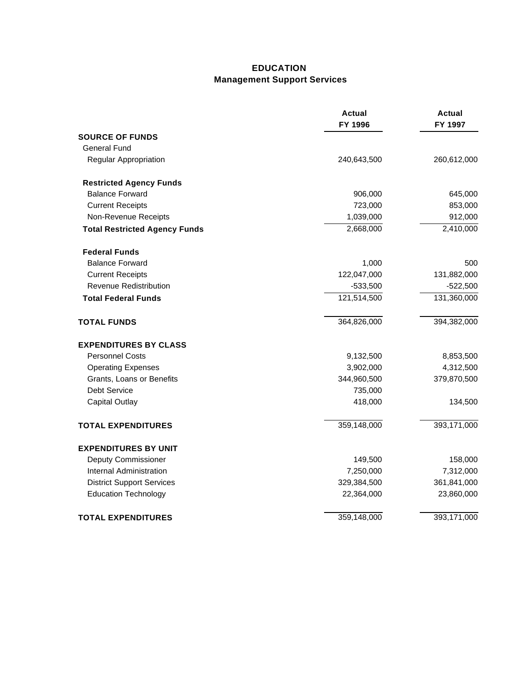## **EDUCATION Management Support Services**

|                                      | <b>Actual</b><br>FY 1996 | <b>Actual</b><br>FY 1997 |
|--------------------------------------|--------------------------|--------------------------|
| <b>SOURCE OF FUNDS</b>               |                          |                          |
| <b>General Fund</b>                  |                          |                          |
| Regular Appropriation                | 240,643,500              | 260,612,000              |
| <b>Restricted Agency Funds</b>       |                          |                          |
| <b>Balance Forward</b>               | 906,000                  | 645,000                  |
| <b>Current Receipts</b>              | 723,000                  | 853,000                  |
| Non-Revenue Receipts                 | 1,039,000                | 912,000                  |
| <b>Total Restricted Agency Funds</b> | 2,668,000                | 2,410,000                |
| <b>Federal Funds</b>                 |                          |                          |
| <b>Balance Forward</b>               | 1,000                    | 500                      |
| <b>Current Receipts</b>              | 122,047,000              | 131,882,000              |
| <b>Revenue Redistribution</b>        | $-533,500$               | $-522,500$               |
| <b>Total Federal Funds</b>           | 121,514,500              | 131,360,000              |
| <b>TOTAL FUNDS</b>                   | 364,826,000              | 394,382,000              |
| <b>EXPENDITURES BY CLASS</b>         |                          |                          |
| <b>Personnel Costs</b>               | 9,132,500                | 8,853,500                |
| <b>Operating Expenses</b>            | 3,902,000                | 4,312,500                |
| Grants, Loans or Benefits            | 344,960,500              | 379,870,500              |
| <b>Debt Service</b>                  | 735,000                  |                          |
| <b>Capital Outlay</b>                | 418,000                  | 134,500                  |
| <b>TOTAL EXPENDITURES</b>            | 359,148,000              | 393,171,000              |
| <b>EXPENDITURES BY UNIT</b>          |                          |                          |
| <b>Deputy Commissioner</b>           | 149,500                  | 158,000                  |
| Internal Administration              | 7,250,000                | 7,312,000                |
| <b>District Support Services</b>     | 329,384,500              | 361,841,000              |
| <b>Education Technology</b>          | 22,364,000               | 23,860,000               |
| <b>TOTAL EXPENDITURES</b>            | 359,148,000              | 393,171,000              |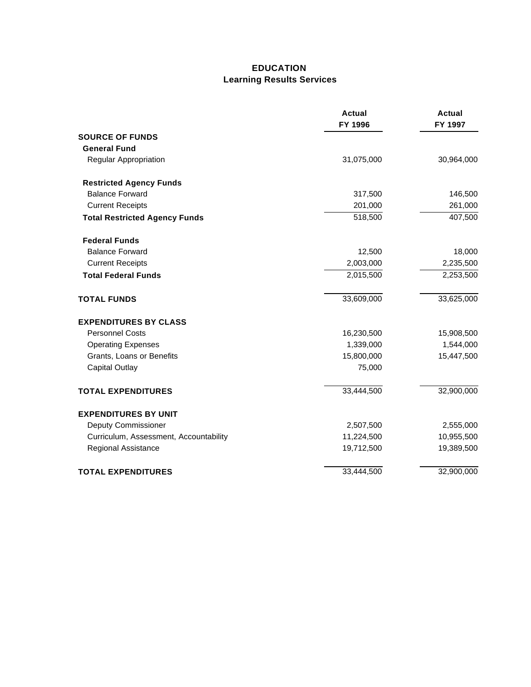### **EDUCATION Learning Results Services**

|                                        | <b>Actual</b><br>FY 1996 | Actual<br>FY 1997 |
|----------------------------------------|--------------------------|-------------------|
| <b>SOURCE OF FUNDS</b>                 |                          |                   |
| <b>General Fund</b>                    |                          |                   |
| Regular Appropriation                  | 31,075,000               | 30,964,000        |
| <b>Restricted Agency Funds</b>         |                          |                   |
| <b>Balance Forward</b>                 | 317,500                  | 146,500           |
| <b>Current Receipts</b>                | 201,000                  | 261,000           |
| <b>Total Restricted Agency Funds</b>   | 518,500                  | 407,500           |
| <b>Federal Funds</b>                   |                          |                   |
| <b>Balance Forward</b>                 | 12,500                   | 18,000            |
| <b>Current Receipts</b>                | 2,003,000                | 2,235,500         |
| <b>Total Federal Funds</b>             | 2,015,500                | 2,253,500         |
| <b>TOTAL FUNDS</b>                     | 33,609,000               | 33,625,000        |
| <b>EXPENDITURES BY CLASS</b>           |                          |                   |
| <b>Personnel Costs</b>                 | 16,230,500               | 15,908,500        |
| <b>Operating Expenses</b>              | 1,339,000                | 1,544,000         |
| Grants, Loans or Benefits              | 15,800,000               | 15,447,500        |
| <b>Capital Outlay</b>                  | 75,000                   |                   |
| <b>TOTAL EXPENDITURES</b>              | 33,444,500               | 32,900,000        |
| <b>EXPENDITURES BY UNIT</b>            |                          |                   |
| <b>Deputy Commissioner</b>             | 2,507,500                | 2,555,000         |
| Curriculum, Assessment, Accountability | 11,224,500               | 10,955,500        |
| Regional Assistance                    | 19,712,500               | 19,389,500        |
| <b>TOTAL EXPENDITURES</b>              | 33,444,500               | 32,900,000        |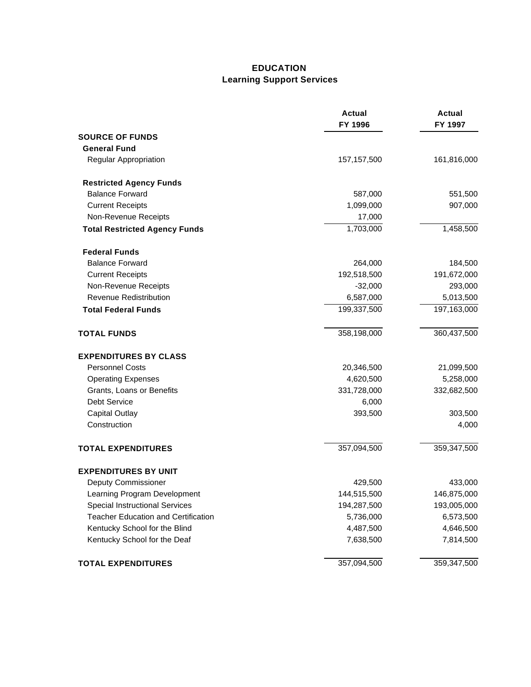## **EDUCATION Learning Support Services**

|                                            | <b>Actual</b><br>FY 1996 | <b>Actual</b><br>FY 1997 |
|--------------------------------------------|--------------------------|--------------------------|
| <b>SOURCE OF FUNDS</b>                     |                          |                          |
| <b>General Fund</b>                        |                          |                          |
| Regular Appropriation                      | 157, 157, 500            | 161,816,000              |
| <b>Restricted Agency Funds</b>             |                          |                          |
| <b>Balance Forward</b>                     | 587,000                  | 551,500                  |
| <b>Current Receipts</b>                    | 1,099,000                | 907,000                  |
| Non-Revenue Receipts                       | 17,000                   |                          |
| <b>Total Restricted Agency Funds</b>       | 1,703,000                | 1,458,500                |
| <b>Federal Funds</b>                       |                          |                          |
| <b>Balance Forward</b>                     | 264,000                  | 184,500                  |
| <b>Current Receipts</b>                    | 192,518,500              | 191,672,000              |
| Non-Revenue Receipts                       | $-32,000$                | 293,000                  |
| <b>Revenue Redistribution</b>              | 6,587,000                | 5,013,500                |
| <b>Total Federal Funds</b>                 | 199,337,500              | 197,163,000              |
| <b>TOTAL FUNDS</b>                         | 358,198,000              | 360,437,500              |
| <b>EXPENDITURES BY CLASS</b>               |                          |                          |
| <b>Personnel Costs</b>                     | 20,346,500               | 21,099,500               |
| <b>Operating Expenses</b>                  | 4,620,500                | 5,258,000                |
| Grants, Loans or Benefits                  | 331,728,000              | 332,682,500              |
| <b>Debt Service</b>                        | 6,000                    |                          |
| <b>Capital Outlay</b>                      | 393,500                  | 303,500                  |
| Construction                               |                          | 4,000                    |
| <b>TOTAL EXPENDITURES</b>                  | 357,094,500              | 359,347,500              |
| <b>EXPENDITURES BY UNIT</b>                |                          |                          |
| Deputy Commissioner                        | 429,500                  | 433,000                  |
| Learning Program Development               | 144,515,500              | 146,875,000              |
| <b>Special Instructional Services</b>      | 194,287,500              | 193,005,000              |
| <b>Teacher Education and Certification</b> | 5,736,000                | 6,573,500                |
| Kentucky School for the Blind              | 4,487,500                | 4,646,500                |
| Kentucky School for the Deaf               | 7,638,500                | 7,814,500                |
| <b>TOTAL EXPENDITURES</b>                  | 357,094,500              | 359,347,500              |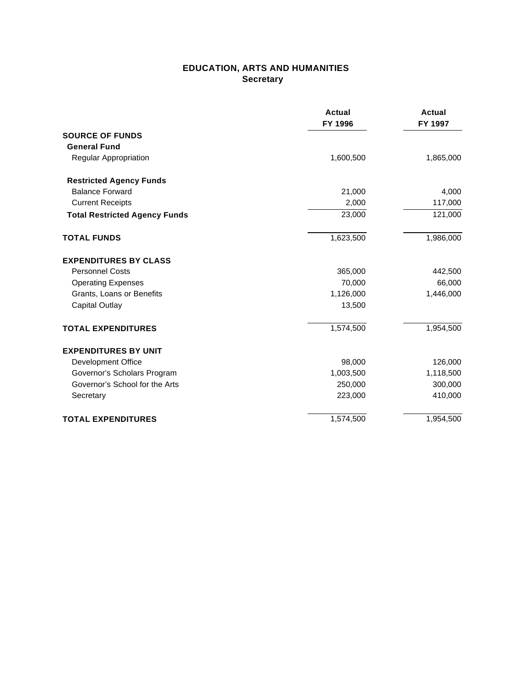### **EDUCATION, ARTS AND HUMANITIES Secretary**

|                                      | Actual<br>FY 1996 | <b>Actual</b><br>FY 1997 |
|--------------------------------------|-------------------|--------------------------|
| <b>SOURCE OF FUNDS</b>               |                   |                          |
| <b>General Fund</b>                  |                   |                          |
| Regular Appropriation                | 1,600,500         | 1,865,000                |
| <b>Restricted Agency Funds</b>       |                   |                          |
| <b>Balance Forward</b>               | 21,000            | 4,000                    |
| <b>Current Receipts</b>              | 2,000             | 117,000                  |
| <b>Total Restricted Agency Funds</b> | 23,000            | 121,000                  |
| <b>TOTAL FUNDS</b>                   | 1,623,500         | 1,986,000                |
| <b>EXPENDITURES BY CLASS</b>         |                   |                          |
| <b>Personnel Costs</b>               | 365,000           | 442,500                  |
| <b>Operating Expenses</b>            | 70,000            | 66,000                   |
| Grants, Loans or Benefits            | 1,126,000         | 1,446,000                |
| <b>Capital Outlay</b>                | 13,500            |                          |
| <b>TOTAL EXPENDITURES</b>            | 1,574,500         | 1,954,500                |
| <b>EXPENDITURES BY UNIT</b>          |                   |                          |
| <b>Development Office</b>            | 98,000            | 126,000                  |
| Governor's Scholars Program          | 1,003,500         | 1,118,500                |
| Governor's School for the Arts       | 250,000           | 300,000                  |
| Secretary                            | 223,000           | 410,000                  |
| <b>TOTAL EXPENDITURES</b>            | 1,574,500         | 1,954,500                |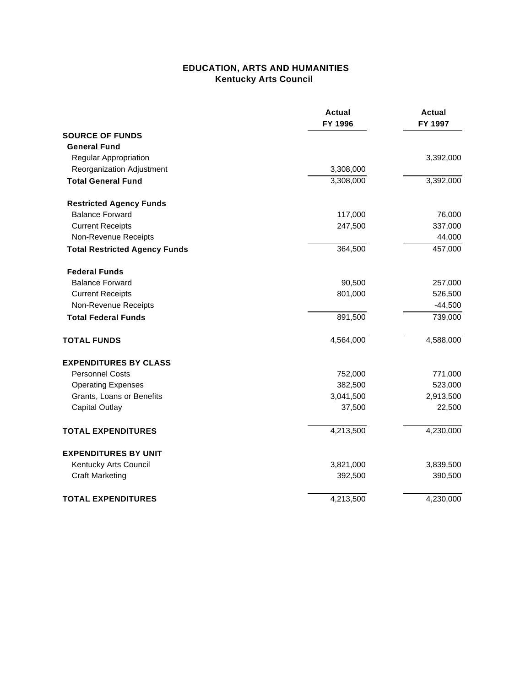### **EDUCATION, ARTS AND HUMANITIES Kentucky Arts Council**

|                                      | <b>Actual</b><br>FY 1996 | <b>Actual</b><br>FY 1997 |
|--------------------------------------|--------------------------|--------------------------|
| <b>SOURCE OF FUNDS</b>               |                          |                          |
| <b>General Fund</b>                  |                          |                          |
| Regular Appropriation                |                          | 3,392,000                |
| Reorganization Adjustment            | 3,308,000                |                          |
| <b>Total General Fund</b>            | 3,308,000                | 3,392,000                |
| <b>Restricted Agency Funds</b>       |                          |                          |
| <b>Balance Forward</b>               | 117,000                  | 76,000                   |
| <b>Current Receipts</b>              | 247,500                  | 337,000                  |
| Non-Revenue Receipts                 |                          | 44,000                   |
| <b>Total Restricted Agency Funds</b> | 364,500                  | 457,000                  |
| <b>Federal Funds</b>                 |                          |                          |
| <b>Balance Forward</b>               | 90,500                   | 257,000                  |
| <b>Current Receipts</b>              | 801,000                  | 526,500                  |
| Non-Revenue Receipts                 |                          | $-44,500$                |
| <b>Total Federal Funds</b>           | 891,500                  | 739,000                  |
| <b>TOTAL FUNDS</b>                   | 4,564,000                | 4,588,000                |
| <b>EXPENDITURES BY CLASS</b>         |                          |                          |
| <b>Personnel Costs</b>               | 752,000                  | 771,000                  |
| <b>Operating Expenses</b>            | 382,500                  | 523,000                  |
| Grants, Loans or Benefits            | 3,041,500                | 2,913,500                |
| <b>Capital Outlay</b>                | 37,500                   | 22,500                   |
| <b>TOTAL EXPENDITURES</b>            | 4,213,500                | 4,230,000                |
| <b>EXPENDITURES BY UNIT</b>          |                          |                          |
| Kentucky Arts Council                | 3,821,000                | 3,839,500                |
| <b>Craft Marketing</b>               | 392,500                  | 390,500                  |
| <b>TOTAL EXPENDITURES</b>            | 4,213,500                | 4,230,000                |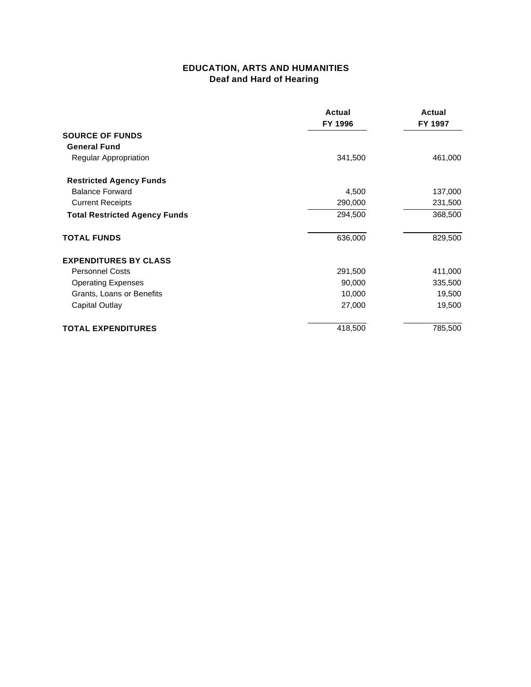### **EDUCATION, ARTS AND HUMANITIES Deaf and Hard of Hearing**

|                                      | Actual<br>FY 1996 | Actual<br>FY 1997 |
|--------------------------------------|-------------------|-------------------|
| <b>SOURCE OF FUNDS</b>               |                   |                   |
| <b>General Fund</b>                  |                   |                   |
| Regular Appropriation                | 341,500           | 461,000           |
| <b>Restricted Agency Funds</b>       |                   |                   |
| <b>Balance Forward</b>               | 4,500             | 137,000           |
| <b>Current Receipts</b>              | 290,000           | 231,500           |
| <b>Total Restricted Agency Funds</b> | 294,500           | 368,500           |
| <b>TOTAL FUNDS</b>                   | 636,000           | 829,500           |
| <b>EXPENDITURES BY CLASS</b>         |                   |                   |
| <b>Personnel Costs</b>               | 291,500           | 411,000           |
| <b>Operating Expenses</b>            | 90,000            | 335,500           |
| Grants, Loans or Benefits            | 10,000            | 19,500            |
| Capital Outlay                       | 27,000            | 19,500            |
| <b>TOTAL EXPENDITURES</b>            | 418,500           | 785,500           |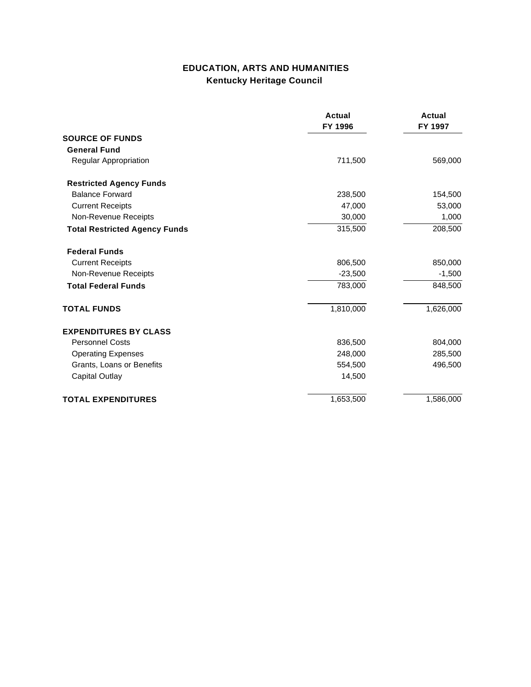# **EDUCATION, ARTS AND HUMANITIES Kentucky Heritage Council**

|                                      | <b>Actual</b><br>FY 1996 | <b>Actual</b><br>FY 1997 |
|--------------------------------------|--------------------------|--------------------------|
| <b>SOURCE OF FUNDS</b>               |                          |                          |
| <b>General Fund</b>                  |                          |                          |
| Regular Appropriation                | 711,500                  | 569,000                  |
| <b>Restricted Agency Funds</b>       |                          |                          |
| <b>Balance Forward</b>               | 238,500                  | 154,500                  |
| <b>Current Receipts</b>              | 47,000                   | 53,000                   |
| Non-Revenue Receipts                 | 30,000                   | 1,000                    |
| <b>Total Restricted Agency Funds</b> | 315,500                  | 208,500                  |
| <b>Federal Funds</b>                 |                          |                          |
| <b>Current Receipts</b>              | 806,500                  | 850,000                  |
| Non-Revenue Receipts                 | $-23,500$                | $-1,500$                 |
| <b>Total Federal Funds</b>           | 783,000                  | 848,500                  |
| <b>TOTAL FUNDS</b>                   | 1,810,000                | 1,626,000                |
| <b>EXPENDITURES BY CLASS</b>         |                          |                          |
| <b>Personnel Costs</b>               | 836,500                  | 804,000                  |
| <b>Operating Expenses</b>            | 248,000                  | 285,500                  |
| Grants, Loans or Benefits            | 554,500                  | 496,500                  |
| <b>Capital Outlay</b>                | 14,500                   |                          |
| <b>TOTAL EXPENDITURES</b>            | 1,653,500                | 1,586,000                |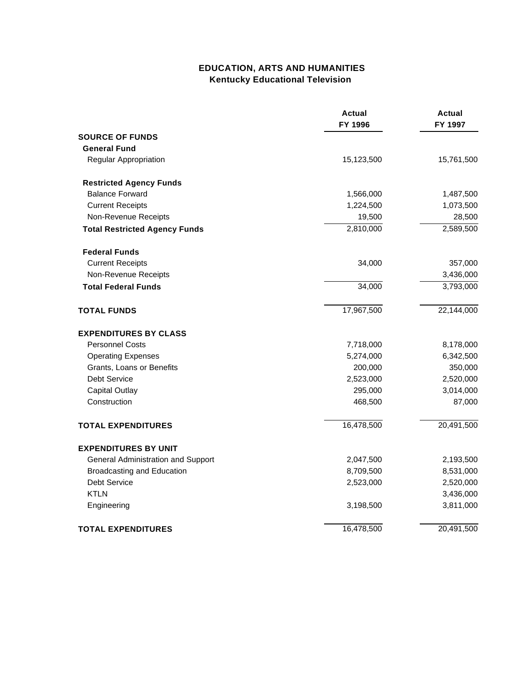## **EDUCATION, ARTS AND HUMANITIES Kentucky Educational Television**

|                                      | <b>Actual</b><br>FY 1996 | Actual<br>FY 1997 |
|--------------------------------------|--------------------------|-------------------|
| <b>SOURCE OF FUNDS</b>               |                          |                   |
| <b>General Fund</b>                  |                          |                   |
| Regular Appropriation                | 15,123,500               | 15,761,500        |
| <b>Restricted Agency Funds</b>       |                          |                   |
| <b>Balance Forward</b>               | 1,566,000                | 1,487,500         |
| <b>Current Receipts</b>              | 1,224,500                | 1,073,500         |
| Non-Revenue Receipts                 | 19,500                   | 28,500            |
| <b>Total Restricted Agency Funds</b> | 2,810,000                | 2,589,500         |
| <b>Federal Funds</b>                 |                          |                   |
| <b>Current Receipts</b>              | 34,000                   | 357,000           |
| Non-Revenue Receipts                 |                          | 3,436,000         |
| <b>Total Federal Funds</b>           | 34,000                   | 3,793,000         |
| <b>TOTAL FUNDS</b>                   | 17,967,500               | 22,144,000        |
| <b>EXPENDITURES BY CLASS</b>         |                          |                   |
| <b>Personnel Costs</b>               | 7,718,000                | 8,178,000         |
| <b>Operating Expenses</b>            | 5,274,000                | 6,342,500         |
| Grants, Loans or Benefits            | 200,000                  | 350,000           |
| Debt Service                         | 2,523,000                | 2,520,000         |
| <b>Capital Outlay</b>                | 295,000                  | 3,014,000         |
| Construction                         | 468,500                  | 87,000            |
| <b>TOTAL EXPENDITURES</b>            | 16,478,500               | 20,491,500        |
| <b>EXPENDITURES BY UNIT</b>          |                          |                   |
| General Administration and Support   | 2,047,500                | 2,193,500         |
| <b>Broadcasting and Education</b>    | 8,709,500                | 8,531,000         |
| <b>Debt Service</b>                  | 2,523,000                | 2,520,000         |
| <b>KTLN</b>                          |                          | 3,436,000         |
| Engineering                          | 3,198,500                | 3,811,000         |
| <b>TOTAL EXPENDITURES</b>            | 16,478,500               | 20,491,500        |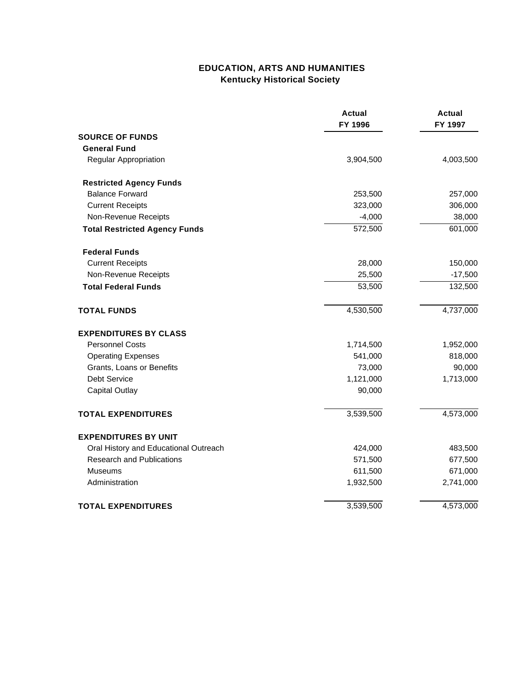## **EDUCATION, ARTS AND HUMANITIES Kentucky Historical Society**

|                                       | <b>Actual</b><br>FY 1996 | <b>Actual</b><br>FY 1997 |
|---------------------------------------|--------------------------|--------------------------|
| <b>SOURCE OF FUNDS</b>                |                          |                          |
| <b>General Fund</b>                   |                          |                          |
| Regular Appropriation                 | 3,904,500                | 4,003,500                |
| <b>Restricted Agency Funds</b>        |                          |                          |
| <b>Balance Forward</b>                | 253,500                  | 257,000                  |
| <b>Current Receipts</b>               | 323,000                  | 306,000                  |
| Non-Revenue Receipts                  | $-4,000$                 | 38,000                   |
| <b>Total Restricted Agency Funds</b>  | 572,500                  | 601,000                  |
| <b>Federal Funds</b>                  |                          |                          |
| <b>Current Receipts</b>               | 28,000                   | 150,000                  |
| Non-Revenue Receipts                  | 25,500                   | $-17,500$                |
| <b>Total Federal Funds</b>            | 53,500                   | 132,500                  |
| <b>TOTAL FUNDS</b>                    | 4,530,500                | 4,737,000                |
| <b>EXPENDITURES BY CLASS</b>          |                          |                          |
| <b>Personnel Costs</b>                | 1,714,500                | 1,952,000                |
| <b>Operating Expenses</b>             | 541,000                  | 818,000                  |
| Grants, Loans or Benefits             | 73,000                   | 90,000                   |
| <b>Debt Service</b>                   | 1,121,000                | 1,713,000                |
| <b>Capital Outlay</b>                 | 90,000                   |                          |
| <b>TOTAL EXPENDITURES</b>             | 3,539,500                | 4,573,000                |
| <b>EXPENDITURES BY UNIT</b>           |                          |                          |
| Oral History and Educational Outreach | 424,000                  | 483,500                  |
| <b>Research and Publications</b>      | 571,500                  | 677,500                  |
| <b>Museums</b>                        | 611,500                  | 671,000                  |
| Administration                        | 1,932,500                | 2,741,000                |
| <b>TOTAL EXPENDITURES</b>             | 3,539,500                | 4,573,000                |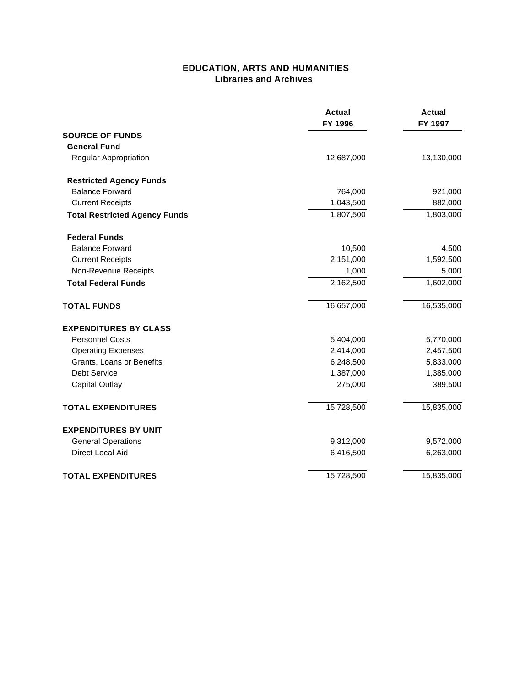#### **EDUCATION, ARTS AND HUMANITIES Libraries and Archives**

|                                      | <b>Actual</b><br>FY 1996 | <b>Actual</b><br>FY 1997 |
|--------------------------------------|--------------------------|--------------------------|
| <b>SOURCE OF FUNDS</b>               |                          |                          |
| <b>General Fund</b>                  |                          |                          |
| Regular Appropriation                | 12,687,000               | 13,130,000               |
| <b>Restricted Agency Funds</b>       |                          |                          |
| <b>Balance Forward</b>               | 764,000                  | 921,000                  |
| <b>Current Receipts</b>              | 1,043,500                | 882,000                  |
| <b>Total Restricted Agency Funds</b> | 1,807,500                | 1,803,000                |
| <b>Federal Funds</b>                 |                          |                          |
| <b>Balance Forward</b>               | 10,500                   | 4,500                    |
| <b>Current Receipts</b>              | 2,151,000                | 1,592,500                |
| Non-Revenue Receipts                 | 1,000                    | 5,000                    |
| <b>Total Federal Funds</b>           | 2,162,500                | 1,602,000                |
| <b>TOTAL FUNDS</b>                   | 16,657,000               | 16,535,000               |
| <b>EXPENDITURES BY CLASS</b>         |                          |                          |
| <b>Personnel Costs</b>               | 5,404,000                | 5,770,000                |
| <b>Operating Expenses</b>            | 2,414,000                | 2,457,500                |
| Grants, Loans or Benefits            | 6,248,500                | 5,833,000                |
| <b>Debt Service</b>                  | 1,387,000                | 1,385,000                |
| <b>Capital Outlay</b>                | 275,000                  | 389,500                  |
| <b>TOTAL EXPENDITURES</b>            | 15,728,500               | 15,835,000               |
| <b>EXPENDITURES BY UNIT</b>          |                          |                          |
| <b>General Operations</b>            | 9,312,000                | 9,572,000                |
| <b>Direct Local Aid</b>              | 6,416,500                | 6,263,000                |
| <b>TOTAL EXPENDITURES</b>            | 15,728,500               | 15,835,000               |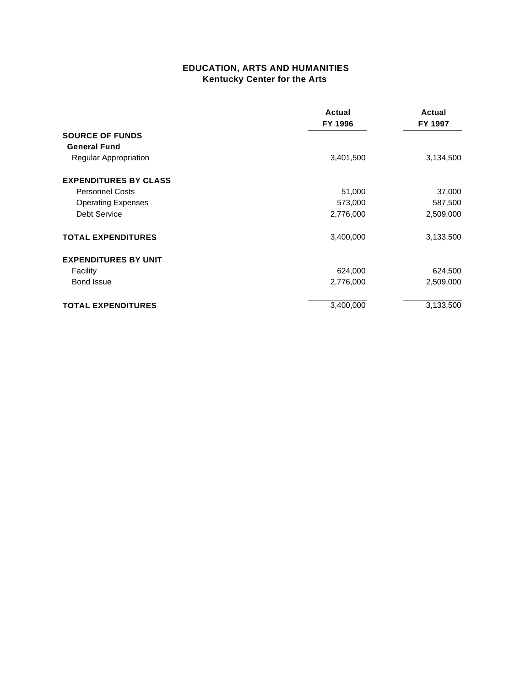### **EDUCATION, ARTS AND HUMANITIES Kentucky Center for the Arts**

|                              | <b>Actual</b><br>FY 1996 | Actual<br>FY 1997 |
|------------------------------|--------------------------|-------------------|
| <b>SOURCE OF FUNDS</b>       |                          |                   |
| <b>General Fund</b>          |                          |                   |
| Regular Appropriation        | 3,401,500                | 3,134,500         |
| <b>EXPENDITURES BY CLASS</b> |                          |                   |
| <b>Personnel Costs</b>       | 51,000                   | 37,000            |
| <b>Operating Expenses</b>    | 573,000                  | 587,500           |
| <b>Debt Service</b>          | 2,776,000                | 2,509,000         |
| <b>TOTAL EXPENDITURES</b>    | 3,400,000                | 3,133,500         |
| <b>EXPENDITURES BY UNIT</b>  |                          |                   |
| Facility                     | 624,000                  | 624,500           |
| <b>Bond Issue</b>            | 2,776,000                | 2,509,000         |
| <b>TOTAL EXPENDITURES</b>    | 3,400,000                | 3,133,500         |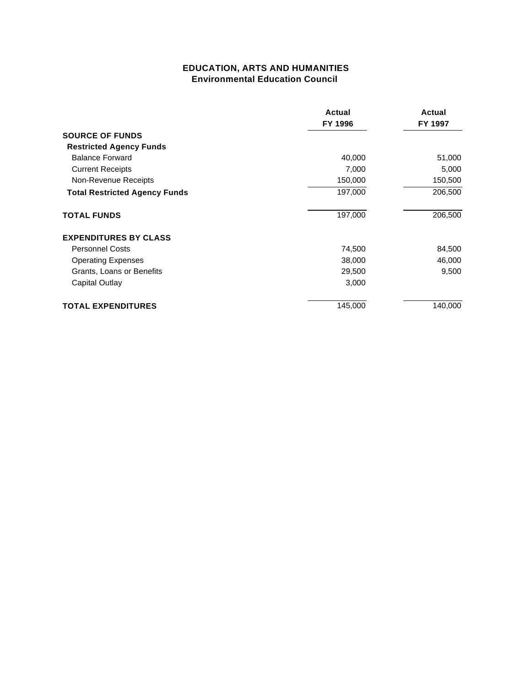### **EDUCATION, ARTS AND HUMANITIES Environmental Education Council**

|                                      | Actual<br>FY 1996 | Actual<br>FY 1997 |
|--------------------------------------|-------------------|-------------------|
| <b>SOURCE OF FUNDS</b>               |                   |                   |
| <b>Restricted Agency Funds</b>       |                   | 51,000            |
| <b>Balance Forward</b>               | 40,000            |                   |
| <b>Current Receipts</b>              | 7,000             | 5,000             |
| Non-Revenue Receipts                 | 150,000           | 150,500           |
| <b>Total Restricted Agency Funds</b> | 197,000           | 206,500           |
| <b>TOTAL FUNDS</b>                   | 197,000           | 206,500           |
| <b>EXPENDITURES BY CLASS</b>         |                   |                   |
| <b>Personnel Costs</b>               | 74,500            | 84,500            |
| <b>Operating Expenses</b>            | 38,000            | 46,000            |
| Grants, Loans or Benefits            | 29,500            | 9,500             |
| Capital Outlay                       | 3,000             |                   |
| <b>TOTAL EXPENDITURES</b>            | 145,000           | 140,000           |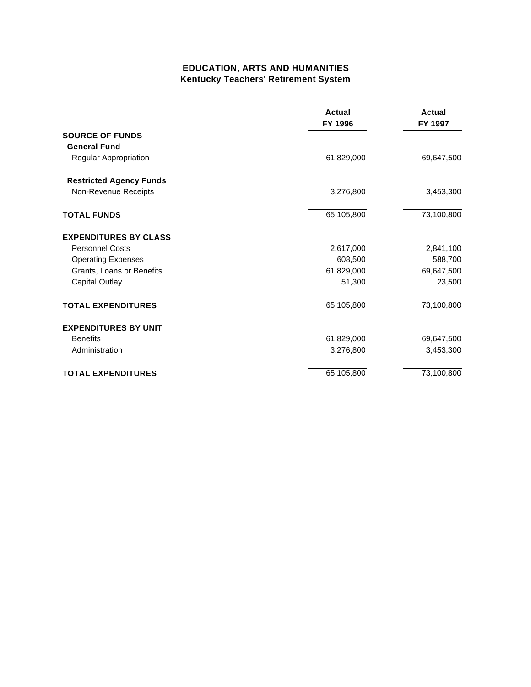### **EDUCATION, ARTS AND HUMANITIES Kentucky Teachers' Retirement System**

|                                | Actual<br>FY 1996 | <b>Actual</b><br>FY 1997 |
|--------------------------------|-------------------|--------------------------|
| <b>SOURCE OF FUNDS</b>         |                   |                          |
| <b>General Fund</b>            |                   |                          |
| Regular Appropriation          | 61,829,000        | 69,647,500               |
| <b>Restricted Agency Funds</b> |                   |                          |
| Non-Revenue Receipts           | 3,276,800         | 3,453,300                |
| <b>TOTAL FUNDS</b>             | 65,105,800        | 73,100,800               |
| <b>EXPENDITURES BY CLASS</b>   |                   |                          |
| <b>Personnel Costs</b>         | 2,617,000         | 2,841,100                |
| <b>Operating Expenses</b>      | 608,500           | 588,700                  |
| Grants, Loans or Benefits      | 61,829,000        | 69,647,500               |
| <b>Capital Outlay</b>          | 51,300            | 23,500                   |
| <b>TOTAL EXPENDITURES</b>      | 65,105,800        | 73,100,800               |
| <b>EXPENDITURES BY UNIT</b>    |                   |                          |
| <b>Benefits</b>                | 61,829,000        | 69,647,500               |
| Administration                 | 3,276,800         | 3,453,300                |
| <b>TOTAL EXPENDITURES</b>      | 65,105,800        | 73,100,800               |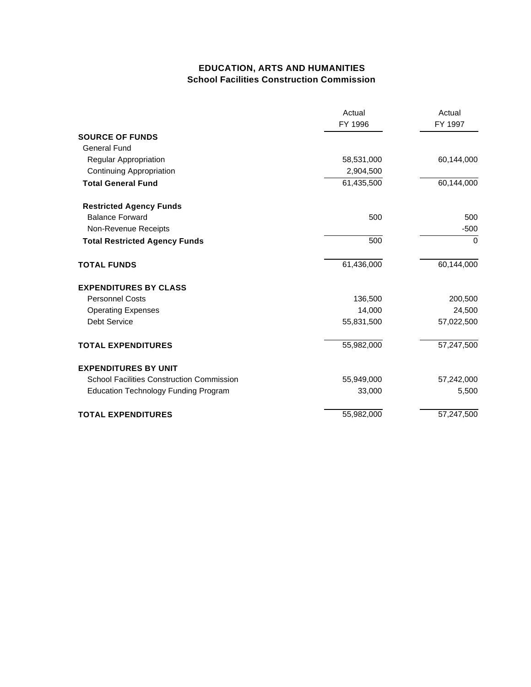### **EDUCATION, ARTS AND HUMANITIES School Facilities Construction Commission**

|                                                  | Actual<br>FY 1996 | Actual<br>FY 1997 |
|--------------------------------------------------|-------------------|-------------------|
| <b>SOURCE OF FUNDS</b>                           |                   |                   |
| <b>General Fund</b>                              |                   |                   |
| Regular Appropriation                            | 58,531,000        | 60,144,000        |
| <b>Continuing Appropriation</b>                  | 2,904,500         |                   |
| <b>Total General Fund</b>                        | 61,435,500        | 60,144,000        |
| <b>Restricted Agency Funds</b>                   |                   |                   |
| <b>Balance Forward</b>                           | 500               | 500               |
| Non-Revenue Receipts                             |                   | $-500$            |
| <b>Total Restricted Agency Funds</b>             | 500               | 0                 |
| <b>TOTAL FUNDS</b>                               | 61,436,000        | 60,144,000        |
| <b>EXPENDITURES BY CLASS</b>                     |                   |                   |
| <b>Personnel Costs</b>                           | 136,500           | 200,500           |
| <b>Operating Expenses</b>                        | 14,000            | 24,500            |
| <b>Debt Service</b>                              | 55,831,500        | 57,022,500        |
| <b>TOTAL EXPENDITURES</b>                        | 55,982,000        | 57,247,500        |
| <b>EXPENDITURES BY UNIT</b>                      |                   |                   |
| <b>School Facilities Construction Commission</b> | 55,949,000        | 57,242,000        |
| <b>Education Technology Funding Program</b>      | 33,000            | 5,500             |
| <b>TOTAL EXPENDITURES</b>                        | 55,982,000        | 57,247,500        |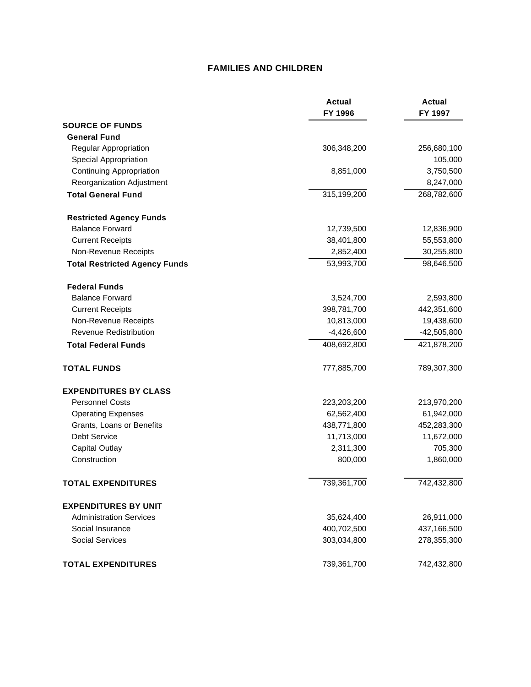#### **FAMILIES AND CHILDREN**

|                                      | <b>Actual</b><br>FY 1996 | <b>Actual</b><br>FY 1997 |
|--------------------------------------|--------------------------|--------------------------|
| <b>SOURCE OF FUNDS</b>               |                          |                          |
| <b>General Fund</b>                  |                          |                          |
| Regular Appropriation                | 306,348,200              | 256,680,100              |
| <b>Special Appropriation</b>         |                          | 105,000                  |
| <b>Continuing Appropriation</b>      | 8,851,000                | 3,750,500                |
| Reorganization Adjustment            |                          | 8,247,000                |
| <b>Total General Fund</b>            | 315,199,200              | 268,782,600              |
| <b>Restricted Agency Funds</b>       |                          |                          |
| <b>Balance Forward</b>               | 12,739,500               | 12,836,900               |
| <b>Current Receipts</b>              | 38,401,800               | 55,553,800               |
| Non-Revenue Receipts                 | 2,852,400                | 30,255,800               |
| <b>Total Restricted Agency Funds</b> | 53,993,700               | 98,646,500               |
| <b>Federal Funds</b>                 |                          |                          |
| <b>Balance Forward</b>               | 3,524,700                | 2,593,800                |
| <b>Current Receipts</b>              | 398,781,700              | 442,351,600              |
| Non-Revenue Receipts                 | 10,813,000               | 19,438,600               |
| <b>Revenue Redistribution</b>        | $-4,426,600$             | $-42,505,800$            |
| <b>Total Federal Funds</b>           | 408,692,800              | 421,878,200              |
| <b>TOTAL FUNDS</b>                   | 777,885,700              | 789,307,300              |
| <b>EXPENDITURES BY CLASS</b>         |                          |                          |
| <b>Personnel Costs</b>               | 223,203,200              | 213,970,200              |
| <b>Operating Expenses</b>            | 62,562,400               | 61,942,000               |
| Grants, Loans or Benefits            | 438,771,800              | 452,283,300              |
| <b>Debt Service</b>                  | 11,713,000               | 11,672,000               |
| <b>Capital Outlay</b>                | 2,311,300                | 705,300                  |
| Construction                         | 800,000                  | 1,860,000                |
| <b>TOTAL EXPENDITURES</b>            | 739,361,700              | 742,432,800              |
| <b>EXPENDITURES BY UNIT</b>          |                          |                          |
| <b>Administration Services</b>       | 35,624,400               | 26,911,000               |
| Social Insurance                     | 400,702,500              | 437,166,500              |
| <b>Social Services</b>               | 303,034,800              | 278,355,300              |
| <b>TOTAL EXPENDITURES</b>            | 739,361,700              | 742,432,800              |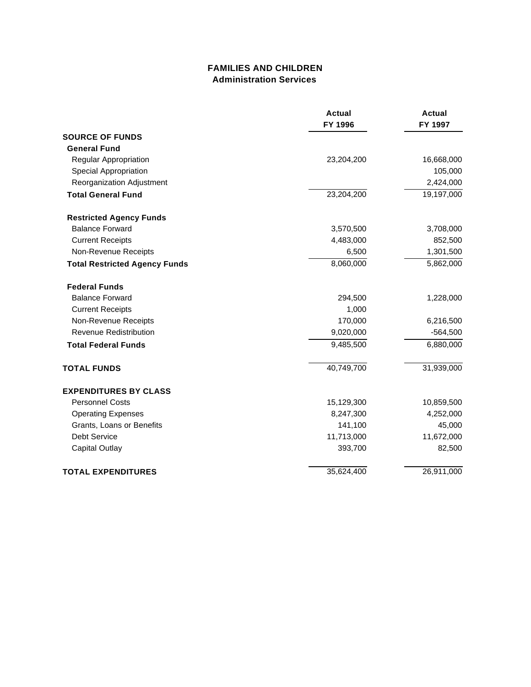### **FAMILIES AND CHILDREN Administration Services**

|                                      | <b>Actual</b><br>FY 1996 | <b>Actual</b><br>FY 1997 |
|--------------------------------------|--------------------------|--------------------------|
| <b>SOURCE OF FUNDS</b>               |                          |                          |
| <b>General Fund</b>                  |                          |                          |
| Regular Appropriation                | 23,204,200               | 16,668,000               |
| Special Appropriation                |                          | 105,000                  |
| Reorganization Adjustment            |                          | 2,424,000                |
| <b>Total General Fund</b>            | 23,204,200               | 19,197,000               |
| <b>Restricted Agency Funds</b>       |                          |                          |
| <b>Balance Forward</b>               | 3,570,500                | 3,708,000                |
| <b>Current Receipts</b>              | 4,483,000                | 852,500                  |
| Non-Revenue Receipts                 | 6,500                    | 1,301,500                |
| <b>Total Restricted Agency Funds</b> | 8,060,000                | 5,862,000                |
| <b>Federal Funds</b>                 |                          |                          |
| <b>Balance Forward</b>               | 294,500                  | 1,228,000                |
| <b>Current Receipts</b>              | 1,000                    |                          |
| Non-Revenue Receipts                 | 170,000                  | 6,216,500                |
| Revenue Redistribution               | 9,020,000                | $-564,500$               |
| <b>Total Federal Funds</b>           | 9,485,500                | 6,880,000                |
| <b>TOTAL FUNDS</b>                   | 40,749,700               | 31,939,000               |
| <b>EXPENDITURES BY CLASS</b>         |                          |                          |
| <b>Personnel Costs</b>               | 15,129,300               | 10,859,500               |
| <b>Operating Expenses</b>            | 8,247,300                | 4,252,000                |
| Grants, Loans or Benefits            | 141,100                  | 45,000                   |
| Debt Service                         | 11,713,000               | 11,672,000               |
| <b>Capital Outlay</b>                | 393,700                  | 82,500                   |
| <b>TOTAL EXPENDITURES</b>            | 35,624,400               | 26,911,000               |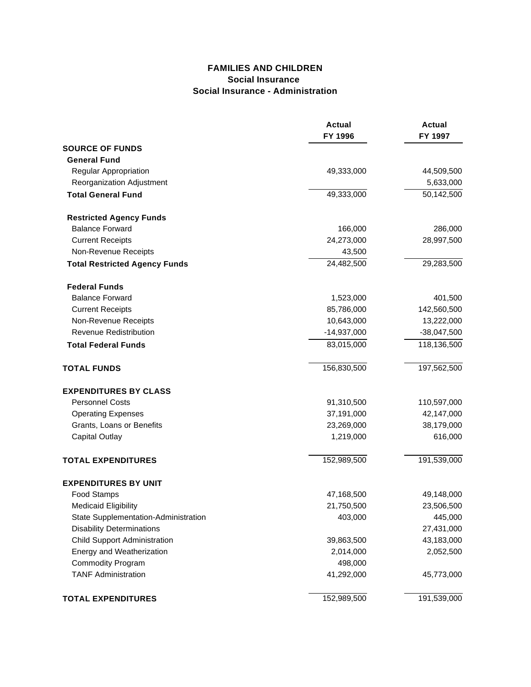### **FAMILIES AND CHILDREN Social Insurance Social Insurance - Administration**

|                                      | <b>Actual</b><br>FY 1996 | <b>Actual</b><br>FY 1997 |
|--------------------------------------|--------------------------|--------------------------|
| <b>SOURCE OF FUNDS</b>               |                          |                          |
| <b>General Fund</b>                  |                          |                          |
| Regular Appropriation                | 49,333,000               | 44,509,500               |
| Reorganization Adjustment            |                          | 5,633,000                |
| <b>Total General Fund</b>            | 49,333,000               | 50,142,500               |
| <b>Restricted Agency Funds</b>       |                          |                          |
| <b>Balance Forward</b>               | 166,000                  | 286,000                  |
| <b>Current Receipts</b>              | 24,273,000               | 28,997,500               |
| Non-Revenue Receipts                 | 43,500                   |                          |
| <b>Total Restricted Agency Funds</b> | 24,482,500               | 29,283,500               |
| <b>Federal Funds</b>                 |                          |                          |
| <b>Balance Forward</b>               | 1,523,000                | 401,500                  |
| <b>Current Receipts</b>              | 85,786,000               | 142,560,500              |
| Non-Revenue Receipts                 | 10,643,000               | 13,222,000               |
| Revenue Redistribution               | $-14,937,000$            | $-38,047,500$            |
| <b>Total Federal Funds</b>           | 83,015,000               | 118,136,500              |
| <b>TOTAL FUNDS</b>                   | 156,830,500              | 197,562,500              |
| <b>EXPENDITURES BY CLASS</b>         |                          |                          |
| <b>Personnel Costs</b>               | 91,310,500               | 110,597,000              |
| <b>Operating Expenses</b>            | 37,191,000               | 42,147,000               |
| Grants, Loans or Benefits            | 23,269,000               | 38,179,000               |
| <b>Capital Outlay</b>                | 1,219,000                | 616,000                  |
| <b>TOTAL EXPENDITURES</b>            | 152,989,500              | 191,539,000              |
| <b>EXPENDITURES BY UNIT</b>          |                          |                          |
| Food Stamps                          | 47,168,500               | 49,148,000               |
| <b>Medicaid Eligibility</b>          | 21,750,500               | 23,506,500               |
| State Supplementation-Administration | 403,000                  | 445,000                  |
| <b>Disability Determinations</b>     |                          | 27,431,000               |
| <b>Child Support Administration</b>  | 39,863,500               | 43,183,000               |
| Energy and Weatherization            | 2,014,000                | 2,052,500                |
| <b>Commodity Program</b>             | 498,000                  |                          |
| <b>TANF Administration</b>           | 41,292,000               | 45,773,000               |
| <b>TOTAL EXPENDITURES</b>            | 152,989,500              | 191,539,000              |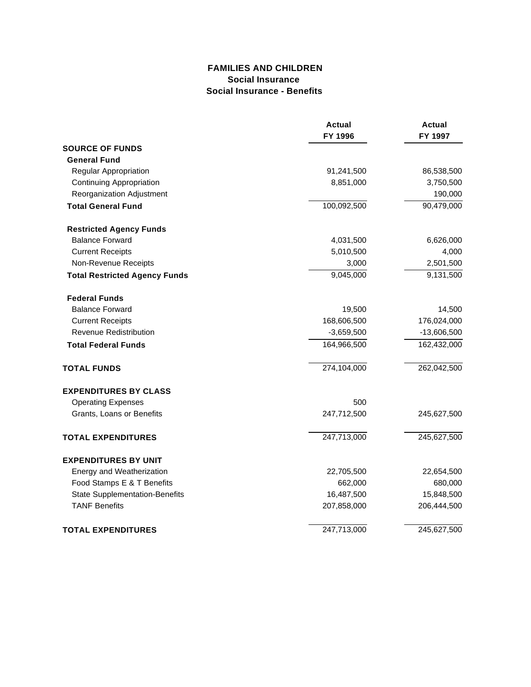#### **FAMILIES AND CHILDREN Social Insurance Social Insurance - Benefits**

|                                       | <b>Actual</b><br>FY 1996 | <b>Actual</b><br>FY 1997 |
|---------------------------------------|--------------------------|--------------------------|
|                                       |                          |                          |
| <b>SOURCE OF FUNDS</b>                |                          |                          |
| <b>General Fund</b>                   |                          |                          |
| Regular Appropriation                 | 91,241,500               | 86,538,500               |
| <b>Continuing Appropriation</b>       | 8,851,000                | 3,750,500                |
| Reorganization Adjustment             |                          | 190,000                  |
| <b>Total General Fund</b>             | 100,092,500              | 90,479,000               |
| <b>Restricted Agency Funds</b>        |                          |                          |
| <b>Balance Forward</b>                | 4,031,500                | 6,626,000                |
| <b>Current Receipts</b>               | 5,010,500                | 4,000                    |
| Non-Revenue Receipts                  | 3,000                    | 2,501,500                |
| <b>Total Restricted Agency Funds</b>  | 9,045,000                | 9,131,500                |
| <b>Federal Funds</b>                  |                          |                          |
| <b>Balance Forward</b>                | 19,500                   | 14,500                   |
| <b>Current Receipts</b>               | 168,606,500              | 176,024,000              |
| Revenue Redistribution                | $-3,659,500$             | $-13,606,500$            |
| <b>Total Federal Funds</b>            | 164,966,500              | 162,432,000              |
| <b>TOTAL FUNDS</b>                    | 274,104,000              | 262,042,500              |
| <b>EXPENDITURES BY CLASS</b>          |                          |                          |
| <b>Operating Expenses</b>             | 500                      |                          |
| Grants, Loans or Benefits             | 247,712,500              | 245,627,500              |
| <b>TOTAL EXPENDITURES</b>             | 247,713,000              | 245,627,500              |
| <b>EXPENDITURES BY UNIT</b>           |                          |                          |
| Energy and Weatherization             | 22,705,500               | 22,654,500               |
| Food Stamps E & T Benefits            | 662,000                  | 680,000                  |
| <b>State Supplementation-Benefits</b> | 16,487,500               | 15,848,500               |
| <b>TANF Benefits</b>                  | 207,858,000              | 206,444,500              |
| <b>TOTAL EXPENDITURES</b>             | 247,713,000              | 245,627,500              |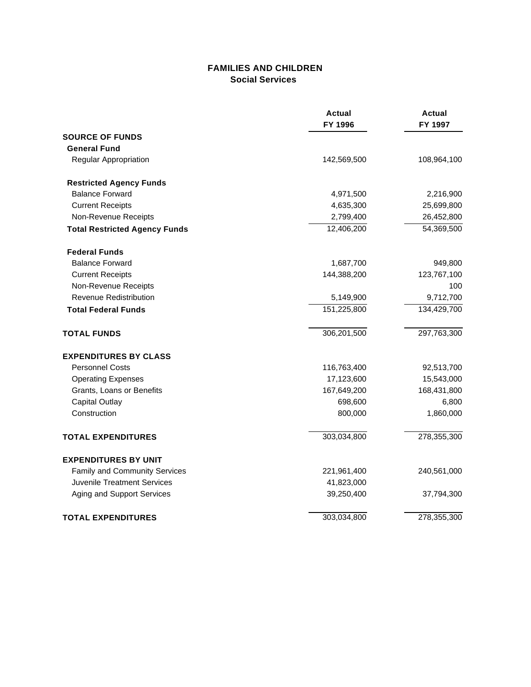### **FAMILIES AND CHILDREN Social Services**

|                                      | <b>Actual</b><br>FY 1996 | <b>Actual</b><br>FY 1997 |
|--------------------------------------|--------------------------|--------------------------|
| <b>SOURCE OF FUNDS</b>               |                          |                          |
| <b>General Fund</b>                  |                          |                          |
| Regular Appropriation                | 142,569,500              | 108,964,100              |
| <b>Restricted Agency Funds</b>       |                          |                          |
| <b>Balance Forward</b>               | 4,971,500                | 2,216,900                |
| <b>Current Receipts</b>              | 4,635,300                | 25,699,800               |
| Non-Revenue Receipts                 | 2,799,400                | 26,452,800               |
| <b>Total Restricted Agency Funds</b> | 12,406,200               | 54,369,500               |
| <b>Federal Funds</b>                 |                          |                          |
| <b>Balance Forward</b>               | 1,687,700                | 949,800                  |
| <b>Current Receipts</b>              | 144,388,200              | 123,767,100              |
| Non-Revenue Receipts                 |                          | 100                      |
| <b>Revenue Redistribution</b>        | 5,149,900                | 9,712,700                |
| <b>Total Federal Funds</b>           | 151,225,800              | 134,429,700              |
| <b>TOTAL FUNDS</b>                   | 306,201,500              | 297,763,300              |
| <b>EXPENDITURES BY CLASS</b>         |                          |                          |
| <b>Personnel Costs</b>               | 116,763,400              | 92,513,700               |
| <b>Operating Expenses</b>            | 17,123,600               | 15,543,000               |
| Grants, Loans or Benefits            | 167,649,200              | 168,431,800              |
| <b>Capital Outlay</b>                | 698,600                  | 6,800                    |
| Construction                         | 800,000                  | 1,860,000                |
| <b>TOTAL EXPENDITURES</b>            | 303,034,800              | 278,355,300              |
| <b>EXPENDITURES BY UNIT</b>          |                          |                          |
| Family and Community Services        | 221,961,400              | 240,561,000              |
| Juvenile Treatment Services          | 41,823,000               |                          |
| Aging and Support Services           | 39,250,400               | 37,794,300               |
| <b>TOTAL EXPENDITURES</b>            | 303,034,800              | 278,355,300              |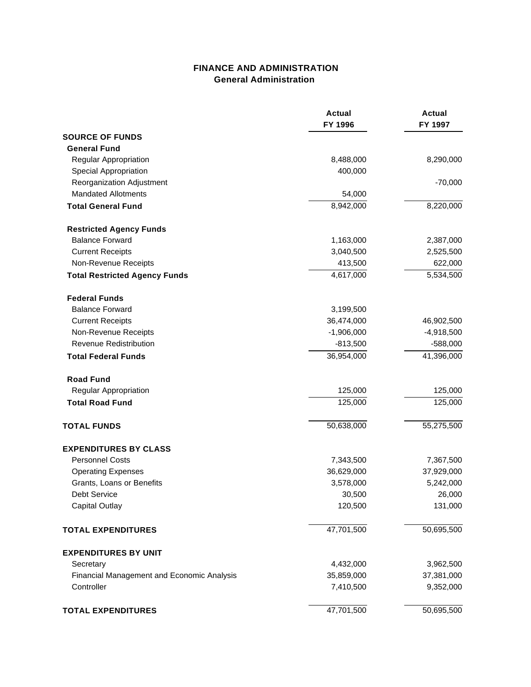### **FINANCE AND ADMINISTRATION General Administration**

|                                            | <b>Actual</b><br>FY 1996 | <b>Actual</b><br>FY 1997 |
|--------------------------------------------|--------------------------|--------------------------|
| <b>SOURCE OF FUNDS</b>                     |                          |                          |
| <b>General Fund</b>                        |                          |                          |
| Regular Appropriation                      | 8,488,000                | 8,290,000                |
| Special Appropriation                      | 400,000                  |                          |
| Reorganization Adjustment                  |                          | $-70,000$                |
| <b>Mandated Allotments</b>                 | 54,000                   |                          |
| <b>Total General Fund</b>                  | 8,942,000                | 8,220,000                |
| <b>Restricted Agency Funds</b>             |                          |                          |
| <b>Balance Forward</b>                     | 1,163,000                | 2,387,000                |
| <b>Current Receipts</b>                    | 3,040,500                | 2,525,500                |
| Non-Revenue Receipts                       | 413,500                  | 622,000                  |
| <b>Total Restricted Agency Funds</b>       | 4,617,000                | 5,534,500                |
| <b>Federal Funds</b>                       |                          |                          |
| <b>Balance Forward</b>                     | 3,199,500                |                          |
| <b>Current Receipts</b>                    | 36,474,000               | 46,902,500               |
| Non-Revenue Receipts                       | $-1,906,000$             | $-4,918,500$             |
| <b>Revenue Redistribution</b>              | $-813,500$               | $-588,000$               |
| <b>Total Federal Funds</b>                 | 36,954,000               | 41,396,000               |
| <b>Road Fund</b>                           |                          |                          |
| Regular Appropriation                      | 125,000                  | 125,000                  |
| <b>Total Road Fund</b>                     | 125,000                  | 125,000                  |
| <b>TOTAL FUNDS</b>                         | 50,638,000               | 55,275,500               |
| <b>EXPENDITURES BY CLASS</b>               |                          |                          |
| <b>Personnel Costs</b>                     | 7,343,500                | 7,367,500                |
| <b>Operating Expenses</b>                  | 36,629,000               | 37,929,000               |
| Grants, Loans or Benefits                  | 3,578,000                | 5,242,000                |
| Debt Service                               | 30,500                   | 26,000                   |
| <b>Capital Outlay</b>                      | 120,500                  | 131,000                  |
| <b>TOTAL EXPENDITURES</b>                  | 47,701,500               | 50,695,500               |
| <b>EXPENDITURES BY UNIT</b>                |                          |                          |
| Secretary                                  | 4,432,000                | 3,962,500                |
| Financial Management and Economic Analysis | 35,859,000               | 37,381,000               |
| Controller                                 | 7,410,500                | 9,352,000                |
| <b>TOTAL EXPENDITURES</b>                  | 47,701,500               | 50,695,500               |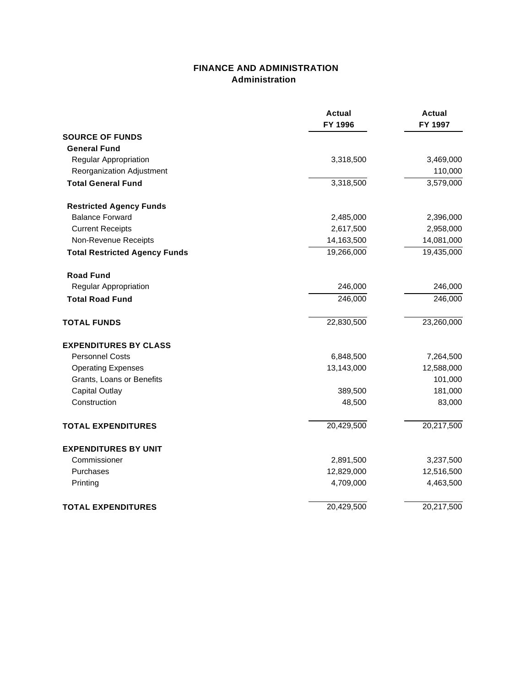### **FINANCE AND ADMINISTRATION Administration**

|                                      | <b>Actual</b><br>FY 1996 | <b>Actual</b><br>FY 1997 |
|--------------------------------------|--------------------------|--------------------------|
| <b>SOURCE OF FUNDS</b>               |                          |                          |
| <b>General Fund</b>                  |                          |                          |
| Regular Appropriation                | 3,318,500                | 3,469,000                |
| Reorganization Adjustment            |                          | 110,000                  |
| <b>Total General Fund</b>            | 3,318,500                | 3,579,000                |
| <b>Restricted Agency Funds</b>       |                          |                          |
| <b>Balance Forward</b>               | 2,485,000                | 2,396,000                |
| <b>Current Receipts</b>              | 2,617,500                | 2,958,000                |
| Non-Revenue Receipts                 | 14,163,500               | 14,081,000               |
| <b>Total Restricted Agency Funds</b> | 19,266,000               | 19,435,000               |
| <b>Road Fund</b>                     |                          |                          |
| Regular Appropriation                | 246,000                  | 246,000                  |
| <b>Total Road Fund</b>               | 246,000                  | 246,000                  |
| <b>TOTAL FUNDS</b>                   | 22,830,500               | 23,260,000               |
| <b>EXPENDITURES BY CLASS</b>         |                          |                          |
| <b>Personnel Costs</b>               | 6,848,500                | 7,264,500                |
| <b>Operating Expenses</b>            | 13,143,000               | 12,588,000               |
| Grants, Loans or Benefits            |                          | 101,000                  |
| <b>Capital Outlay</b>                | 389,500                  | 181,000                  |
| Construction                         | 48,500                   | 83,000                   |
| <b>TOTAL EXPENDITURES</b>            | 20,429,500               | 20,217,500               |
| <b>EXPENDITURES BY UNIT</b>          |                          |                          |
| Commissioner                         | 2,891,500                | 3,237,500                |
| Purchases                            | 12,829,000               | 12,516,500               |
| Printing                             | 4,709,000                | 4,463,500                |
| <b>TOTAL EXPENDITURES</b>            | 20,429,500               | 20,217,500               |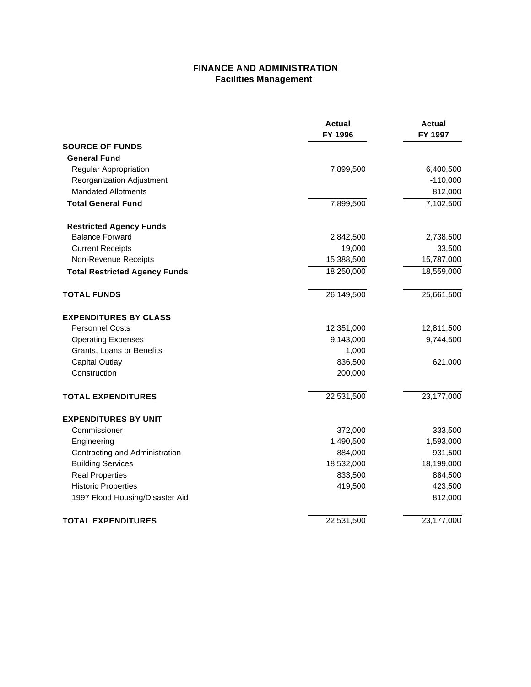### **FINANCE AND ADMINISTRATION Facilities Management**

|                                      | Actual<br>FY 1996 | Actual<br>FY 1997 |
|--------------------------------------|-------------------|-------------------|
| <b>SOURCE OF FUNDS</b>               |                   |                   |
| <b>General Fund</b>                  |                   |                   |
| Regular Appropriation                | 7,899,500         | 6,400,500         |
| Reorganization Adjustment            |                   | $-110,000$        |
| <b>Mandated Allotments</b>           |                   | 812,000           |
| <b>Total General Fund</b>            | 7,899,500         | 7,102,500         |
| <b>Restricted Agency Funds</b>       |                   |                   |
| <b>Balance Forward</b>               | 2,842,500         | 2,738,500         |
| <b>Current Receipts</b>              | 19,000            | 33,500            |
| Non-Revenue Receipts                 | 15,388,500        | 15,787,000        |
| <b>Total Restricted Agency Funds</b> | 18,250,000        | 18,559,000        |
| <b>TOTAL FUNDS</b>                   | 26,149,500        | 25,661,500        |
| <b>EXPENDITURES BY CLASS</b>         |                   |                   |
| <b>Personnel Costs</b>               | 12,351,000        | 12,811,500        |
| <b>Operating Expenses</b>            | 9,143,000         | 9,744,500         |
| Grants, Loans or Benefits            | 1,000             |                   |
| <b>Capital Outlay</b>                | 836,500           | 621,000           |
| Construction                         | 200,000           |                   |
| <b>TOTAL EXPENDITURES</b>            | 22,531,500        | 23,177,000        |
| <b>EXPENDITURES BY UNIT</b>          |                   |                   |
| Commissioner                         | 372,000           | 333,500           |
| Engineering                          | 1,490,500         | 1,593,000         |
| Contracting and Administration       | 884,000           | 931,500           |
| <b>Building Services</b>             | 18,532,000        | 18,199,000        |
| <b>Real Properties</b>               | 833,500           | 884,500           |
| <b>Historic Properties</b>           | 419,500           | 423,500           |
| 1997 Flood Housing/Disaster Aid      |                   | 812,000           |
| <b>TOTAL EXPENDITURES</b>            | 22,531,500        | 23,177,000        |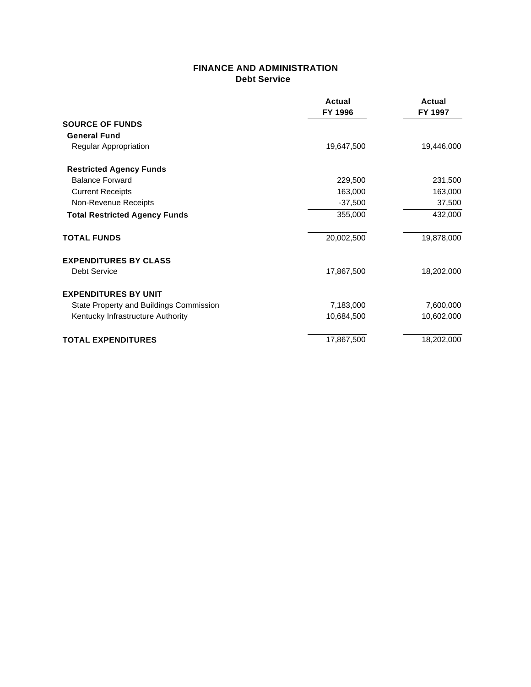#### **FINANCE AND ADMINISTRATION Debt Service**

|                                         | Actual     | <b>Actual</b> |
|-----------------------------------------|------------|---------------|
|                                         | FY 1996    | FY 1997       |
| <b>SOURCE OF FUNDS</b>                  |            |               |
| <b>General Fund</b>                     |            |               |
| Regular Appropriation                   | 19,647,500 | 19,446,000    |
| <b>Restricted Agency Funds</b>          |            |               |
| <b>Balance Forward</b>                  | 229,500    | 231,500       |
| <b>Current Receipts</b>                 | 163,000    | 163,000       |
| Non-Revenue Receipts                    | $-37,500$  | 37,500        |
| <b>Total Restricted Agency Funds</b>    | 355,000    | 432,000       |
| <b>TOTAL FUNDS</b>                      | 20,002,500 | 19,878,000    |
| <b>EXPENDITURES BY CLASS</b>            |            |               |
| Debt Service                            | 17,867,500 | 18,202,000    |
| <b>EXPENDITURES BY UNIT</b>             |            |               |
| State Property and Buildings Commission | 7,183,000  | 7,600,000     |
| Kentucky Infrastructure Authority       | 10,684,500 | 10,602,000    |
| <b>TOTAL EXPENDITURES</b>               | 17,867,500 | 18,202,000    |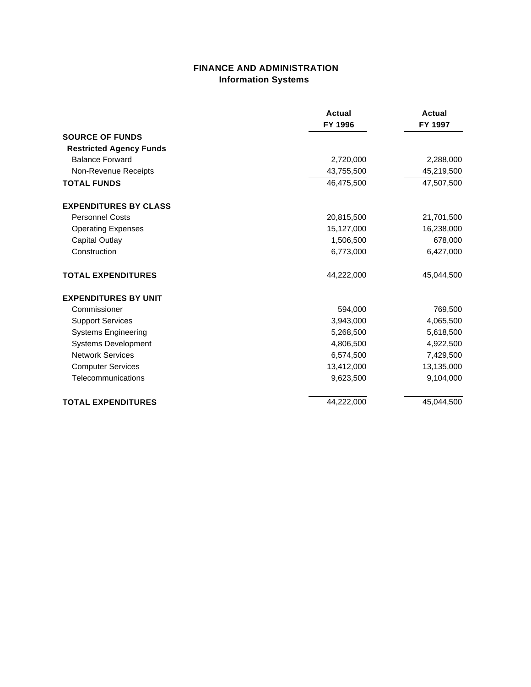### **FINANCE AND ADMINISTRATION Information Systems**

|                                | <b>Actual</b> | <b>Actual</b> |
|--------------------------------|---------------|---------------|
|                                | FY 1996       | FY 1997       |
| <b>SOURCE OF FUNDS</b>         |               |               |
| <b>Restricted Agency Funds</b> |               |               |
| <b>Balance Forward</b>         | 2,720,000     | 2,288,000     |
| Non-Revenue Receipts           | 43,755,500    | 45,219,500    |
| <b>TOTAL FUNDS</b>             | 46,475,500    | 47,507,500    |
| <b>EXPENDITURES BY CLASS</b>   |               |               |
| <b>Personnel Costs</b>         | 20,815,500    | 21,701,500    |
| <b>Operating Expenses</b>      | 15,127,000    | 16,238,000    |
| Capital Outlay                 | 1,506,500     | 678,000       |
| Construction                   | 6,773,000     | 6,427,000     |
| <b>TOTAL EXPENDITURES</b>      | 44,222,000    | 45,044,500    |
| <b>EXPENDITURES BY UNIT</b>    |               |               |
| Commissioner                   | 594,000       | 769,500       |
| <b>Support Services</b>        | 3,943,000     | 4,065,500     |
| <b>Systems Engineering</b>     | 5,268,500     | 5,618,500     |
| <b>Systems Development</b>     | 4,806,500     | 4,922,500     |
| <b>Network Services</b>        | 6,574,500     | 7,429,500     |
| <b>Computer Services</b>       | 13,412,000    | 13,135,000    |
| Telecommunications             | 9,623,500     | 9,104,000     |
| <b>TOTAL EXPENDITURES</b>      | 44,222,000    | 45,044,500    |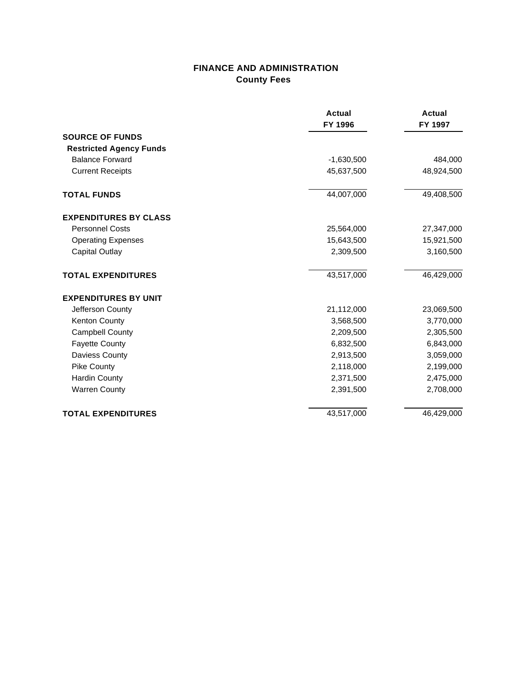### **FINANCE AND ADMINISTRATION County Fees**

|                                                          | <b>Actual</b><br>FY 1996 | <b>Actual</b><br>FY 1997 |
|----------------------------------------------------------|--------------------------|--------------------------|
| <b>SOURCE OF FUNDS</b>                                   |                          |                          |
| <b>Restricted Agency Funds</b><br><b>Balance Forward</b> |                          |                          |
|                                                          | $-1,630,500$             | 484,000                  |
| <b>Current Receipts</b>                                  | 45,637,500               | 48,924,500               |
| <b>TOTAL FUNDS</b>                                       | 44,007,000               | 49,408,500               |
| <b>EXPENDITURES BY CLASS</b>                             |                          |                          |
| <b>Personnel Costs</b>                                   | 25,564,000               | 27,347,000               |
| <b>Operating Expenses</b>                                | 15,643,500               | 15,921,500               |
| <b>Capital Outlay</b>                                    | 2,309,500                | 3,160,500                |
| <b>TOTAL EXPENDITURES</b>                                | 43,517,000               | 46,429,000               |
| <b>EXPENDITURES BY UNIT</b>                              |                          |                          |
| Jefferson County                                         | 21,112,000               | 23,069,500               |
| <b>Kenton County</b>                                     | 3,568,500                | 3,770,000                |
| <b>Campbell County</b>                                   | 2,209,500                | 2,305,500                |
| <b>Fayette County</b>                                    | 6,832,500                | 6,843,000                |
| <b>Daviess County</b>                                    | 2,913,500                | 3,059,000                |
| <b>Pike County</b>                                       | 2,118,000                | 2,199,000                |
| <b>Hardin County</b>                                     | 2,371,500                | 2,475,000                |
| <b>Warren County</b>                                     | 2,391,500                | 2,708,000                |
| <b>TOTAL EXPENDITURES</b>                                | 43,517,000               | 46,429,000               |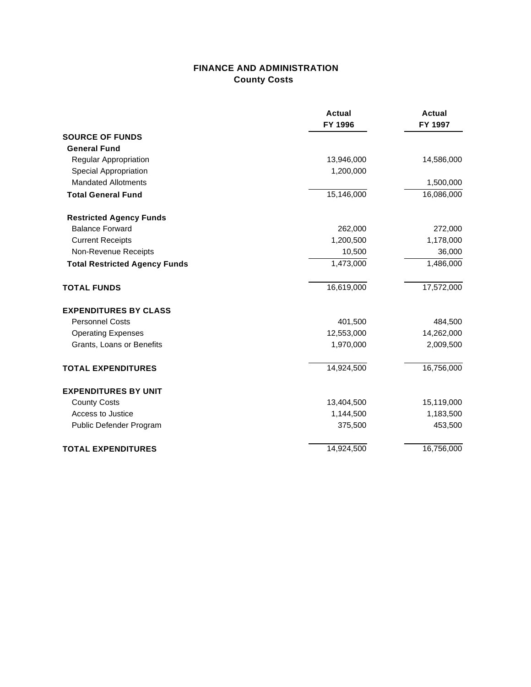## **FINANCE AND ADMINISTRATION County Costs**

|                                      | <b>Actual</b><br>FY 1996 | <b>Actual</b><br>FY 1997 |
|--------------------------------------|--------------------------|--------------------------|
| <b>SOURCE OF FUNDS</b>               |                          |                          |
| <b>General Fund</b>                  |                          |                          |
| Regular Appropriation                | 13,946,000               | 14,586,000               |
| <b>Special Appropriation</b>         | 1,200,000                |                          |
| <b>Mandated Allotments</b>           |                          | 1,500,000                |
| <b>Total General Fund</b>            | 15,146,000               | 16,086,000               |
| <b>Restricted Agency Funds</b>       |                          |                          |
| <b>Balance Forward</b>               | 262,000                  | 272,000                  |
| <b>Current Receipts</b>              | 1,200,500                | 1,178,000                |
| Non-Revenue Receipts                 | 10,500                   | 36,000                   |
| <b>Total Restricted Agency Funds</b> | 1,473,000                | 1,486,000                |
| <b>TOTAL FUNDS</b>                   | 16,619,000               | 17,572,000               |
| <b>EXPENDITURES BY CLASS</b>         |                          |                          |
| <b>Personnel Costs</b>               | 401,500                  | 484,500                  |
| <b>Operating Expenses</b>            | 12,553,000               | 14,262,000               |
| Grants, Loans or Benefits            | 1,970,000                | 2,009,500                |
| <b>TOTAL EXPENDITURES</b>            | 14,924,500               | 16,756,000               |
| <b>EXPENDITURES BY UNIT</b>          |                          |                          |
| <b>County Costs</b>                  | 13,404,500               | 15,119,000               |
| Access to Justice                    | 1,144,500                | 1,183,500                |
| Public Defender Program              | 375,500                  | 453,500                  |
| <b>TOTAL EXPENDITURES</b>            | 14,924,500               | 16,756,000               |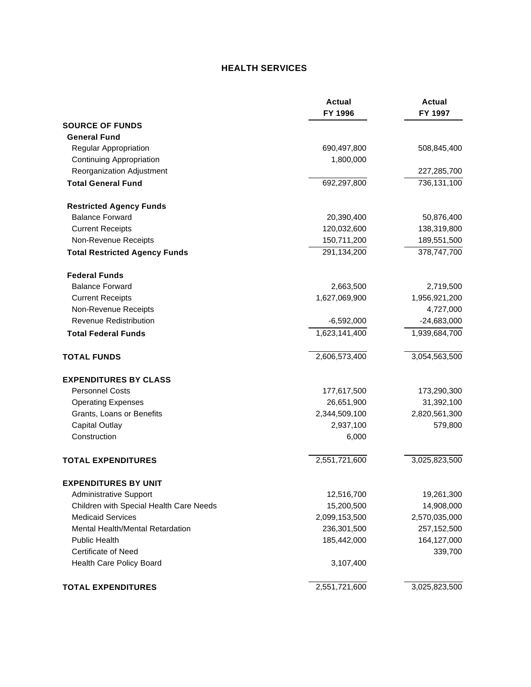### **HEALTH SERVICES**

|                                         | <b>Actual</b><br>FY 1996 | <b>Actual</b><br>FY 1997 |
|-----------------------------------------|--------------------------|--------------------------|
| <b>SOURCE OF FUNDS</b>                  |                          |                          |
| <b>General Fund</b>                     |                          |                          |
| Regular Appropriation                   | 690,497,800              | 508,845,400              |
| <b>Continuing Appropriation</b>         | 1,800,000                |                          |
| Reorganization Adjustment               |                          | 227,285,700              |
| <b>Total General Fund</b>               | 692,297,800              | 736,131,100              |
| <b>Restricted Agency Funds</b>          |                          |                          |
| <b>Balance Forward</b>                  | 20,390,400               | 50,876,400               |
| <b>Current Receipts</b>                 | 120,032,600              | 138,319,800              |
| Non-Revenue Receipts                    | 150,711,200              | 189,551,500              |
| <b>Total Restricted Agency Funds</b>    | 291,134,200              | 378,747,700              |
| <b>Federal Funds</b>                    |                          |                          |
| <b>Balance Forward</b>                  | 2,663,500                | 2,719,500                |
| <b>Current Receipts</b>                 | 1,627,069,900            | 1,956,921,200            |
| Non-Revenue Receipts                    |                          | 4,727,000                |
| <b>Revenue Redistribution</b>           | $-6,592,000$             | $-24,683,000$            |
| <b>Total Federal Funds</b>              | 1,623,141,400            | 1,939,684,700            |
| <b>TOTAL FUNDS</b>                      | 2,606,573,400            | 3,054,563,500            |
| <b>EXPENDITURES BY CLASS</b>            |                          |                          |
| <b>Personnel Costs</b>                  | 177,617,500              | 173,290,300              |
| <b>Operating Expenses</b>               | 26,651,900               | 31,392,100               |
| Grants, Loans or Benefits               | 2,344,509,100            | 2,820,561,300            |
| <b>Capital Outlay</b>                   | 2,937,100                | 579,800                  |
| Construction                            | 6,000                    |                          |
| <b>TOTAL EXPENDITURES</b>               | 2,551,721,600            | 3,025,823,500            |
| <b>EXPENDITURES BY UNIT</b>             |                          |                          |
| <b>Administrative Support</b>           | 12,516,700               | 19,261,300               |
| Children with Special Health Care Needs | 15,200,500               | 14,908,000               |
| <b>Medicaid Services</b>                | 2,099,153,500            | 2,570,035,000            |
| Mental Health/Mental Retardation        | 236,301,500              | 257,152,500              |
| <b>Public Health</b>                    | 185,442,000              | 164,127,000              |
| <b>Certificate of Need</b>              |                          | 339,700                  |
| Health Care Policy Board                | 3,107,400                |                          |
| <b>TOTAL EXPENDITURES</b>               | 2,551,721,600            | 3,025,823,500            |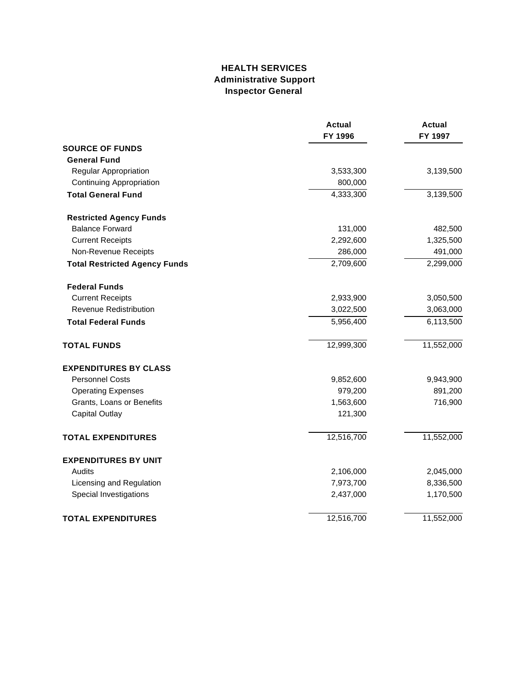### **HEALTH SERVICES Administrative Support Inspector General**

|                                      | <b>Actual</b><br>FY 1996 | <b>Actual</b><br>FY 1997 |
|--------------------------------------|--------------------------|--------------------------|
| <b>SOURCE OF FUNDS</b>               |                          |                          |
| <b>General Fund</b>                  |                          |                          |
| Regular Appropriation                | 3,533,300                | 3,139,500                |
| <b>Continuing Appropriation</b>      | 800,000                  |                          |
| <b>Total General Fund</b>            | 4,333,300                | 3,139,500                |
| <b>Restricted Agency Funds</b>       |                          |                          |
| <b>Balance Forward</b>               | 131,000                  | 482,500                  |
| <b>Current Receipts</b>              | 2,292,600                | 1,325,500                |
| Non-Revenue Receipts                 | 286,000                  | 491,000                  |
| <b>Total Restricted Agency Funds</b> | 2,709,600                | 2,299,000                |
| <b>Federal Funds</b>                 |                          |                          |
| <b>Current Receipts</b>              | 2,933,900                | 3,050,500                |
| Revenue Redistribution               | 3,022,500                | 3,063,000                |
| <b>Total Federal Funds</b>           | 5,956,400                | 6,113,500                |
| <b>TOTAL FUNDS</b>                   | 12,999,300               | 11,552,000               |
| <b>EXPENDITURES BY CLASS</b>         |                          |                          |
| <b>Personnel Costs</b>               | 9,852,600                | 9,943,900                |
| <b>Operating Expenses</b>            | 979,200                  | 891,200                  |
| Grants, Loans or Benefits            | 1,563,600                | 716,900                  |
| <b>Capital Outlay</b>                | 121,300                  |                          |
| <b>TOTAL EXPENDITURES</b>            | 12,516,700               | 11,552,000               |
| <b>EXPENDITURES BY UNIT</b>          |                          |                          |
| Audits                               | 2,106,000                | 2,045,000                |
| Licensing and Regulation             | 7,973,700                | 8,336,500                |
| Special Investigations               | 2,437,000                | 1,170,500                |
| <b>TOTAL EXPENDITURES</b>            | 12,516,700               | 11,552,000               |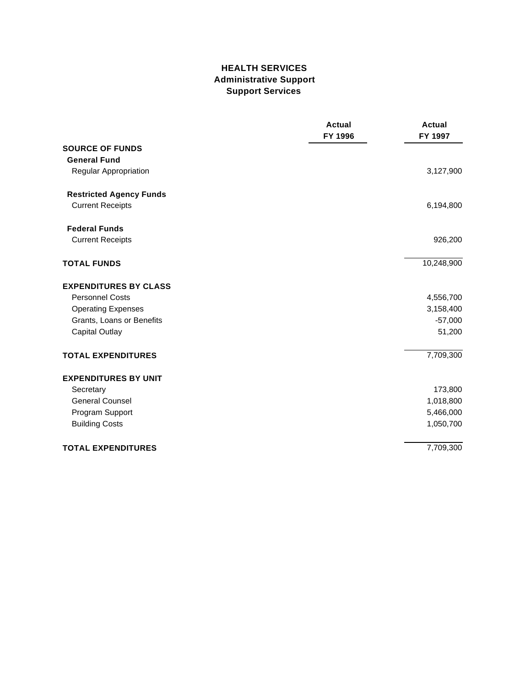### **HEALTH SERVICES Administrative Support Support Services**

|                                | <b>Actual</b><br>FY 1996 | <b>Actual</b><br>FY 1997 |
|--------------------------------|--------------------------|--------------------------|
| <b>SOURCE OF FUNDS</b>         |                          |                          |
| <b>General Fund</b>            |                          |                          |
| Regular Appropriation          |                          | 3,127,900                |
| <b>Restricted Agency Funds</b> |                          |                          |
| <b>Current Receipts</b>        |                          | 6,194,800                |
| <b>Federal Funds</b>           |                          |                          |
| <b>Current Receipts</b>        |                          | 926,200                  |
| <b>TOTAL FUNDS</b>             |                          | 10,248,900               |
| <b>EXPENDITURES BY CLASS</b>   |                          |                          |
| <b>Personnel Costs</b>         |                          | 4,556,700                |
| <b>Operating Expenses</b>      |                          | 3,158,400                |
| Grants, Loans or Benefits      |                          | $-57,000$                |
| <b>Capital Outlay</b>          |                          | 51,200                   |
| <b>TOTAL EXPENDITURES</b>      |                          | 7,709,300                |
| <b>EXPENDITURES BY UNIT</b>    |                          |                          |
| Secretary                      |                          | 173,800                  |
| <b>General Counsel</b>         |                          | 1,018,800                |
| Program Support                |                          | 5,466,000                |
| <b>Building Costs</b>          |                          | 1,050,700                |
| <b>TOTAL EXPENDITURES</b>      |                          | 7,709,300                |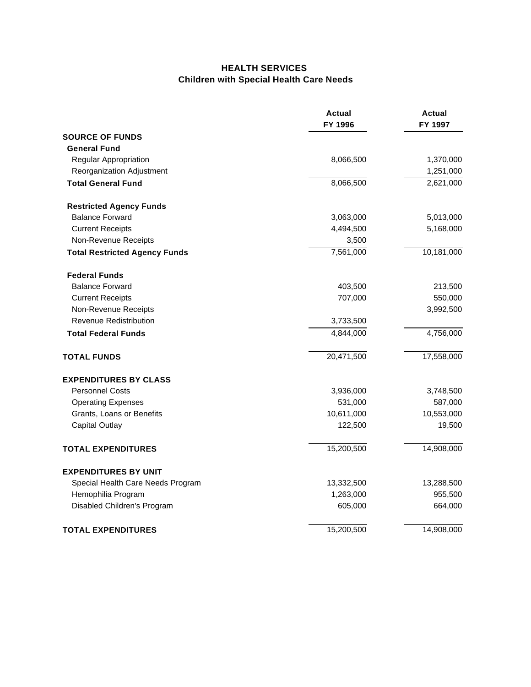### **HEALTH SERVICES Children with Special Health Care Needs**

|                                      | Actual<br>FY 1996 | Actual<br>FY 1997 |
|--------------------------------------|-------------------|-------------------|
| <b>SOURCE OF FUNDS</b>               |                   |                   |
| <b>General Fund</b>                  |                   |                   |
| Regular Appropriation                | 8,066,500         | 1,370,000         |
| Reorganization Adjustment            |                   | 1,251,000         |
| <b>Total General Fund</b>            | 8,066,500         | 2,621,000         |
| <b>Restricted Agency Funds</b>       |                   |                   |
| <b>Balance Forward</b>               | 3,063,000         | 5,013,000         |
| <b>Current Receipts</b>              | 4,494,500         | 5,168,000         |
| Non-Revenue Receipts                 | 3,500             |                   |
| <b>Total Restricted Agency Funds</b> | 7,561,000         | 10,181,000        |
| <b>Federal Funds</b>                 |                   |                   |
| <b>Balance Forward</b>               | 403,500           | 213,500           |
| <b>Current Receipts</b>              | 707,000           | 550,000           |
| Non-Revenue Receipts                 |                   | 3,992,500         |
| <b>Revenue Redistribution</b>        | 3,733,500         |                   |
| <b>Total Federal Funds</b>           | 4,844,000         | 4,756,000         |
| <b>TOTAL FUNDS</b>                   | 20,471,500        | 17,558,000        |
| <b>EXPENDITURES BY CLASS</b>         |                   |                   |
| <b>Personnel Costs</b>               | 3,936,000         | 3,748,500         |
| <b>Operating Expenses</b>            | 531,000           | 587,000           |
| Grants, Loans or Benefits            | 10,611,000        | 10,553,000        |
| <b>Capital Outlay</b>                | 122,500           | 19,500            |
| <b>TOTAL EXPENDITURES</b>            | 15,200,500        | 14,908,000        |
| <b>EXPENDITURES BY UNIT</b>          |                   |                   |
| Special Health Care Needs Program    | 13,332,500        | 13,288,500        |
| Hemophilia Program                   | 1,263,000         | 955,500           |
| Disabled Children's Program          | 605,000           | 664,000           |
| <b>TOTAL EXPENDITURES</b>            | 15,200,500        | 14,908,000        |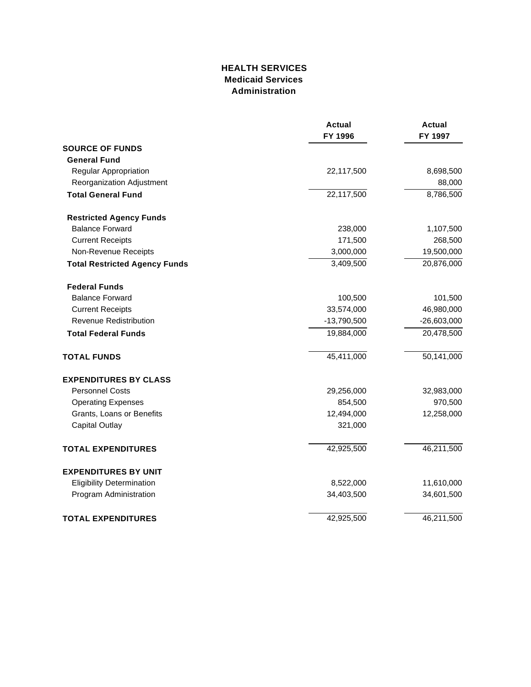### **HEALTH SERVICES Medicaid Services Administration**

|                                      | <b>Actual</b><br>FY 1996 | <b>Actual</b><br>FY 1997 |
|--------------------------------------|--------------------------|--------------------------|
| <b>SOURCE OF FUNDS</b>               |                          |                          |
| <b>General Fund</b>                  |                          |                          |
| Regular Appropriation                | 22,117,500               | 8,698,500                |
| Reorganization Adjustment            |                          | 88,000                   |
| <b>Total General Fund</b>            | 22,117,500               | 8,786,500                |
| <b>Restricted Agency Funds</b>       |                          |                          |
| <b>Balance Forward</b>               | 238,000                  | 1,107,500                |
| <b>Current Receipts</b>              | 171,500                  | 268,500                  |
| Non-Revenue Receipts                 | 3,000,000                | 19,500,000               |
| <b>Total Restricted Agency Funds</b> | 3,409,500                | 20,876,000               |
| <b>Federal Funds</b>                 |                          |                          |
| <b>Balance Forward</b>               | 100,500                  | 101,500                  |
| <b>Current Receipts</b>              | 33,574,000               | 46,980,000               |
| Revenue Redistribution               | $-13,790,500$            | $-26,603,000$            |
| <b>Total Federal Funds</b>           | 19,884,000               | 20,478,500               |
| <b>TOTAL FUNDS</b>                   | 45,411,000               | 50,141,000               |
| <b>EXPENDITURES BY CLASS</b>         |                          |                          |
| <b>Personnel Costs</b>               | 29,256,000               | 32,983,000               |
| <b>Operating Expenses</b>            | 854,500                  | 970,500                  |
| Grants, Loans or Benefits            | 12,494,000               | 12,258,000               |
| <b>Capital Outlay</b>                | 321,000                  |                          |
| <b>TOTAL EXPENDITURES</b>            | 42,925,500               | 46,211,500               |
| <b>EXPENDITURES BY UNIT</b>          |                          |                          |
| <b>Eligibility Determination</b>     | 8,522,000                | 11,610,000               |
| Program Administration               | 34,403,500               | 34,601,500               |
| <b>TOTAL EXPENDITURES</b>            | 42,925,500               | 46,211,500               |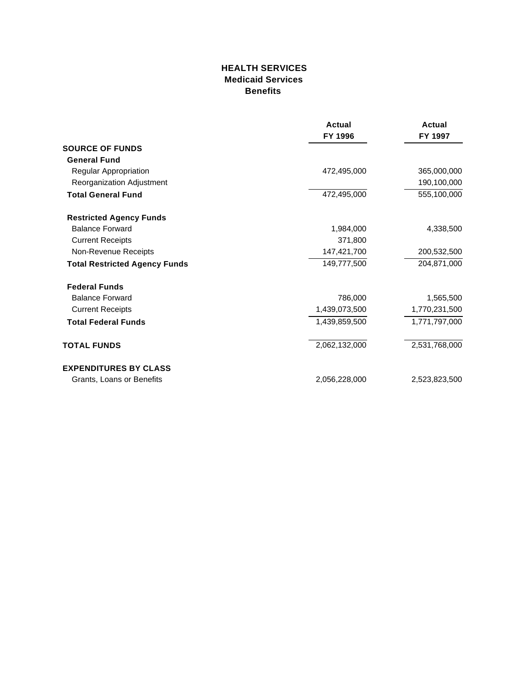### **HEALTH SERVICES Medicaid Services Benefits**

|                                      | <b>Actual</b><br>FY 1996 | Actual<br>FY 1997 |
|--------------------------------------|--------------------------|-------------------|
|                                      |                          |                   |
| <b>SOURCE OF FUNDS</b>               |                          |                   |
| <b>General Fund</b>                  |                          |                   |
| Regular Appropriation                | 472,495,000              | 365,000,000       |
| Reorganization Adjustment            |                          | 190,100,000       |
| <b>Total General Fund</b>            | 472,495,000              | 555,100,000       |
| <b>Restricted Agency Funds</b>       |                          |                   |
| <b>Balance Forward</b>               | 1,984,000                | 4,338,500         |
| <b>Current Receipts</b>              | 371,800                  |                   |
| Non-Revenue Receipts                 | 147,421,700              | 200,532,500       |
| <b>Total Restricted Agency Funds</b> | 149,777,500              | 204,871,000       |
| <b>Federal Funds</b>                 |                          |                   |
| <b>Balance Forward</b>               | 786,000                  | 1,565,500         |
| <b>Current Receipts</b>              | 1,439,073,500            | 1,770,231,500     |
| <b>Total Federal Funds</b>           | 1,439,859,500            | 1,771,797,000     |
| <b>TOTAL FUNDS</b>                   | 2,062,132,000            | 2,531,768,000     |
| <b>EXPENDITURES BY CLASS</b>         |                          |                   |
| Grants, Loans or Benefits            | 2,056,228,000            | 2,523,823,500     |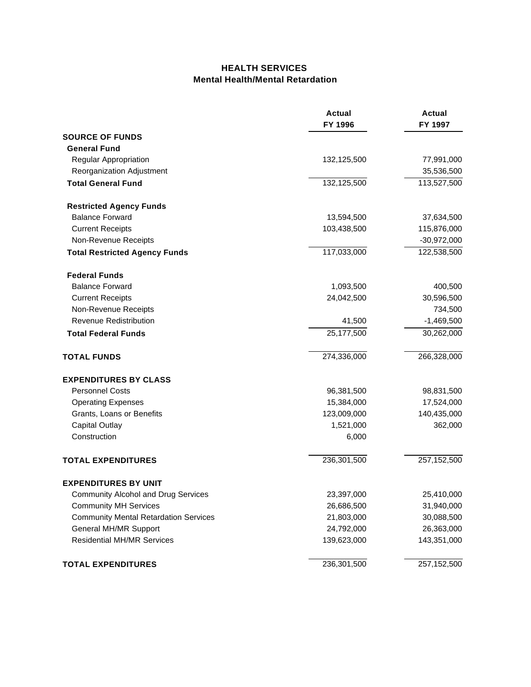### **HEALTH SERVICES Mental Health/Mental Retardation**

|                                              | <b>Actual</b><br>FY 1996 | <b>Actual</b><br>FY 1997 |
|----------------------------------------------|--------------------------|--------------------------|
| <b>SOURCE OF FUNDS</b>                       |                          |                          |
| <b>General Fund</b>                          |                          |                          |
| Regular Appropriation                        | 132,125,500              | 77,991,000               |
| Reorganization Adjustment                    |                          | 35,536,500               |
| <b>Total General Fund</b>                    | 132,125,500              | 113,527,500              |
| <b>Restricted Agency Funds</b>               |                          |                          |
| <b>Balance Forward</b>                       | 13,594,500               | 37,634,500               |
| <b>Current Receipts</b>                      | 103,438,500              | 115,876,000              |
| Non-Revenue Receipts                         |                          | $-30,972,000$            |
| <b>Total Restricted Agency Funds</b>         | 117,033,000              | 122,538,500              |
| <b>Federal Funds</b>                         |                          |                          |
| <b>Balance Forward</b>                       | 1,093,500                | 400,500                  |
| <b>Current Receipts</b>                      | 24,042,500               | 30,596,500               |
| Non-Revenue Receipts                         |                          | 734,500                  |
| Revenue Redistribution                       | 41,500                   | $-1,469,500$             |
| <b>Total Federal Funds</b>                   | 25,177,500               | 30,262,000               |
| <b>TOTAL FUNDS</b>                           | 274,336,000              | 266,328,000              |
| <b>EXPENDITURES BY CLASS</b>                 |                          |                          |
| <b>Personnel Costs</b>                       | 96,381,500               | 98,831,500               |
| <b>Operating Expenses</b>                    | 15,384,000               | 17,524,000               |
| Grants, Loans or Benefits                    | 123,009,000              | 140,435,000              |
| <b>Capital Outlay</b>                        | 1,521,000                | 362,000                  |
| Construction                                 | 6,000                    |                          |
| <b>TOTAL EXPENDITURES</b>                    | 236,301,500              | 257,152,500              |
| <b>EXPENDITURES BY UNIT</b>                  |                          |                          |
| <b>Community Alcohol and Drug Services</b>   | 23,397,000               | 25,410,000               |
| <b>Community MH Services</b>                 | 26,686,500               | 31,940,000               |
| <b>Community Mental Retardation Services</b> | 21,803,000               | 30,088,500               |
| <b>General MH/MR Support</b>                 | 24,792,000               | 26,363,000               |
| <b>Residential MH/MR Services</b>            | 139,623,000              | 143,351,000              |
| <b>TOTAL EXPENDITURES</b>                    | 236,301,500              | 257,152,500              |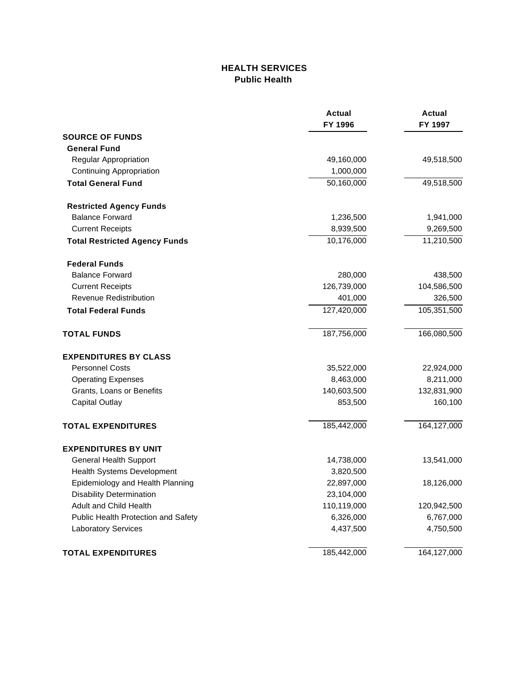## **HEALTH SERVICES Public Health**

|                                      | <b>Actual</b><br>FY 1996 | <b>Actual</b><br>FY 1997 |
|--------------------------------------|--------------------------|--------------------------|
| <b>SOURCE OF FUNDS</b>               |                          |                          |
| <b>General Fund</b>                  |                          |                          |
| Regular Appropriation                | 49,160,000               | 49,518,500               |
| <b>Continuing Appropriation</b>      | 1,000,000                |                          |
| <b>Total General Fund</b>            | 50,160,000               | 49,518,500               |
| <b>Restricted Agency Funds</b>       |                          |                          |
| <b>Balance Forward</b>               | 1,236,500                | 1,941,000                |
| <b>Current Receipts</b>              | 8,939,500                | 9,269,500                |
| <b>Total Restricted Agency Funds</b> | 10,176,000               | 11,210,500               |
| <b>Federal Funds</b>                 |                          |                          |
| <b>Balance Forward</b>               | 280,000                  | 438,500                  |
| <b>Current Receipts</b>              | 126,739,000              | 104,586,500              |
| <b>Revenue Redistribution</b>        | 401,000                  | 326,500                  |
| <b>Total Federal Funds</b>           | 127,420,000              | 105,351,500              |
| <b>TOTAL FUNDS</b>                   | 187,756,000              | 166,080,500              |
| <b>EXPENDITURES BY CLASS</b>         |                          |                          |
| <b>Personnel Costs</b>               | 35,522,000               | 22,924,000               |
| <b>Operating Expenses</b>            | 8,463,000                | 8,211,000                |
| Grants, Loans or Benefits            | 140,603,500              | 132,831,900              |
| <b>Capital Outlay</b>                | 853,500                  | 160,100                  |
| <b>TOTAL EXPENDITURES</b>            | 185,442,000              | 164,127,000              |
| <b>EXPENDITURES BY UNIT</b>          |                          |                          |
| <b>General Health Support</b>        | 14,738,000               | 13,541,000               |
| Health Systems Development           | 3,820,500                |                          |
| Epidemiology and Health Planning     | 22,897,000               | 18,126,000               |
| <b>Disability Determination</b>      | 23,104,000               |                          |
| Adult and Child Health               | 110,119,000              | 120,942,500              |
| Public Health Protection and Safety  | 6,326,000                | 6,767,000                |
| <b>Laboratory Services</b>           | 4,437,500                | 4,750,500                |
| <b>TOTAL EXPENDITURES</b>            | 185,442,000              | 164,127,000              |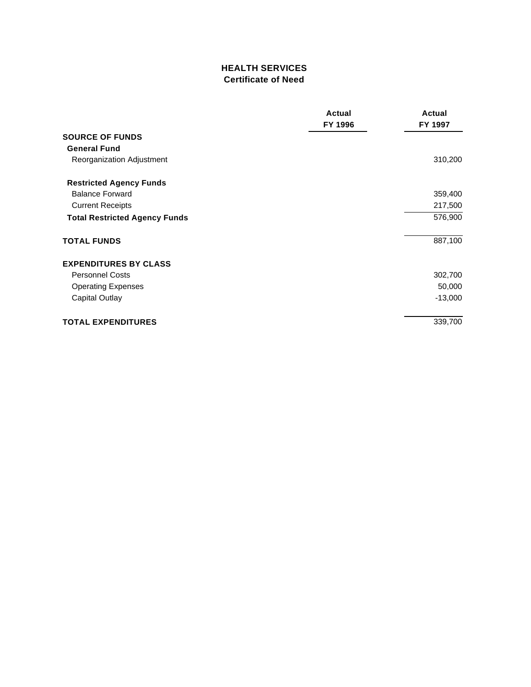## **HEALTH SERVICES Certificate of Need**

|                                      | Actual<br>FY 1996 | Actual<br>FY 1997 |
|--------------------------------------|-------------------|-------------------|
|                                      |                   |                   |
| <b>SOURCE OF FUNDS</b>               |                   |                   |
| <b>General Fund</b>                  |                   |                   |
| Reorganization Adjustment            |                   | 310,200           |
| <b>Restricted Agency Funds</b>       |                   |                   |
| <b>Balance Forward</b>               |                   | 359,400           |
| <b>Current Receipts</b>              |                   | 217,500           |
| <b>Total Restricted Agency Funds</b> |                   | 576,900           |
| <b>TOTAL FUNDS</b>                   |                   | 887,100           |
| <b>EXPENDITURES BY CLASS</b>         |                   |                   |
| <b>Personnel Costs</b>               |                   | 302,700           |
| <b>Operating Expenses</b>            |                   | 50,000            |
| Capital Outlay                       |                   | $-13,000$         |
| <b>TOTAL EXPENDITURES</b>            |                   | 339,700           |
|                                      |                   |                   |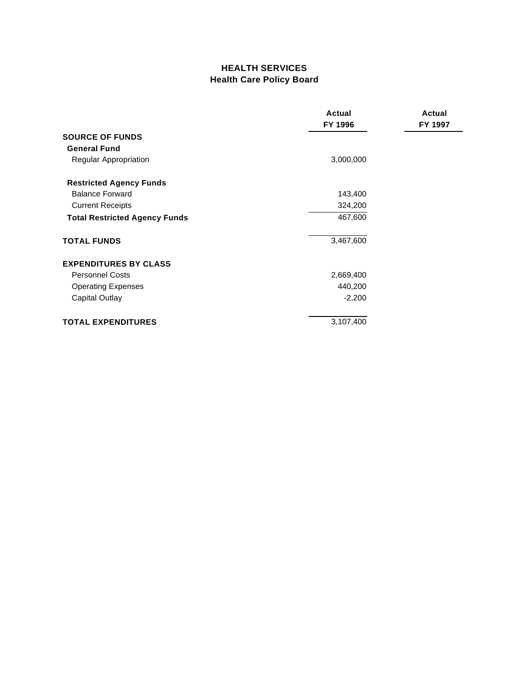## **HEALTH SERVICES Health Care Policy Board**

|                                      | Actual<br>FY 1996 | Actual<br>FY 1997 |
|--------------------------------------|-------------------|-------------------|
| <b>SOURCE OF FUNDS</b>               |                   |                   |
| <b>General Fund</b>                  |                   |                   |
| Regular Appropriation                | 3,000,000         |                   |
| <b>Restricted Agency Funds</b>       |                   |                   |
| <b>Balance Forward</b>               | 143,400           |                   |
| <b>Current Receipts</b>              | 324,200           |                   |
| <b>Total Restricted Agency Funds</b> | 467,600           |                   |
| <b>TOTAL FUNDS</b>                   | 3,467,600         |                   |
| <b>EXPENDITURES BY CLASS</b>         |                   |                   |
| <b>Personnel Costs</b>               | 2,669,400         |                   |
| <b>Operating Expenses</b>            | 440,200           |                   |
| Capital Outlay                       | $-2,200$          |                   |
| <b>TOTAL EXPENDITURES</b>            | 3,107,400         |                   |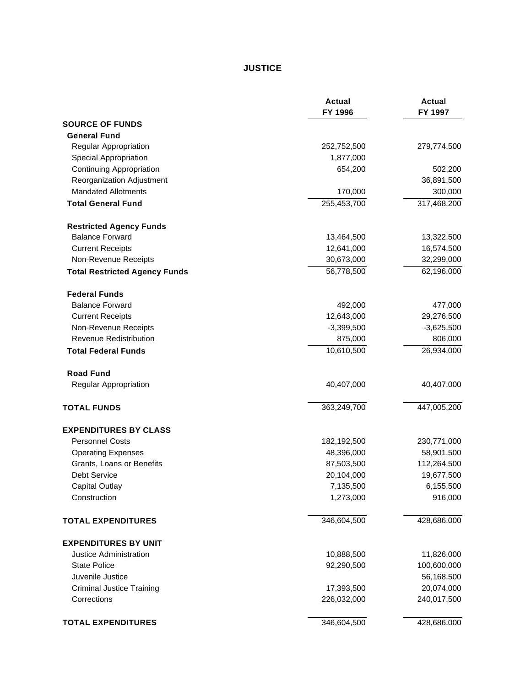## **JUSTICE**

|                                      | <b>Actual</b><br>FY 1996 | <b>Actual</b><br>FY 1997 |
|--------------------------------------|--------------------------|--------------------------|
| <b>SOURCE OF FUNDS</b>               |                          |                          |
| <b>General Fund</b>                  |                          |                          |
| Regular Appropriation                | 252,752,500              | 279,774,500              |
| Special Appropriation                | 1,877,000                |                          |
| <b>Continuing Appropriation</b>      | 654,200                  | 502,200                  |
| Reorganization Adjustment            |                          | 36,891,500               |
| <b>Mandated Allotments</b>           | 170,000                  | 300,000                  |
| <b>Total General Fund</b>            | 255,453,700              | 317,468,200              |
| <b>Restricted Agency Funds</b>       |                          |                          |
| <b>Balance Forward</b>               | 13,464,500               | 13,322,500               |
| <b>Current Receipts</b>              | 12,641,000               | 16,574,500               |
| Non-Revenue Receipts                 | 30,673,000               | 32,299,000               |
| <b>Total Restricted Agency Funds</b> | 56,778,500               | 62,196,000               |
| <b>Federal Funds</b>                 |                          |                          |
| <b>Balance Forward</b>               | 492,000                  | 477,000                  |
| <b>Current Receipts</b>              | 12,643,000               | 29,276,500               |
| Non-Revenue Receipts                 | $-3,399,500$             | $-3,625,500$             |
| <b>Revenue Redistribution</b>        | 875,000                  | 806,000                  |
| <b>Total Federal Funds</b>           | 10,610,500               | 26,934,000               |
| <b>Road Fund</b>                     |                          |                          |
| Regular Appropriation                | 40,407,000               | 40,407,000               |
| <b>TOTAL FUNDS</b>                   | 363,249,700              | 447,005,200              |
| <b>EXPENDITURES BY CLASS</b>         |                          |                          |
| <b>Personnel Costs</b>               | 182,192,500              | 230,771,000              |
| <b>Operating Expenses</b>            | 48,396,000               | 58,901,500               |
| Grants, Loans or Benefits            | 87,503,500               | 112,264,500              |
| <b>Debt Service</b>                  | 20,104,000               | 19,677,500               |
| <b>Capital Outlay</b>                | 7,135,500                | 6,155,500                |
| Construction                         | 1,273,000                | 916,000                  |
| <b>TOTAL EXPENDITURES</b>            | 346,604,500              | 428,686,000              |
| <b>EXPENDITURES BY UNIT</b>          |                          |                          |
| Justice Administration               | 10,888,500               | 11,826,000               |
| <b>State Police</b>                  | 92,290,500               | 100,600,000              |
| Juvenile Justice                     |                          | 56,168,500               |
| <b>Criminal Justice Training</b>     | 17,393,500               | 20,074,000               |
| Corrections                          | 226,032,000              | 240,017,500              |
| <b>TOTAL EXPENDITURES</b>            | 346,604,500              | 428,686,000              |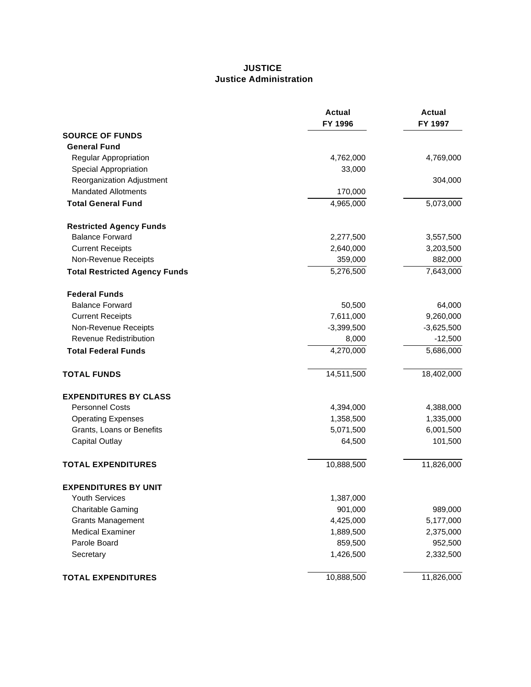#### **JUSTICE Justice Administration**

|                                      | <b>Actual</b><br>FY 1996 | <b>Actual</b><br>FY 1997 |
|--------------------------------------|--------------------------|--------------------------|
| <b>SOURCE OF FUNDS</b>               |                          |                          |
| <b>General Fund</b>                  |                          |                          |
| Regular Appropriation                | 4,762,000                | 4,769,000                |
| <b>Special Appropriation</b>         | 33,000                   |                          |
| Reorganization Adjustment            |                          | 304,000                  |
| <b>Mandated Allotments</b>           | 170,000                  |                          |
| <b>Total General Fund</b>            | 4,965,000                | 5,073,000                |
| <b>Restricted Agency Funds</b>       |                          |                          |
| <b>Balance Forward</b>               | 2,277,500                | 3,557,500                |
| <b>Current Receipts</b>              | 2,640,000                | 3,203,500                |
| Non-Revenue Receipts                 | 359,000                  | 882,000                  |
| <b>Total Restricted Agency Funds</b> | 5,276,500                | 7,643,000                |
| <b>Federal Funds</b>                 |                          |                          |
| <b>Balance Forward</b>               | 50,500                   | 64,000                   |
| <b>Current Receipts</b>              | 7,611,000                | 9,260,000                |
| Non-Revenue Receipts                 | $-3,399,500$             | $-3,625,500$             |
| <b>Revenue Redistribution</b>        | 8,000                    | $-12,500$                |
| <b>Total Federal Funds</b>           | 4,270,000                | 5,686,000                |
| <b>TOTAL FUNDS</b>                   | 14,511,500               | 18,402,000               |
| <b>EXPENDITURES BY CLASS</b>         |                          |                          |
| <b>Personnel Costs</b>               | 4,394,000                | 4,388,000                |
| <b>Operating Expenses</b>            | 1,358,500                | 1,335,000                |
| Grants, Loans or Benefits            | 5,071,500                | 6,001,500                |
| <b>Capital Outlay</b>                | 64,500                   | 101,500                  |
| <b>TOTAL EXPENDITURES</b>            | 10,888,500               | 11,826,000               |
| <b>EXPENDITURES BY UNIT</b>          |                          |                          |
| Youth Services                       | 1,387,000                |                          |
| <b>Charitable Gaming</b>             | 901,000                  | 989,000                  |
| <b>Grants Management</b>             | 4,425,000                | 5,177,000                |
| <b>Medical Examiner</b>              | 1,889,500                | 2,375,000                |
| Parole Board                         | 859,500                  | 952,500                  |
| Secretary                            | 1,426,500                | 2,332,500                |
| <b>TOTAL EXPENDITURES</b>            | 10,888,500               | 11,826,000               |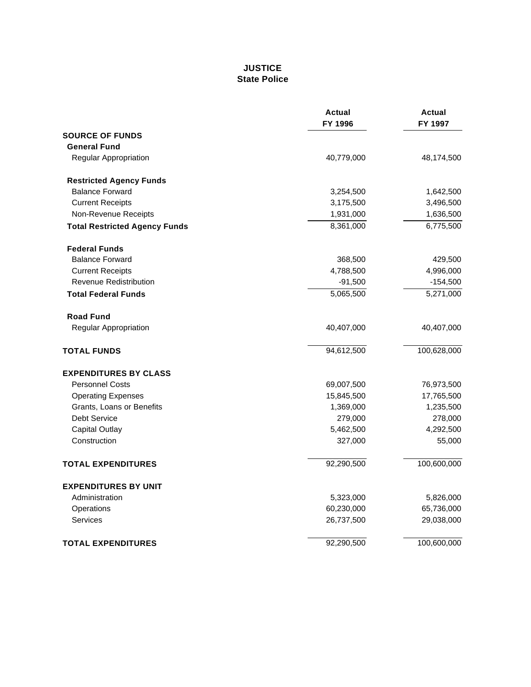## **JUSTICE State Police**

|                                      | <b>Actual</b><br>FY 1996 | <b>Actual</b><br>FY 1997 |
|--------------------------------------|--------------------------|--------------------------|
| <b>SOURCE OF FUNDS</b>               |                          |                          |
| <b>General Fund</b>                  |                          |                          |
| Regular Appropriation                | 40,779,000               | 48,174,500               |
| <b>Restricted Agency Funds</b>       |                          |                          |
| <b>Balance Forward</b>               | 3,254,500                | 1,642,500                |
| <b>Current Receipts</b>              | 3,175,500                | 3,496,500                |
| Non-Revenue Receipts                 | 1,931,000                | 1,636,500                |
| <b>Total Restricted Agency Funds</b> | 8,361,000                | 6,775,500                |
| <b>Federal Funds</b>                 |                          |                          |
| <b>Balance Forward</b>               | 368,500                  | 429,500                  |
| <b>Current Receipts</b>              | 4,788,500                | 4,996,000                |
| <b>Revenue Redistribution</b>        | $-91,500$                | $-154,500$               |
| <b>Total Federal Funds</b>           | 5,065,500                | 5,271,000                |
| <b>Road Fund</b>                     |                          |                          |
| Regular Appropriation                | 40,407,000               | 40,407,000               |
| <b>TOTAL FUNDS</b>                   | 94,612,500               | 100,628,000              |
| <b>EXPENDITURES BY CLASS</b>         |                          |                          |
| <b>Personnel Costs</b>               | 69,007,500               | 76,973,500               |
| <b>Operating Expenses</b>            | 15,845,500               | 17,765,500               |
| Grants, Loans or Benefits            | 1,369,000                | 1,235,500                |
| <b>Debt Service</b>                  | 279,000                  | 278,000                  |
| <b>Capital Outlay</b>                | 5,462,500                | 4,292,500                |
| Construction                         | 327,000                  | 55,000                   |
| <b>TOTAL EXPENDITURES</b>            | 92,290,500               | 100,600,000              |
| <b>EXPENDITURES BY UNIT</b>          |                          |                          |
| Administration                       | 5,323,000                | 5,826,000                |
| Operations                           | 60,230,000               | 65,736,000               |
| Services                             | 26,737,500               | 29,038,000               |
| <b>TOTAL EXPENDITURES</b>            | 92,290,500               | 100,600,000              |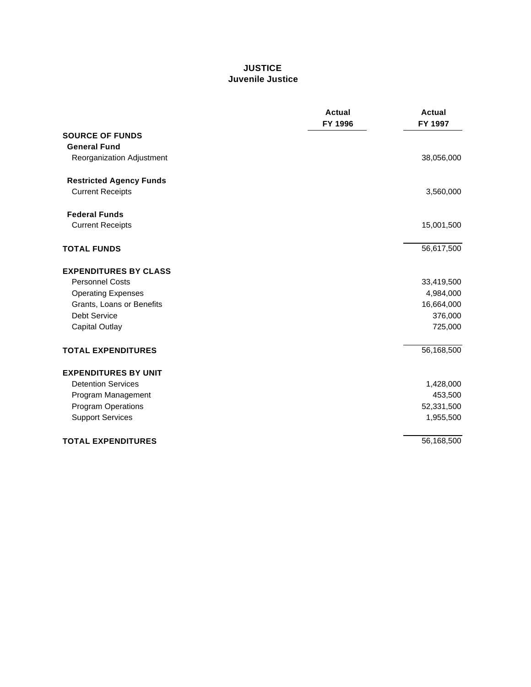### **JUSTICE Juvenile Justice**

|                                | <b>Actual</b><br>FY 1996 | <b>Actual</b><br>FY 1997 |
|--------------------------------|--------------------------|--------------------------|
| <b>SOURCE OF FUNDS</b>         |                          |                          |
| <b>General Fund</b>            |                          |                          |
| Reorganization Adjustment      |                          | 38,056,000               |
| <b>Restricted Agency Funds</b> |                          |                          |
| <b>Current Receipts</b>        |                          | 3,560,000                |
| <b>Federal Funds</b>           |                          |                          |
| <b>Current Receipts</b>        |                          | 15,001,500               |
| <b>TOTAL FUNDS</b>             |                          | 56,617,500               |
| <b>EXPENDITURES BY CLASS</b>   |                          |                          |
| <b>Personnel Costs</b>         |                          | 33,419,500               |
| <b>Operating Expenses</b>      |                          | 4,984,000                |
| Grants, Loans or Benefits      |                          | 16,664,000               |
| <b>Debt Service</b>            |                          | 376,000                  |
| <b>Capital Outlay</b>          |                          | 725,000                  |
| <b>TOTAL EXPENDITURES</b>      |                          | 56,168,500               |
| <b>EXPENDITURES BY UNIT</b>    |                          |                          |
| <b>Detention Services</b>      |                          | 1,428,000                |
| Program Management             |                          | 453,500                  |
| <b>Program Operations</b>      |                          | 52,331,500               |
| <b>Support Services</b>        |                          | 1,955,500                |
| <b>TOTAL EXPENDITURES</b>      |                          | 56,168,500               |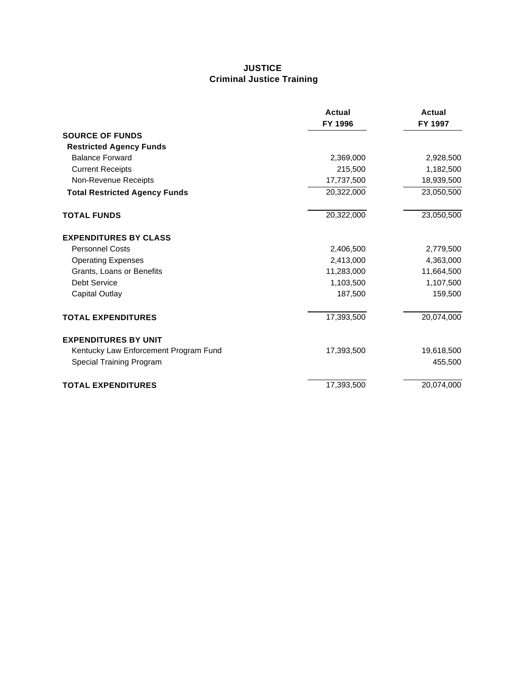## **JUSTICE Criminal Justice Training**

|                                       | Actual<br>FY 1996 | <b>Actual</b><br>FY 1997 |
|---------------------------------------|-------------------|--------------------------|
| <b>SOURCE OF FUNDS</b>                |                   |                          |
| <b>Restricted Agency Funds</b>        |                   |                          |
| <b>Balance Forward</b>                | 2,369,000         | 2,928,500                |
| <b>Current Receipts</b>               | 215,500           | 1,182,500                |
| Non-Revenue Receipts                  | 17,737,500        | 18,939,500               |
| <b>Total Restricted Agency Funds</b>  | 20,322,000        | 23,050,500               |
| <b>TOTAL FUNDS</b>                    | 20,322,000        | 23,050,500               |
| <b>EXPENDITURES BY CLASS</b>          |                   |                          |
| <b>Personnel Costs</b>                | 2,406,500         | 2,779,500                |
| <b>Operating Expenses</b>             | 2,413,000         | 4,363,000                |
| Grants, Loans or Benefits             | 11,283,000        | 11,664,500               |
| Debt Service                          | 1,103,500         | 1,107,500                |
| <b>Capital Outlay</b>                 | 187,500           | 159,500                  |
| <b>TOTAL EXPENDITURES</b>             | 17,393,500        | 20,074,000               |
| <b>EXPENDITURES BY UNIT</b>           |                   |                          |
| Kentucky Law Enforcement Program Fund | 17,393,500        | 19,618,500               |
| Special Training Program              |                   | 455,500                  |
| <b>TOTAL EXPENDITURES</b>             | 17,393,500        | 20,074,000               |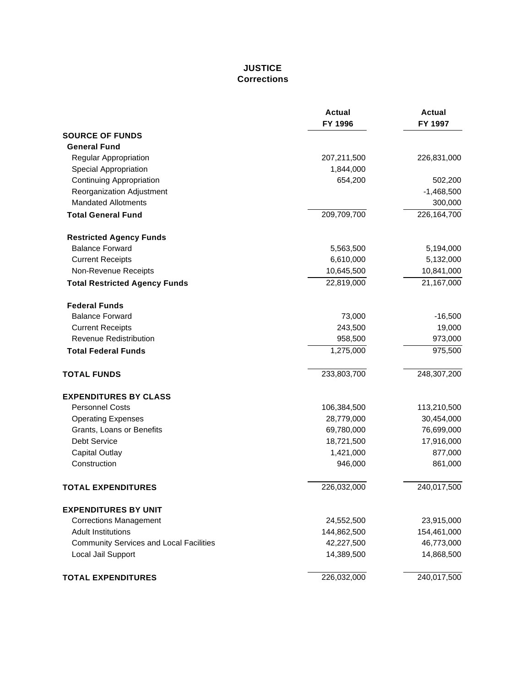## **JUSTICE Corrections**

|                                                | <b>Actual</b><br>FY 1996 | <b>Actual</b><br>FY 1997 |
|------------------------------------------------|--------------------------|--------------------------|
| <b>SOURCE OF FUNDS</b>                         |                          |                          |
| <b>General Fund</b>                            |                          |                          |
| Regular Appropriation                          | 207,211,500              | 226,831,000              |
| <b>Special Appropriation</b>                   | 1,844,000                |                          |
| <b>Continuing Appropriation</b>                | 654,200                  | 502,200                  |
| Reorganization Adjustment                      |                          | $-1,468,500$             |
| <b>Mandated Allotments</b>                     |                          | 300,000                  |
| <b>Total General Fund</b>                      | 209,709,700              | 226,164,700              |
| <b>Restricted Agency Funds</b>                 |                          |                          |
| <b>Balance Forward</b>                         | 5,563,500                | 5,194,000                |
| <b>Current Receipts</b>                        | 6,610,000                | 5,132,000                |
| Non-Revenue Receipts                           | 10,645,500               | 10,841,000               |
| <b>Total Restricted Agency Funds</b>           | 22,819,000               | 21,167,000               |
| <b>Federal Funds</b>                           |                          |                          |
| <b>Balance Forward</b>                         | 73,000                   | $-16,500$                |
| <b>Current Receipts</b>                        | 243,500                  | 19,000                   |
| <b>Revenue Redistribution</b>                  | 958,500                  | 973,000                  |
| <b>Total Federal Funds</b>                     | 1,275,000                | 975,500                  |
| <b>TOTAL FUNDS</b>                             | 233,803,700              | 248,307,200              |
| <b>EXPENDITURES BY CLASS</b>                   |                          |                          |
| <b>Personnel Costs</b>                         | 106,384,500              | 113,210,500              |
| <b>Operating Expenses</b>                      | 28,779,000               | 30,454,000               |
| Grants, Loans or Benefits                      | 69,780,000               | 76,699,000               |
| <b>Debt Service</b>                            | 18,721,500               | 17,916,000               |
| <b>Capital Outlay</b>                          | 1,421,000                | 877,000                  |
| Construction                                   | 946,000                  | 861,000                  |
| <b>TOTAL EXPENDITURES</b>                      | 226,032,000              | 240,017,500              |
| <b>EXPENDITURES BY UNIT</b>                    |                          |                          |
| <b>Corrections Management</b>                  | 24,552,500               | 23,915,000               |
| <b>Adult Institutions</b>                      | 144,862,500              | 154,461,000              |
| <b>Community Services and Local Facilities</b> | 42,227,500               | 46,773,000               |
| Local Jail Support                             | 14,389,500               | 14,868,500               |
| <b>TOTAL EXPENDITURES</b>                      | 226,032,000              | 240,017,500              |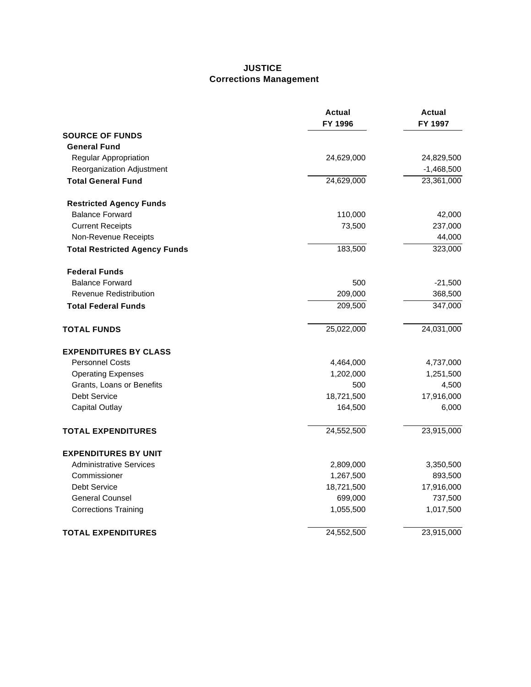### **JUSTICE Corrections Management**

|                                      | <b>Actual</b><br>FY 1996 | <b>Actual</b><br>FY 1997 |
|--------------------------------------|--------------------------|--------------------------|
| <b>SOURCE OF FUNDS</b>               |                          |                          |
| <b>General Fund</b>                  |                          |                          |
| Regular Appropriation                | 24,629,000               | 24,829,500               |
| Reorganization Adjustment            |                          | $-1,468,500$             |
| <b>Total General Fund</b>            | 24,629,000               | 23,361,000               |
| <b>Restricted Agency Funds</b>       |                          |                          |
| <b>Balance Forward</b>               | 110,000                  | 42,000                   |
| <b>Current Receipts</b>              | 73,500                   | 237,000                  |
| Non-Revenue Receipts                 |                          | 44,000                   |
| <b>Total Restricted Agency Funds</b> | 183,500                  | 323,000                  |
| <b>Federal Funds</b>                 |                          |                          |
| <b>Balance Forward</b>               | 500                      | $-21,500$                |
| <b>Revenue Redistribution</b>        | 209,000                  | 368,500                  |
| <b>Total Federal Funds</b>           | 209,500                  | 347,000                  |
| <b>TOTAL FUNDS</b>                   | 25,022,000               | 24,031,000               |
| <b>EXPENDITURES BY CLASS</b>         |                          |                          |
| <b>Personnel Costs</b>               | 4,464,000                | 4,737,000                |
| <b>Operating Expenses</b>            | 1,202,000                | 1,251,500                |
| Grants, Loans or Benefits            | 500                      | 4,500                    |
| <b>Debt Service</b>                  | 18,721,500               | 17,916,000               |
| <b>Capital Outlay</b>                | 164,500                  | 6,000                    |
| <b>TOTAL EXPENDITURES</b>            | 24,552,500               | 23,915,000               |
| <b>EXPENDITURES BY UNIT</b>          |                          |                          |
| <b>Administrative Services</b>       | 2,809,000                | 3,350,500                |
| Commissioner                         | 1,267,500                | 893,500                  |
| <b>Debt Service</b>                  | 18,721,500               | 17,916,000               |
| <b>General Counsel</b>               | 699,000                  | 737,500                  |
| <b>Corrections Training</b>          | 1,055,500                | 1,017,500                |
| <b>TOTAL EXPENDITURES</b>            | 24,552,500               | 23,915,000               |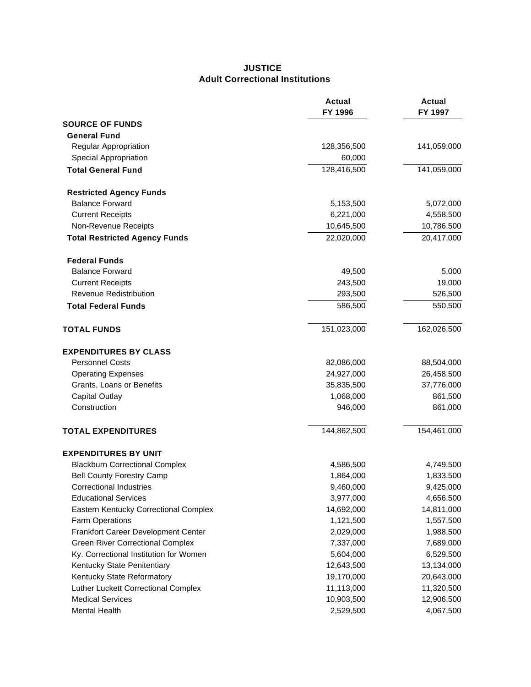#### **JUSTICE Adult Correctional Institutions**

|                                         | <b>Actual</b><br>FY 1996 | <b>Actual</b><br>FY 1997 |
|-----------------------------------------|--------------------------|--------------------------|
| <b>SOURCE OF FUNDS</b>                  |                          |                          |
| <b>General Fund</b>                     |                          |                          |
| <b>Regular Appropriation</b>            | 128,356,500              | 141,059,000              |
| <b>Special Appropriation</b>            | 60,000                   |                          |
| <b>Total General Fund</b>               | 128,416,500              | 141,059,000              |
| <b>Restricted Agency Funds</b>          |                          |                          |
| <b>Balance Forward</b>                  | 5,153,500                | 5,072,000                |
| <b>Current Receipts</b>                 | 6,221,000                | 4,558,500                |
| Non-Revenue Receipts                    | 10,645,500               | 10,786,500               |
| <b>Total Restricted Agency Funds</b>    | 22,020,000               | 20,417,000               |
| <b>Federal Funds</b>                    |                          |                          |
| <b>Balance Forward</b>                  | 49,500                   | 5,000                    |
| <b>Current Receipts</b>                 | 243,500                  | 19,000                   |
| <b>Revenue Redistribution</b>           | 293,500                  | 526,500                  |
| <b>Total Federal Funds</b>              | 586,500                  | 550,500                  |
| <b>TOTAL FUNDS</b>                      | 151,023,000              | 162,026,500              |
| <b>EXPENDITURES BY CLASS</b>            |                          |                          |
| <b>Personnel Costs</b>                  | 82,086,000               | 88,504,000               |
| <b>Operating Expenses</b>               | 24,927,000               | 26,458,500               |
| Grants, Loans or Benefits               | 35,835,500               | 37,776,000               |
| <b>Capital Outlay</b>                   | 1,068,000                | 861,500                  |
| Construction                            | 946,000                  | 861,000                  |
| <b>TOTAL EXPENDITURES</b>               | 144,862,500              | 154,461,000              |
| <b>EXPENDITURES BY UNIT</b>             |                          |                          |
| <b>Blackburn Correctional Complex</b>   | 4,586,500                | 4,749,500                |
| <b>Bell County Forestry Camp</b>        | 1,864,000                | 1,833,500                |
| <b>Correctional Industries</b>          | 9,460,000                | 9,425,000                |
| <b>Educational Services</b>             | 3,977,000                | 4,656,500                |
| Eastern Kentucky Correctional Complex   | 14,692,000               | 14,811,000               |
| Farm Operations                         | 1,121,500                | 1,557,500                |
| Frankfort Career Development Center     | 2,029,000                | 1,988,500                |
| <b>Green River Correctional Complex</b> | 7,337,000                | 7,689,000                |
| Ky. Correctional Institution for Women  | 5,604,000                | 6,529,500                |
| Kentucky State Penitentiary             | 12,643,500               | 13,134,000               |
| Kentucky State Reformatory              | 19,170,000               | 20,643,000               |
| Luther Luckett Correctional Complex     | 11,113,000               | 11,320,500               |
| <b>Medical Services</b>                 | 10,903,500               | 12,906,500               |
| Mental Health                           | 2,529,500                | 4,067,500                |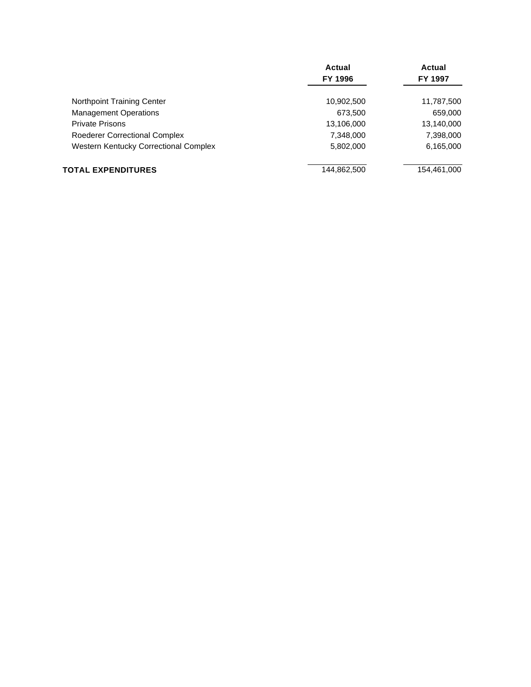|                                              | Actual      | Actual      |
|----------------------------------------------|-------------|-------------|
|                                              | FY 1996     | FY 1997     |
| Northpoint Training Center                   | 10,902,500  | 11,787,500  |
| <b>Management Operations</b>                 | 673,500     | 659,000     |
| <b>Private Prisons</b>                       | 13,106,000  | 13,140,000  |
| <b>Roederer Correctional Complex</b>         | 7,348,000   | 7,398,000   |
| <b>Western Kentucky Correctional Complex</b> | 5,802,000   | 6,165,000   |
| <b>TOTAL EXPENDITURES</b>                    | 144,862,500 | 154,461,000 |
|                                              |             |             |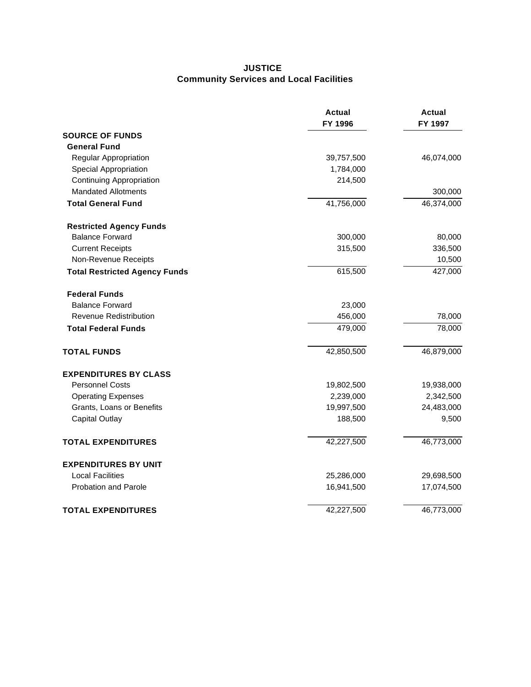## **JUSTICE Community Services and Local Facilities**

|                                      | <b>Actual</b><br>FY 1996 | <b>Actual</b><br>FY 1997 |
|--------------------------------------|--------------------------|--------------------------|
| <b>SOURCE OF FUNDS</b>               |                          |                          |
| <b>General Fund</b>                  |                          |                          |
| Regular Appropriation                | 39,757,500               | 46,074,000               |
| <b>Special Appropriation</b>         | 1,784,000                |                          |
| <b>Continuing Appropriation</b>      | 214,500                  |                          |
| <b>Mandated Allotments</b>           |                          | 300,000                  |
| <b>Total General Fund</b>            | 41,756,000               | 46,374,000               |
| <b>Restricted Agency Funds</b>       |                          |                          |
| <b>Balance Forward</b>               | 300,000                  | 80,000                   |
| <b>Current Receipts</b>              | 315,500                  | 336,500                  |
| Non-Revenue Receipts                 |                          | 10,500                   |
| <b>Total Restricted Agency Funds</b> | 615,500                  | 427,000                  |
| <b>Federal Funds</b>                 |                          |                          |
| <b>Balance Forward</b>               | 23,000                   |                          |
| Revenue Redistribution               | 456,000                  | 78,000                   |
| <b>Total Federal Funds</b>           | 479,000                  | 78,000                   |
| <b>TOTAL FUNDS</b>                   | 42,850,500               | 46,879,000               |
| <b>EXPENDITURES BY CLASS</b>         |                          |                          |
| <b>Personnel Costs</b>               | 19,802,500               | 19,938,000               |
| <b>Operating Expenses</b>            | 2,239,000                | 2,342,500                |
| Grants, Loans or Benefits            | 19,997,500               | 24,483,000               |
| <b>Capital Outlay</b>                | 188,500                  | 9,500                    |
| <b>TOTAL EXPENDITURES</b>            | 42,227,500               | 46,773,000               |
| <b>EXPENDITURES BY UNIT</b>          |                          |                          |
| <b>Local Facilities</b>              | 25,286,000               | 29,698,500               |
| <b>Probation and Parole</b>          | 16,941,500               | 17,074,500               |
| <b>TOTAL EXPENDITURES</b>            | 42,227,500               | 46,773,000               |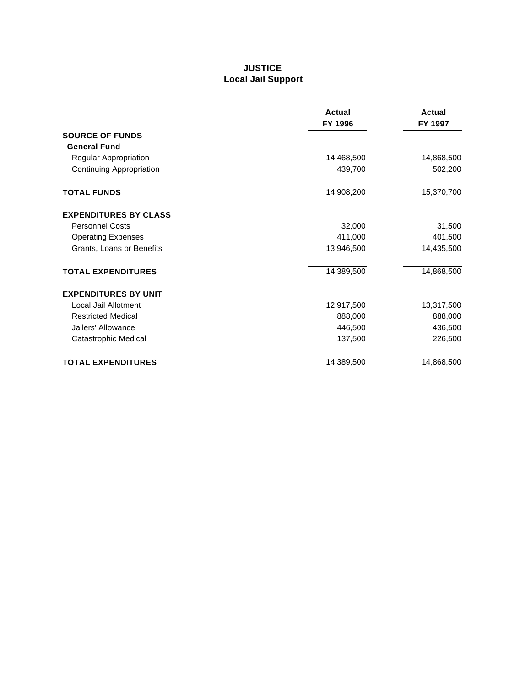## **JUSTICE Local Jail Support**

|                                 | Actual<br>FY 1996 | Actual<br>FY 1997 |
|---------------------------------|-------------------|-------------------|
| <b>SOURCE OF FUNDS</b>          |                   |                   |
| <b>General Fund</b>             |                   |                   |
| Regular Appropriation           | 14,468,500        | 14,868,500        |
| <b>Continuing Appropriation</b> | 439,700           | 502,200           |
| <b>TOTAL FUNDS</b>              | 14,908,200        | 15,370,700        |
| <b>EXPENDITURES BY CLASS</b>    |                   |                   |
| <b>Personnel Costs</b>          | 32,000            | 31,500            |
| <b>Operating Expenses</b>       | 411,000           | 401,500           |
| Grants, Loans or Benefits       | 13,946,500        | 14,435,500        |
| <b>TOTAL EXPENDITURES</b>       | 14,389,500        | 14,868,500        |
| <b>EXPENDITURES BY UNIT</b>     |                   |                   |
| Local Jail Allotment            | 12,917,500        | 13,317,500        |
| <b>Restricted Medical</b>       | 888,000           | 888,000           |
| Jailers' Allowance              | 446,500           | 436,500           |
| Catastrophic Medical            | 137,500           | 226,500           |
| <b>TOTAL EXPENDITURES</b>       | 14,389,500        | 14,868,500        |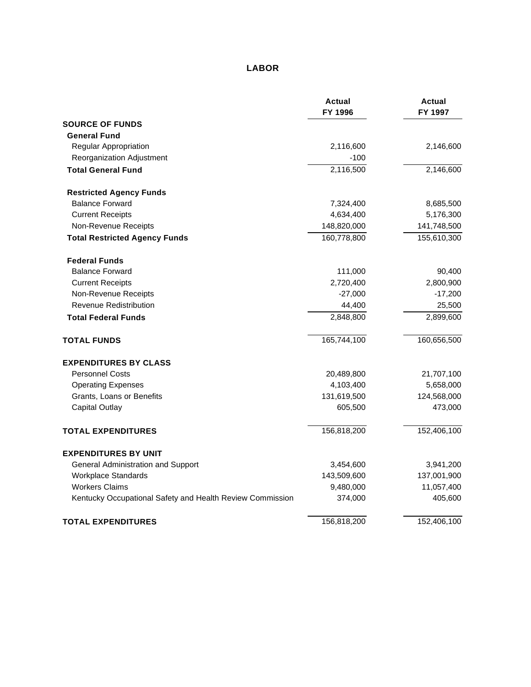# **LABOR**

|                                                           | <b>Actual</b><br>FY 1996 | <b>Actual</b><br>FY 1997 |
|-----------------------------------------------------------|--------------------------|--------------------------|
| <b>SOURCE OF FUNDS</b>                                    |                          |                          |
| <b>General Fund</b>                                       |                          |                          |
| Regular Appropriation                                     | 2,116,600                | 2,146,600                |
| Reorganization Adjustment                                 | $-100$                   |                          |
| <b>Total General Fund</b>                                 | 2,116,500                | 2,146,600                |
| <b>Restricted Agency Funds</b>                            |                          |                          |
| <b>Balance Forward</b>                                    | 7,324,400                | 8,685,500                |
| <b>Current Receipts</b>                                   | 4,634,400                | 5,176,300                |
| Non-Revenue Receipts                                      | 148,820,000              | 141,748,500              |
| <b>Total Restricted Agency Funds</b>                      | 160,778,800              | 155,610,300              |
| <b>Federal Funds</b>                                      |                          |                          |
| <b>Balance Forward</b>                                    | 111,000                  | 90,400                   |
| <b>Current Receipts</b>                                   | 2,720,400                | 2,800,900                |
| Non-Revenue Receipts                                      | $-27,000$                | $-17,200$                |
| <b>Revenue Redistribution</b>                             | 44,400                   | 25,500                   |
| <b>Total Federal Funds</b>                                | 2,848,800                | 2,899,600                |
| <b>TOTAL FUNDS</b>                                        | 165,744,100              | 160,656,500              |
| <b>EXPENDITURES BY CLASS</b>                              |                          |                          |
| <b>Personnel Costs</b>                                    | 20,489,800               | 21,707,100               |
| <b>Operating Expenses</b>                                 | 4,103,400                | 5,658,000                |
| Grants, Loans or Benefits                                 | 131,619,500              | 124,568,000              |
| <b>Capital Outlay</b>                                     | 605,500                  | 473,000                  |
| <b>TOTAL EXPENDITURES</b>                                 | 156,818,200              | 152,406,100              |
| <b>EXPENDITURES BY UNIT</b>                               |                          |                          |
| General Administration and Support                        | 3,454,600                | 3,941,200                |
| <b>Workplace Standards</b>                                | 143,509,600              | 137,001,900              |
| <b>Workers Claims</b>                                     | 9,480,000                | 11,057,400               |
| Kentucky Occupational Safety and Health Review Commission | 374,000                  | 405,600                  |
| <b>TOTAL EXPENDITURES</b>                                 | 156,818,200              | 152,406,100              |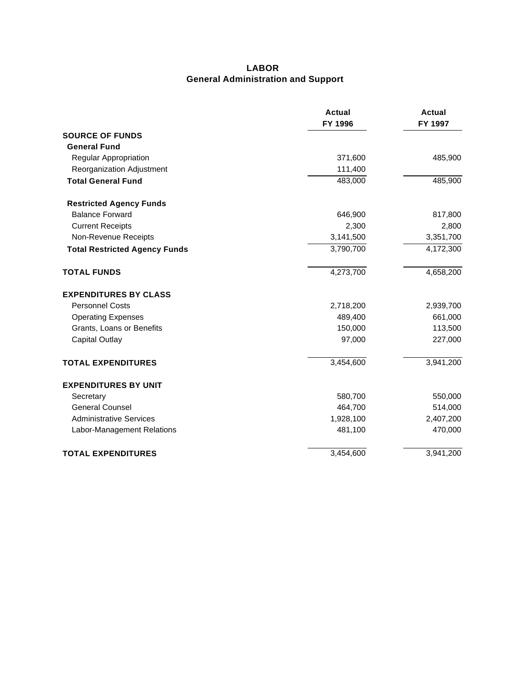#### **LABOR General Administration and Support**

|                                      | <b>Actual</b><br>FY 1996 | Actual<br>FY 1997 |
|--------------------------------------|--------------------------|-------------------|
| <b>SOURCE OF FUNDS</b>               |                          |                   |
| <b>General Fund</b>                  |                          |                   |
| <b>Regular Appropriation</b>         | 371,600                  | 485,900           |
| Reorganization Adjustment            | 111,400                  |                   |
| <b>Total General Fund</b>            | 483,000                  | 485,900           |
| <b>Restricted Agency Funds</b>       |                          |                   |
| <b>Balance Forward</b>               | 646,900                  | 817,800           |
| <b>Current Receipts</b>              | 2,300                    | 2,800             |
| Non-Revenue Receipts                 | 3,141,500                | 3,351,700         |
| <b>Total Restricted Agency Funds</b> | 3,790,700                | 4,172,300         |
| <b>TOTAL FUNDS</b>                   | 4,273,700                | 4,658,200         |
| <b>EXPENDITURES BY CLASS</b>         |                          |                   |
| <b>Personnel Costs</b>               | 2,718,200                | 2,939,700         |
| <b>Operating Expenses</b>            | 489,400                  | 661,000           |
| Grants, Loans or Benefits            | 150,000                  | 113,500           |
| <b>Capital Outlay</b>                | 97,000                   | 227,000           |
| <b>TOTAL EXPENDITURES</b>            | 3,454,600                | 3,941,200         |
| <b>EXPENDITURES BY UNIT</b>          |                          |                   |
| Secretary                            | 580,700                  | 550,000           |
| <b>General Counsel</b>               | 464,700                  | 514,000           |
| <b>Administrative Services</b>       | 1,928,100                | 2,407,200         |
| Labor-Management Relations           | 481,100                  | 470,000           |
| <b>TOTAL EXPENDITURES</b>            | 3,454,600                | 3,941,200         |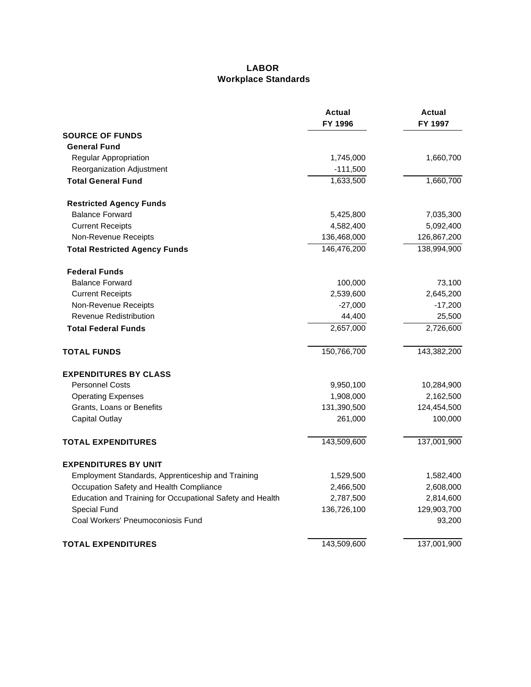### **LABOR Workplace Standards**

|                                                           | <b>Actual</b><br>FY 1996 | <b>Actual</b><br>FY 1997 |
|-----------------------------------------------------------|--------------------------|--------------------------|
| <b>SOURCE OF FUNDS</b>                                    |                          |                          |
| <b>General Fund</b>                                       |                          |                          |
| Regular Appropriation                                     | 1,745,000                | 1,660,700                |
| Reorganization Adjustment                                 | $-111,500$               |                          |
| <b>Total General Fund</b>                                 | 1,633,500                | 1,660,700                |
| <b>Restricted Agency Funds</b>                            |                          |                          |
| <b>Balance Forward</b>                                    | 5,425,800                | 7,035,300                |
| <b>Current Receipts</b>                                   | 4,582,400                | 5,092,400                |
| Non-Revenue Receipts                                      | 136,468,000              | 126,867,200              |
| <b>Total Restricted Agency Funds</b>                      | 146,476,200              | 138,994,900              |
| <b>Federal Funds</b>                                      |                          |                          |
| <b>Balance Forward</b>                                    | 100,000                  | 73,100                   |
| <b>Current Receipts</b>                                   | 2,539,600                | 2,645,200                |
| Non-Revenue Receipts                                      | $-27,000$                | $-17,200$                |
| <b>Revenue Redistribution</b>                             | 44,400                   | 25,500                   |
| <b>Total Federal Funds</b>                                | 2,657,000                | 2,726,600                |
| <b>TOTAL FUNDS</b>                                        | 150,766,700              | 143,382,200              |
| <b>EXPENDITURES BY CLASS</b>                              |                          |                          |
| <b>Personnel Costs</b>                                    | 9,950,100                | 10,284,900               |
| <b>Operating Expenses</b>                                 | 1,908,000                | 2,162,500                |
| Grants, Loans or Benefits                                 | 131,390,500              | 124,454,500              |
| <b>Capital Outlay</b>                                     | 261,000                  | 100,000                  |
| <b>TOTAL EXPENDITURES</b>                                 | 143,509,600              | 137,001,900              |
| <b>EXPENDITURES BY UNIT</b>                               |                          |                          |
| Employment Standards, Apprenticeship and Training         | 1,529,500                | 1,582,400                |
| Occupation Safety and Health Compliance                   | 2,466,500                | 2,608,000                |
| Education and Training for Occupational Safety and Health | 2,787,500                | 2,814,600                |
| Special Fund                                              | 136,726,100              | 129,903,700              |
| Coal Workers' Pneumoconiosis Fund                         |                          | 93,200                   |
| <b>TOTAL EXPENDITURES</b>                                 | 143,509,600              | 137,001,900              |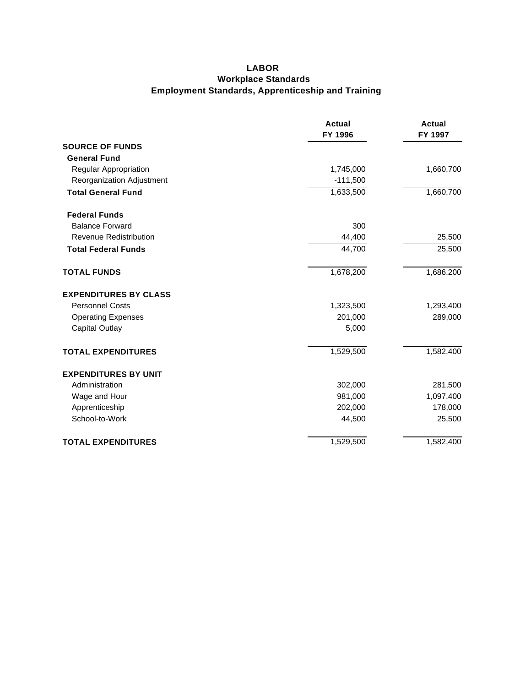### **LABOR Workplace Standards Employment Standards, Apprenticeship and Training**

|                               | <b>Actual</b><br>FY 1996 | <b>Actual</b><br>FY 1997 |
|-------------------------------|--------------------------|--------------------------|
| <b>SOURCE OF FUNDS</b>        |                          |                          |
| <b>General Fund</b>           |                          |                          |
| Regular Appropriation         | 1,745,000                | 1,660,700                |
| Reorganization Adjustment     | $-111,500$               |                          |
| <b>Total General Fund</b>     | 1,633,500                | 1,660,700                |
| <b>Federal Funds</b>          |                          |                          |
| <b>Balance Forward</b>        | 300                      |                          |
| <b>Revenue Redistribution</b> | 44,400                   | 25,500                   |
| <b>Total Federal Funds</b>    | 44,700                   | 25,500                   |
| <b>TOTAL FUNDS</b>            | 1,678,200                | 1,686,200                |
| <b>EXPENDITURES BY CLASS</b>  |                          |                          |
| <b>Personnel Costs</b>        | 1,323,500                | 1,293,400                |
| <b>Operating Expenses</b>     | 201,000                  | 289,000                  |
| <b>Capital Outlay</b>         | 5,000                    |                          |
| <b>TOTAL EXPENDITURES</b>     | 1,529,500                | 1,582,400                |
| <b>EXPENDITURES BY UNIT</b>   |                          |                          |
| Administration                | 302,000                  | 281,500                  |
| Wage and Hour                 | 981,000                  | 1,097,400                |
| Apprenticeship                | 202,000                  | 178,000                  |
| School-to-Work                | 44,500                   | 25,500                   |
| <b>TOTAL EXPENDITURES</b>     | 1,529,500                | 1,582,400                |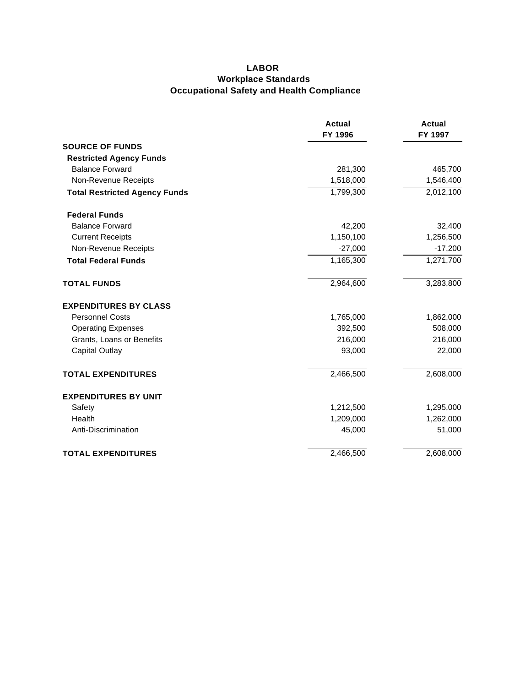## **LABOR Workplace Standards Occupational Safety and Health Compliance**

|                                      | Actual<br>FY 1996 | Actual<br>FY 1997 |
|--------------------------------------|-------------------|-------------------|
| <b>SOURCE OF FUNDS</b>               |                   |                   |
| <b>Restricted Agency Funds</b>       |                   |                   |
| <b>Balance Forward</b>               | 281,300           | 465,700           |
| Non-Revenue Receipts                 | 1,518,000         | 1,546,400         |
| <b>Total Restricted Agency Funds</b> | 1,799,300         | 2,012,100         |
| <b>Federal Funds</b>                 |                   |                   |
| <b>Balance Forward</b>               | 42,200            | 32,400            |
| <b>Current Receipts</b>              | 1,150,100         | 1,256,500         |
| Non-Revenue Receipts                 | $-27,000$         | $-17,200$         |
| <b>Total Federal Funds</b>           | 1,165,300         | 1,271,700         |
| <b>TOTAL FUNDS</b>                   | 2,964,600         | 3,283,800         |
| <b>EXPENDITURES BY CLASS</b>         |                   |                   |
| <b>Personnel Costs</b>               | 1,765,000         | 1,862,000         |
| <b>Operating Expenses</b>            | 392,500           | 508,000           |
| Grants, Loans or Benefits            | 216,000           | 216,000           |
| <b>Capital Outlay</b>                | 93,000            | 22,000            |
| <b>TOTAL EXPENDITURES</b>            | 2,466,500         | 2,608,000         |
| <b>EXPENDITURES BY UNIT</b>          |                   |                   |
| Safety                               | 1,212,500         | 1,295,000         |
| Health                               | 1,209,000         | 1,262,000         |
| Anti-Discrimination                  | 45,000            | 51,000            |
| <b>TOTAL EXPENDITURES</b>            | 2,466,500         | 2,608,000         |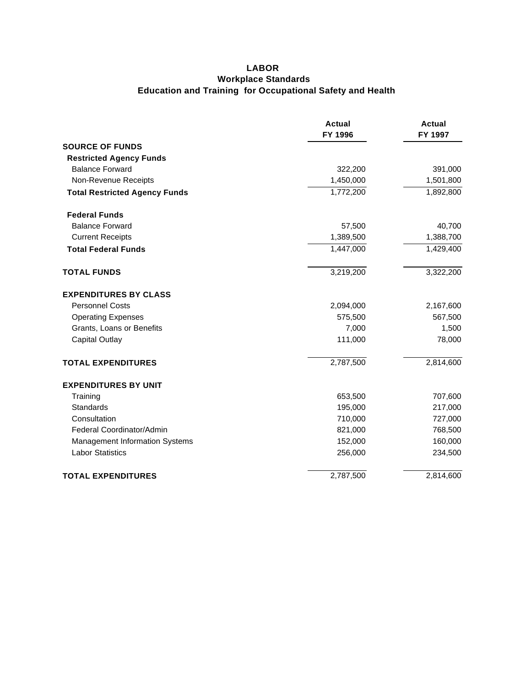## **LABOR Workplace Standards Education and Training for Occupational Safety and Health**

|                                       | <b>Actual</b><br>FY 1996 | <b>Actual</b><br>FY 1997 |
|---------------------------------------|--------------------------|--------------------------|
| <b>SOURCE OF FUNDS</b>                |                          |                          |
| <b>Restricted Agency Funds</b>        |                          |                          |
| <b>Balance Forward</b>                | 322,200                  | 391,000                  |
| Non-Revenue Receipts                  | 1,450,000                | 1,501,800                |
| <b>Total Restricted Agency Funds</b>  | 1,772,200                | 1,892,800                |
| <b>Federal Funds</b>                  |                          |                          |
| <b>Balance Forward</b>                | 57,500                   | 40,700                   |
| <b>Current Receipts</b>               | 1,389,500                | 1,388,700                |
| <b>Total Federal Funds</b>            | 1,447,000                | 1,429,400                |
| <b>TOTAL FUNDS</b>                    | 3,219,200                | 3,322,200                |
| <b>EXPENDITURES BY CLASS</b>          |                          |                          |
| <b>Personnel Costs</b>                | 2,094,000                | 2,167,600                |
| <b>Operating Expenses</b>             | 575,500                  | 567,500                  |
| Grants, Loans or Benefits             | 7,000                    | 1,500                    |
| <b>Capital Outlay</b>                 | 111,000                  | 78,000                   |
| <b>TOTAL EXPENDITURES</b>             | 2,787,500                | 2,814,600                |
| <b>EXPENDITURES BY UNIT</b>           |                          |                          |
| Training                              | 653,500                  | 707,600                  |
| Standards                             | 195,000                  | 217,000                  |
| Consultation                          | 710,000                  | 727,000                  |
| Federal Coordinator/Admin             | 821,000                  | 768,500                  |
| <b>Management Information Systems</b> | 152,000                  | 160,000                  |
| <b>Labor Statistics</b>               | 256,000                  | 234,500                  |
| <b>TOTAL EXPENDITURES</b>             | 2,787,500                | 2,814,600                |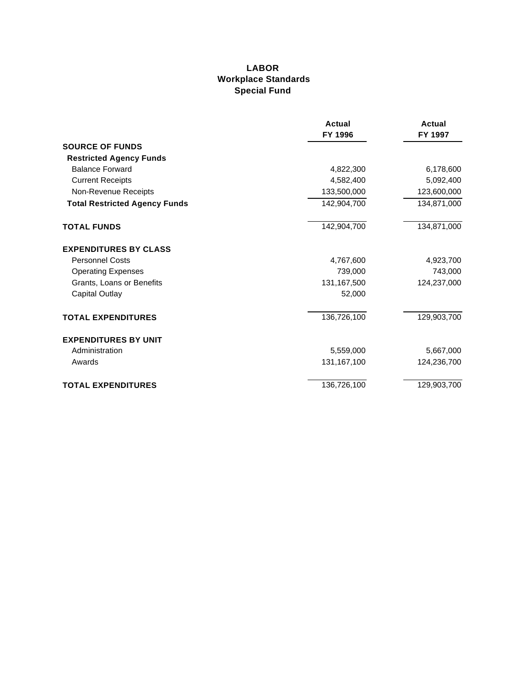### **LABOR Workplace Standards Special Fund**

|                                      | Actual<br>FY 1996 | <b>Actual</b><br>FY 1997 |
|--------------------------------------|-------------------|--------------------------|
| <b>SOURCE OF FUNDS</b>               |                   |                          |
| <b>Restricted Agency Funds</b>       |                   |                          |
| <b>Balance Forward</b>               | 4,822,300         | 6,178,600                |
| <b>Current Receipts</b>              | 4,582,400         | 5,092,400                |
| Non-Revenue Receipts                 | 133,500,000       | 123,600,000              |
| <b>Total Restricted Agency Funds</b> | 142,904,700       | 134,871,000              |
| <b>TOTAL FUNDS</b>                   | 142,904,700       | 134,871,000              |
| <b>EXPENDITURES BY CLASS</b>         |                   |                          |
| <b>Personnel Costs</b>               | 4,767,600         | 4,923,700                |
| <b>Operating Expenses</b>            | 739,000           | 743,000                  |
| Grants, Loans or Benefits            | 131,167,500       | 124,237,000              |
| <b>Capital Outlay</b>                | 52,000            |                          |
| <b>TOTAL EXPENDITURES</b>            | 136,726,100       | 129,903,700              |
| <b>EXPENDITURES BY UNIT</b>          |                   |                          |
| Administration                       | 5,559,000         | 5,667,000                |
| Awards                               | 131,167,100       | 124,236,700              |
| <b>TOTAL EXPENDITURES</b>            | 136,726,100       | 129,903,700              |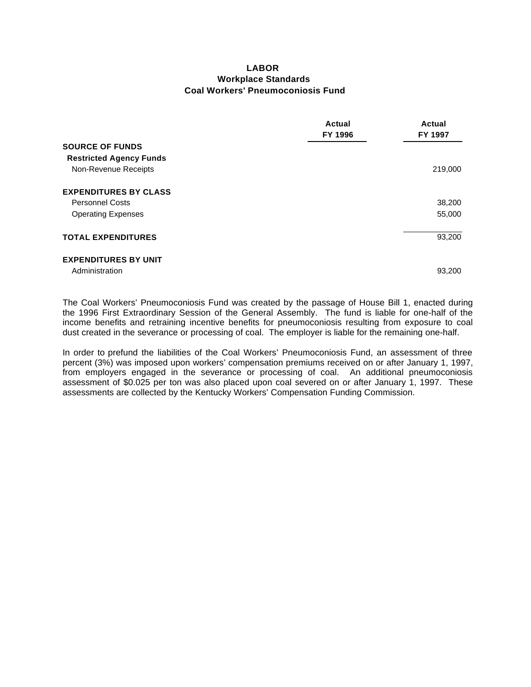#### **LABOR Workplace Standards Coal Workers' Pneumoconiosis Fund**

|                                | <b>Actual</b><br>FY 1996 | Actual<br><b>FY 1997</b> |
|--------------------------------|--------------------------|--------------------------|
| <b>SOURCE OF FUNDS</b>         |                          |                          |
| <b>Restricted Agency Funds</b> |                          |                          |
| Non-Revenue Receipts           |                          | 219,000                  |
| <b>EXPENDITURES BY CLASS</b>   |                          |                          |
| <b>Personnel Costs</b>         |                          | 38,200                   |
| <b>Operating Expenses</b>      |                          | 55,000                   |
| <b>TOTAL EXPENDITURES</b>      |                          | 93,200                   |
| <b>EXPENDITURES BY UNIT</b>    |                          |                          |
| Administration                 |                          | 93,200                   |

The Coal Workers' Pneumoconiosis Fund was created by the passage of House Bill 1, enacted during the 1996 First Extraordinary Session of the General Assembly. The fund is liable for one-half of the income benefits and retraining incentive benefits for pneumoconiosis resulting from exposure to coal dust created in the severance or processing of coal. The employer is liable for the remaining one-half.

In order to prefund the liabilities of the Coal Workers' Pneumoconiosis Fund, an assessment of three percent (3%) was imposed upon workers' compensation premiums received on or after January 1, 1997, from employers engaged in the severance or processing of coal. An additional pneumoconiosis assessment of \$0.025 per ton was also placed upon coal severed on or after January 1, 1997. These assessments are collected by the Kentucky Workers' Compensation Funding Commission.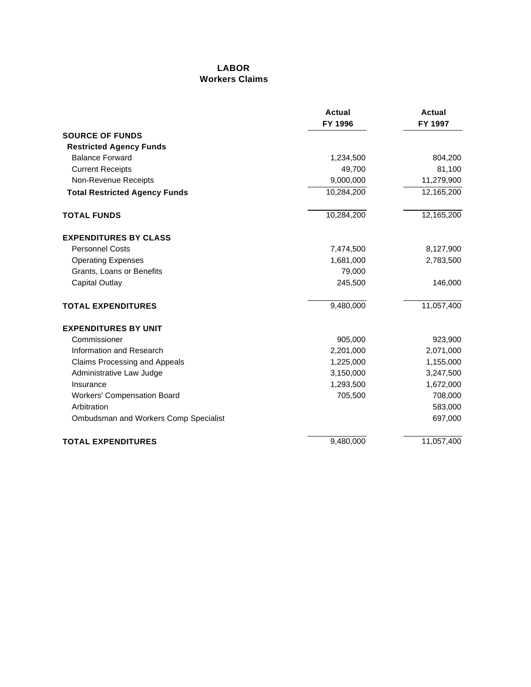#### **LABOR Workers Claims**

|                                       | <b>Actual</b><br>FY 1996 | <b>Actual</b><br>FY 1997 |
|---------------------------------------|--------------------------|--------------------------|
| <b>SOURCE OF FUNDS</b>                |                          |                          |
| <b>Restricted Agency Funds</b>        |                          |                          |
| <b>Balance Forward</b>                | 1,234,500                | 804,200                  |
| <b>Current Receipts</b>               | 49,700                   | 81,100                   |
| Non-Revenue Receipts                  | 9,000,000                | 11,279,900               |
| <b>Total Restricted Agency Funds</b>  | 10,284,200               | 12,165,200               |
| <b>TOTAL FUNDS</b>                    | 10,284,200               | 12,165,200               |
| <b>EXPENDITURES BY CLASS</b>          |                          |                          |
| <b>Personnel Costs</b>                | 7,474,500                | 8,127,900                |
| <b>Operating Expenses</b>             | 1,681,000                | 2,783,500                |
| Grants, Loans or Benefits             | 79,000                   |                          |
| <b>Capital Outlay</b>                 | 245,500                  | 146,000                  |
| <b>TOTAL EXPENDITURES</b>             | 9,480,000                | 11,057,400               |
| <b>EXPENDITURES BY UNIT</b>           |                          |                          |
| Commissioner                          | 905,000                  | 923,900                  |
| Information and Research              | 2,201,000                | 2,071,000                |
| <b>Claims Processing and Appeals</b>  | 1,225,000                | 1,155,000                |
| Administrative Law Judge              | 3,150,000                | 3,247,500                |
| Insurance                             | 1,293,500                | 1,672,000                |
| <b>Workers' Compensation Board</b>    | 705,500                  | 708,000                  |
| Arbitration                           |                          | 583,000                  |
| Ombudsman and Workers Comp Specialist |                          | 697,000                  |
| <b>TOTAL EXPENDITURES</b>             | 9,480,000                | 11,057,400               |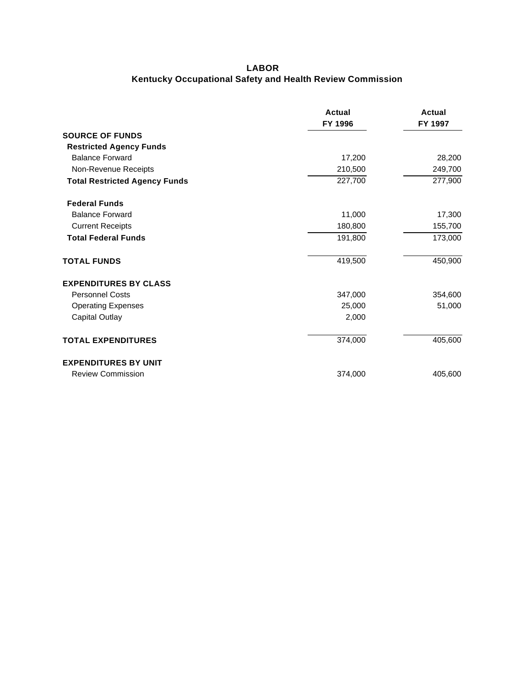### **LABOR Kentucky Occupational Safety and Health Review Commission**

|                                      | <b>Actual</b><br>FY 1996 | Actual<br>FY 1997 |
|--------------------------------------|--------------------------|-------------------|
| <b>SOURCE OF FUNDS</b>               |                          |                   |
| <b>Restricted Agency Funds</b>       |                          |                   |
| <b>Balance Forward</b>               | 17,200                   | 28,200            |
| Non-Revenue Receipts                 | 210,500                  | 249,700           |
| <b>Total Restricted Agency Funds</b> | 227,700                  | 277,900           |
| <b>Federal Funds</b>                 |                          |                   |
| <b>Balance Forward</b>               | 11,000                   | 17,300            |
| <b>Current Receipts</b>              | 180,800                  | 155,700           |
| <b>Total Federal Funds</b>           | 191,800                  | 173,000           |
| <b>TOTAL FUNDS</b>                   | 419,500                  | 450,900           |
| <b>EXPENDITURES BY CLASS</b>         |                          |                   |
| <b>Personnel Costs</b>               | 347,000                  | 354,600           |
| <b>Operating Expenses</b>            | 25,000                   | 51,000            |
| <b>Capital Outlay</b>                | 2,000                    |                   |
| <b>TOTAL EXPENDITURES</b>            | 374,000                  | 405,600           |
| <b>EXPENDITURES BY UNIT</b>          |                          |                   |
| <b>Review Commission</b>             | 374,000                  | 405,600           |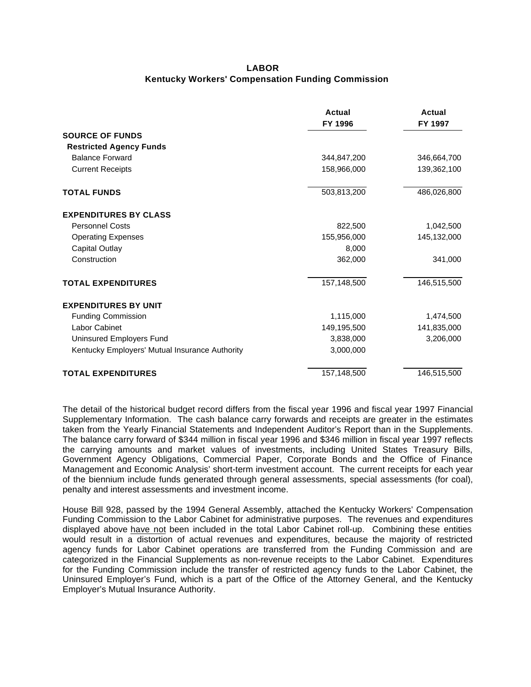#### **LABOR Kentucky Workers' Compensation Funding Commission**

|                                                | Actual<br>FY 1996 | Actual<br>FY 1997 |
|------------------------------------------------|-------------------|-------------------|
| <b>SOURCE OF FUNDS</b>                         |                   |                   |
| <b>Restricted Agency Funds</b>                 |                   |                   |
| <b>Balance Forward</b>                         | 344,847,200       | 346,664,700       |
| <b>Current Receipts</b>                        | 158,966,000       | 139,362,100       |
| <b>TOTAL FUNDS</b>                             | 503,813,200       | 486,026,800       |
| <b>EXPENDITURES BY CLASS</b>                   |                   |                   |
| <b>Personnel Costs</b>                         | 822,500           | 1,042,500         |
| <b>Operating Expenses</b>                      | 155,956,000       | 145,132,000       |
| <b>Capital Outlay</b>                          | 8,000             |                   |
| Construction                                   | 362,000           | 341,000           |
| <b>TOTAL EXPENDITURES</b>                      | 157,148,500       | 146,515,500       |
| <b>EXPENDITURES BY UNIT</b>                    |                   |                   |
| <b>Funding Commission</b>                      | 1,115,000         | 1,474,500         |
| Labor Cabinet                                  | 149,195,500       | 141,835,000       |
| Uninsured Employers Fund                       | 3,838,000         | 3,206,000         |
| Kentucky Employers' Mutual Insurance Authority | 3,000,000         |                   |
| <b>TOTAL EXPENDITURES</b>                      | 157,148,500       | 146,515,500       |

The detail of the historical budget record differs from the fiscal year 1996 and fiscal year 1997 Financial Supplementary Information. The cash balance carry forwards and receipts are greater in the estimates taken from the Yearly Financial Statements and Independent Auditor's Report than in the Supplements. The balance carry forward of \$344 million in fiscal year 1996 and \$346 million in fiscal year 1997 reflects the carrying amounts and market values of investments, including United States Treasury Bills, Government Agency Obligations, Commercial Paper, Corporate Bonds and the Office of Finance Management and Economic Analysis' short-term investment account. The current receipts for each year of the biennium include funds generated through general assessments, special assessments (for coal), penalty and interest assessments and investment income.

House Bill 928, passed by the 1994 General Assembly, attached the Kentucky Workers' Compensation Funding Commission to the Labor Cabinet for administrative purposes. The revenues and expenditures displayed above have not been included in the total Labor Cabinet roll-up. Combining these entities would result in a distortion of actual revenues and expenditures, because the majority of restricted agency funds for Labor Cabinet operations are transferred from the Funding Commission and are categorized in the Financial Supplements as non-revenue receipts to the Labor Cabinet. Expenditures for the Funding Commission include the transfer of restricted agency funds to the Labor Cabinet, the Uninsured Employer's Fund, which is a part of the Office of the Attorney General, and the Kentucky Employer's Mutual Insurance Authority.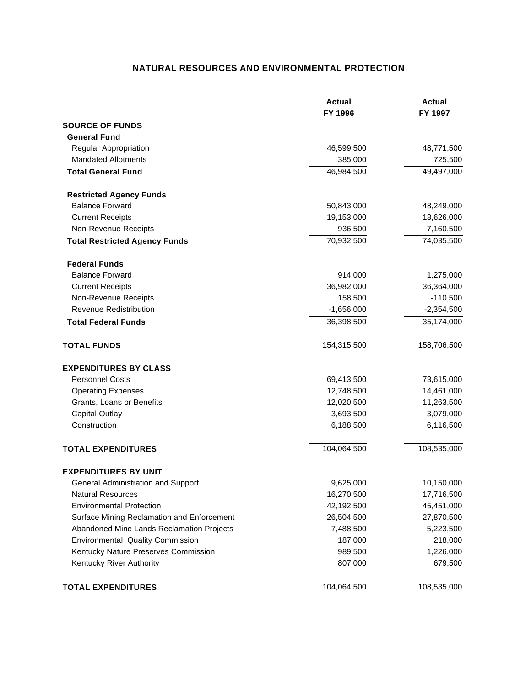### **NATURAL RESOURCES AND ENVIRONMENTAL PROTECTION**

|                                            | <b>Actual</b><br>FY 1996 | <b>Actual</b><br>FY 1997 |
|--------------------------------------------|--------------------------|--------------------------|
| <b>SOURCE OF FUNDS</b>                     |                          |                          |
| <b>General Fund</b>                        |                          |                          |
| Regular Appropriation                      | 46,599,500               | 48,771,500               |
| <b>Mandated Allotments</b>                 | 385,000                  | 725,500                  |
| <b>Total General Fund</b>                  | 46,984,500               | 49,497,000               |
| <b>Restricted Agency Funds</b>             |                          |                          |
| <b>Balance Forward</b>                     | 50,843,000               | 48,249,000               |
| <b>Current Receipts</b>                    | 19,153,000               | 18,626,000               |
| Non-Revenue Receipts                       | 936,500                  | 7,160,500                |
| <b>Total Restricted Agency Funds</b>       | 70,932,500               | 74,035,500               |
| <b>Federal Funds</b>                       |                          |                          |
| <b>Balance Forward</b>                     | 914,000                  | 1,275,000                |
| <b>Current Receipts</b>                    | 36,982,000               | 36,364,000               |
| Non-Revenue Receipts                       | 158,500                  | $-110,500$               |
| <b>Revenue Redistribution</b>              | $-1,656,000$             | $-2,354,500$             |
| <b>Total Federal Funds</b>                 | 36,398,500               | $\overline{35,}174,000$  |
| <b>TOTAL FUNDS</b>                         | 154,315,500              | 158,706,500              |
| <b>EXPENDITURES BY CLASS</b>               |                          |                          |
| <b>Personnel Costs</b>                     | 69,413,500               | 73,615,000               |
| <b>Operating Expenses</b>                  | 12,748,500               | 14,461,000               |
| Grants, Loans or Benefits                  | 12,020,500               | 11,263,500               |
| <b>Capital Outlay</b>                      | 3,693,500                | 3,079,000                |
| Construction                               | 6,188,500                | 6,116,500                |
| <b>TOTAL EXPENDITURES</b>                  | 104,064,500              | 108,535,000              |
| <b>EXPENDITURES BY UNIT</b>                |                          |                          |
| General Administration and Support         | 9,625,000                | 10,150,000               |
| <b>Natural Resources</b>                   | 16,270,500               | 17,716,500               |
| <b>Environmental Protection</b>            | 42,192,500               | 45,451,000               |
| Surface Mining Reclamation and Enforcement | 26,504,500               | 27,870,500               |
| Abandoned Mine Lands Reclamation Projects  | 7,488,500                | 5,223,500                |
| <b>Environmental Quality Commission</b>    | 187,000                  | 218,000                  |
| Kentucky Nature Preserves Commission       | 989,500                  | 1,226,000                |
| Kentucky River Authority                   | 807,000                  | 679,500                  |
| <b>TOTAL EXPENDITURES</b>                  | 104,064,500              | 108,535,000              |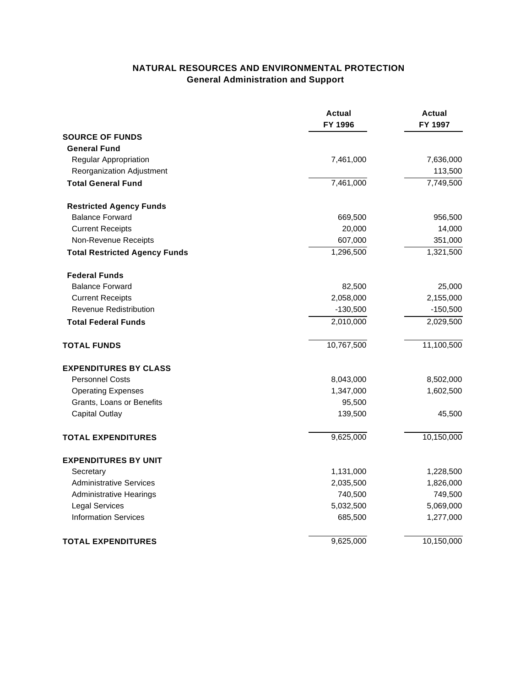# **NATURAL RESOURCES AND ENVIRONMENTAL PROTECTION General Administration and Support**

|                                      | <b>Actual</b><br>FY 1996 | Actual<br>FY 1997 |
|--------------------------------------|--------------------------|-------------------|
| <b>SOURCE OF FUNDS</b>               |                          |                   |
| <b>General Fund</b>                  |                          |                   |
| Regular Appropriation                | 7,461,000                | 7,636,000         |
| Reorganization Adjustment            |                          | 113,500           |
| <b>Total General Fund</b>            | 7,461,000                | 7,749,500         |
| <b>Restricted Agency Funds</b>       |                          |                   |
| <b>Balance Forward</b>               | 669,500                  | 956,500           |
| <b>Current Receipts</b>              | 20,000                   | 14,000            |
| Non-Revenue Receipts                 | 607,000                  | 351,000           |
| <b>Total Restricted Agency Funds</b> | 1,296,500                | 1,321,500         |
| <b>Federal Funds</b>                 |                          |                   |
| <b>Balance Forward</b>               | 82,500                   | 25,000            |
| <b>Current Receipts</b>              | 2,058,000                | 2,155,000         |
| Revenue Redistribution               | $-130,500$               | $-150,500$        |
| <b>Total Federal Funds</b>           | 2,010,000                | 2,029,500         |
| <b>TOTAL FUNDS</b>                   | 10,767,500               | 11,100,500        |
| <b>EXPENDITURES BY CLASS</b>         |                          |                   |
| <b>Personnel Costs</b>               | 8,043,000                | 8,502,000         |
| <b>Operating Expenses</b>            | 1,347,000                | 1,602,500         |
| Grants, Loans or Benefits            | 95,500                   |                   |
| <b>Capital Outlay</b>                | 139,500                  | 45,500            |
| <b>TOTAL EXPENDITURES</b>            | 9,625,000                | 10,150,000        |
| <b>EXPENDITURES BY UNIT</b>          |                          |                   |
| Secretary                            | 1,131,000                | 1,228,500         |
| <b>Administrative Services</b>       | 2,035,500                | 1,826,000         |
| <b>Administrative Hearings</b>       | 740,500                  | 749,500           |
| <b>Legal Services</b>                | 5,032,500                | 5,069,000         |
| <b>Information Services</b>          | 685,500                  | 1,277,000         |
| <b>TOTAL EXPENDITURES</b>            | 9,625,000                | 10,150,000        |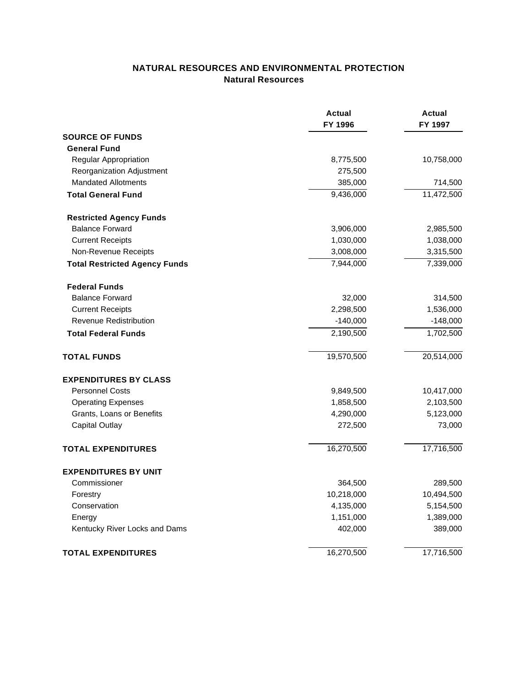## **NATURAL RESOURCES AND ENVIRONMENTAL PROTECTION Natural Resources**

|                                      | <b>Actual</b><br>FY 1996 | Actual<br>FY 1997 |
|--------------------------------------|--------------------------|-------------------|
| <b>SOURCE OF FUNDS</b>               |                          |                   |
| <b>General Fund</b>                  |                          |                   |
| Regular Appropriation                | 8,775,500                | 10,758,000        |
| Reorganization Adjustment            | 275,500                  |                   |
| <b>Mandated Allotments</b>           | 385,000                  | 714,500           |
| <b>Total General Fund</b>            | 9,436,000                | 11,472,500        |
| <b>Restricted Agency Funds</b>       |                          |                   |
| <b>Balance Forward</b>               | 3,906,000                | 2,985,500         |
| <b>Current Receipts</b>              | 1,030,000                | 1,038,000         |
| Non-Revenue Receipts                 | 3,008,000                | 3,315,500         |
| <b>Total Restricted Agency Funds</b> | 7,944,000                | 7,339,000         |
| <b>Federal Funds</b>                 |                          |                   |
| <b>Balance Forward</b>               | 32,000                   | 314,500           |
| <b>Current Receipts</b>              | 2,298,500                | 1,536,000         |
| <b>Revenue Redistribution</b>        | $-140,000$               | $-148,000$        |
| <b>Total Federal Funds</b>           | 2,190,500                | 1,702,500         |
| <b>TOTAL FUNDS</b>                   | 19,570,500               | 20,514,000        |
| <b>EXPENDITURES BY CLASS</b>         |                          |                   |
| <b>Personnel Costs</b>               | 9,849,500                | 10,417,000        |
| <b>Operating Expenses</b>            | 1,858,500                | 2,103,500         |
| Grants, Loans or Benefits            | 4,290,000                | 5,123,000         |
| <b>Capital Outlay</b>                | 272,500                  | 73,000            |
| <b>TOTAL EXPENDITURES</b>            | 16,270,500               | 17,716,500        |
| <b>EXPENDITURES BY UNIT</b>          |                          |                   |
| Commissioner                         | 364,500                  | 289,500           |
| Forestry                             | 10,218,000               | 10,494,500        |
| Conservation                         | 4,135,000                | 5,154,500         |
| Energy                               | 1,151,000                | 1,389,000         |
| Kentucky River Locks and Dams        | 402,000                  | 389,000           |
| <b>TOTAL EXPENDITURES</b>            | 16,270,500               | 17,716,500        |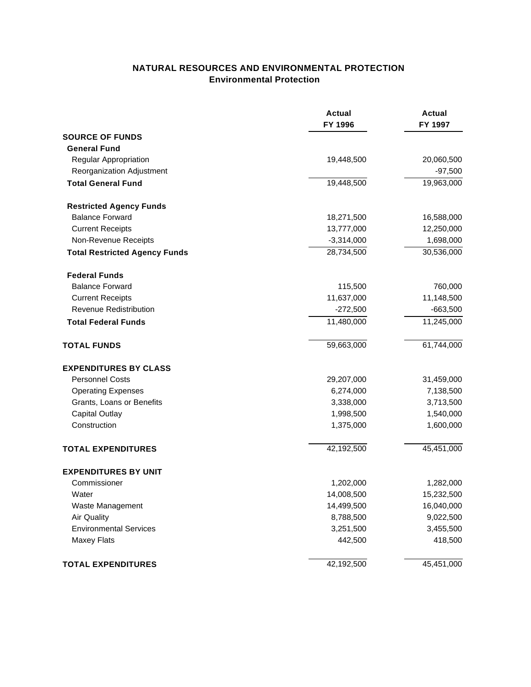### **NATURAL RESOURCES AND ENVIRONMENTAL PROTECTION Environmental Protection**

|                                      | <b>Actual</b><br>FY 1996 | <b>Actual</b><br>FY 1997 |
|--------------------------------------|--------------------------|--------------------------|
| <b>SOURCE OF FUNDS</b>               |                          |                          |
| <b>General Fund</b>                  |                          |                          |
| Regular Appropriation                | 19,448,500               | 20,060,500               |
| Reorganization Adjustment            |                          | $-97,500$                |
| <b>Total General Fund</b>            | 19,448,500               | 19,963,000               |
| <b>Restricted Agency Funds</b>       |                          |                          |
| <b>Balance Forward</b>               | 18,271,500               | 16,588,000               |
| <b>Current Receipts</b>              | 13,777,000               | 12,250,000               |
| Non-Revenue Receipts                 | $-3,314,000$             | 1,698,000                |
| <b>Total Restricted Agency Funds</b> | 28,734,500               | 30,536,000               |
| <b>Federal Funds</b>                 |                          |                          |
| <b>Balance Forward</b>               | 115,500                  | 760,000                  |
| <b>Current Receipts</b>              | 11,637,000               | 11,148,500               |
| <b>Revenue Redistribution</b>        | $-272,500$               | $-663,500$               |
| <b>Total Federal Funds</b>           | 11,480,000               | 11,245,000               |
| <b>TOTAL FUNDS</b>                   | 59,663,000               | 61,744,000               |
| <b>EXPENDITURES BY CLASS</b>         |                          |                          |
| <b>Personnel Costs</b>               | 29,207,000               | 31,459,000               |
| <b>Operating Expenses</b>            | 6,274,000                | 7,138,500                |
| Grants, Loans or Benefits            | 3,338,000                | 3,713,500                |
| <b>Capital Outlay</b>                | 1,998,500                | 1,540,000                |
| Construction                         | 1,375,000                | 1,600,000                |
| <b>TOTAL EXPENDITURES</b>            | 42,192,500               | 45,451,000               |
| <b>EXPENDITURES BY UNIT</b>          |                          |                          |
| Commissioner                         | 1,202,000                | 1,282,000                |
| Water                                | 14,008,500               | 15,232,500               |
| Waste Management                     | 14,499,500               | 16,040,000               |
| <b>Air Quality</b>                   | 8,788,500                | 9,022,500                |
| <b>Environmental Services</b>        | 3,251,500                | 3,455,500                |
| <b>Maxey Flats</b>                   | 442,500                  | 418,500                  |
| <b>TOTAL EXPENDITURES</b>            | 42,192,500               | 45,451,000               |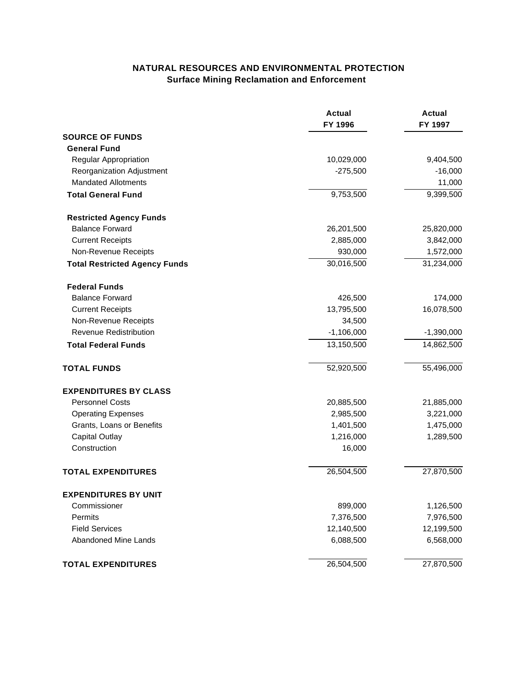# **NATURAL RESOURCES AND ENVIRONMENTAL PROTECTION Surface Mining Reclamation and Enforcement**

|                                      | <b>Actual</b><br>FY 1996 | <b>Actual</b><br>FY 1997 |
|--------------------------------------|--------------------------|--------------------------|
| <b>SOURCE OF FUNDS</b>               |                          |                          |
| <b>General Fund</b>                  |                          |                          |
| Regular Appropriation                | 10,029,000               | 9,404,500                |
| Reorganization Adjustment            | $-275,500$               | $-16,000$                |
| <b>Mandated Allotments</b>           |                          | 11,000                   |
| <b>Total General Fund</b>            | 9,753,500                | 9,399,500                |
| <b>Restricted Agency Funds</b>       |                          |                          |
| <b>Balance Forward</b>               | 26,201,500               | 25,820,000               |
| <b>Current Receipts</b>              | 2,885,000                | 3,842,000                |
| Non-Revenue Receipts                 | 930,000                  | 1,572,000                |
| <b>Total Restricted Agency Funds</b> | 30,016,500               | 31,234,000               |
| <b>Federal Funds</b>                 |                          |                          |
| <b>Balance Forward</b>               | 426,500                  | 174,000                  |
| <b>Current Receipts</b>              | 13,795,500               | 16,078,500               |
| Non-Revenue Receipts                 | 34,500                   |                          |
| <b>Revenue Redistribution</b>        | $-1,106,000$             | $-1,390,000$             |
| <b>Total Federal Funds</b>           | 13,150,500               | 14,862,500               |
| <b>TOTAL FUNDS</b>                   | 52,920,500               | 55,496,000               |
| <b>EXPENDITURES BY CLASS</b>         |                          |                          |
| <b>Personnel Costs</b>               | 20,885,500               | 21,885,000               |
| <b>Operating Expenses</b>            | 2,985,500                | 3,221,000                |
| Grants, Loans or Benefits            | 1,401,500                | 1,475,000                |
| <b>Capital Outlay</b>                | 1,216,000                | 1,289,500                |
| Construction                         | 16,000                   |                          |
| <b>TOTAL EXPENDITURES</b>            | 26,504,500               | 27,870,500               |
| <b>EXPENDITURES BY UNIT</b>          |                          |                          |
| Commissioner                         | 899,000                  | 1,126,500                |
| Permits                              | 7,376,500                | 7,976,500                |
| <b>Field Services</b>                | 12,140,500               | 12,199,500               |
| <b>Abandoned Mine Lands</b>          | 6,088,500                | 6,568,000                |
| <b>TOTAL EXPENDITURES</b>            | 26,504,500               | 27,870,500               |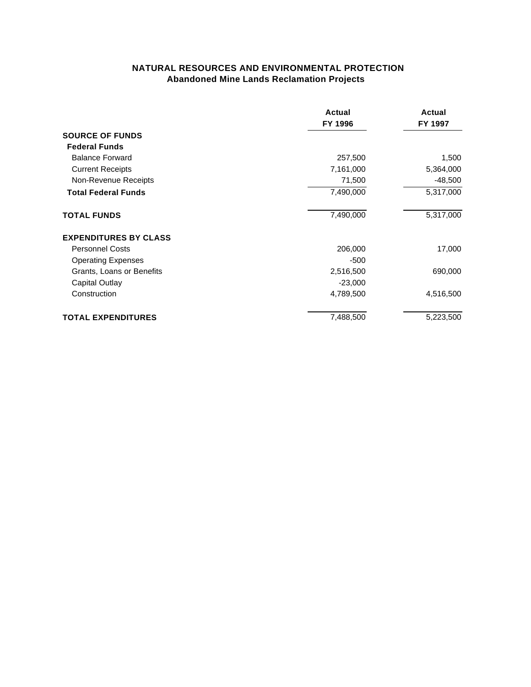### **NATURAL RESOURCES AND ENVIRONMENTAL PROTECTION Abandoned Mine Lands Reclamation Projects**

|                              | Actual<br>FY 1996 | Actual<br>FY 1997 |
|------------------------------|-------------------|-------------------|
| <b>SOURCE OF FUNDS</b>       |                   |                   |
| <b>Federal Funds</b>         |                   |                   |
| <b>Balance Forward</b>       | 257,500           | 1,500             |
| <b>Current Receipts</b>      | 7,161,000         | 5,364,000         |
| Non-Revenue Receipts         | 71,500            | $-48,500$         |
| <b>Total Federal Funds</b>   | 7,490,000         | 5,317,000         |
| <b>TOTAL FUNDS</b>           | 7,490,000         | 5,317,000         |
| <b>EXPENDITURES BY CLASS</b> |                   |                   |
| <b>Personnel Costs</b>       | 206,000           | 17,000            |
| <b>Operating Expenses</b>    | -500              |                   |
| Grants, Loans or Benefits    | 2,516,500         | 690,000           |
| <b>Capital Outlay</b>        | $-23,000$         |                   |
| Construction                 | 4,789,500         | 4,516,500         |
| <b>TOTAL EXPENDITURES</b>    | 7,488,500         | 5,223,500         |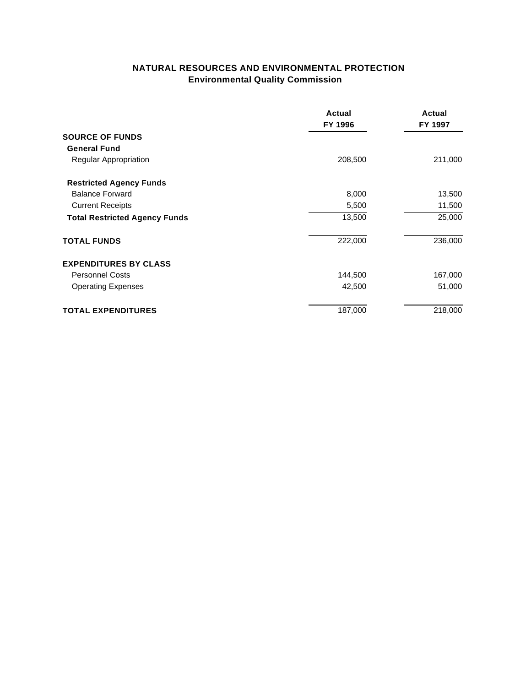# **NATURAL RESOURCES AND ENVIRONMENTAL PROTECTION Environmental Quality Commission**

|                                      | Actual<br>FY 1996 | Actual<br>FY 1997 |
|--------------------------------------|-------------------|-------------------|
| <b>SOURCE OF FUNDS</b>               |                   |                   |
| <b>General Fund</b>                  |                   |                   |
| <b>Regular Appropriation</b>         | 208,500           | 211,000           |
| <b>Restricted Agency Funds</b>       |                   |                   |
| <b>Balance Forward</b>               | 8,000             | 13,500            |
| <b>Current Receipts</b>              | 5,500             | 11,500            |
| <b>Total Restricted Agency Funds</b> | 13,500            | 25,000            |
| <b>TOTAL FUNDS</b>                   | 222,000           | 236,000           |
| <b>EXPENDITURES BY CLASS</b>         |                   |                   |
| <b>Personnel Costs</b>               | 144,500           | 167,000           |
| <b>Operating Expenses</b>            | 42,500            | 51,000            |
| <b>TOTAL EXPENDITURES</b>            | 187,000           | 218,000           |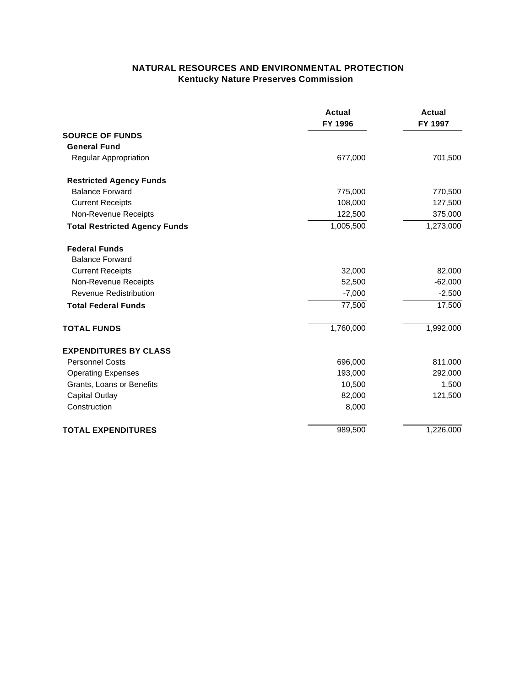### **NATURAL RESOURCES AND ENVIRONMENTAL PROTECTION Kentucky Nature Preserves Commission**

|                                      | <b>Actual</b><br>FY 1996 | <b>Actual</b><br>FY 1997 |
|--------------------------------------|--------------------------|--------------------------|
| <b>SOURCE OF FUNDS</b>               |                          |                          |
| <b>General Fund</b>                  |                          |                          |
| Regular Appropriation                | 677,000                  | 701,500                  |
| <b>Restricted Agency Funds</b>       |                          |                          |
| <b>Balance Forward</b>               | 775,000                  | 770,500                  |
| <b>Current Receipts</b>              | 108,000                  | 127,500                  |
| Non-Revenue Receipts                 | 122,500                  | 375,000                  |
| <b>Total Restricted Agency Funds</b> | 1,005,500                | 1,273,000                |
| <b>Federal Funds</b>                 |                          |                          |
| <b>Balance Forward</b>               |                          |                          |
| <b>Current Receipts</b>              | 32,000                   | 82,000                   |
| Non-Revenue Receipts                 | 52,500                   | $-62,000$                |
| Revenue Redistribution               | $-7,000$                 | $-2,500$                 |
| <b>Total Federal Funds</b>           | 77,500                   | 17,500                   |
| <b>TOTAL FUNDS</b>                   | 1,760,000                | 1,992,000                |
| <b>EXPENDITURES BY CLASS</b>         |                          |                          |
| <b>Personnel Costs</b>               | 696,000                  | 811,000                  |
| <b>Operating Expenses</b>            | 193,000                  | 292,000                  |
| Grants, Loans or Benefits            | 10,500                   | 1,500                    |
| <b>Capital Outlay</b>                | 82,000                   | 121,500                  |
| Construction                         | 8,000                    |                          |
| <b>TOTAL EXPENDITURES</b>            | 989,500                  | 1,226,000                |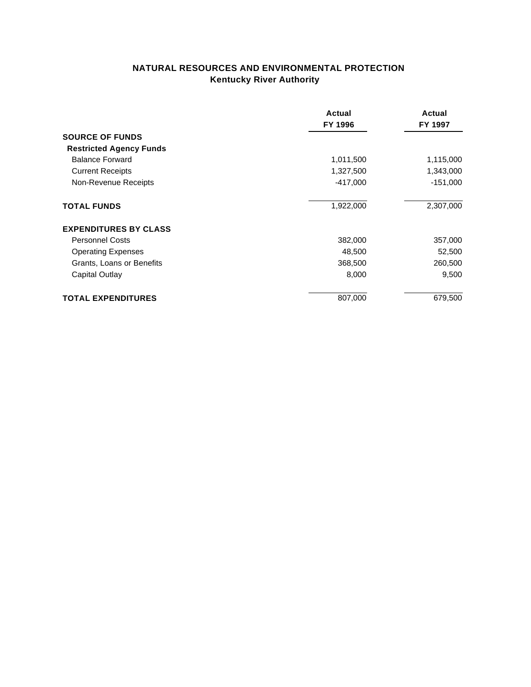# **NATURAL RESOURCES AND ENVIRONMENTAL PROTECTION Kentucky River Authority**

|                                | Actual<br>FY 1996 | Actual<br>FY 1997 |
|--------------------------------|-------------------|-------------------|
| <b>SOURCE OF FUNDS</b>         |                   |                   |
| <b>Restricted Agency Funds</b> |                   | 1,115,000         |
| <b>Balance Forward</b>         | 1,011,500         |                   |
| <b>Current Receipts</b>        | 1,327,500         | 1,343,000         |
| Non-Revenue Receipts           | $-417,000$        | $-151,000$        |
| <b>TOTAL FUNDS</b>             | 1,922,000         | 2,307,000         |
| <b>EXPENDITURES BY CLASS</b>   |                   |                   |
| <b>Personnel Costs</b>         | 382,000           | 357,000           |
| <b>Operating Expenses</b>      | 48,500            | 52,500            |
| Grants, Loans or Benefits      | 368,500           | 260,500           |
| Capital Outlay                 | 8,000             | 9,500             |
| <b>TOTAL EXPENDITURES</b>      | 807,000           | 679,500           |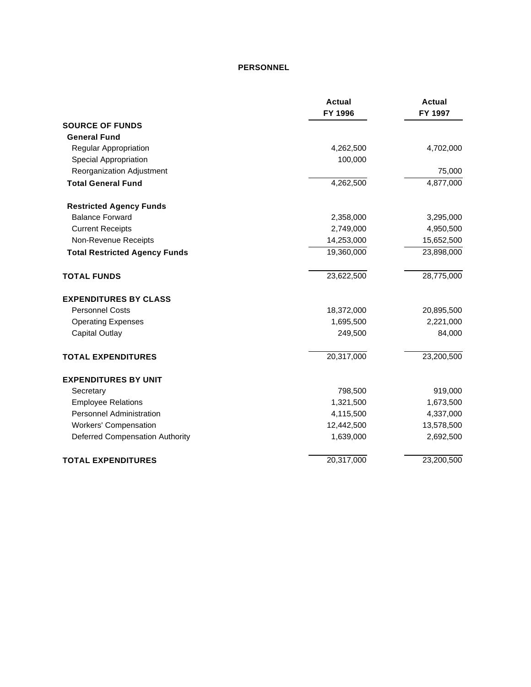#### **PERSONNEL**

|                                        | <b>Actual</b> | <b>Actual</b> |
|----------------------------------------|---------------|---------------|
|                                        | FY 1996       | FY 1997       |
| <b>SOURCE OF FUNDS</b>                 |               |               |
| <b>General Fund</b>                    |               |               |
| Regular Appropriation                  | 4,262,500     | 4,702,000     |
| Special Appropriation                  | 100,000       |               |
| Reorganization Adjustment              |               | 75,000        |
| <b>Total General Fund</b>              | 4,262,500     | 4,877,000     |
| <b>Restricted Agency Funds</b>         |               |               |
| <b>Balance Forward</b>                 | 2,358,000     | 3,295,000     |
| <b>Current Receipts</b>                | 2,749,000     | 4,950,500     |
| Non-Revenue Receipts                   | 14,253,000    | 15,652,500    |
| <b>Total Restricted Agency Funds</b>   | 19,360,000    | 23,898,000    |
| <b>TOTAL FUNDS</b>                     | 23,622,500    | 28,775,000    |
| <b>EXPENDITURES BY CLASS</b>           |               |               |
| <b>Personnel Costs</b>                 | 18,372,000    | 20,895,500    |
| <b>Operating Expenses</b>              | 1,695,500     | 2,221,000     |
| <b>Capital Outlay</b>                  | 249,500       | 84,000        |
| <b>TOTAL EXPENDITURES</b>              | 20,317,000    | 23,200,500    |
| <b>EXPENDITURES BY UNIT</b>            |               |               |
| Secretary                              | 798,500       | 919,000       |
| <b>Employee Relations</b>              | 1,321,500     | 1,673,500     |
| <b>Personnel Administration</b>        | 4,115,500     | 4,337,000     |
| <b>Workers' Compensation</b>           | 12,442,500    | 13,578,500    |
| <b>Deferred Compensation Authority</b> | 1,639,000     | 2,692,500     |
| <b>TOTAL EXPENDITURES</b>              | 20,317,000    | 23,200,500    |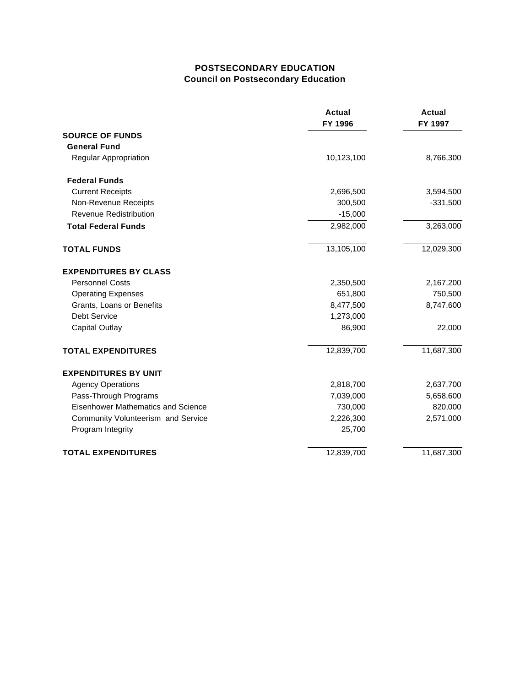### **POSTSECONDARY EDUCATION Council on Postsecondary Education**

|                                    | <b>Actual</b><br>FY 1996 | <b>Actual</b><br>FY 1997 |
|------------------------------------|--------------------------|--------------------------|
| <b>SOURCE OF FUNDS</b>             |                          |                          |
| <b>General Fund</b>                |                          |                          |
| Regular Appropriation              | 10,123,100               | 8,766,300                |
| <b>Federal Funds</b>               |                          |                          |
| <b>Current Receipts</b>            | 2,696,500                | 3,594,500                |
| Non-Revenue Receipts               | 300,500                  | $-331,500$               |
| <b>Revenue Redistribution</b>      | $-15,000$                |                          |
| <b>Total Federal Funds</b>         | 2,982,000                | 3,263,000                |
| <b>TOTAL FUNDS</b>                 | 13,105,100               | 12,029,300               |
| <b>EXPENDITURES BY CLASS</b>       |                          |                          |
| <b>Personnel Costs</b>             | 2,350,500                | 2,167,200                |
| <b>Operating Expenses</b>          | 651,800                  | 750,500                  |
| Grants, Loans or Benefits          | 8,477,500                | 8,747,600                |
| Debt Service                       | 1,273,000                |                          |
| <b>Capital Outlay</b>              | 86,900                   | 22,000                   |
| <b>TOTAL EXPENDITURES</b>          | 12,839,700               | 11,687,300               |
| <b>EXPENDITURES BY UNIT</b>        |                          |                          |
| <b>Agency Operations</b>           | 2,818,700                | 2,637,700                |
| Pass-Through Programs              | 7,039,000                | 5,658,600                |
| Eisenhower Mathematics and Science | 730,000                  | 820,000                  |
| Community Volunteerism and Service | 2,226,300                | 2,571,000                |
| Program Integrity                  | 25,700                   |                          |
| <b>TOTAL EXPENDITURES</b>          | 12,839,700               | 11,687,300               |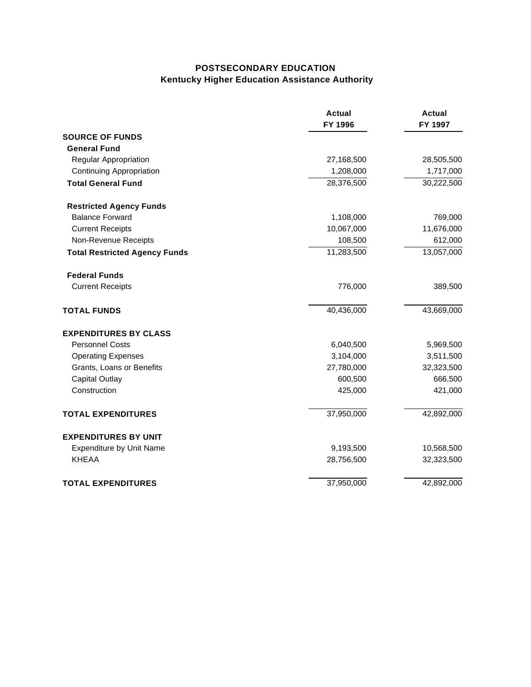# **POSTSECONDARY EDUCATION Kentucky Higher Education Assistance Authority**

|                                      | <b>Actual</b><br>FY 1996 | <b>Actual</b><br>FY 1997 |
|--------------------------------------|--------------------------|--------------------------|
| <b>SOURCE OF FUNDS</b>               |                          |                          |
| <b>General Fund</b>                  |                          |                          |
| Regular Appropriation                | 27,168,500               | 28,505,500               |
| <b>Continuing Appropriation</b>      | 1,208,000                | 1,717,000                |
| <b>Total General Fund</b>            | 28,376,500               | 30,222,500               |
| <b>Restricted Agency Funds</b>       |                          |                          |
| <b>Balance Forward</b>               | 1,108,000                | 769,000                  |
| <b>Current Receipts</b>              | 10,067,000               | 11,676,000               |
| Non-Revenue Receipts                 | 108,500                  | 612,000                  |
| <b>Total Restricted Agency Funds</b> | 11,283,500               | 13,057,000               |
| <b>Federal Funds</b>                 |                          |                          |
| <b>Current Receipts</b>              | 776,000                  | 389,500                  |
| <b>TOTAL FUNDS</b>                   | 40,436,000               | 43,669,000               |
| <b>EXPENDITURES BY CLASS</b>         |                          |                          |
| <b>Personnel Costs</b>               | 6,040,500                | 5,969,500                |
| <b>Operating Expenses</b>            | 3,104,000                | 3,511,500                |
| Grants, Loans or Benefits            | 27,780,000               | 32,323,500               |
| <b>Capital Outlay</b>                | 600,500                  | 666,500                  |
| Construction                         | 425,000                  | 421,000                  |
| <b>TOTAL EXPENDITURES</b>            | 37,950,000               | 42,892,000               |
| <b>EXPENDITURES BY UNIT</b>          |                          |                          |
| <b>Expenditure by Unit Name</b>      | 9,193,500                | 10,568,500               |
| <b>KHEAA</b>                         | 28,756,500               | 32,323,500               |
| <b>TOTAL EXPENDITURES</b>            | 37,950,000               | 42,892,000               |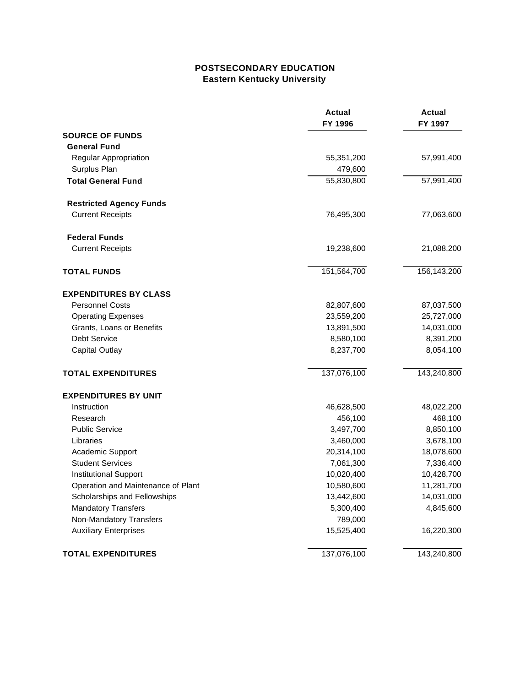### **POSTSECONDARY EDUCATION Eastern Kentucky University**

|                                    | <b>Actual</b><br>FY 1996 | <b>Actual</b><br>FY 1997 |
|------------------------------------|--------------------------|--------------------------|
| <b>SOURCE OF FUNDS</b>             |                          |                          |
| <b>General Fund</b>                |                          |                          |
| Regular Appropriation              | 55,351,200               | 57,991,400               |
| Surplus Plan                       | 479,600                  |                          |
| <b>Total General Fund</b>          | 55,830,800               | 57,991,400               |
| <b>Restricted Agency Funds</b>     |                          |                          |
| <b>Current Receipts</b>            | 76,495,300               | 77,063,600               |
| <b>Federal Funds</b>               |                          |                          |
| <b>Current Receipts</b>            | 19,238,600               | 21,088,200               |
| <b>TOTAL FUNDS</b>                 | 151,564,700              | 156,143,200              |
| <b>EXPENDITURES BY CLASS</b>       |                          |                          |
| <b>Personnel Costs</b>             | 82,807,600               | 87,037,500               |
| <b>Operating Expenses</b>          | 23,559,200               | 25,727,000               |
| Grants, Loans or Benefits          | 13,891,500               | 14,031,000               |
| Debt Service                       | 8,580,100                | 8,391,200                |
| <b>Capital Outlay</b>              | 8,237,700                | 8,054,100                |
| <b>TOTAL EXPENDITURES</b>          | 137,076,100              | 143,240,800              |
| <b>EXPENDITURES BY UNIT</b>        |                          |                          |
| Instruction                        | 46,628,500               | 48,022,200               |
| Research                           | 456,100                  | 468,100                  |
| <b>Public Service</b>              | 3,497,700                | 8,850,100                |
| Libraries                          | 3,460,000                | 3,678,100                |
| Academic Support                   | 20,314,100               | 18,078,600               |
| <b>Student Services</b>            | 7,061,300                | 7,336,400                |
| <b>Institutional Support</b>       | 10,020,400               | 10,428,700               |
| Operation and Maintenance of Plant | 10,580,600               | 11,281,700               |
| Scholarships and Fellowships       | 13,442,600               | 14,031,000               |
| <b>Mandatory Transfers</b>         | 5,300,400                | 4,845,600                |
| Non-Mandatory Transfers            | 789,000                  |                          |
| <b>Auxiliary Enterprises</b>       | 15,525,400               | 16,220,300               |
| <b>TOTAL EXPENDITURES</b>          | 137,076,100              | 143,240,800              |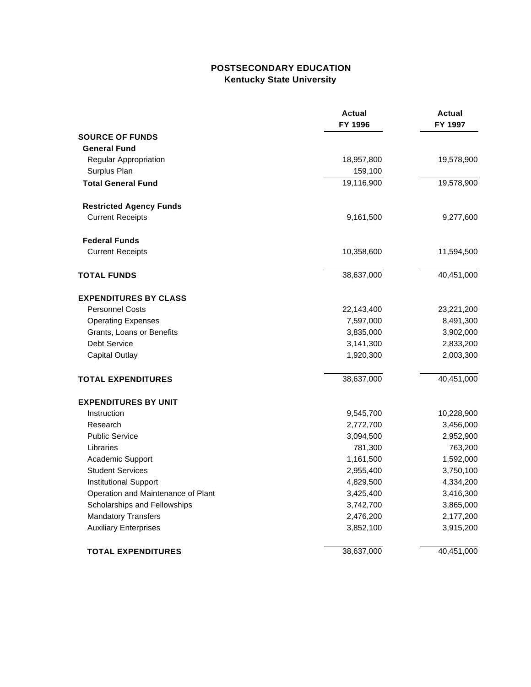# **POSTSECONDARY EDUCATION Kentucky State University**

|                                    | <b>Actual</b><br>FY 1996 | <b>Actual</b><br>FY 1997 |
|------------------------------------|--------------------------|--------------------------|
| <b>SOURCE OF FUNDS</b>             |                          |                          |
| <b>General Fund</b>                |                          |                          |
| Regular Appropriation              | 18,957,800               | 19,578,900               |
| Surplus Plan                       | 159,100                  |                          |
| <b>Total General Fund</b>          | 19,116,900               | 19,578,900               |
| <b>Restricted Agency Funds</b>     |                          |                          |
| <b>Current Receipts</b>            | 9,161,500                | 9,277,600                |
| <b>Federal Funds</b>               |                          |                          |
| <b>Current Receipts</b>            | 10,358,600               | 11,594,500               |
| <b>TOTAL FUNDS</b>                 | 38,637,000               | 40,451,000               |
| <b>EXPENDITURES BY CLASS</b>       |                          |                          |
| <b>Personnel Costs</b>             | 22,143,400               | 23,221,200               |
| <b>Operating Expenses</b>          | 7,597,000                | 8,491,300                |
| Grants, Loans or Benefits          | 3,835,000                | 3,902,000                |
| Debt Service                       | 3,141,300                | 2,833,200                |
| <b>Capital Outlay</b>              | 1,920,300                | 2,003,300                |
| <b>TOTAL EXPENDITURES</b>          | 38,637,000               | 40,451,000               |
| <b>EXPENDITURES BY UNIT</b>        |                          |                          |
| Instruction                        | 9,545,700                | 10,228,900               |
| Research                           | 2,772,700                | 3,456,000                |
| <b>Public Service</b>              | 3,094,500                | 2,952,900                |
| Libraries                          | 781,300                  | 763,200                  |
| Academic Support                   | 1,161,500                | 1,592,000                |
| <b>Student Services</b>            | 2,955,400                | 3,750,100                |
| <b>Institutional Support</b>       | 4,829,500                | 4,334,200                |
| Operation and Maintenance of Plant | 3,425,400                | 3,416,300                |
| Scholarships and Fellowships       | 3,742,700                | 3,865,000                |
| <b>Mandatory Transfers</b>         | 2,476,200                | 2,177,200                |
| <b>Auxiliary Enterprises</b>       | 3,852,100                | 3,915,200                |
| <b>TOTAL EXPENDITURES</b>          | 38,637,000               | 40,451,000               |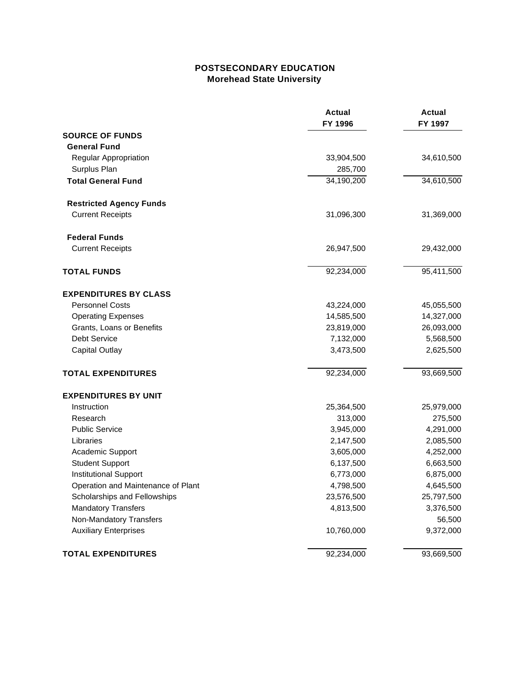# **POSTSECONDARY EDUCATION Morehead State University**

|                                    | <b>Actual</b><br>FY 1996 | <b>Actual</b><br>FY 1997 |
|------------------------------------|--------------------------|--------------------------|
| <b>SOURCE OF FUNDS</b>             |                          |                          |
| <b>General Fund</b>                |                          |                          |
| Regular Appropriation              | 33,904,500               | 34,610,500               |
| Surplus Plan                       | 285,700                  |                          |
| <b>Total General Fund</b>          | 34,190,200               | 34,610,500               |
| <b>Restricted Agency Funds</b>     |                          |                          |
| <b>Current Receipts</b>            | 31,096,300               | 31,369,000               |
| <b>Federal Funds</b>               |                          |                          |
| <b>Current Receipts</b>            | 26,947,500               | 29,432,000               |
| <b>TOTAL FUNDS</b>                 | 92,234,000               | 95,411,500               |
| <b>EXPENDITURES BY CLASS</b>       |                          |                          |
| <b>Personnel Costs</b>             | 43,224,000               | 45,055,500               |
| <b>Operating Expenses</b>          | 14,585,500               | 14,327,000               |
| Grants, Loans or Benefits          | 23,819,000               | 26,093,000               |
| Debt Service                       | 7,132,000                | 5,568,500                |
| <b>Capital Outlay</b>              | 3,473,500                | 2,625,500                |
| <b>TOTAL EXPENDITURES</b>          | 92,234,000               | 93,669,500               |
| <b>EXPENDITURES BY UNIT</b>        |                          |                          |
| Instruction                        | 25,364,500               | 25,979,000               |
| Research                           | 313,000                  | 275,500                  |
| <b>Public Service</b>              | 3,945,000                | 4,291,000                |
| Libraries                          | 2,147,500                | 2,085,500                |
| Academic Support                   | 3,605,000                | 4,252,000                |
| <b>Student Support</b>             | 6,137,500                | 6,663,500                |
| <b>Institutional Support</b>       | 6,773,000                | 6,875,000                |
| Operation and Maintenance of Plant | 4,798,500                | 4,645,500                |
| Scholarships and Fellowships       | 23,576,500               | 25,797,500               |
| <b>Mandatory Transfers</b>         | 4,813,500                | 3,376,500                |
| Non-Mandatory Transfers            |                          | 56,500                   |
| <b>Auxiliary Enterprises</b>       | 10,760,000               | 9,372,000                |
| <b>TOTAL EXPENDITURES</b>          | 92,234,000               | 93,669,500               |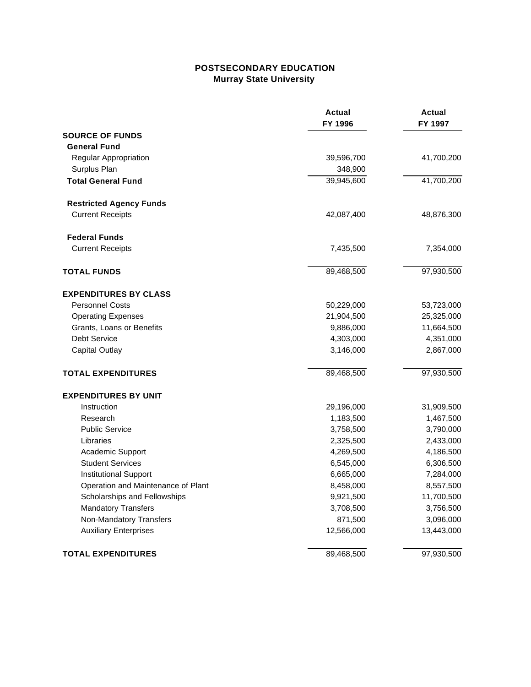# **POSTSECONDARY EDUCATION Murray State University**

|                                    | <b>Actual</b><br>FY 1996 | <b>Actual</b><br>FY 1997 |
|------------------------------------|--------------------------|--------------------------|
| <b>SOURCE OF FUNDS</b>             |                          |                          |
| <b>General Fund</b>                |                          |                          |
| Regular Appropriation              | 39,596,700               | 41,700,200               |
| Surplus Plan                       | 348,900                  |                          |
| <b>Total General Fund</b>          | 39,945,600               | 41,700,200               |
| <b>Restricted Agency Funds</b>     |                          |                          |
| <b>Current Receipts</b>            | 42,087,400               | 48,876,300               |
| <b>Federal Funds</b>               |                          |                          |
| <b>Current Receipts</b>            | 7,435,500                | 7,354,000                |
| <b>TOTAL FUNDS</b>                 | 89,468,500               | 97,930,500               |
| <b>EXPENDITURES BY CLASS</b>       |                          |                          |
| <b>Personnel Costs</b>             | 50,229,000               | 53,723,000               |
| <b>Operating Expenses</b>          | 21,904,500               | 25,325,000               |
| Grants, Loans or Benefits          | 9,886,000                | 11,664,500               |
| Debt Service                       | 4,303,000                | 4,351,000                |
| <b>Capital Outlay</b>              | 3,146,000                | 2,867,000                |
| <b>TOTAL EXPENDITURES</b>          | 89,468,500               | 97,930,500               |
| <b>EXPENDITURES BY UNIT</b>        |                          |                          |
| Instruction                        | 29,196,000               | 31,909,500               |
| Research                           | 1,183,500                | 1,467,500                |
| <b>Public Service</b>              | 3,758,500                | 3,790,000                |
| Libraries                          | 2,325,500                | 2,433,000                |
| Academic Support                   | 4,269,500                | 4,186,500                |
| <b>Student Services</b>            | 6,545,000                | 6,306,500                |
| <b>Institutional Support</b>       | 6,665,000                | 7,284,000                |
| Operation and Maintenance of Plant | 8,458,000                | 8,557,500                |
| Scholarships and Fellowships       | 9,921,500                | 11,700,500               |
| <b>Mandatory Transfers</b>         | 3,708,500                | 3,756,500                |
| Non-Mandatory Transfers            | 871,500                  | 3,096,000                |
| <b>Auxiliary Enterprises</b>       | 12,566,000               | 13,443,000               |
| <b>TOTAL EXPENDITURES</b>          | 89,468,500               | 97,930,500               |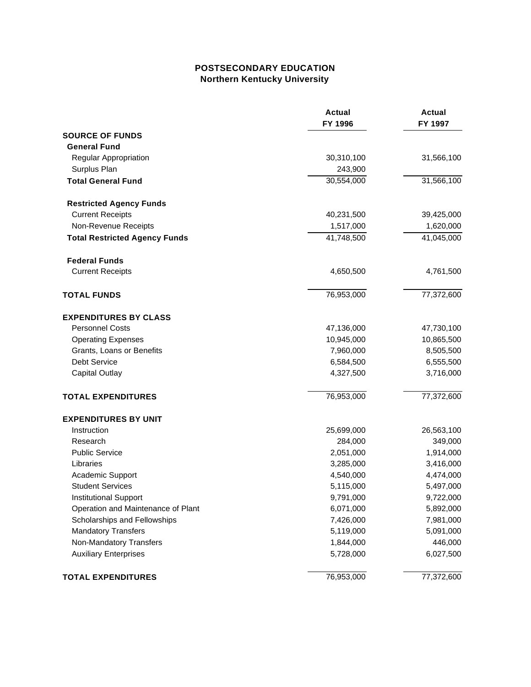# **POSTSECONDARY EDUCATION Northern Kentucky University**

|                                      | <b>Actual</b><br>FY 1996 | <b>Actual</b><br>FY 1997 |
|--------------------------------------|--------------------------|--------------------------|
| <b>SOURCE OF FUNDS</b>               |                          |                          |
| <b>General Fund</b>                  |                          |                          |
| Regular Appropriation                | 30,310,100               | 31,566,100               |
| Surplus Plan                         | 243,900                  |                          |
| <b>Total General Fund</b>            | 30,554,000               | 31,566,100               |
| <b>Restricted Agency Funds</b>       |                          |                          |
| <b>Current Receipts</b>              | 40,231,500               | 39,425,000               |
| Non-Revenue Receipts                 | 1,517,000                | 1,620,000                |
| <b>Total Restricted Agency Funds</b> | 41,748,500               | 41,045,000               |
| <b>Federal Funds</b>                 |                          |                          |
| <b>Current Receipts</b>              | 4,650,500                | 4,761,500                |
| <b>TOTAL FUNDS</b>                   | 76,953,000               | 77,372,600               |
| <b>EXPENDITURES BY CLASS</b>         |                          |                          |
| <b>Personnel Costs</b>               | 47,136,000               | 47,730,100               |
| <b>Operating Expenses</b>            | 10,945,000               | 10,865,500               |
| Grants, Loans or Benefits            | 7,960,000                | 8,505,500                |
| Debt Service                         | 6,584,500                | 6,555,500                |
| <b>Capital Outlay</b>                | 4,327,500                | 3,716,000                |
| <b>TOTAL EXPENDITURES</b>            | 76,953,000               | 77,372,600               |
| <b>EXPENDITURES BY UNIT</b>          |                          |                          |
| Instruction                          | 25,699,000               | 26,563,100               |
| Research                             | 284,000                  | 349,000                  |
| <b>Public Service</b>                | 2,051,000                | 1,914,000                |
| Libraries                            | 3,285,000                | 3,416,000                |
| Academic Support                     | 4,540,000                | 4,474,000                |
| <b>Student Services</b>              | 5,115,000                | 5,497,000                |
| <b>Institutional Support</b>         | 9,791,000                | 9,722,000                |
| Operation and Maintenance of Plant   | 6,071,000                | 5,892,000                |
| Scholarships and Fellowships         | 7,426,000                | 7,981,000                |
| <b>Mandatory Transfers</b>           | 5,119,000                | 5,091,000                |
| Non-Mandatory Transfers              | 1,844,000                | 446,000                  |
| <b>Auxiliary Enterprises</b>         | 5,728,000                | 6,027,500                |
| <b>TOTAL EXPENDITURES</b>            | 76,953,000               | 77,372,600               |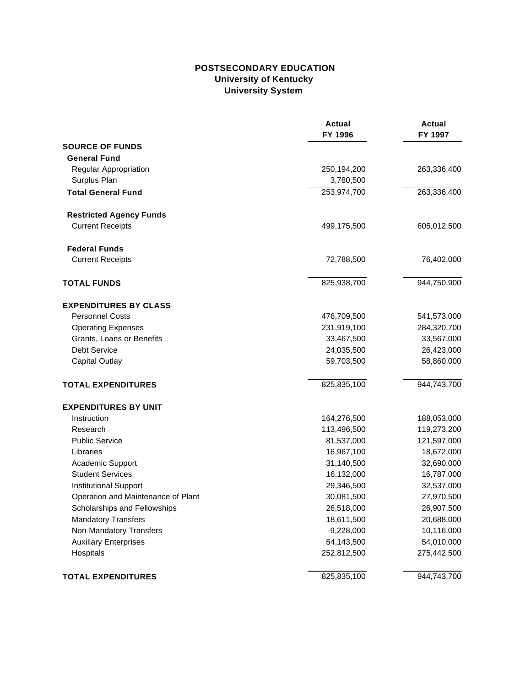# **POSTSECONDARY EDUCATION University of Kentucky University System**

|                                    | <b>Actual</b><br>FY 1996 | <b>Actual</b><br>FY 1997 |
|------------------------------------|--------------------------|--------------------------|
| <b>SOURCE OF FUNDS</b>             |                          |                          |
| <b>General Fund</b>                |                          |                          |
| Regular Appropriation              | 250,194,200              | 263,336,400              |
| Surplus Plan                       | 3,780,500                |                          |
| <b>Total General Fund</b>          | 253,974,700              | 263,336,400              |
| <b>Restricted Agency Funds</b>     |                          |                          |
| <b>Current Receipts</b>            | 499,175,500              | 605,012,500              |
| <b>Federal Funds</b>               |                          |                          |
| <b>Current Receipts</b>            | 72,788,500               | 76,402,000               |
| <b>TOTAL FUNDS</b>                 | 825,938,700              | 944,750,900              |
| <b>EXPENDITURES BY CLASS</b>       |                          |                          |
| <b>Personnel Costs</b>             | 476,709,500              | 541,573,000              |
| <b>Operating Expenses</b>          | 231,919,100              | 284,320,700              |
| Grants, Loans or Benefits          | 33,467,500               | 33,567,000               |
| <b>Debt Service</b>                | 24,035,500               | 26,423,000               |
| <b>Capital Outlay</b>              | 59,703,500               | 58,860,000               |
| <b>TOTAL EXPENDITURES</b>          | 825,835,100              | 944,743,700              |
| <b>EXPENDITURES BY UNIT</b>        |                          |                          |
| Instruction                        | 164,276,500              | 188,053,000              |
| Research                           | 113,496,500              | 119,273,200              |
| <b>Public Service</b>              | 81,537,000               | 121,597,000              |
| Libraries                          | 16,967,100               | 18,672,000               |
| Academic Support                   | 31,140,500               | 32,690,000               |
| <b>Student Services</b>            | 16,132,000               | 16,787,000               |
| <b>Institutional Support</b>       | 29,346,500               | 32,537,000               |
| Operation and Maintenance of Plant | 30,081,500               | 27,970,500               |
| Scholarships and Fellowships       | 26,518,000               | 26,907,500               |
| <b>Mandatory Transfers</b>         | 18,611,500               | 20,688,000               |
| Non-Mandatory Transfers            | $-9,228,000$             | 10,116,000               |
| <b>Auxiliary Enterprises</b>       | 54,143,500               | 54,010,000               |
| Hospitals                          | 252,812,500              | 275,442,500              |
| <b>TOTAL EXPENDITURES</b>          | 825,835,100              | 944,743,700              |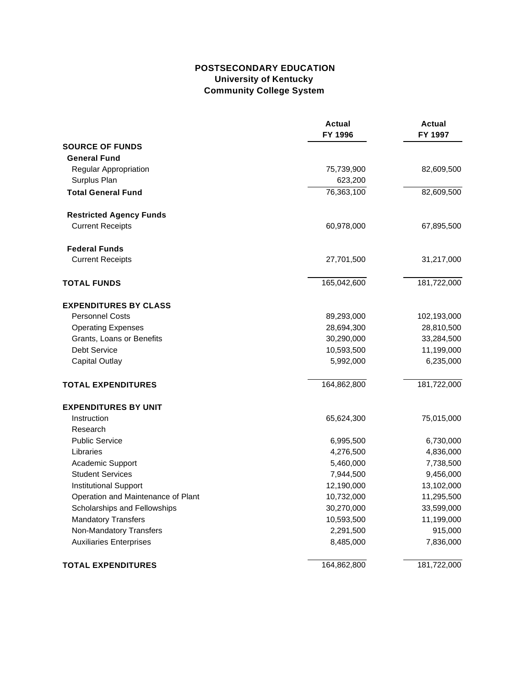# **POSTSECONDARY EDUCATION University of Kentucky Community College System**

|                                    | <b>Actual</b><br>FY 1996 | <b>Actual</b><br>FY 1997 |
|------------------------------------|--------------------------|--------------------------|
| <b>SOURCE OF FUNDS</b>             |                          |                          |
| <b>General Fund</b>                |                          |                          |
| Regular Appropriation              | 75,739,900               | 82,609,500               |
| Surplus Plan                       | 623,200                  |                          |
| <b>Total General Fund</b>          | 76,363,100               | 82,609,500               |
| <b>Restricted Agency Funds</b>     |                          |                          |
| <b>Current Receipts</b>            | 60,978,000               | 67,895,500               |
| <b>Federal Funds</b>               |                          |                          |
| <b>Current Receipts</b>            | 27,701,500               | 31,217,000               |
| <b>TOTAL FUNDS</b>                 | 165,042,600              | 181,722,000              |
| <b>EXPENDITURES BY CLASS</b>       |                          |                          |
| <b>Personnel Costs</b>             | 89,293,000               | 102,193,000              |
| <b>Operating Expenses</b>          | 28,694,300               | 28,810,500               |
| Grants, Loans or Benefits          | 30,290,000               | 33,284,500               |
| Debt Service                       | 10,593,500               | 11,199,000               |
| <b>Capital Outlay</b>              | 5,992,000                | 6,235,000                |
| <b>TOTAL EXPENDITURES</b>          | 164,862,800              | 181,722,000              |
| <b>EXPENDITURES BY UNIT</b>        |                          |                          |
| Instruction                        | 65,624,300               | 75,015,000               |
| Research                           |                          |                          |
| <b>Public Service</b>              | 6,995,500                | 6,730,000                |
| Libraries                          | 4,276,500                | 4,836,000                |
| Academic Support                   | 5,460,000                | 7,738,500                |
| <b>Student Services</b>            | 7,944,500                | 9,456,000                |
| <b>Institutional Support</b>       | 12,190,000               | 13,102,000               |
| Operation and Maintenance of Plant | 10,732,000               | 11,295,500               |
| Scholarships and Fellowships       | 30,270,000               | 33,599,000               |
| <b>Mandatory Transfers</b>         | 10,593,500               | 11,199,000               |
| Non-Mandatory Transfers            | 2,291,500                | 915,000                  |
| <b>Auxiliaries Enterprises</b>     | 8,485,000                | 7,836,000                |
| <b>TOTAL EXPENDITURES</b>          | 164,862,800              | 181,722,000              |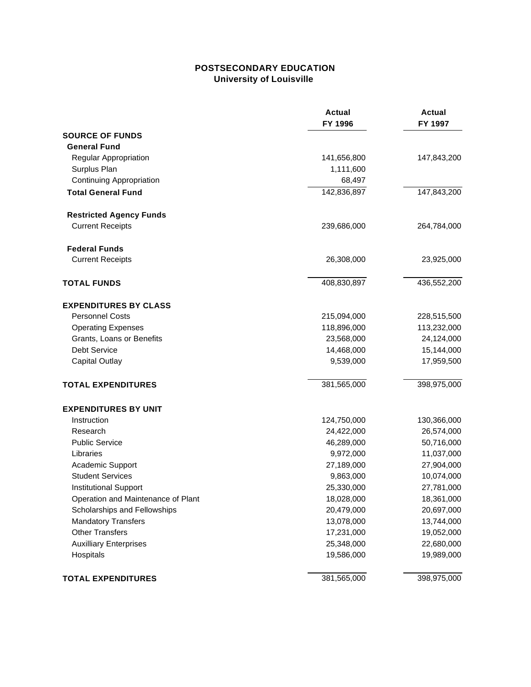# **POSTSECONDARY EDUCATION University of Louisville**

|                                    | <b>Actual</b><br>FY 1996 | <b>Actual</b><br>FY 1997 |
|------------------------------------|--------------------------|--------------------------|
| <b>SOURCE OF FUNDS</b>             |                          |                          |
| <b>General Fund</b>                |                          |                          |
| Regular Appropriation              | 141,656,800              | 147,843,200              |
| Surplus Plan                       | 1,111,600                |                          |
| Continuing Appropriation           | 68,497                   |                          |
| <b>Total General Fund</b>          | 142,836,897              | 147,843,200              |
| <b>Restricted Agency Funds</b>     |                          |                          |
| <b>Current Receipts</b>            | 239,686,000              | 264,784,000              |
| <b>Federal Funds</b>               |                          |                          |
| <b>Current Receipts</b>            | 26,308,000               | 23,925,000               |
| <b>TOTAL FUNDS</b>                 | 408,830,897              | 436,552,200              |
| <b>EXPENDITURES BY CLASS</b>       |                          |                          |
| <b>Personnel Costs</b>             | 215,094,000              | 228,515,500              |
| <b>Operating Expenses</b>          | 118,896,000              | 113,232,000              |
| Grants, Loans or Benefits          | 23,568,000               | 24,124,000               |
| Debt Service                       | 14,468,000               | 15,144,000               |
| <b>Capital Outlay</b>              | 9,539,000                | 17,959,500               |
| <b>TOTAL EXPENDITURES</b>          | 381,565,000              | 398,975,000              |
| <b>EXPENDITURES BY UNIT</b>        |                          |                          |
| Instruction                        | 124,750,000              | 130,366,000              |
| Research                           | 24,422,000               | 26,574,000               |
| <b>Public Service</b>              | 46,289,000               | 50,716,000               |
| Libraries                          | 9,972,000                | 11,037,000               |
| Academic Support                   | 27,189,000               | 27,904,000               |
| <b>Student Services</b>            | 9,863,000                | 10,074,000               |
| <b>Institutional Support</b>       | 25,330,000               | 27,781,000               |
| Operation and Maintenance of Plant | 18,028,000               | 18,361,000               |
| Scholarships and Fellowships       | 20,479,000               | 20,697,000               |
| <b>Mandatory Transfers</b>         | 13,078,000               | 13,744,000               |
| <b>Other Transfers</b>             | 17,231,000               | 19,052,000               |
| <b>Auxilliary Enterprises</b>      | 25,348,000               | 22,680,000               |
| Hospitals                          | 19,586,000               | 19,989,000               |
| <b>TOTAL EXPENDITURES</b>          | 381,565,000              | 398,975,000              |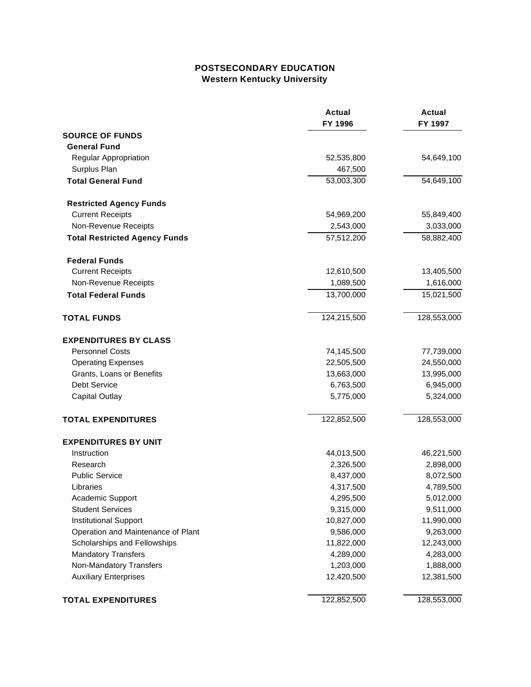## **POSTSECONDARY EDUCATION Western Kentucky University**

|                                      | <b>Actual</b><br>FY 1996 | <b>Actual</b><br>FY 1997 |
|--------------------------------------|--------------------------|--------------------------|
| <b>SOURCE OF FUNDS</b>               |                          |                          |
| <b>General Fund</b>                  |                          |                          |
| Regular Appropriation                | 52,535,800               | 54,649,100               |
| Surplus Plan                         | 467,500                  |                          |
| <b>Total General Fund</b>            | 53,003,300               | 54,649,100               |
| <b>Restricted Agency Funds</b>       |                          |                          |
| <b>Current Receipts</b>              | 54,969,200               | 55,849,400               |
| Non-Revenue Receipts                 | 2,543,000                | 3,033,000                |
| <b>Total Restricted Agency Funds</b> | 57,512,200               | 58,882,400               |
| <b>Federal Funds</b>                 |                          |                          |
| <b>Current Receipts</b>              | 12,610,500               | 13,405,500               |
| Non-Revenue Receipts                 | 1,089,500                | 1,616,000                |
| <b>Total Federal Funds</b>           | 13,700,000               | 15,021,500               |
| <b>TOTAL FUNDS</b>                   | 124,215,500              | 128,553,000              |
| <b>EXPENDITURES BY CLASS</b>         |                          |                          |
| <b>Personnel Costs</b>               | 74,145,500               | 77,739,000               |
| <b>Operating Expenses</b>            | 22,505,500               | 24,550,000               |
| Grants, Loans or Benefits            | 13,663,000               | 13,995,000               |
| <b>Debt Service</b>                  | 6,763,500                | 6,945,000                |
| <b>Capital Outlay</b>                | 5,775,000                | 5,324,000                |
| <b>TOTAL EXPENDITURES</b>            | 122,852,500              | 128,553,000              |
| <b>EXPENDITURES BY UNIT</b>          |                          |                          |
| Instruction                          | 44,013,500               | 46,221,500               |
| Research                             | 2,326,500                | 2,898,000                |
| <b>Public Service</b>                | 8,437,000                | 8,072,500                |
| Libraries                            | 4,317,500                | 4,789,500                |
| Academic Support                     | 4,295,500                | 5,012,000                |
| <b>Student Services</b>              | 9,315,000                | 9,511,000                |
| <b>Institutional Support</b>         | 10,827,000               | 11,990,000               |
| Operation and Maintenance of Plant   | 9,586,000                | 9,263,000                |
| Scholarships and Fellowships         | 11,822,000               | 12,243,000               |
| <b>Mandatory Transfers</b>           | 4,289,000                | 4,283,000                |
| Non-Mandatory Transfers              | 1,203,000                | 1,888,000                |
| <b>Auxiliary Enterprises</b>         | 12,420,500               | 12,381,500               |
| <b>TOTAL EXPENDITURES</b>            | 122,852,500              | 128,553,000              |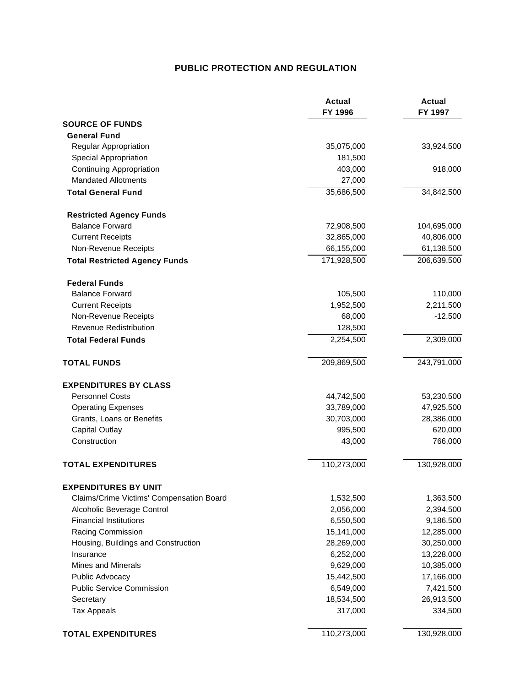# **PUBLIC PROTECTION AND REGULATION**

|                                          | <b>Actual</b><br>FY 1996 | <b>Actual</b><br>FY 1997 |
|------------------------------------------|--------------------------|--------------------------|
| <b>SOURCE OF FUNDS</b>                   |                          |                          |
| <b>General Fund</b>                      |                          |                          |
| Regular Appropriation                    | 35,075,000               | 33,924,500               |
| <b>Special Appropriation</b>             | 181,500                  |                          |
| Continuing Appropriation                 | 403,000                  | 918,000                  |
| <b>Mandated Allotments</b>               | 27,000                   |                          |
| <b>Total General Fund</b>                | 35,686,500               | 34,842,500               |
| <b>Restricted Agency Funds</b>           |                          |                          |
| <b>Balance Forward</b>                   | 72,908,500               | 104,695,000              |
| <b>Current Receipts</b>                  | 32,865,000               | 40,806,000               |
| Non-Revenue Receipts                     | 66,155,000               | 61,138,500               |
| <b>Total Restricted Agency Funds</b>     | 171,928,500              | 206,639,500              |
| <b>Federal Funds</b>                     |                          |                          |
| <b>Balance Forward</b>                   | 105,500                  | 110,000                  |
| <b>Current Receipts</b>                  | 1,952,500                | 2,211,500                |
| Non-Revenue Receipts                     | 68,000                   | $-12,500$                |
| <b>Revenue Redistribution</b>            | 128,500                  |                          |
| <b>Total Federal Funds</b>               | 2,254,500                | 2,309,000                |
| <b>TOTAL FUNDS</b>                       | 209,869,500              | 243,791,000              |
| <b>EXPENDITURES BY CLASS</b>             |                          |                          |
| <b>Personnel Costs</b>                   | 44,742,500               | 53,230,500               |
| <b>Operating Expenses</b>                | 33,789,000               | 47,925,500               |
| Grants, Loans or Benefits                | 30,703,000               | 28,386,000               |
| <b>Capital Outlay</b>                    | 995,500                  | 620,000                  |
| Construction                             | 43,000                   | 766,000                  |
| <b>TOTAL EXPENDITURES</b>                | 110,273,000              | 130,928,000              |
| <b>EXPENDITURES BY UNIT</b>              |                          |                          |
| Claims/Crime Victims' Compensation Board | 1,532,500                | 1,363,500                |
| Alcoholic Beverage Control               | 2,056,000                | 2,394,500                |
| <b>Financial Institutions</b>            | 6,550,500                | 9,186,500                |
| Racing Commission                        | 15,141,000               | 12,285,000               |
| Housing, Buildings and Construction      | 28,269,000               | 30,250,000               |
| Insurance                                | 6,252,000                | 13,228,000               |
| <b>Mines and Minerals</b>                | 9,629,000                | 10,385,000               |
| Public Advocacy                          | 15,442,500               | 17,166,000               |
| <b>Public Service Commission</b>         | 6,549,000                | 7,421,500                |
| Secretary                                | 18,534,500               | 26,913,500               |
| <b>Tax Appeals</b>                       | 317,000                  | 334,500                  |
| <b>TOTAL EXPENDITURES</b>                | 110,273,000              | 130,928,000              |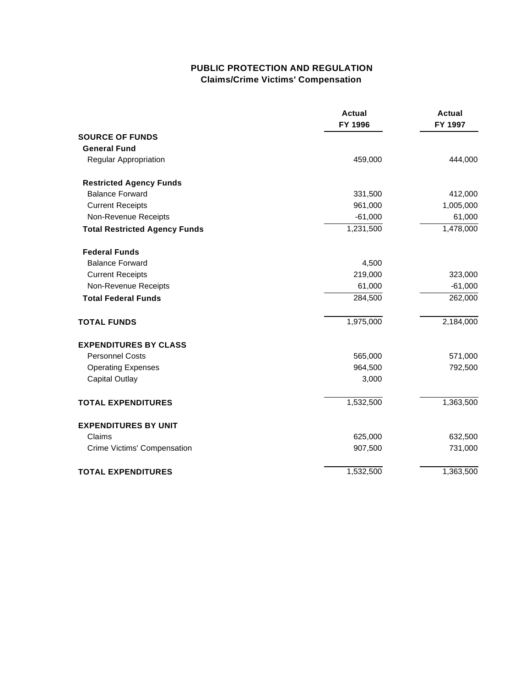# **PUBLIC PROTECTION AND REGULATION Claims/Crime Victims' Compensation**

|                                      | <b>Actual</b><br>FY 1996 | <b>Actual</b><br>FY 1997 |
|--------------------------------------|--------------------------|--------------------------|
| <b>SOURCE OF FUNDS</b>               |                          |                          |
| <b>General Fund</b>                  |                          |                          |
| Regular Appropriation                | 459,000                  | 444,000                  |
| <b>Restricted Agency Funds</b>       |                          |                          |
| <b>Balance Forward</b>               | 331,500                  | 412,000                  |
| <b>Current Receipts</b>              | 961,000                  | 1,005,000                |
| Non-Revenue Receipts                 | $-61,000$                | 61,000                   |
| <b>Total Restricted Agency Funds</b> | 1,231,500                | 1,478,000                |
| <b>Federal Funds</b>                 |                          |                          |
| <b>Balance Forward</b>               | 4,500                    |                          |
| <b>Current Receipts</b>              | 219,000                  | 323,000                  |
| Non-Revenue Receipts                 | 61,000                   | $-61,000$                |
| <b>Total Federal Funds</b>           | 284,500                  | 262,000                  |
| <b>TOTAL FUNDS</b>                   | 1,975,000                | 2,184,000                |
| <b>EXPENDITURES BY CLASS</b>         |                          |                          |
| <b>Personnel Costs</b>               | 565,000                  | 571,000                  |
| <b>Operating Expenses</b>            | 964,500                  | 792,500                  |
| <b>Capital Outlay</b>                | 3,000                    |                          |
| <b>TOTAL EXPENDITURES</b>            | 1,532,500                | 1,363,500                |
| <b>EXPENDITURES BY UNIT</b>          |                          |                          |
| Claims                               | 625,000                  | 632,500                  |
| Crime Victims' Compensation          | 907,500                  | 731,000                  |
| <b>TOTAL EXPENDITURES</b>            | 1,532,500                | 1,363,500                |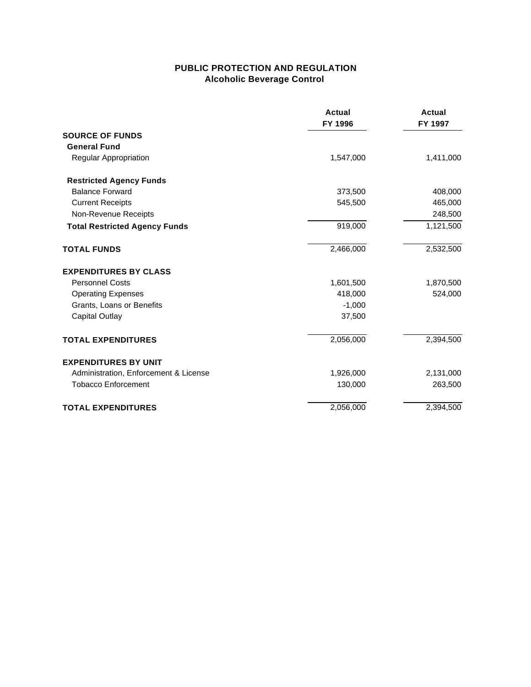# **PUBLIC PROTECTION AND REGULATION Alcoholic Beverage Control**

|                                       | <b>Actual</b><br>FY 1996 | <b>Actual</b><br>FY 1997 |
|---------------------------------------|--------------------------|--------------------------|
| <b>SOURCE OF FUNDS</b>                |                          |                          |
| <b>General Fund</b>                   |                          |                          |
| Regular Appropriation                 | 1,547,000                | 1,411,000                |
| <b>Restricted Agency Funds</b>        |                          |                          |
| <b>Balance Forward</b>                | 373,500                  | 408,000                  |
| <b>Current Receipts</b>               | 545,500                  | 465,000                  |
| Non-Revenue Receipts                  |                          | 248,500                  |
| <b>Total Restricted Agency Funds</b>  | 919,000                  | 1,121,500                |
| <b>TOTAL FUNDS</b>                    | 2,466,000                | 2,532,500                |
| <b>EXPENDITURES BY CLASS</b>          |                          |                          |
| <b>Personnel Costs</b>                | 1,601,500                | 1,870,500                |
| <b>Operating Expenses</b>             | 418,000                  | 524,000                  |
| Grants, Loans or Benefits             | $-1,000$                 |                          |
| <b>Capital Outlay</b>                 | 37,500                   |                          |
| <b>TOTAL EXPENDITURES</b>             | 2,056,000                | 2,394,500                |
| <b>EXPENDITURES BY UNIT</b>           |                          |                          |
| Administration, Enforcement & License | 1,926,000                | 2,131,000                |
| <b>Tobacco Enforcement</b>            | 130,000                  | 263,500                  |
| <b>TOTAL EXPENDITURES</b>             | 2,056,000                | 2,394,500                |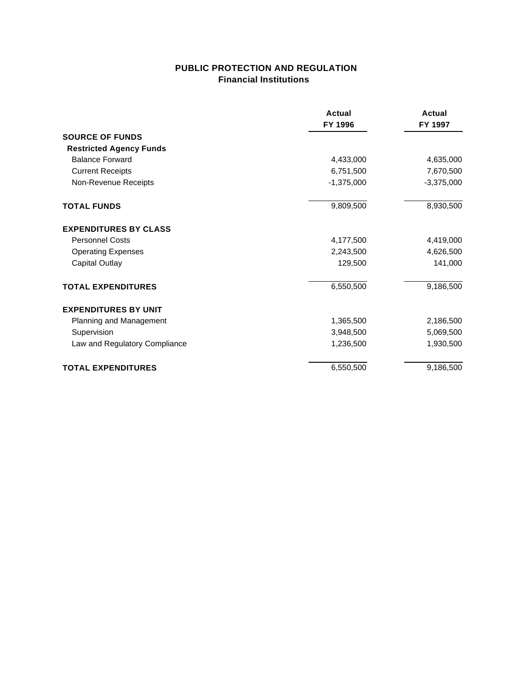# **PUBLIC PROTECTION AND REGULATION Financial Institutions**

|                                | <b>Actual</b><br>FY 1996 | Actual<br>FY 1997 |
|--------------------------------|--------------------------|-------------------|
|                                |                          |                   |
| <b>SOURCE OF FUNDS</b>         |                          |                   |
| <b>Restricted Agency Funds</b> |                          |                   |
| <b>Balance Forward</b>         | 4,433,000                | 4,635,000         |
| <b>Current Receipts</b>        | 6,751,500                | 7,670,500         |
| Non-Revenue Receipts           | $-1,375,000$             | $-3,375,000$      |
| <b>TOTAL FUNDS</b>             | 9,809,500                | 8,930,500         |
| <b>EXPENDITURES BY CLASS</b>   |                          |                   |
| <b>Personnel Costs</b>         | 4,177,500                | 4,419,000         |
| <b>Operating Expenses</b>      | 2,243,500                | 4,626,500         |
| <b>Capital Outlay</b>          | 129,500                  | 141,000           |
| <b>TOTAL EXPENDITURES</b>      | 6,550,500                | 9,186,500         |
| <b>EXPENDITURES BY UNIT</b>    |                          |                   |
| Planning and Management        | 1,365,500                | 2,186,500         |
| Supervision                    | 3,948,500                | 5,069,500         |
| Law and Regulatory Compliance  | 1,236,500                | 1,930,500         |
| <b>TOTAL EXPENDITURES</b>      | 6,550,500                | 9,186,500         |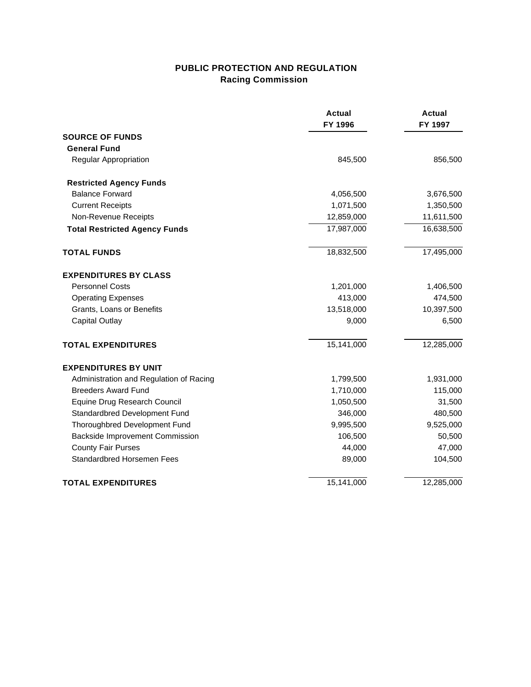# **PUBLIC PROTECTION AND REGULATION Racing Commission**

|                                         | <b>Actual</b><br>FY 1996 | <b>Actual</b><br>FY 1997 |
|-----------------------------------------|--------------------------|--------------------------|
| <b>SOURCE OF FUNDS</b>                  |                          |                          |
| <b>General Fund</b>                     |                          |                          |
| Regular Appropriation                   | 845,500                  | 856,500                  |
| <b>Restricted Agency Funds</b>          |                          |                          |
| <b>Balance Forward</b>                  | 4,056,500                | 3,676,500                |
| <b>Current Receipts</b>                 | 1,071,500                | 1,350,500                |
| Non-Revenue Receipts                    | 12,859,000               | 11,611,500               |
| <b>Total Restricted Agency Funds</b>    | 17,987,000               | 16,638,500               |
| <b>TOTAL FUNDS</b>                      | 18,832,500               | 17,495,000               |
| <b>EXPENDITURES BY CLASS</b>            |                          |                          |
| <b>Personnel Costs</b>                  | 1,201,000                | 1,406,500                |
| <b>Operating Expenses</b>               | 413,000                  | 474,500                  |
| Grants, Loans or Benefits               | 13,518,000               | 10,397,500               |
| <b>Capital Outlay</b>                   | 9,000                    | 6,500                    |
| <b>TOTAL EXPENDITURES</b>               | 15,141,000               | 12,285,000               |
| <b>EXPENDITURES BY UNIT</b>             |                          |                          |
| Administration and Regulation of Racing | 1,799,500                | 1,931,000                |
| <b>Breeders Award Fund</b>              | 1,710,000                | 115,000                  |
| Equine Drug Research Council            | 1,050,500                | 31,500                   |
| Standardbred Development Fund           | 346,000                  | 480,500                  |
| Thoroughbred Development Fund           | 9,995,500                | 9,525,000                |
| <b>Backside Improvement Commission</b>  | 106,500                  | 50,500                   |
| <b>County Fair Purses</b>               | 44,000                   | 47,000                   |
| Standardbred Horsemen Fees              | 89,000                   | 104,500                  |
| <b>TOTAL EXPENDITURES</b>               | 15,141,000               | 12,285,000               |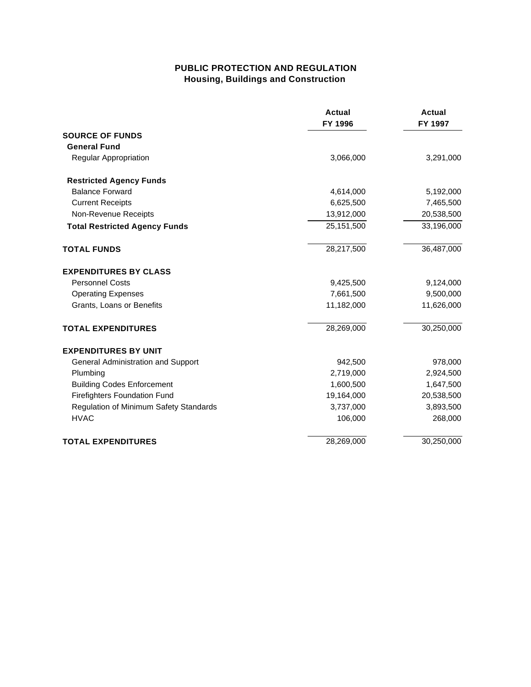# **PUBLIC PROTECTION AND REGULATION Housing, Buildings and Construction**

|                                        | <b>Actual</b><br>FY 1996 | <b>Actual</b><br>FY 1997 |
|----------------------------------------|--------------------------|--------------------------|
| <b>SOURCE OF FUNDS</b>                 |                          |                          |
| <b>General Fund</b>                    |                          |                          |
| <b>Regular Appropriation</b>           | 3,066,000                | 3,291,000                |
| <b>Restricted Agency Funds</b>         |                          |                          |
| <b>Balance Forward</b>                 | 4,614,000                | 5,192,000                |
| <b>Current Receipts</b>                | 6,625,500                | 7,465,500                |
| Non-Revenue Receipts                   | 13,912,000               | 20,538,500               |
| <b>Total Restricted Agency Funds</b>   | 25,151,500               | 33,196,000               |
| <b>TOTAL FUNDS</b>                     | 28,217,500               | 36,487,000               |
| <b>EXPENDITURES BY CLASS</b>           |                          |                          |
| <b>Personnel Costs</b>                 | 9,425,500                | 9,124,000                |
| <b>Operating Expenses</b>              | 7,661,500                | 9,500,000                |
| Grants, Loans or Benefits              | 11,182,000               | 11,626,000               |
| <b>TOTAL EXPENDITURES</b>              | 28,269,000               | 30,250,000               |
| <b>EXPENDITURES BY UNIT</b>            |                          |                          |
| General Administration and Support     | 942,500                  | 978,000                  |
| Plumbing                               | 2,719,000                | 2,924,500                |
| <b>Building Codes Enforcement</b>      | 1,600,500                | 1,647,500                |
| <b>Firefighters Foundation Fund</b>    | 19,164,000               | 20,538,500               |
| Regulation of Minimum Safety Standards | 3,737,000                | 3,893,500                |
| <b>HVAC</b>                            | 106,000                  | 268,000                  |
| <b>TOTAL EXPENDITURES</b>              | 28,269,000               | 30,250,000               |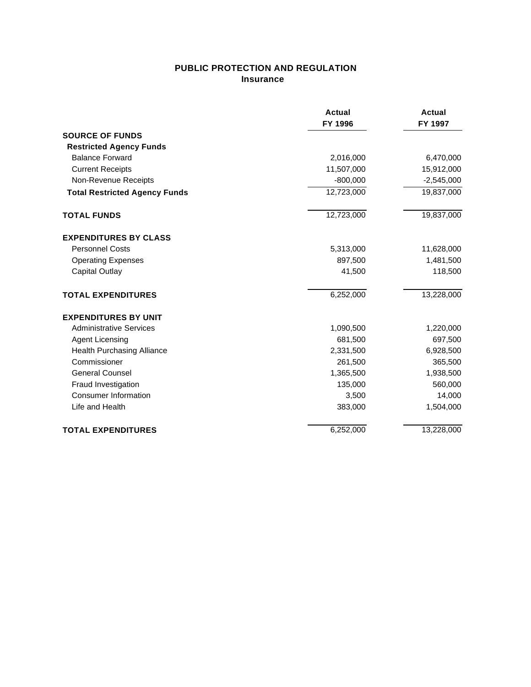# **PUBLIC PROTECTION AND REGULATION Insurance**

|                                      | Actual<br>FY 1996 | Actual<br>FY 1997 |
|--------------------------------------|-------------------|-------------------|
| <b>SOURCE OF FUNDS</b>               |                   |                   |
| <b>Restricted Agency Funds</b>       |                   |                   |
| <b>Balance Forward</b>               | 2,016,000         | 6,470,000         |
| <b>Current Receipts</b>              | 11,507,000        | 15,912,000        |
| Non-Revenue Receipts                 | $-800,000$        | $-2,545,000$      |
| <b>Total Restricted Agency Funds</b> | 12,723,000        | 19,837,000        |
| <b>TOTAL FUNDS</b>                   | 12,723,000        | 19,837,000        |
| <b>EXPENDITURES BY CLASS</b>         |                   |                   |
| <b>Personnel Costs</b>               | 5,313,000         | 11,628,000        |
| <b>Operating Expenses</b>            | 897,500           | 1,481,500         |
| Capital Outlay                       | 41,500            | 118,500           |
| <b>TOTAL EXPENDITURES</b>            | 6,252,000         | 13,228,000        |
| <b>EXPENDITURES BY UNIT</b>          |                   |                   |
| <b>Administrative Services</b>       | 1,090,500         | 1,220,000         |
| Agent Licensing                      | 681,500           | 697,500           |
| <b>Health Purchasing Alliance</b>    | 2,331,500         | 6,928,500         |
| Commissioner                         | 261,500           | 365,500           |
| <b>General Counsel</b>               | 1,365,500         | 1,938,500         |
| Fraud Investigation                  | 135,000           | 560,000           |
| <b>Consumer Information</b>          | 3,500             | 14,000            |
| Life and Health                      | 383,000           | 1,504,000         |
| <b>TOTAL EXPENDITURES</b>            | 6,252,000         | 13,228,000        |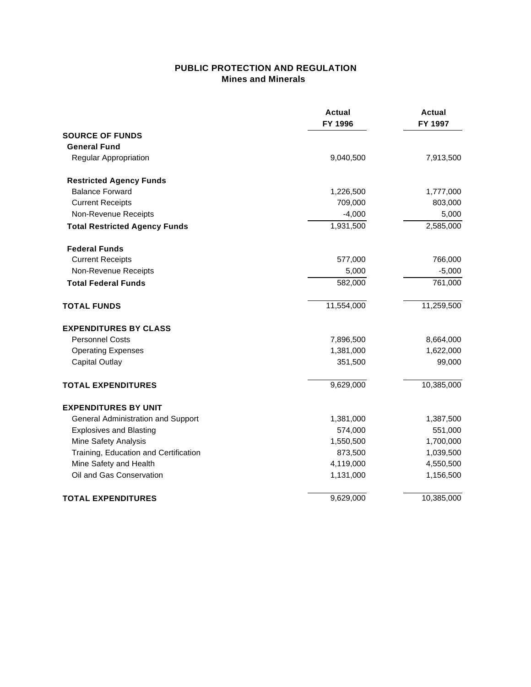## **PUBLIC PROTECTION AND REGULATION Mines and Minerals**

|                                       | <b>Actual</b><br>FY 1996 | <b>Actual</b><br>FY 1997 |
|---------------------------------------|--------------------------|--------------------------|
| <b>SOURCE OF FUNDS</b>                |                          |                          |
| <b>General Fund</b>                   |                          |                          |
| <b>Regular Appropriation</b>          | 9,040,500                | 7,913,500                |
| <b>Restricted Agency Funds</b>        |                          |                          |
| <b>Balance Forward</b>                | 1,226,500                | 1,777,000                |
| <b>Current Receipts</b>               | 709,000                  | 803,000                  |
| Non-Revenue Receipts                  | $-4,000$                 | 5,000                    |
| <b>Total Restricted Agency Funds</b>  | 1,931,500                | 2,585,000                |
| <b>Federal Funds</b>                  |                          |                          |
| <b>Current Receipts</b>               | 577,000                  | 766,000                  |
| Non-Revenue Receipts                  | 5,000                    | $-5,000$                 |
| <b>Total Federal Funds</b>            | 582,000                  | 761,000                  |
| <b>TOTAL FUNDS</b>                    | 11,554,000               | 11,259,500               |
| <b>EXPENDITURES BY CLASS</b>          |                          |                          |
| <b>Personnel Costs</b>                | 7,896,500                | 8,664,000                |
| <b>Operating Expenses</b>             | 1,381,000                | 1,622,000                |
| Capital Outlay                        | 351,500                  | 99,000                   |
| <b>TOTAL EXPENDITURES</b>             | 9,629,000                | 10,385,000               |
| <b>EXPENDITURES BY UNIT</b>           |                          |                          |
| General Administration and Support    | 1,381,000                | 1,387,500                |
| <b>Explosives and Blasting</b>        | 574,000                  | 551,000                  |
| Mine Safety Analysis                  | 1,550,500                | 1,700,000                |
| Training, Education and Certification | 873,500                  | 1,039,500                |
| Mine Safety and Health                | 4,119,000                | 4,550,500                |
| Oil and Gas Conservation              | 1,131,000                | 1,156,500                |
| <b>TOTAL EXPENDITURES</b>             | 9,629,000                | 10,385,000               |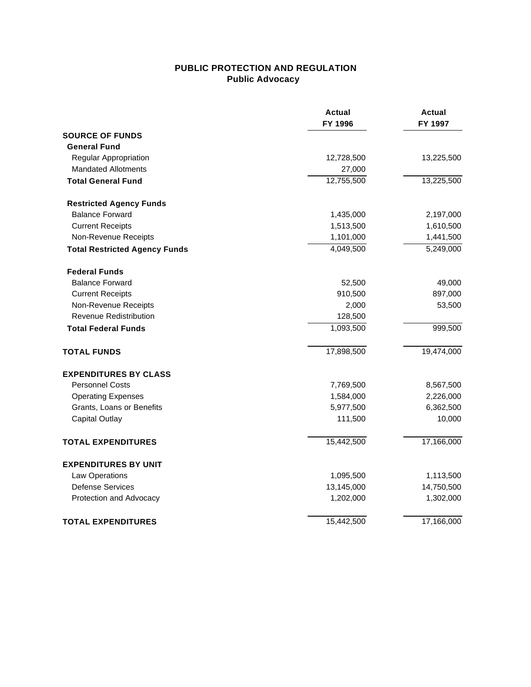# **PUBLIC PROTECTION AND REGULATION Public Advocacy**

|                                      | Actual<br>FY 1996 | Actual<br>FY 1997 |
|--------------------------------------|-------------------|-------------------|
| <b>SOURCE OF FUNDS</b>               |                   |                   |
| <b>General Fund</b>                  |                   |                   |
| Regular Appropriation                | 12,728,500        | 13,225,500        |
| <b>Mandated Allotments</b>           | 27,000            |                   |
| <b>Total General Fund</b>            | 12,755,500        | 13,225,500        |
| <b>Restricted Agency Funds</b>       |                   |                   |
| <b>Balance Forward</b>               | 1,435,000         | 2,197,000         |
| <b>Current Receipts</b>              | 1,513,500         | 1,610,500         |
| Non-Revenue Receipts                 | 1,101,000         | 1,441,500         |
| <b>Total Restricted Agency Funds</b> | 4,049,500         | 5,249,000         |
| <b>Federal Funds</b>                 |                   |                   |
| <b>Balance Forward</b>               | 52,500            | 49,000            |
| <b>Current Receipts</b>              | 910,500           | 897,000           |
| Non-Revenue Receipts                 | 2,000             | 53,500            |
| <b>Revenue Redistribution</b>        | 128,500           |                   |
| <b>Total Federal Funds</b>           | 1,093,500         | 999,500           |
| <b>TOTAL FUNDS</b>                   | 17,898,500        | 19,474,000        |
| <b>EXPENDITURES BY CLASS</b>         |                   |                   |
| <b>Personnel Costs</b>               | 7,769,500         | 8,567,500         |
| <b>Operating Expenses</b>            | 1,584,000         | 2,226,000         |
| Grants, Loans or Benefits            | 5,977,500         | 6,362,500         |
| <b>Capital Outlay</b>                | 111,500           | 10,000            |
| <b>TOTAL EXPENDITURES</b>            | 15,442,500        | 17,166,000        |
| <b>EXPENDITURES BY UNIT</b>          |                   |                   |
| Law Operations                       | 1,095,500         | 1,113,500         |
| <b>Defense Services</b>              | 13,145,000        | 14,750,500        |
| Protection and Advocacy              | 1,202,000         | 1,302,000         |
| <b>TOTAL EXPENDITURES</b>            | 15,442,500        | 17,166,000        |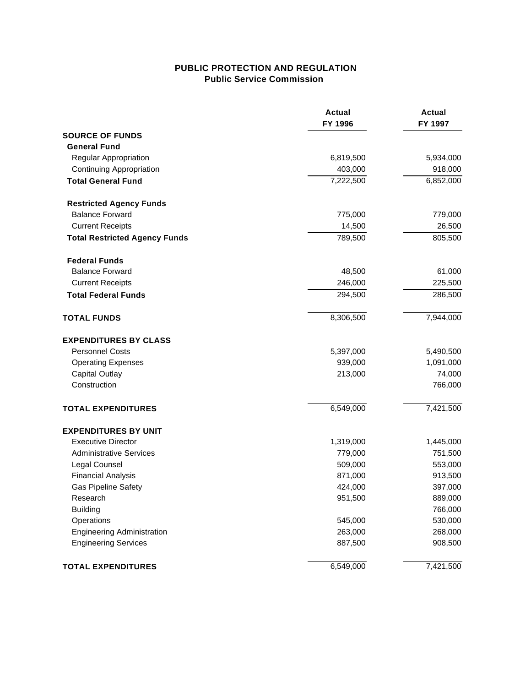## **PUBLIC PROTECTION AND REGULATION Public Service Commission**

|                                      | <b>Actual</b><br>FY 1996 | <b>Actual</b><br>FY 1997 |
|--------------------------------------|--------------------------|--------------------------|
| <b>SOURCE OF FUNDS</b>               |                          |                          |
| <b>General Fund</b>                  |                          |                          |
| Regular Appropriation                | 6,819,500                | 5,934,000                |
| Continuing Appropriation             | 403,000                  | 918,000                  |
| <b>Total General Fund</b>            | 7,222,500                | 6,852,000                |
| <b>Restricted Agency Funds</b>       |                          |                          |
| <b>Balance Forward</b>               | 775,000                  | 779,000                  |
| <b>Current Receipts</b>              | 14,500                   | 26,500                   |
| <b>Total Restricted Agency Funds</b> | 789,500                  | 805,500                  |
| <b>Federal Funds</b>                 |                          |                          |
| <b>Balance Forward</b>               | 48,500                   | 61,000                   |
| <b>Current Receipts</b>              | 246,000                  | 225,500                  |
| <b>Total Federal Funds</b>           | 294,500                  | 286,500                  |
| <b>TOTAL FUNDS</b>                   | 8,306,500                | 7,944,000                |
| <b>EXPENDITURES BY CLASS</b>         |                          |                          |
| <b>Personnel Costs</b>               | 5,397,000                | 5,490,500                |
| <b>Operating Expenses</b>            | 939,000                  | 1,091,000                |
| <b>Capital Outlay</b>                | 213,000                  | 74,000                   |
| Construction                         |                          | 766,000                  |
| <b>TOTAL EXPENDITURES</b>            | 6,549,000                | 7,421,500                |
| <b>EXPENDITURES BY UNIT</b>          |                          |                          |
| <b>Executive Director</b>            | 1,319,000                | 1,445,000                |
| <b>Administrative Services</b>       | 779,000                  | 751,500                  |
| Legal Counsel                        | 509,000                  | 553,000                  |
| <b>Financial Analysis</b>            | 871,000                  | 913,500                  |
| <b>Gas Pipeline Safety</b>           | 424,000                  | 397,000                  |
| Research                             | 951,500                  | 889,000                  |
| <b>Building</b>                      |                          | 766,000                  |
| Operations                           | 545,000                  | 530,000                  |
| <b>Engineering Administration</b>    | 263,000                  | 268,000                  |
| <b>Engineering Services</b>          | 887,500                  | 908,500                  |
| <b>TOTAL EXPENDITURES</b>            | 6,549,000                | 7,421,500                |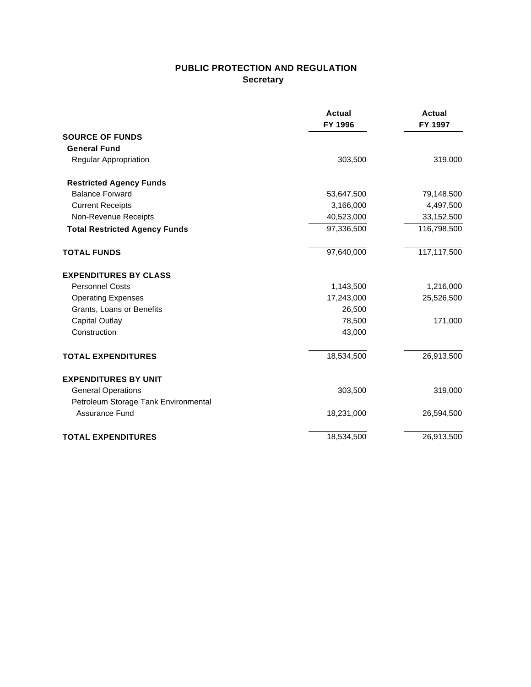# **PUBLIC PROTECTION AND REGULATION Secretary**

|                                      | <b>Actual</b><br>FY 1996 | <b>Actual</b><br>FY 1997 |
|--------------------------------------|--------------------------|--------------------------|
| <b>SOURCE OF FUNDS</b>               |                          |                          |
| <b>General Fund</b>                  |                          |                          |
| Regular Appropriation                | 303,500                  | 319,000                  |
| <b>Restricted Agency Funds</b>       |                          |                          |
| <b>Balance Forward</b>               | 53,647,500               | 79,148,500               |
| <b>Current Receipts</b>              | 3,166,000                | 4,497,500                |
| Non-Revenue Receipts                 | 40,523,000               | 33,152,500               |
| <b>Total Restricted Agency Funds</b> | 97,336,500               | 116,798,500              |
| <b>TOTAL FUNDS</b>                   | 97,640,000               | 117,117,500              |
| <b>EXPENDITURES BY CLASS</b>         |                          |                          |
| <b>Personnel Costs</b>               | 1,143,500                | 1,216,000                |
| <b>Operating Expenses</b>            | 17,243,000               | 25,526,500               |
| Grants, Loans or Benefits            | 26,500                   |                          |
| <b>Capital Outlay</b>                | 78,500                   | 171,000                  |
| Construction                         | 43,000                   |                          |
| <b>TOTAL EXPENDITURES</b>            | 18,534,500               | 26,913,500               |
| <b>EXPENDITURES BY UNIT</b>          |                          |                          |
| <b>General Operations</b>            | 303,500                  | 319,000                  |
| Petroleum Storage Tank Environmental |                          |                          |
| <b>Assurance Fund</b>                | 18,231,000               | 26,594,500               |
| <b>TOTAL EXPENDITURES</b>            | 18,534,500               | 26,913,500               |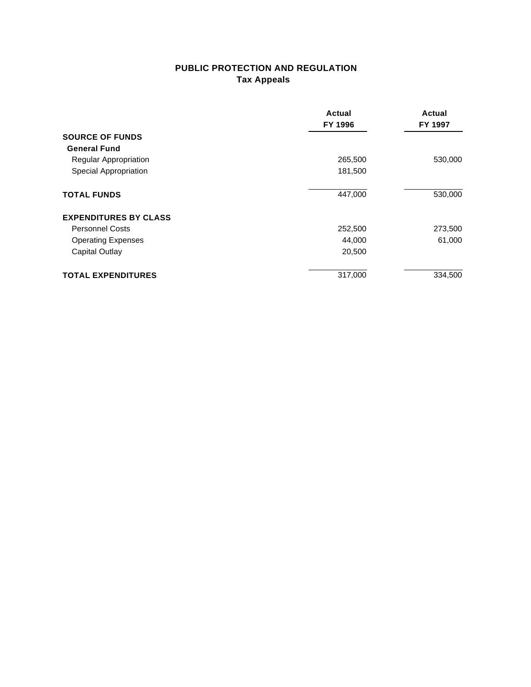# **PUBLIC PROTECTION AND REGULATION Tax Appeals**

|                                                                                     | Actual<br>FY 1996<br>265,500<br>181,500 | Actual<br>FY 1997<br>530,000 |                              |         |         |
|-------------------------------------------------------------------------------------|-----------------------------------------|------------------------------|------------------------------|---------|---------|
| <b>SOURCE OF FUNDS</b>                                                              |                                         |                              |                              |         |         |
| <b>General Fund</b><br><b>Regular Appropriation</b><br><b>Special Appropriation</b> |                                         |                              |                              |         |         |
|                                                                                     |                                         |                              | <b>TOTAL FUNDS</b>           | 447,000 | 530,000 |
|                                                                                     |                                         |                              | <b>EXPENDITURES BY CLASS</b> |         |         |
| <b>Personnel Costs</b>                                                              | 252,500                                 | 273,500                      |                              |         |         |
| <b>Operating Expenses</b>                                                           | 44,000                                  | 61,000                       |                              |         |         |
| Capital Outlay                                                                      | 20,500                                  |                              |                              |         |         |
| <b>TOTAL EXPENDITURES</b>                                                           | 317,000                                 | 334,500                      |                              |         |         |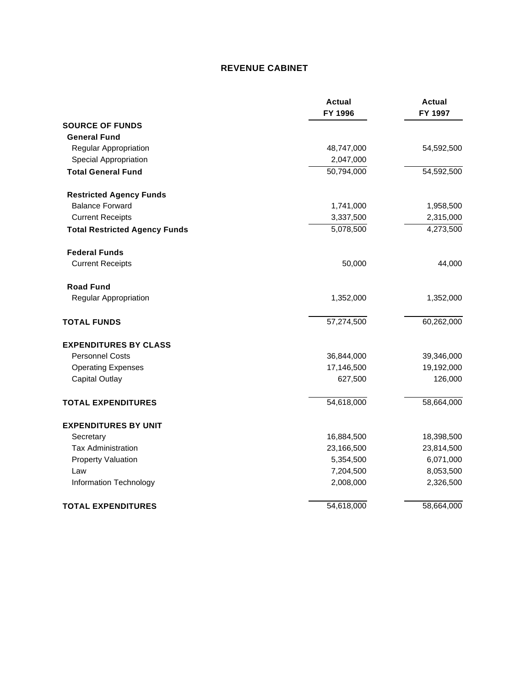# **REVENUE CABINET**

|                                      | <b>Actual</b><br>FY 1996 | <b>Actual</b><br>FY 1997 |
|--------------------------------------|--------------------------|--------------------------|
| <b>SOURCE OF FUNDS</b>               |                          |                          |
| <b>General Fund</b>                  |                          |                          |
| <b>Regular Appropriation</b>         | 48,747,000               | 54,592,500               |
| <b>Special Appropriation</b>         | 2,047,000                |                          |
| <b>Total General Fund</b>            | 50,794,000               | 54,592,500               |
| <b>Restricted Agency Funds</b>       |                          |                          |
| <b>Balance Forward</b>               | 1,741,000                | 1,958,500                |
| <b>Current Receipts</b>              | 3,337,500                | 2,315,000                |
| <b>Total Restricted Agency Funds</b> | 5,078,500                | 4,273,500                |
| <b>Federal Funds</b>                 |                          |                          |
| <b>Current Receipts</b>              | 50,000                   | 44,000                   |
| <b>Road Fund</b>                     |                          |                          |
| Regular Appropriation                | 1,352,000                | 1,352,000                |
| <b>TOTAL FUNDS</b>                   | 57,274,500               | 60,262,000               |
| <b>EXPENDITURES BY CLASS</b>         |                          |                          |
| <b>Personnel Costs</b>               | 36,844,000               | 39,346,000               |
| <b>Operating Expenses</b>            | 17,146,500               | 19,192,000               |
| <b>Capital Outlay</b>                | 627,500                  | 126,000                  |
| <b>TOTAL EXPENDITURES</b>            | 54,618,000               | 58,664,000               |
| <b>EXPENDITURES BY UNIT</b>          |                          |                          |
| Secretary                            | 16,884,500               | 18,398,500               |
| <b>Tax Administration</b>            | 23,166,500               | 23,814,500               |
| <b>Property Valuation</b>            | 5,354,500                | 6,071,000                |
| Law                                  | 7,204,500                | 8,053,500                |
| Information Technology               | 2,008,000                | 2,326,500                |
| <b>TOTAL EXPENDITURES</b>            | 54,618,000               | 58,664,000               |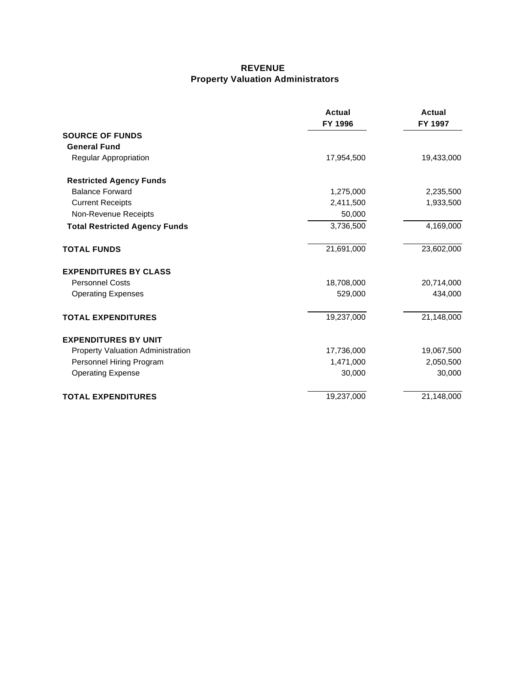#### **REVENUE Property Valuation Administrators**

|                                          | Actual<br>FY 1996 | <b>Actual</b><br>FY 1997 |
|------------------------------------------|-------------------|--------------------------|
| <b>SOURCE OF FUNDS</b>                   |                   |                          |
| <b>General Fund</b>                      |                   |                          |
| <b>Regular Appropriation</b>             | 17,954,500        | 19,433,000               |
| <b>Restricted Agency Funds</b>           |                   |                          |
| <b>Balance Forward</b>                   | 1,275,000         | 2,235,500                |
| <b>Current Receipts</b>                  | 2,411,500         | 1,933,500                |
| Non-Revenue Receipts                     | 50,000            |                          |
| <b>Total Restricted Agency Funds</b>     | 3,736,500         | 4,169,000                |
| <b>TOTAL FUNDS</b>                       | 21,691,000        | 23,602,000               |
| <b>EXPENDITURES BY CLASS</b>             |                   |                          |
| <b>Personnel Costs</b>                   | 18,708,000        | 20,714,000               |
| <b>Operating Expenses</b>                | 529,000           | 434,000                  |
| <b>TOTAL EXPENDITURES</b>                | 19,237,000        | 21,148,000               |
| <b>EXPENDITURES BY UNIT</b>              |                   |                          |
| <b>Property Valuation Administration</b> | 17,736,000        | 19,067,500               |
| Personnel Hiring Program                 | 1,471,000         | 2,050,500                |
| <b>Operating Expense</b>                 | 30,000            | 30,000                   |
| <b>TOTAL EXPENDITURES</b>                | 19,237,000        | 21,148,000               |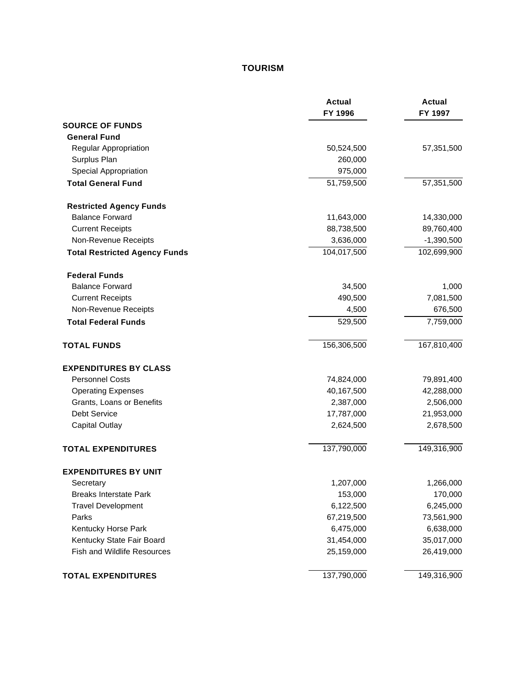# **TOURISM**

|                                      | <b>Actual</b><br>FY 1996 | <b>Actual</b><br>FY 1997 |
|--------------------------------------|--------------------------|--------------------------|
| <b>SOURCE OF FUNDS</b>               |                          |                          |
| <b>General Fund</b>                  |                          |                          |
| Regular Appropriation                | 50,524,500               | 57,351,500               |
| Surplus Plan                         | 260,000                  |                          |
| Special Appropriation                | 975,000                  |                          |
| <b>Total General Fund</b>            | 51,759,500               | 57,351,500               |
| <b>Restricted Agency Funds</b>       |                          |                          |
| <b>Balance Forward</b>               | 11,643,000               | 14,330,000               |
| <b>Current Receipts</b>              | 88,738,500               | 89,760,400               |
| Non-Revenue Receipts                 | 3,636,000                | $-1,390,500$             |
| <b>Total Restricted Agency Funds</b> | 104,017,500              | 102,699,900              |
| <b>Federal Funds</b>                 |                          |                          |
| <b>Balance Forward</b>               | 34,500                   | 1,000                    |
| <b>Current Receipts</b>              | 490,500                  | 7,081,500                |
| Non-Revenue Receipts                 | 4,500                    | 676,500                  |
| <b>Total Federal Funds</b>           | 529,500                  | 7,759,000                |
| <b>TOTAL FUNDS</b>                   | 156,306,500              | 167,810,400              |
| <b>EXPENDITURES BY CLASS</b>         |                          |                          |
| <b>Personnel Costs</b>               | 74,824,000               | 79,891,400               |
| <b>Operating Expenses</b>            | 40,167,500               | 42,288,000               |
| Grants, Loans or Benefits            | 2,387,000                | 2,506,000                |
| Debt Service                         | 17,787,000               | 21,953,000               |
| Capital Outlay                       | 2,624,500                | 2,678,500                |
| <b>TOTAL EXPENDITURES</b>            | 137,790,000              | 149,316,900              |
| <b>EXPENDITURES BY UNIT</b>          |                          |                          |
| Secretary                            | 1,207,000                | 1,266,000                |
| <b>Breaks Interstate Park</b>        | 153,000                  | 170,000                  |
| <b>Travel Development</b>            | 6,122,500                | 6,245,000                |
| Parks                                | 67,219,500               | 73,561,900               |
| Kentucky Horse Park                  | 6,475,000                | 6,638,000                |
| Kentucky State Fair Board            | 31,454,000               | 35,017,000               |
| <b>Fish and Wildlife Resources</b>   | 25,159,000               | 26,419,000               |
| <b>TOTAL EXPENDITURES</b>            | 137,790,000              | 149,316,900              |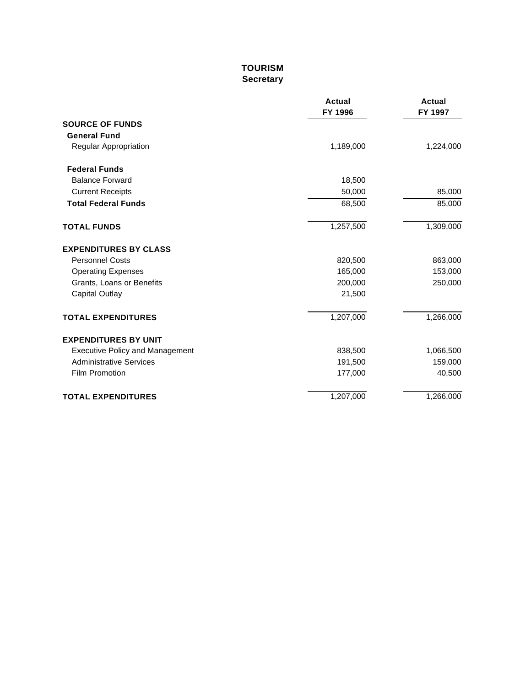# **TOURISM Secretary**

|                                        | <b>Actual</b><br>FY 1996 | <b>Actual</b><br>FY 1997 |
|----------------------------------------|--------------------------|--------------------------|
| <b>SOURCE OF FUNDS</b>                 |                          |                          |
| <b>General Fund</b>                    |                          |                          |
| Regular Appropriation                  | 1,189,000                | 1,224,000                |
| <b>Federal Funds</b>                   |                          |                          |
| <b>Balance Forward</b>                 | 18,500                   |                          |
| <b>Current Receipts</b>                | 50,000                   | 85,000                   |
| <b>Total Federal Funds</b>             | 68,500                   | 85,000                   |
| <b>TOTAL FUNDS</b>                     | 1,257,500                | 1,309,000                |
| <b>EXPENDITURES BY CLASS</b>           |                          |                          |
| <b>Personnel Costs</b>                 | 820,500                  | 863,000                  |
| <b>Operating Expenses</b>              | 165,000                  | 153,000                  |
| Grants, Loans or Benefits              | 200,000                  | 250,000                  |
| <b>Capital Outlay</b>                  | 21,500                   |                          |
| <b>TOTAL EXPENDITURES</b>              | 1,207,000                | 1,266,000                |
| <b>EXPENDITURES BY UNIT</b>            |                          |                          |
| <b>Executive Policy and Management</b> | 838,500                  | 1,066,500                |
| <b>Administrative Services</b>         | 191,500                  | 159,000                  |
| <b>Film Promotion</b>                  | 177,000                  | 40,500                   |
| <b>TOTAL EXPENDITURES</b>              | 1,207,000                | 1,266,000                |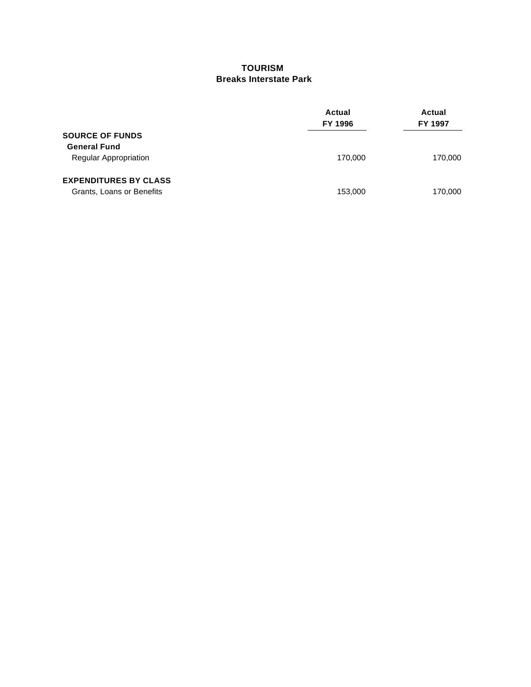#### **TOURISM Breaks Interstate Park**

|                                                           | Actual<br>FY 1996 | Actual<br>FY 1997 |
|-----------------------------------------------------------|-------------------|-------------------|
| <b>SOURCE OF FUNDS</b>                                    |                   |                   |
| <b>General Fund</b><br><b>Regular Appropriation</b>       | 170,000           | 170,000           |
| <b>EXPENDITURES BY CLASS</b><br>Grants, Loans or Benefits | 153,000           | 170,000           |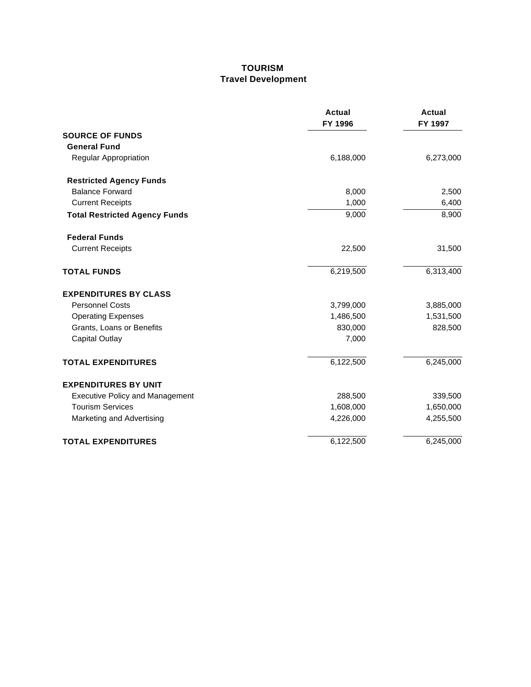#### **TOURISM Travel Development**

|                                        | Actual<br>FY 1996 | <b>Actual</b><br>FY 1997 |
|----------------------------------------|-------------------|--------------------------|
| <b>SOURCE OF FUNDS</b>                 |                   |                          |
| <b>General Fund</b>                    |                   |                          |
| <b>Regular Appropriation</b>           | 6,188,000         | 6,273,000                |
| <b>Restricted Agency Funds</b>         |                   |                          |
| <b>Balance Forward</b>                 | 8,000             | 2,500                    |
| <b>Current Receipts</b>                | 1,000             | 6,400                    |
| <b>Total Restricted Agency Funds</b>   | 9,000             | 8,900                    |
| <b>Federal Funds</b>                   |                   |                          |
| <b>Current Receipts</b>                | 22,500            | 31,500                   |
| <b>TOTAL FUNDS</b>                     | 6,219,500         | 6,313,400                |
| <b>EXPENDITURES BY CLASS</b>           |                   |                          |
| <b>Personnel Costs</b>                 | 3,799,000         | 3,885,000                |
| <b>Operating Expenses</b>              | 1,486,500         | 1,531,500                |
| Grants, Loans or Benefits              | 830,000           | 828,500                  |
| <b>Capital Outlay</b>                  | 7,000             |                          |
| <b>TOTAL EXPENDITURES</b>              | 6,122,500         | 6,245,000                |
| <b>EXPENDITURES BY UNIT</b>            |                   |                          |
| <b>Executive Policy and Management</b> | 288,500           | 339,500                  |
| <b>Tourism Services</b>                | 1,608,000         | 1,650,000                |
| Marketing and Advertising              | 4,226,000         | 4,255,500                |
| <b>TOTAL EXPENDITURES</b>              | 6,122,500         | 6,245,000                |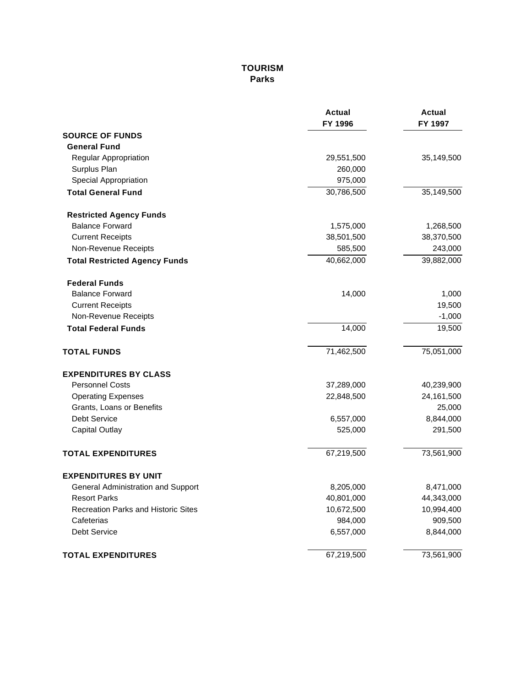# **TOURISM Parks**

|                                            | Actual<br>FY 1996 | <b>Actual</b><br>FY 1997 |
|--------------------------------------------|-------------------|--------------------------|
| <b>SOURCE OF FUNDS</b>                     |                   |                          |
| <b>General Fund</b>                        |                   |                          |
| Regular Appropriation                      | 29,551,500        | 35,149,500               |
| Surplus Plan                               | 260,000           |                          |
| Special Appropriation                      | 975,000           |                          |
| <b>Total General Fund</b>                  | 30,786,500        | 35,149,500               |
| <b>Restricted Agency Funds</b>             |                   |                          |
| <b>Balance Forward</b>                     | 1,575,000         | 1,268,500                |
| <b>Current Receipts</b>                    | 38,501,500        | 38,370,500               |
| Non-Revenue Receipts                       | 585,500           | 243,000                  |
| <b>Total Restricted Agency Funds</b>       | 40,662,000        | 39,882,000               |
| <b>Federal Funds</b>                       |                   |                          |
| <b>Balance Forward</b>                     | 14,000            | 1,000                    |
| <b>Current Receipts</b>                    |                   | 19,500                   |
| Non-Revenue Receipts                       |                   | $-1,000$                 |
| <b>Total Federal Funds</b>                 | 14,000            | 19,500                   |
| <b>TOTAL FUNDS</b>                         | 71,462,500        | 75,051,000               |
| <b>EXPENDITURES BY CLASS</b>               |                   |                          |
| <b>Personnel Costs</b>                     | 37,289,000        | 40,239,900               |
| <b>Operating Expenses</b>                  | 22,848,500        | 24, 161, 500             |
| Grants, Loans or Benefits                  |                   | 25,000                   |
| Debt Service                               | 6,557,000         | 8,844,000                |
| Capital Outlay                             | 525,000           | 291,500                  |
| <b>TOTAL EXPENDITURES</b>                  | 67,219,500        | 73,561,900               |
| <b>EXPENDITURES BY UNIT</b>                |                   |                          |
| General Administration and Support         | 8,205,000         | 8,471,000                |
| <b>Resort Parks</b>                        | 40,801,000        | 44,343,000               |
| <b>Recreation Parks and Historic Sites</b> | 10,672,500        | 10,994,400               |
| Cafeterias                                 | 984,000           | 909,500                  |
| <b>Debt Service</b>                        | 6,557,000         | 8,844,000                |
| <b>TOTAL EXPENDITURES</b>                  | 67,219,500        | 73,561,900               |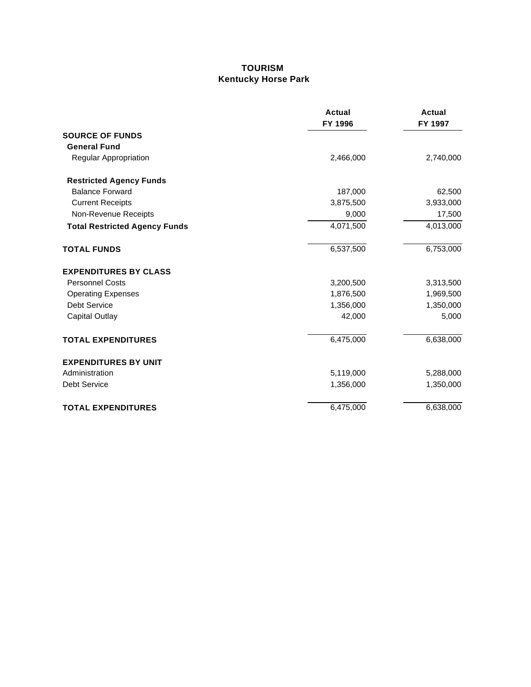#### **TOURISM Kentucky Horse Park**

|                                      | <b>Actual</b><br>FY 1996 | <b>Actual</b><br>FY 1997 |
|--------------------------------------|--------------------------|--------------------------|
| <b>SOURCE OF FUNDS</b>               |                          |                          |
| <b>General Fund</b>                  |                          |                          |
| Regular Appropriation                | 2,466,000                | 2,740,000                |
| <b>Restricted Agency Funds</b>       |                          |                          |
| <b>Balance Forward</b>               | 187,000                  | 62,500                   |
| <b>Current Receipts</b>              | 3,875,500                | 3,933,000                |
| Non-Revenue Receipts                 | 9,000                    | 17,500                   |
| <b>Total Restricted Agency Funds</b> | 4,071,500                | 4,013,000                |
| <b>TOTAL FUNDS</b>                   | 6,537,500                | 6,753,000                |
| <b>EXPENDITURES BY CLASS</b>         |                          |                          |
| <b>Personnel Costs</b>               | 3,200,500                | 3,313,500                |
| <b>Operating Expenses</b>            | 1,876,500                | 1,969,500                |
| <b>Debt Service</b>                  | 1,356,000                | 1,350,000                |
| <b>Capital Outlay</b>                | 42,000                   | 5,000                    |
| <b>TOTAL EXPENDITURES</b>            | 6,475,000                | 6,638,000                |
| <b>EXPENDITURES BY UNIT</b>          |                          |                          |
| Administration                       | 5,119,000                | 5,288,000                |
| <b>Debt Service</b>                  | 1,356,000                | 1,350,000                |
| <b>TOTAL EXPENDITURES</b>            | 6,475,000                | 6,638,000                |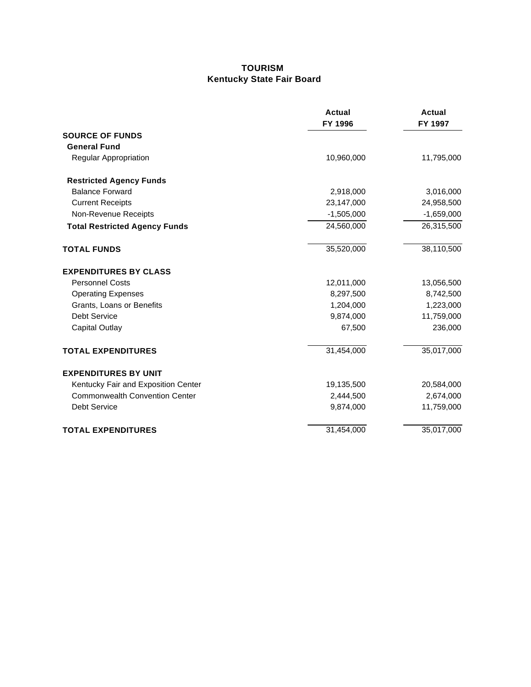## **TOURISM Kentucky State Fair Board**

|                                       | <b>Actual</b><br>FY 1996 | <b>Actual</b><br>FY 1997 |
|---------------------------------------|--------------------------|--------------------------|
| <b>SOURCE OF FUNDS</b>                |                          |                          |
| <b>General Fund</b>                   |                          |                          |
| Regular Appropriation                 | 10,960,000               | 11,795,000               |
| <b>Restricted Agency Funds</b>        |                          |                          |
| <b>Balance Forward</b>                | 2,918,000                | 3,016,000                |
| <b>Current Receipts</b>               | 23,147,000               | 24,958,500               |
| Non-Revenue Receipts                  | $-1,505,000$             | $-1,659,000$             |
| <b>Total Restricted Agency Funds</b>  | 24,560,000               | 26,315,500               |
| <b>TOTAL FUNDS</b>                    | 35,520,000               | 38,110,500               |
| <b>EXPENDITURES BY CLASS</b>          |                          |                          |
| <b>Personnel Costs</b>                | 12,011,000               | 13,056,500               |
| <b>Operating Expenses</b>             | 8,297,500                | 8,742,500                |
| Grants, Loans or Benefits             | 1,204,000                | 1,223,000                |
| <b>Debt Service</b>                   | 9,874,000                | 11,759,000               |
| <b>Capital Outlay</b>                 | 67,500                   | 236,000                  |
| <b>TOTAL EXPENDITURES</b>             | 31,454,000               | 35,017,000               |
| <b>EXPENDITURES BY UNIT</b>           |                          |                          |
| Kentucky Fair and Exposition Center   | 19,135,500               | 20,584,000               |
| <b>Commonwealth Convention Center</b> | 2,444,500                | 2,674,000                |
| <b>Debt Service</b>                   | 9,874,000                | 11,759,000               |
| <b>TOTAL EXPENDITURES</b>             | 31,454,000               | 35,017,000               |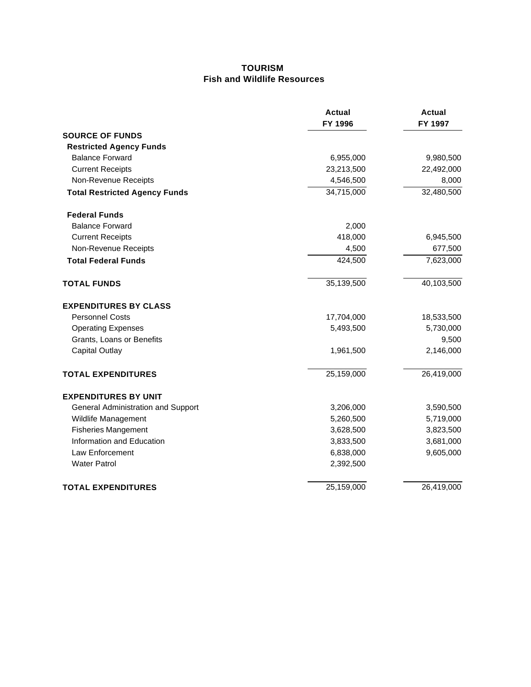#### **TOURISM Fish and Wildlife Resources**

|                                      | <b>Actual</b><br>FY 1996 | <b>Actual</b><br>FY 1997 |
|--------------------------------------|--------------------------|--------------------------|
| <b>SOURCE OF FUNDS</b>               |                          |                          |
| <b>Restricted Agency Funds</b>       |                          |                          |
| <b>Balance Forward</b>               | 6,955,000                | 9,980,500                |
| <b>Current Receipts</b>              | 23,213,500               | 22,492,000               |
| Non-Revenue Receipts                 | 4,546,500                | 8,000                    |
| <b>Total Restricted Agency Funds</b> | $\overline{34,}715,000$  | 32,480,500               |
| <b>Federal Funds</b>                 |                          |                          |
| <b>Balance Forward</b>               | 2,000                    |                          |
| <b>Current Receipts</b>              | 418,000                  | 6,945,500                |
| Non-Revenue Receipts                 | 4,500                    | 677,500                  |
| <b>Total Federal Funds</b>           | 424,500                  | 7,623,000                |
| <b>TOTAL FUNDS</b>                   | 35,139,500               | 40,103,500               |
| <b>EXPENDITURES BY CLASS</b>         |                          |                          |
| <b>Personnel Costs</b>               | 17,704,000               | 18,533,500               |
| <b>Operating Expenses</b>            | 5,493,500                | 5,730,000                |
| Grants, Loans or Benefits            |                          | 9,500                    |
| <b>Capital Outlay</b>                | 1,961,500                | 2,146,000                |
| <b>TOTAL EXPENDITURES</b>            | 25,159,000               | 26,419,000               |
| <b>EXPENDITURES BY UNIT</b>          |                          |                          |
| General Administration and Support   | 3,206,000                | 3,590,500                |
| Wildlife Management                  | 5,260,500                | 5,719,000                |
| <b>Fisheries Mangement</b>           | 3,628,500                | 3,823,500                |
| Information and Education            | 3,833,500                | 3,681,000                |
| <b>Law Enforcement</b>               | 6,838,000                | 9,605,000                |
| <b>Water Patrol</b>                  | 2,392,500                |                          |
| <b>TOTAL EXPENDITURES</b>            | 25,159,000               | 26,419,000               |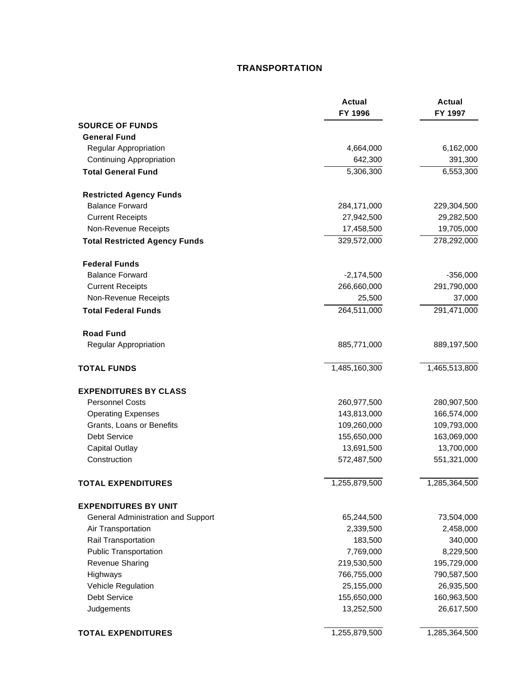## **TRANSPORTATION**

|                                      | <b>Actual</b><br>FY 1996 | <b>Actual</b><br>FY 1997 |
|--------------------------------------|--------------------------|--------------------------|
| <b>SOURCE OF FUNDS</b>               |                          |                          |
| <b>General Fund</b>                  |                          |                          |
| Regular Appropriation                | 4,664,000                | 6,162,000                |
| <b>Continuing Appropriation</b>      | 642,300                  | 391,300                  |
| <b>Total General Fund</b>            | 5,306,300                | 6,553,300                |
| <b>Restricted Agency Funds</b>       |                          |                          |
| <b>Balance Forward</b>               | 284,171,000              | 229,304,500              |
| <b>Current Receipts</b>              | 27,942,500               | 29,282,500               |
| Non-Revenue Receipts                 | 17,458,500               | 19,705,000               |
| <b>Total Restricted Agency Funds</b> | 329,572,000              | 278,292,000              |
| <b>Federal Funds</b>                 |                          |                          |
| <b>Balance Forward</b>               | $-2,174,500$             | $-356,000$               |
| <b>Current Receipts</b>              | 266,660,000              | 291,790,000              |
| Non-Revenue Receipts                 | 25,500                   | 37,000                   |
| <b>Total Federal Funds</b>           | 264,511,000              | 291,471,000              |
| <b>Road Fund</b>                     |                          |                          |
| Regular Appropriation                | 885,771,000              | 889,197,500              |
| <b>TOTAL FUNDS</b>                   | 1,485,160,300            | 1,465,513,800            |
| <b>EXPENDITURES BY CLASS</b>         |                          |                          |
| <b>Personnel Costs</b>               | 260,977,500              | 280,907,500              |
| <b>Operating Expenses</b>            | 143,813,000              | 166,574,000              |
| Grants, Loans or Benefits            | 109,260,000              | 109,793,000              |
| <b>Debt Service</b>                  | 155,650,000              | 163,069,000              |
| <b>Capital Outlay</b>                | 13,691,500               | 13,700,000               |
| Construction                         | 572,487,500              | 551,321,000              |
| <b>TOTAL EXPENDITURES</b>            | 1,255,879,500            | 1,285,364,500            |
| <b>EXPENDITURES BY UNIT</b>          |                          |                          |
| General Administration and Support   | 65,244,500               | 73,504,000               |
| Air Transportation                   | 2,339,500                | 2,458,000                |
| Rail Transportation                  | 183,500                  | 340,000                  |
| <b>Public Transportation</b>         | 7,769,000                | 8,229,500                |
| Revenue Sharing                      | 219,530,500              | 195,729,000              |
| Highways                             | 766,755,000              | 790,587,500              |
| <b>Vehicle Regulation</b>            | 25,155,000               | 26,935,500               |
| Debt Service                         | 155,650,000              | 160,963,500              |
| Judgements                           | 13,252,500               | 26,617,500               |
| <b>TOTAL EXPENDITURES</b>            | 1,255,879,500            | 1,285,364,500            |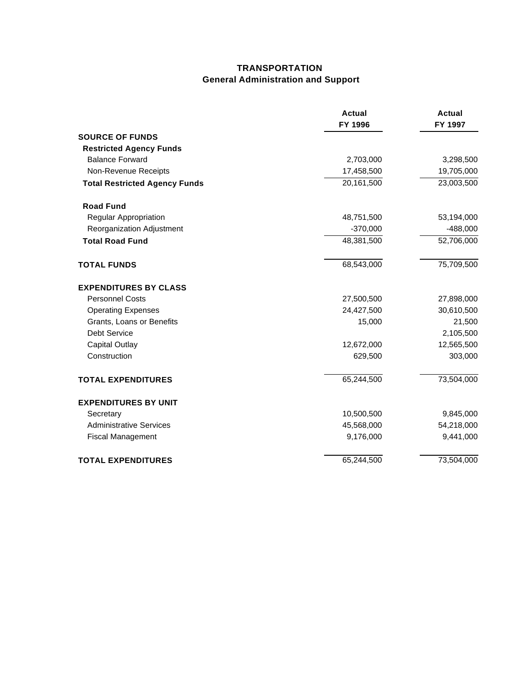# **TRANSPORTATION General Administration and Support**

|                                      | <b>Actual</b><br>FY 1996 | <b>Actual</b><br>FY 1997 |
|--------------------------------------|--------------------------|--------------------------|
| <b>SOURCE OF FUNDS</b>               |                          |                          |
| <b>Restricted Agency Funds</b>       |                          |                          |
| <b>Balance Forward</b>               | 2,703,000                | 3,298,500                |
| Non-Revenue Receipts                 | 17,458,500               | 19,705,000               |
| <b>Total Restricted Agency Funds</b> | 20,161,500               | 23,003,500               |
| <b>Road Fund</b>                     |                          |                          |
| Regular Appropriation                | 48,751,500               | 53,194,000               |
| Reorganization Adjustment            | $-370,000$               | $-488,000$               |
| <b>Total Road Fund</b>               | 48,381,500               | 52,706,000               |
| <b>TOTAL FUNDS</b>                   | 68,543,000               | 75,709,500               |
| <b>EXPENDITURES BY CLASS</b>         |                          |                          |
| <b>Personnel Costs</b>               | 27,500,500               | 27,898,000               |
| <b>Operating Expenses</b>            | 24,427,500               | 30,610,500               |
| Grants, Loans or Benefits            | 15,000                   | 21,500                   |
| <b>Debt Service</b>                  |                          | 2,105,500                |
| <b>Capital Outlay</b>                | 12,672,000               | 12,565,500               |
| Construction                         | 629,500                  | 303,000                  |
| <b>TOTAL EXPENDITURES</b>            | 65,244,500               | 73,504,000               |
| <b>EXPENDITURES BY UNIT</b>          |                          |                          |
| Secretary                            | 10,500,500               | 9,845,000                |
| <b>Administrative Services</b>       | 45,568,000               | 54,218,000               |
| <b>Fiscal Management</b>             | 9,176,000                | 9,441,000                |
| <b>TOTAL EXPENDITURES</b>            | 65,244,500               | 73,504,000               |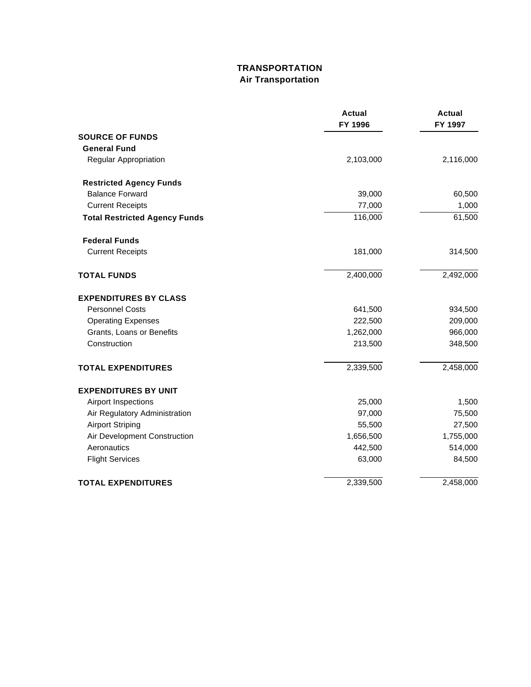# **TRANSPORTATION Air Transportation**

|                                      | <b>Actual</b><br>FY 1996 | <b>Actual</b><br>FY 1997 |
|--------------------------------------|--------------------------|--------------------------|
| <b>SOURCE OF FUNDS</b>               |                          |                          |
| <b>General Fund</b>                  |                          |                          |
| Regular Appropriation                | 2,103,000                | 2,116,000                |
| <b>Restricted Agency Funds</b>       |                          |                          |
| <b>Balance Forward</b>               | 39,000                   | 60,500                   |
| <b>Current Receipts</b>              | 77,000                   | 1,000                    |
| <b>Total Restricted Agency Funds</b> | 116,000                  | 61,500                   |
| <b>Federal Funds</b>                 |                          |                          |
| <b>Current Receipts</b>              | 181,000                  | 314,500                  |
| <b>TOTAL FUNDS</b>                   | 2,400,000                | 2,492,000                |
| <b>EXPENDITURES BY CLASS</b>         |                          |                          |
| <b>Personnel Costs</b>               | 641,500                  | 934,500                  |
| <b>Operating Expenses</b>            | 222,500                  | 209,000                  |
| Grants, Loans or Benefits            | 1,262,000                | 966,000                  |
| Construction                         | 213,500                  | 348,500                  |
| <b>TOTAL EXPENDITURES</b>            | 2,339,500                | 2,458,000                |
| <b>EXPENDITURES BY UNIT</b>          |                          |                          |
| Airport Inspections                  | 25,000                   | 1,500                    |
| Air Regulatory Administration        | 97,000                   | 75,500                   |
| <b>Airport Striping</b>              | 55,500                   | 27,500                   |
| Air Development Construction         | 1,656,500                | 1,755,000                |
| Aeronautics                          | 442,500                  | 514,000                  |
| <b>Flight Services</b>               | 63,000                   | 84,500                   |
| <b>TOTAL EXPENDITURES</b>            | 2,339,500                | 2,458,000                |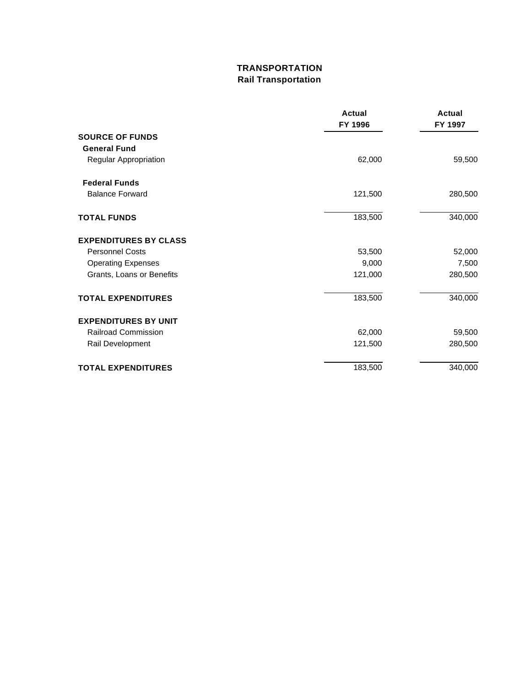# **TRANSPORTATION Rail Transportation**

|                              | <b>Actual</b><br>FY 1996 | <b>Actual</b><br>FY 1997 |
|------------------------------|--------------------------|--------------------------|
| <b>SOURCE OF FUNDS</b>       |                          |                          |
| <b>General Fund</b>          |                          |                          |
| Regular Appropriation        | 62,000                   | 59,500                   |
| <b>Federal Funds</b>         |                          |                          |
| <b>Balance Forward</b>       | 121,500                  | 280,500                  |
| <b>TOTAL FUNDS</b>           | 183,500                  | 340,000                  |
| <b>EXPENDITURES BY CLASS</b> |                          |                          |
| <b>Personnel Costs</b>       | 53,500                   | 52,000                   |
| <b>Operating Expenses</b>    | 9,000                    | 7,500                    |
| Grants, Loans or Benefits    | 121,000                  | 280,500                  |
| <b>TOTAL EXPENDITURES</b>    | 183,500                  | 340,000                  |
| <b>EXPENDITURES BY UNIT</b>  |                          |                          |
| <b>Railroad Commission</b>   | 62,000                   | 59,500                   |
| Rail Development             | 121,500                  | 280,500                  |
| <b>TOTAL EXPENDITURES</b>    | 183,500                  | 340,000                  |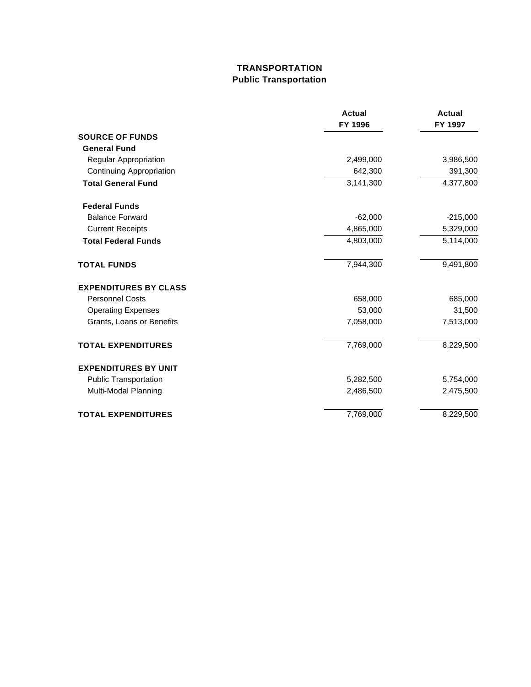# **TRANSPORTATION Public Transportation**

|                                 | <b>Actual</b><br>FY 1996 | Actual<br>FY 1997 |
|---------------------------------|--------------------------|-------------------|
| <b>SOURCE OF FUNDS</b>          |                          |                   |
| <b>General Fund</b>             |                          |                   |
| Regular Appropriation           | 2,499,000                | 3,986,500         |
| <b>Continuing Appropriation</b> | 642,300                  | 391,300           |
| <b>Total General Fund</b>       | 3,141,300                | 4,377,800         |
| <b>Federal Funds</b>            |                          |                   |
| <b>Balance Forward</b>          | $-62,000$                | $-215,000$        |
| <b>Current Receipts</b>         | 4,865,000                | 5,329,000         |
| <b>Total Federal Funds</b>      | 4,803,000                | 5,114,000         |
| <b>TOTAL FUNDS</b>              | 7,944,300                | 9,491,800         |
| <b>EXPENDITURES BY CLASS</b>    |                          |                   |
| <b>Personnel Costs</b>          | 658,000                  | 685,000           |
| <b>Operating Expenses</b>       | 53,000                   | 31,500            |
| Grants, Loans or Benefits       | 7,058,000                | 7,513,000         |
| <b>TOTAL EXPENDITURES</b>       | 7,769,000                | 8,229,500         |
| <b>EXPENDITURES BY UNIT</b>     |                          |                   |
| <b>Public Transportation</b>    | 5,282,500                | 5,754,000         |
| Multi-Modal Planning            | 2,486,500                | 2,475,500         |
| <b>TOTAL EXPENDITURES</b>       | 7,769,000                | 8,229,500         |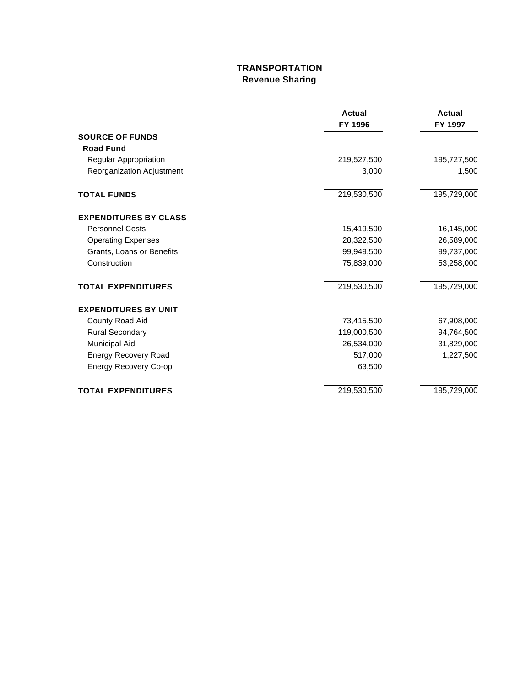# **TRANSPORTATION Revenue Sharing**

|                              | <b>Actual</b> | Actual      |
|------------------------------|---------------|-------------|
|                              | FY 1996       | FY 1997     |
| <b>SOURCE OF FUNDS</b>       |               |             |
| <b>Road Fund</b>             |               |             |
| Regular Appropriation        | 219,527,500   | 195,727,500 |
| Reorganization Adjustment    | 3,000         | 1,500       |
| <b>TOTAL FUNDS</b>           | 219,530,500   | 195,729,000 |
| <b>EXPENDITURES BY CLASS</b> |               |             |
| <b>Personnel Costs</b>       | 15,419,500    | 16,145,000  |
| <b>Operating Expenses</b>    | 28,322,500    | 26,589,000  |
| Grants, Loans or Benefits    | 99,949,500    | 99,737,000  |
| Construction                 | 75,839,000    | 53,258,000  |
| <b>TOTAL EXPENDITURES</b>    | 219,530,500   | 195,729,000 |
| <b>EXPENDITURES BY UNIT</b>  |               |             |
| County Road Aid              | 73,415,500    | 67,908,000  |
| <b>Rural Secondary</b>       | 119,000,500   | 94,764,500  |
| Municipal Aid                | 26,534,000    | 31,829,000  |
| <b>Energy Recovery Road</b>  | 517,000       | 1,227,500   |
| <b>Energy Recovery Co-op</b> | 63,500        |             |
| <b>TOTAL EXPENDITURES</b>    | 219,530,500   | 195,729,000 |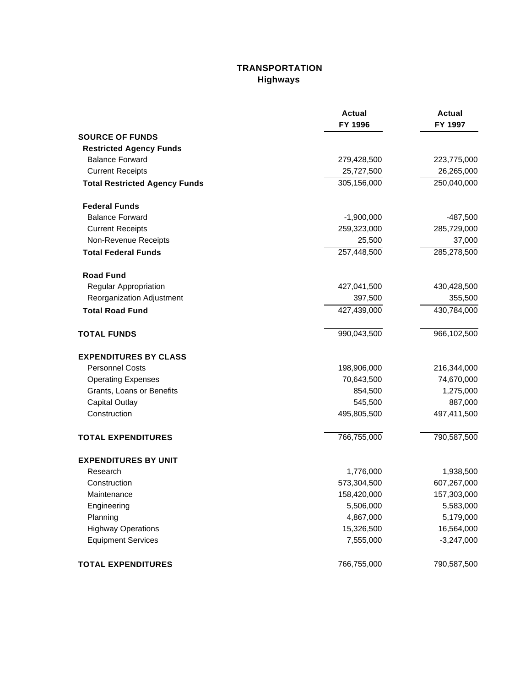# **TRANSPORTATION Highways**

|                                      | <b>Actual</b><br>FY 1996 | <b>Actual</b><br>FY 1997 |
|--------------------------------------|--------------------------|--------------------------|
| <b>SOURCE OF FUNDS</b>               |                          |                          |
| <b>Restricted Agency Funds</b>       |                          |                          |
| <b>Balance Forward</b>               | 279,428,500              | 223,775,000              |
| <b>Current Receipts</b>              | 25,727,500               | 26,265,000               |
| <b>Total Restricted Agency Funds</b> | 305,156,000              | 250,040,000              |
| <b>Federal Funds</b>                 |                          |                          |
| <b>Balance Forward</b>               | $-1,900,000$             | $-487,500$               |
| <b>Current Receipts</b>              | 259,323,000              | 285,729,000              |
| Non-Revenue Receipts                 | 25,500                   | 37,000                   |
| <b>Total Federal Funds</b>           | 257,448,500              | 285,278,500              |
| <b>Road Fund</b>                     |                          |                          |
| Regular Appropriation                | 427,041,500              | 430,428,500              |
| Reorganization Adjustment            | 397,500                  | 355,500                  |
| <b>Total Road Fund</b>               | 427,439,000              | 430,784,000              |
| <b>TOTAL FUNDS</b>                   | 990,043,500              | 966,102,500              |
| <b>EXPENDITURES BY CLASS</b>         |                          |                          |
| <b>Personnel Costs</b>               | 198,906,000              | 216,344,000              |
| <b>Operating Expenses</b>            | 70,643,500               | 74,670,000               |
| Grants, Loans or Benefits            | 854,500                  | 1,275,000                |
| <b>Capital Outlay</b>                | 545,500                  | 887,000                  |
| Construction                         | 495,805,500              | 497,411,500              |
| <b>TOTAL EXPENDITURES</b>            | 766,755,000              | 790,587,500              |
| <b>EXPENDITURES BY UNIT</b>          |                          |                          |
| Research                             | 1,776,000                | 1,938,500                |
| Construction                         | 573,304,500              | 607,267,000              |
| Maintenance                          | 158,420,000              | 157,303,000              |
| Engineering                          | 5,506,000                | 5,583,000                |
| Planning                             | 4,867,000                | 5,179,000                |
| <b>Highway Operations</b>            | 15,326,500               | 16,564,000               |
| <b>Equipment Services</b>            | 7,555,000                | $-3,247,000$             |
| <b>TOTAL EXPENDITURES</b>            | 766,755,000              | 790,587,500              |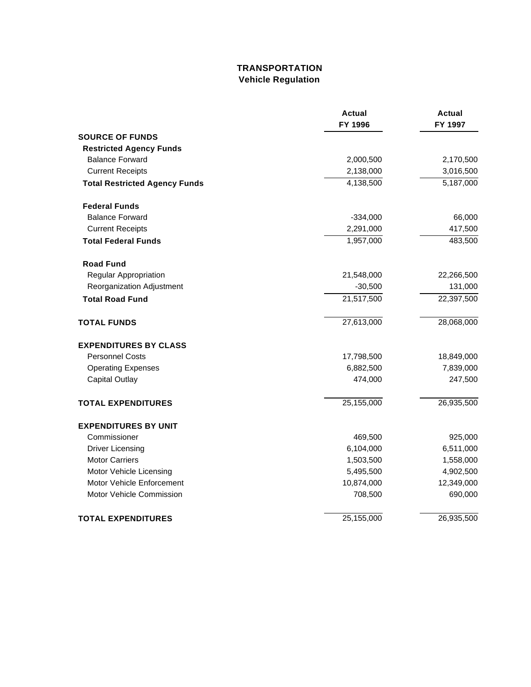# **TRANSPORTATION Vehicle Regulation**

|                                      | Actual<br>FY 1996 | Actual<br>FY 1997 |
|--------------------------------------|-------------------|-------------------|
| <b>SOURCE OF FUNDS</b>               |                   |                   |
| <b>Restricted Agency Funds</b>       |                   |                   |
| <b>Balance Forward</b>               | 2,000,500         | 2,170,500         |
| <b>Current Receipts</b>              | 2,138,000         | 3,016,500         |
| <b>Total Restricted Agency Funds</b> | 4,138,500         | 5,187,000         |
| <b>Federal Funds</b>                 |                   |                   |
| <b>Balance Forward</b>               | $-334,000$        | 66,000            |
| <b>Current Receipts</b>              | 2,291,000         | 417,500           |
| <b>Total Federal Funds</b>           | 1,957,000         | 483,500           |
| <b>Road Fund</b>                     |                   |                   |
| Regular Appropriation                | 21,548,000        | 22,266,500        |
| Reorganization Adjustment            | $-30,500$         | 131,000           |
| <b>Total Road Fund</b>               | 21,517,500        | 22,397,500        |
| <b>TOTAL FUNDS</b>                   | 27,613,000        | 28,068,000        |
| <b>EXPENDITURES BY CLASS</b>         |                   |                   |
| <b>Personnel Costs</b>               | 17,798,500        | 18,849,000        |
| <b>Operating Expenses</b>            | 6,882,500         | 7,839,000         |
| <b>Capital Outlay</b>                | 474,000           | 247,500           |
| <b>TOTAL EXPENDITURES</b>            | 25,155,000        | 26,935,500        |
| <b>EXPENDITURES BY UNIT</b>          |                   |                   |
| Commissioner                         | 469,500           | 925,000           |
| <b>Driver Licensing</b>              | 6,104,000         | 6,511,000         |
| <b>Motor Carriers</b>                | 1,503,500         | 1,558,000         |
| Motor Vehicle Licensing              | 5,495,500         | 4,902,500         |
| Motor Vehicle Enforcement            | 10,874,000        | 12,349,000        |
| Motor Vehicle Commission             | 708,500           | 690,000           |
| <b>TOTAL EXPENDITURES</b>            | 25,155,000        | 26,935,500        |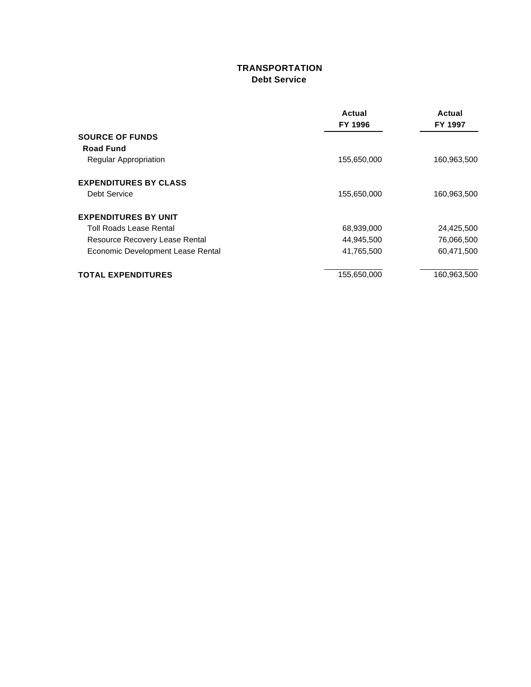## **TRANSPORTATION Debt Service**

|                                   | Actual      | Actual<br>FY 1997 |
|-----------------------------------|-------------|-------------------|
|                                   | FY 1996     |                   |
| <b>SOURCE OF FUNDS</b>            |             |                   |
| <b>Road Fund</b>                  |             |                   |
| <b>Regular Appropriation</b>      | 155,650,000 | 160,963,500       |
| <b>EXPENDITURES BY CLASS</b>      |             |                   |
| Debt Service                      | 155,650,000 | 160,963,500       |
| <b>EXPENDITURES BY UNIT</b>       |             |                   |
| Toll Roads Lease Rental           | 68,939,000  | 24,425,500        |
| Resource Recovery Lease Rental    | 44,945,500  | 76,066,500        |
| Economic Development Lease Rental | 41,765,500  | 60,471,500        |
| <b>TOTAL EXPENDITURES</b>         | 155,650,000 | 160,963,500       |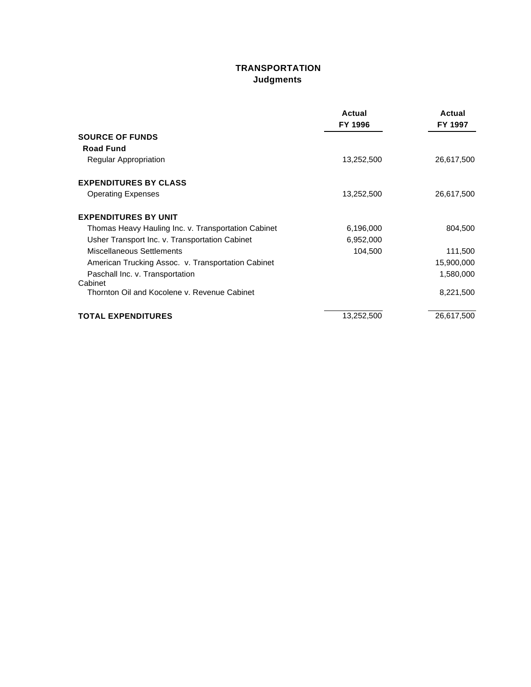# **TRANSPORTATION Judgments**

|                                                     | Actual<br>FY 1996 | Actual<br>FY 1997 |
|-----------------------------------------------------|-------------------|-------------------|
| <b>SOURCE OF FUNDS</b>                              |                   |                   |
| <b>Road Fund</b>                                    |                   |                   |
| Regular Appropriation                               | 13,252,500        | 26,617,500        |
| <b>EXPENDITURES BY CLASS</b>                        |                   |                   |
| <b>Operating Expenses</b>                           | 13,252,500        | 26,617,500        |
| <b>EXPENDITURES BY UNIT</b>                         |                   |                   |
| Thomas Heavy Hauling Inc. v. Transportation Cabinet | 6,196,000         | 804,500           |
| Usher Transport Inc. v. Transportation Cabinet      | 6,952,000         |                   |
| Miscellaneous Settlements                           | 104,500           | 111,500           |
| American Trucking Assoc. v. Transportation Cabinet  |                   | 15,900,000        |
| Paschall Inc. v. Transportation<br>Cabinet          |                   | 1,580,000         |
| Thornton Oil and Kocolene v. Revenue Cabinet        |                   | 8,221,500         |
| <b>TOTAL EXPENDITURES</b>                           | 13,252,500        | 26,617,500        |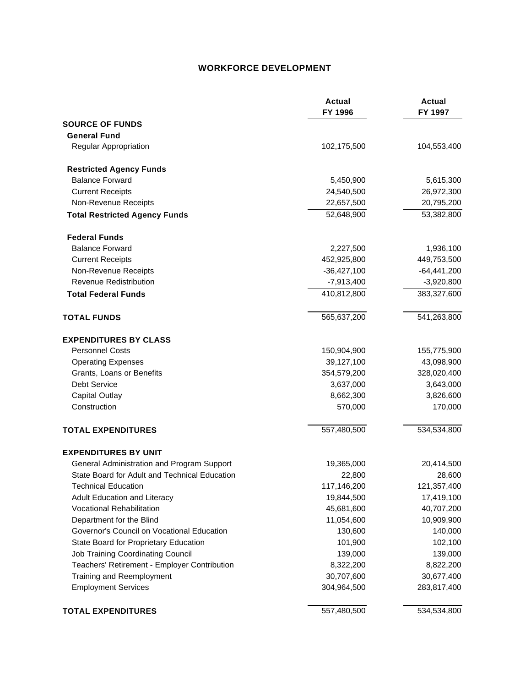### **WORKFORCE DEVELOPMENT**

|                                               | <b>Actual</b><br>FY 1996 | <b>Actual</b><br>FY 1997 |
|-----------------------------------------------|--------------------------|--------------------------|
| <b>SOURCE OF FUNDS</b>                        |                          |                          |
| <b>General Fund</b>                           |                          |                          |
| Regular Appropriation                         | 102,175,500              | 104,553,400              |
| <b>Restricted Agency Funds</b>                |                          |                          |
| <b>Balance Forward</b>                        | 5,450,900                | 5,615,300                |
| <b>Current Receipts</b>                       | 24,540,500               | 26,972,300               |
| Non-Revenue Receipts                          | 22,657,500               | 20,795,200               |
| <b>Total Restricted Agency Funds</b>          | 52,648,900               | 53,382,800               |
| <b>Federal Funds</b>                          |                          |                          |
| <b>Balance Forward</b>                        | 2,227,500                | 1,936,100                |
| <b>Current Receipts</b>                       | 452,925,800              | 449,753,500              |
| Non-Revenue Receipts                          | $-36,427,100$            | $-64,441,200$            |
| <b>Revenue Redistribution</b>                 | $-7,913,400$             | $-3,920,800$             |
| <b>Total Federal Funds</b>                    | 410,812,800              | 383,327,600              |
| <b>TOTAL FUNDS</b>                            | 565,637,200              | 541,263,800              |
| <b>EXPENDITURES BY CLASS</b>                  |                          |                          |
| <b>Personnel Costs</b>                        | 150,904,900              | 155,775,900              |
| <b>Operating Expenses</b>                     | 39,127,100               | 43,098,900               |
| Grants, Loans or Benefits                     | 354,579,200              | 328,020,400              |
| Debt Service                                  | 3,637,000                | 3,643,000                |
| <b>Capital Outlay</b>                         | 8,662,300                | 3,826,600                |
| Construction                                  | 570,000                  | 170,000                  |
| <b>TOTAL EXPENDITURES</b>                     | 557,480,500              | 534,534,800              |
| <b>EXPENDITURES BY UNIT</b>                   |                          |                          |
| General Administration and Program Support    | 19,365,000               | 20,414,500               |
| State Board for Adult and Technical Education | 22,800                   | 28,600                   |
| <b>Technical Education</b>                    | 117,146,200              | 121,357,400              |
| Adult Education and Literacy                  | 19,844,500               | 17,419,100               |
| <b>Vocational Rehabilitation</b>              | 45,681,600               | 40,707,200               |
| Department for the Blind                      | 11,054,600               | 10,909,900               |
| Governor's Council on Vocational Education    | 130,600                  | 140,000                  |
| State Board for Proprietary Education         | 101,900                  | 102,100                  |
| <b>Job Training Coordinating Council</b>      | 139,000                  | 139,000                  |
| Teachers' Retirement - Employer Contribution  | 8,322,200                | 8,822,200                |
| Training and Reemployment                     | 30,707,600               | 30,677,400               |
| <b>Employment Services</b>                    | 304,964,500              | 283,817,400              |
| <b>TOTAL EXPENDITURES</b>                     | 557,480,500              | 534,534,800              |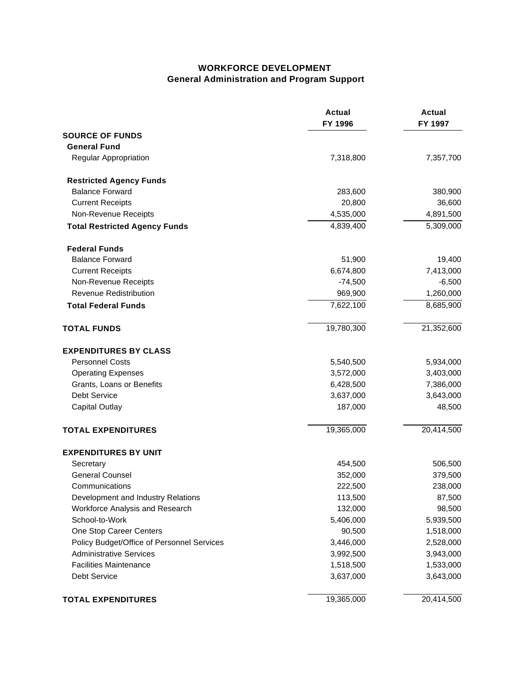### **WORKFORCE DEVELOPMENT General Administration and Program Support**

|                                            | <b>Actual</b><br>FY 1996 | <b>Actual</b><br>FY 1997 |
|--------------------------------------------|--------------------------|--------------------------|
| <b>SOURCE OF FUNDS</b>                     |                          |                          |
| <b>General Fund</b>                        |                          |                          |
| <b>Regular Appropriation</b>               | 7,318,800                | 7,357,700                |
| <b>Restricted Agency Funds</b>             |                          |                          |
| <b>Balance Forward</b>                     | 283,600                  | 380,900                  |
| <b>Current Receipts</b>                    | 20,800                   | 36,600                   |
| Non-Revenue Receipts                       | 4,535,000                | 4,891,500                |
| <b>Total Restricted Agency Funds</b>       | 4,839,400                | 5,309,000                |
| <b>Federal Funds</b>                       |                          |                          |
| <b>Balance Forward</b>                     | 51,900                   | 19,400                   |
| <b>Current Receipts</b>                    | 6,674,800                | 7,413,000                |
| Non-Revenue Receipts                       | $-74,500$                | $-6,500$                 |
| <b>Revenue Redistribution</b>              | 969,900                  | 1,260,000                |
| <b>Total Federal Funds</b>                 | 7,622,100                | 8,685,900                |
| <b>TOTAL FUNDS</b>                         | 19,780,300               | 21,352,600               |
| <b>EXPENDITURES BY CLASS</b>               |                          |                          |
| <b>Personnel Costs</b>                     | 5,540,500                | 5,934,000                |
| <b>Operating Expenses</b>                  | 3,572,000                | 3,403,000                |
| Grants, Loans or Benefits                  | 6,428,500                | 7,386,000                |
| <b>Debt Service</b>                        | 3,637,000                | 3,643,000                |
| <b>Capital Outlay</b>                      | 187,000                  | 48,500                   |
| <b>TOTAL EXPENDITURES</b>                  | 19,365,000               | 20,414,500               |
| <b>EXPENDITURES BY UNIT</b>                |                          |                          |
| Secretary                                  | 454,500                  | 506,500                  |
| <b>General Counsel</b>                     | 352,000                  | 379,500                  |
| Communications                             | 222,500                  | 238,000                  |
| Development and Industry Relations         | 113,500                  | 87,500                   |
| Workforce Analysis and Research            | 132,000                  | 98,500                   |
| School-to-Work                             | 5,406,000                | 5,939,500                |
| One Stop Career Centers                    | 90,500                   | 1,518,000                |
| Policy Budget/Office of Personnel Services | 3,446,000                | 2,528,000                |
| <b>Administrative Services</b>             | 3,992,500                | 3,943,000                |
| <b>Facilities Maintenance</b>              | 1,518,500                | 1,533,000                |
| Debt Service                               | 3,637,000                | 3,643,000                |
| <b>TOTAL EXPENDITURES</b>                  | 19,365,000               | 20,414,500               |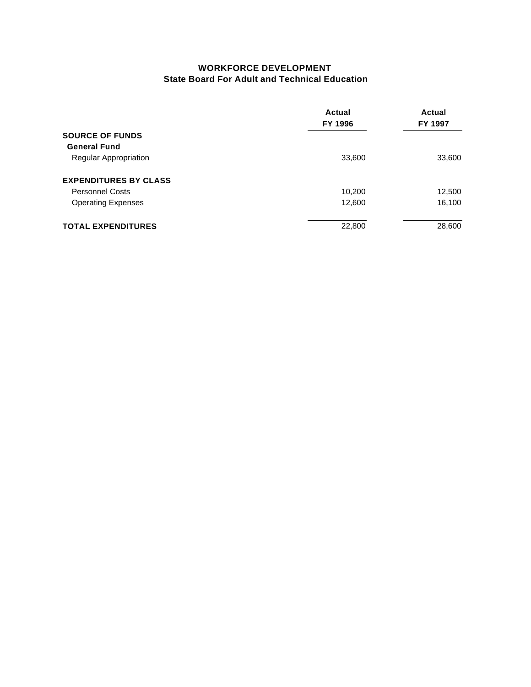#### **WORKFORCE DEVELOPMENT State Board For Adult and Technical Education**

|                              | Actual<br>FY 1996 | Actual<br>FY 1997 |
|------------------------------|-------------------|-------------------|
| <b>SOURCE OF FUNDS</b>       |                   |                   |
| <b>General Fund</b>          |                   |                   |
| <b>Regular Appropriation</b> | 33,600            | 33,600            |
| <b>EXPENDITURES BY CLASS</b> |                   |                   |
| <b>Personnel Costs</b>       | 10,200            | 12,500            |
| <b>Operating Expenses</b>    | 12,600            | 16,100            |
| <b>TOTAL EXPENDITURES</b>    | 22,800            | 28,600            |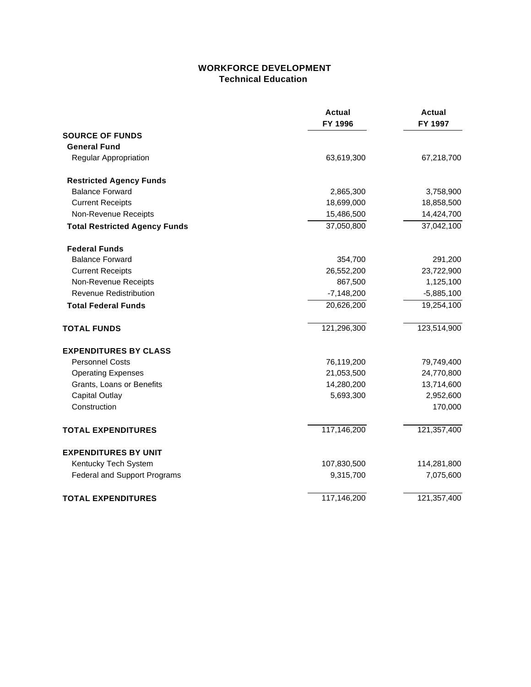### **WORKFORCE DEVELOPMENT Technical Education**

|                                      | <b>Actual</b><br>FY 1996 | <b>Actual</b><br>FY 1997 |
|--------------------------------------|--------------------------|--------------------------|
| <b>SOURCE OF FUNDS</b>               |                          |                          |
| <b>General Fund</b>                  |                          |                          |
| Regular Appropriation                | 63,619,300               | 67,218,700               |
| <b>Restricted Agency Funds</b>       |                          |                          |
| <b>Balance Forward</b>               | 2,865,300                | 3,758,900                |
| <b>Current Receipts</b>              | 18,699,000               | 18,858,500               |
| Non-Revenue Receipts                 | 15,486,500               | 14,424,700               |
| <b>Total Restricted Agency Funds</b> | 37,050,800               | 37,042,100               |
| <b>Federal Funds</b>                 |                          |                          |
| <b>Balance Forward</b>               | 354,700                  | 291,200                  |
| <b>Current Receipts</b>              | 26,552,200               | 23,722,900               |
| Non-Revenue Receipts                 | 867,500                  | 1,125,100                |
| <b>Revenue Redistribution</b>        | $-7,148,200$             | $-5,885,100$             |
| <b>Total Federal Funds</b>           | 20,626,200               | 19,254,100               |
| <b>TOTAL FUNDS</b>                   | 121,296,300              | 123,514,900              |
| <b>EXPENDITURES BY CLASS</b>         |                          |                          |
| <b>Personnel Costs</b>               | 76,119,200               | 79,749,400               |
| <b>Operating Expenses</b>            | 21,053,500               | 24,770,800               |
| Grants, Loans or Benefits            | 14,280,200               | 13,714,600               |
| <b>Capital Outlay</b>                | 5,693,300                | 2,952,600                |
| Construction                         |                          | 170,000                  |
| <b>TOTAL EXPENDITURES</b>            | 117,146,200              | 121,357,400              |
| <b>EXPENDITURES BY UNIT</b>          |                          |                          |
| Kentucky Tech System                 | 107,830,500              | 114,281,800              |
| <b>Federal and Support Programs</b>  | 9,315,700                | 7,075,600                |
| <b>TOTAL EXPENDITURES</b>            | 117,146,200              | 121,357,400              |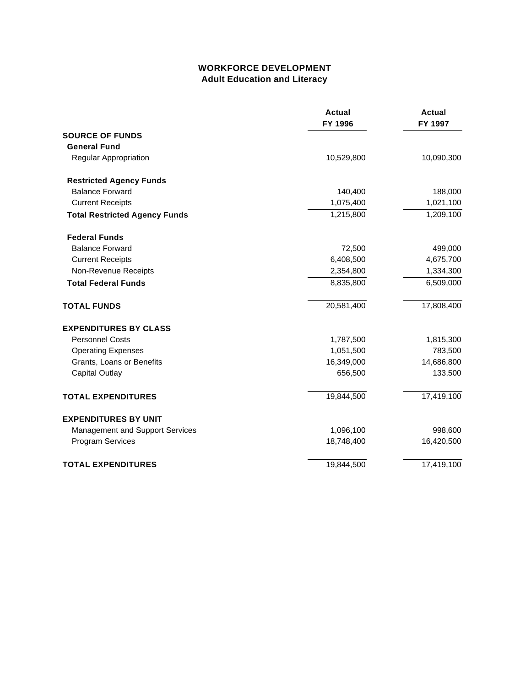### **WORKFORCE DEVELOPMENT Adult Education and Literacy**

|                                      | <b>Actual</b><br>FY 1996 | <b>Actual</b><br>FY 1997 |
|--------------------------------------|--------------------------|--------------------------|
| <b>SOURCE OF FUNDS</b>               |                          |                          |
| <b>General Fund</b>                  |                          |                          |
| Regular Appropriation                | 10,529,800               | 10,090,300               |
| <b>Restricted Agency Funds</b>       |                          |                          |
| <b>Balance Forward</b>               | 140,400                  | 188,000                  |
| <b>Current Receipts</b>              | 1,075,400                | 1,021,100                |
| <b>Total Restricted Agency Funds</b> | 1,215,800                | 1,209,100                |
| <b>Federal Funds</b>                 |                          |                          |
| <b>Balance Forward</b>               | 72,500                   | 499,000                  |
| <b>Current Receipts</b>              | 6,408,500                | 4,675,700                |
| Non-Revenue Receipts                 | 2,354,800                | 1,334,300                |
| <b>Total Federal Funds</b>           | 8,835,800                | 6,509,000                |
| <b>TOTAL FUNDS</b>                   | 20,581,400               | 17,808,400               |
| <b>EXPENDITURES BY CLASS</b>         |                          |                          |
| <b>Personnel Costs</b>               | 1,787,500                | 1,815,300                |
| <b>Operating Expenses</b>            | 1,051,500                | 783,500                  |
| Grants, Loans or Benefits            | 16,349,000               | 14,686,800               |
| <b>Capital Outlay</b>                | 656,500                  | 133,500                  |
| <b>TOTAL EXPENDITURES</b>            | 19,844,500               | 17,419,100               |
| <b>EXPENDITURES BY UNIT</b>          |                          |                          |
| Management and Support Services      | 1,096,100                | 998,600                  |
| Program Services                     | 18,748,400               | 16,420,500               |
| <b>TOTAL EXPENDITURES</b>            | 19,844,500               | 17,419,100               |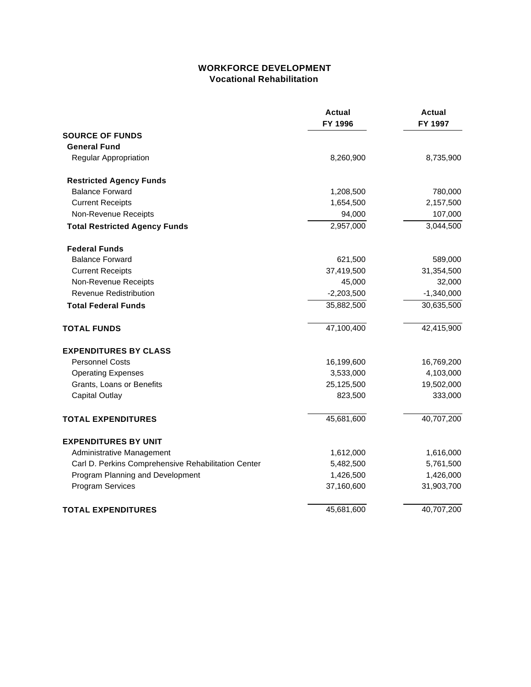### **WORKFORCE DEVELOPMENT Vocational Rehabilitation**

|                                                     | <b>Actual</b><br>FY 1996 | <b>Actual</b><br>FY 1997 |
|-----------------------------------------------------|--------------------------|--------------------------|
| <b>SOURCE OF FUNDS</b>                              |                          |                          |
| <b>General Fund</b>                                 |                          |                          |
| Regular Appropriation                               | 8,260,900                | 8,735,900                |
| <b>Restricted Agency Funds</b>                      |                          |                          |
| <b>Balance Forward</b>                              | 1,208,500                | 780,000                  |
| <b>Current Receipts</b>                             | 1,654,500                | 2,157,500                |
| Non-Revenue Receipts                                | 94,000                   | 107,000                  |
| <b>Total Restricted Agency Funds</b>                | 2,957,000                | 3,044,500                |
| <b>Federal Funds</b>                                |                          |                          |
| <b>Balance Forward</b>                              | 621,500                  | 589,000                  |
| <b>Current Receipts</b>                             | 37,419,500               | 31,354,500               |
| Non-Revenue Receipts                                | 45,000                   | 32,000                   |
| Revenue Redistribution                              | $-2,203,500$             | $-1,340,000$             |
| <b>Total Federal Funds</b>                          | 35,882,500               | 30,635,500               |
| <b>TOTAL FUNDS</b>                                  | 47,100,400               | 42,415,900               |
| <b>EXPENDITURES BY CLASS</b>                        |                          |                          |
| <b>Personnel Costs</b>                              | 16,199,600               | 16,769,200               |
| <b>Operating Expenses</b>                           | 3,533,000                | 4,103,000                |
| Grants, Loans or Benefits                           | 25,125,500               | 19,502,000               |
| <b>Capital Outlay</b>                               | 823,500                  | 333,000                  |
| <b>TOTAL EXPENDITURES</b>                           | 45,681,600               | 40,707,200               |
| <b>EXPENDITURES BY UNIT</b>                         |                          |                          |
| Administrative Management                           | 1,612,000                | 1,616,000                |
| Carl D. Perkins Comprehensive Rehabilitation Center | 5,482,500                | 5,761,500                |
| Program Planning and Development                    | 1,426,500                | 1,426,000                |
| Program Services                                    | 37,160,600               | 31,903,700               |
| <b>TOTAL EXPENDITURES</b>                           | 45,681,600               | 40,707,200               |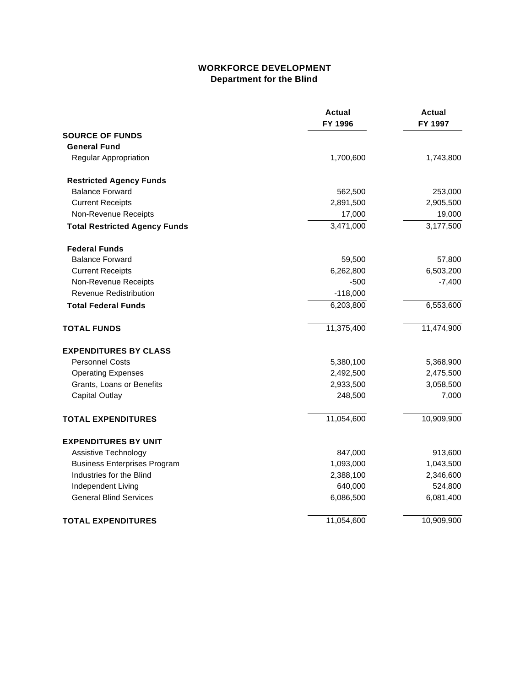## **WORKFORCE DEVELOPMENT Department for the Blind**

|                                      | <b>Actual</b><br>FY 1996 | Actual<br>FY 1997 |
|--------------------------------------|--------------------------|-------------------|
| <b>SOURCE OF FUNDS</b>               |                          |                   |
| <b>General Fund</b>                  |                          |                   |
| Regular Appropriation                | 1,700,600                | 1,743,800         |
| <b>Restricted Agency Funds</b>       |                          |                   |
| <b>Balance Forward</b>               | 562,500                  | 253,000           |
| <b>Current Receipts</b>              | 2,891,500                | 2,905,500         |
| Non-Revenue Receipts                 | 17,000                   | 19,000            |
| <b>Total Restricted Agency Funds</b> | 3,471,000                | 3,177,500         |
| <b>Federal Funds</b>                 |                          |                   |
| <b>Balance Forward</b>               | 59,500                   | 57,800            |
| <b>Current Receipts</b>              | 6,262,800                | 6,503,200         |
| Non-Revenue Receipts                 | $-500$                   | $-7,400$          |
| <b>Revenue Redistribution</b>        | $-118,000$               |                   |
| <b>Total Federal Funds</b>           | 6,203,800                | 6,553,600         |
| <b>TOTAL FUNDS</b>                   | 11,375,400               | 11,474,900        |
| <b>EXPENDITURES BY CLASS</b>         |                          |                   |
| <b>Personnel Costs</b>               | 5,380,100                | 5,368,900         |
| <b>Operating Expenses</b>            | 2,492,500                | 2,475,500         |
| Grants, Loans or Benefits            | 2,933,500                | 3,058,500         |
| <b>Capital Outlay</b>                | 248,500                  | 7,000             |
| <b>TOTAL EXPENDITURES</b>            | 11,054,600               | 10,909,900        |
| <b>EXPENDITURES BY UNIT</b>          |                          |                   |
| Assistive Technology                 | 847,000                  | 913,600           |
| <b>Business Enterprises Program</b>  | 1,093,000                | 1,043,500         |
| Industries for the Blind             | 2,388,100                | 2,346,600         |
| Independent Living                   | 640,000                  | 524,800           |
| <b>General Blind Services</b>        | 6,086,500                | 6,081,400         |
| <b>TOTAL EXPENDITURES</b>            | 11,054,600               | 10,909,900        |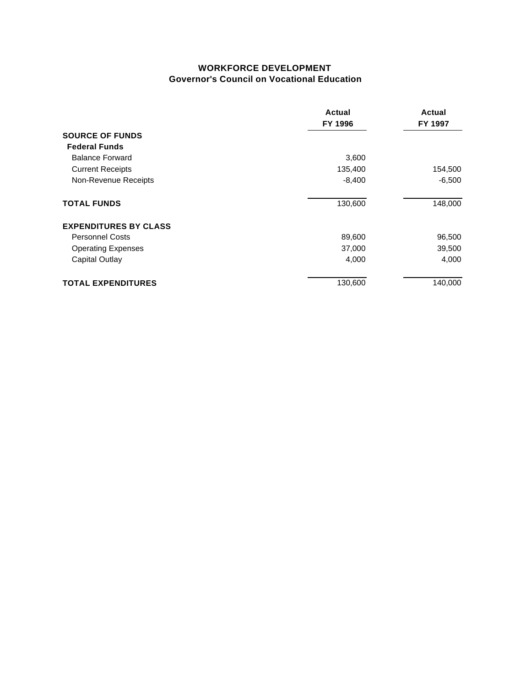#### **WORKFORCE DEVELOPMENT Governor's Council on Vocational Education**

|                                                                       | Actual<br>FY 1996                                                    | Actual<br>FY 1997                                           |                              |         |
|-----------------------------------------------------------------------|----------------------------------------------------------------------|-------------------------------------------------------------|------------------------------|---------|
| <b>SOURCE OF FUNDS</b>                                                | 3,600<br>135,400<br>$-8,400$<br>130,600<br>89,600<br>37,000<br>4,000 | 154,500<br>$-6,500$<br>148,000<br>96,500<br>39,500<br>4,000 |                              |         |
| <b>Federal Funds</b>                                                  |                                                                      |                                                             |                              |         |
| <b>Balance Forward</b>                                                |                                                                      |                                                             |                              |         |
| <b>Current Receipts</b><br>Non-Revenue Receipts<br><b>TOTAL FUNDS</b> |                                                                      |                                                             |                              |         |
|                                                                       |                                                                      |                                                             | <b>EXPENDITURES BY CLASS</b> |         |
|                                                                       |                                                                      |                                                             | <b>Personnel Costs</b>       |         |
| <b>Operating Expenses</b><br><b>Capital Outlay</b>                    |                                                                      |                                                             |                              |         |
|                                                                       |                                                                      |                                                             | <b>TOTAL EXPENDITURES</b>    | 130,600 |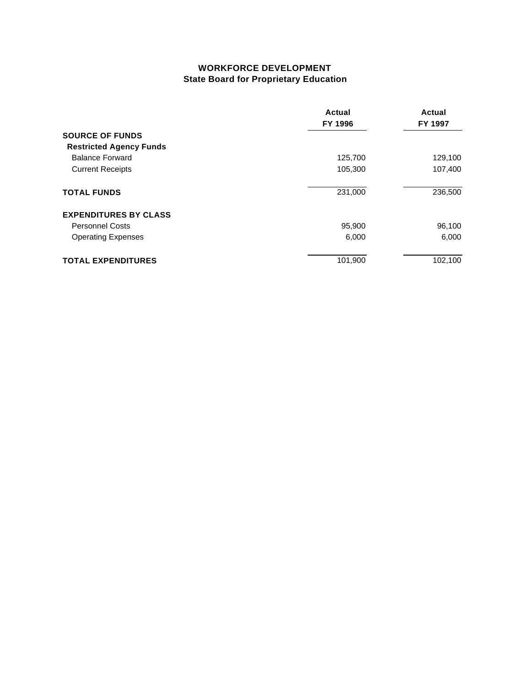## **WORKFORCE DEVELOPMENT State Board for Proprietary Education**

|                                                   | Actual<br>FY 1996<br>125,700<br>105,300 | Actual<br>FY 1997  |
|---------------------------------------------------|-----------------------------------------|--------------------|
| <b>SOURCE OF FUNDS</b>                            |                                         |                    |
| <b>Restricted Agency Funds</b>                    |                                         |                    |
| <b>Balance Forward</b><br><b>Current Receipts</b> |                                         | 129,100<br>107,400 |
|                                                   |                                         |                    |
| <b>EXPENDITURES BY CLASS</b>                      |                                         |                    |
| <b>Personnel Costs</b>                            | 95,900                                  | 96,100             |
| <b>Operating Expenses</b>                         | 6,000                                   | 6,000              |
| <b>TOTAL EXPENDITURES</b>                         | 101,900                                 | 102,100            |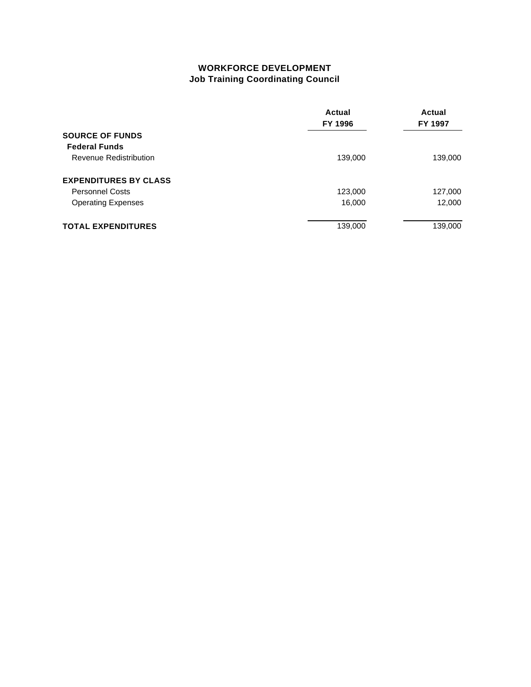## **WORKFORCE DEVELOPMENT Job Training Coordinating Council**

|                               | Actual<br>FY 1996 | Actual<br>FY 1997 |
|-------------------------------|-------------------|-------------------|
| <b>SOURCE OF FUNDS</b>        |                   |                   |
| <b>Federal Funds</b>          |                   |                   |
| <b>Revenue Redistribution</b> | 139,000           | 139,000           |
| <b>EXPENDITURES BY CLASS</b>  |                   |                   |
| <b>Personnel Costs</b>        | 123,000           | 127,000           |
| <b>Operating Expenses</b>     | 16,000            | 12,000            |
| <b>TOTAL EXPENDITURES</b>     | 139,000           | 139,000           |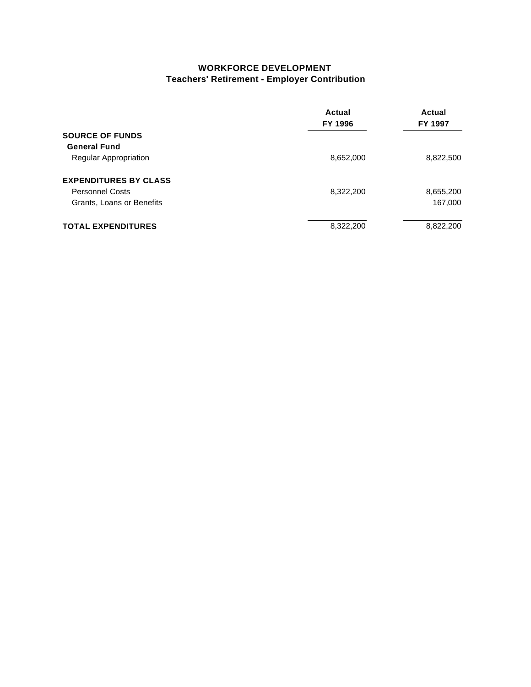### **WORKFORCE DEVELOPMENT Teachers' Retirement - Employer Contribution**

|                              | Actual<br>FY 1996 | Actual<br>FY 1997 |
|------------------------------|-------------------|-------------------|
| <b>SOURCE OF FUNDS</b>       |                   |                   |
| <b>General Fund</b>          |                   |                   |
| <b>Regular Appropriation</b> | 8,652,000         | 8,822,500         |
| <b>EXPENDITURES BY CLASS</b> |                   |                   |
| <b>Personnel Costs</b>       | 8,322,200         | 8,655,200         |
| Grants, Loans or Benefits    |                   | 167,000           |
| <b>TOTAL EXPENDITURES</b>    | 8,322,200         | 8,822,200         |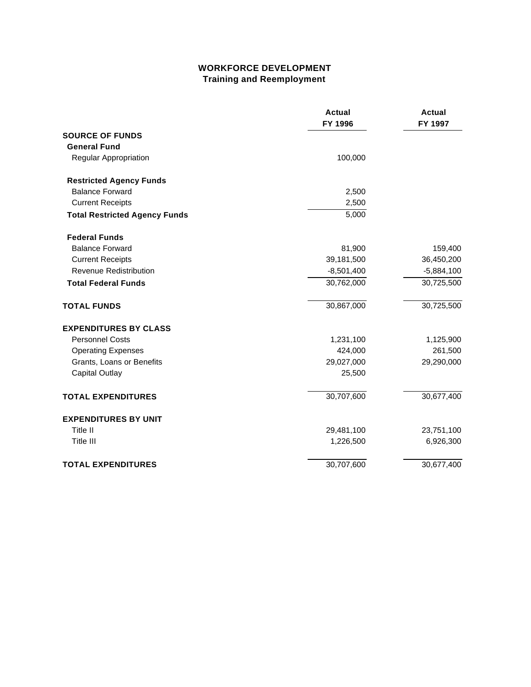## **WORKFORCE DEVELOPMENT Training and Reemployment**

|                                      | <b>Actual</b><br>FY 1996 | Actual<br>FY 1997 |
|--------------------------------------|--------------------------|-------------------|
| <b>SOURCE OF FUNDS</b>               |                          |                   |
| <b>General Fund</b>                  |                          |                   |
| Regular Appropriation                | 100,000                  |                   |
| <b>Restricted Agency Funds</b>       |                          |                   |
| <b>Balance Forward</b>               | 2,500                    |                   |
| <b>Current Receipts</b>              | 2,500                    |                   |
| <b>Total Restricted Agency Funds</b> | 5,000                    |                   |
| <b>Federal Funds</b>                 |                          |                   |
| <b>Balance Forward</b>               | 81,900                   | 159,400           |
| <b>Current Receipts</b>              | 39,181,500               | 36,450,200        |
| <b>Revenue Redistribution</b>        | $-8,501,400$             | $-5,884,100$      |
| <b>Total Federal Funds</b>           | 30,762,000               | 30,725,500        |
| <b>TOTAL FUNDS</b>                   | 30,867,000               | 30,725,500        |
| <b>EXPENDITURES BY CLASS</b>         |                          |                   |
| <b>Personnel Costs</b>               | 1,231,100                | 1,125,900         |
| <b>Operating Expenses</b>            | 424,000                  | 261,500           |
| Grants, Loans or Benefits            | 29,027,000               | 29,290,000        |
| <b>Capital Outlay</b>                | 25,500                   |                   |
| <b>TOTAL EXPENDITURES</b>            | 30,707,600               | 30,677,400        |
| <b>EXPENDITURES BY UNIT</b>          |                          |                   |
| Title II                             | 29,481,100               | 23,751,100        |
| Title III                            | 1,226,500                | 6,926,300         |
| <b>TOTAL EXPENDITURES</b>            | 30,707,600               | 30,677,400        |